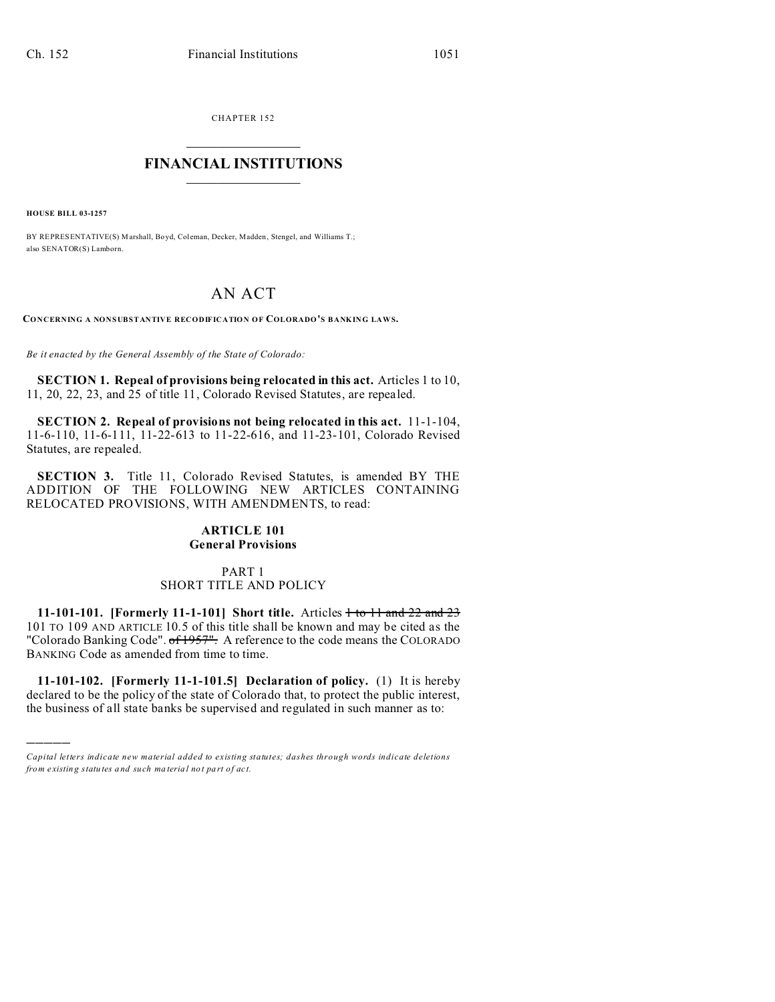CHAPTER 152  $\overline{\phantom{a}}$  , where  $\overline{\phantom{a}}$ 

## **FINANCIAL INSTITUTIONS**  $\frac{1}{2}$  ,  $\frac{1}{2}$  ,  $\frac{1}{2}$  ,  $\frac{1}{2}$  ,  $\frac{1}{2}$  ,  $\frac{1}{2}$  ,  $\frac{1}{2}$

**HOUSE BILL 03-1257**

)))))

BY REPRESENTATIVE(S) Marshall, Boyd, Coleman, Decker, Madden, Stengel, and Williams T.; also SENATOR(S) Lamborn.

# AN ACT

**CONCERNING A NONSUBSTANTIVE RECODIFICATION OF COLORADO'S BANKING LAWS.**

*Be it enacted by the General Assembly of the State of Colorado:*

**SECTION 1. Repeal of provisions being relocated in this act.** Articles 1 to 10, 11, 20, 22, 23, and 25 of title 11, Colorado Revised Statutes, are repealed.

**SECTION 2. Repeal of provisions not being relocated in this act.** 11-1-104, 11-6-110, 11-6-111, 11-22-613 to 11-22-616, and 11-23-101, Colorado Revised Statutes, are repealed.

**SECTION 3.** Title 11, Colorado Revised Statutes, is amended BY THE ADDITION OF THE FOLLOWING NEW ARTICLES CONTAINING RELOCATED PROVISIONS, WITH AMENDMENTS, to read:

#### **ARTICLE 101 General Provisions**

# PART 1 SHORT TITLE AND POLICY

**11-101-101.** [Formerly 11-1-101] Short title. Articles  $\frac{1 + 101}{1 + 101}$  and 22 and 23 101 TO 109 AND ARTICLE 10.5 of this title shall be known and may be cited as the "Colorado Banking Code". of 1957". A reference to the code means the COLORADO BANKING Code as amended from time to time.

**11-101-102. [Formerly 11-1-101.5] Declaration of policy.** (1) It is hereby declared to be the policy of the state of Colorado that, to protect the public interest, the business of all state banks be supervised and regulated in such manner as to:

*Capital letters indicate new material added to existing statutes; dashes through words indicate deletions from e xistin g statu tes a nd such ma teria l no t pa rt of ac t.*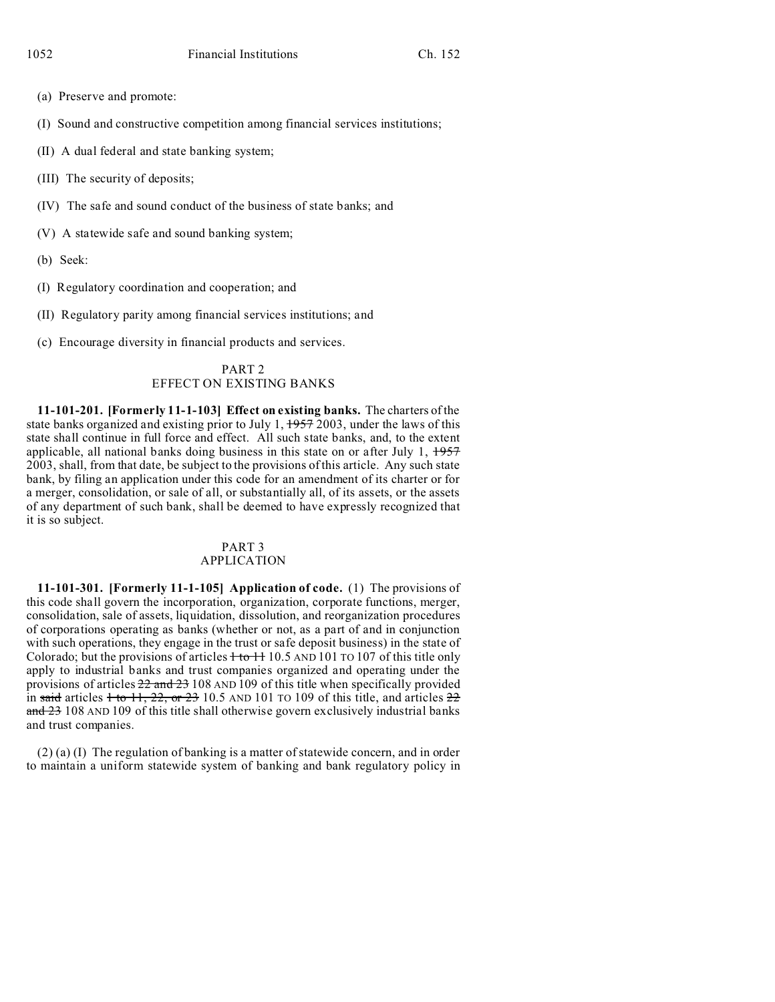- (a) Preserve and promote:
- (I) Sound and constructive competition among financial services institutions;
- (II) A dual federal and state banking system;
- (III) The security of deposits;
- (IV) The safe and sound conduct of the business of state banks; and
- (V) A statewide safe and sound banking system;
- (b) Seek:
- (I) Regulatory coordination and cooperation; and
- (II) Regulatory parity among financial services institutions; and
- (c) Encourage diversity in financial products and services.

## PART 2 EFFECT ON EXISTING BANKS

**11-101-201. [Formerly 11-1-103] Effect on existing banks.** The charters of the state banks organized and existing prior to July 1,  $\frac{1957}{2003}$ , under the laws of this state shall continue in full force and effect. All such state banks, and, to the extent applicable, all national banks doing business in this state on or after July 1, 1957 2003, shall, from that date, be subject to the provisions of this article. Any such state bank, by filing an application under this code for an amendment of its charter or for a merger, consolidation, or sale of all, or substantially all, of its assets, or the assets of any department of such bank, shall be deemed to have expressly recognized that it is so subject.

#### PART 3 APPLICATION

**11-101-301. [Formerly 11-1-105] Application of code.** (1) The provisions of this code shall govern the incorporation, organization, corporate functions, merger, consolidation, sale of assets, liquidation, dissolution, and reorganization procedures of corporations operating as banks (whether or not, as a part of and in conjunction with such operations, they engage in the trust or safe deposit business) in the state of Colorado; but the provisions of articles  $\frac{1}{10}$  to  $\frac{11}{10}$ . AND 101 TO 107 of this title only apply to industrial banks and trust companies organized and operating under the provisions of articles  $22$  and  $23$  108 AND 109 of this title when specifically provided in said articles  $\frac{1}{10}$  to  $\frac{11}{22}$ , or  $\frac{23}{21}$  10.5 AND 101 TO 109 of this title, and articles  $\frac{22}{21}$  $\frac{\text{and } 23}{\text{108}}$  AND 109 of this title shall otherwise govern exclusively industrial banks and trust companies.

(2) (a) (I) The regulation of banking is a matter of statewide concern, and in order to maintain a uniform statewide system of banking and bank regulatory policy in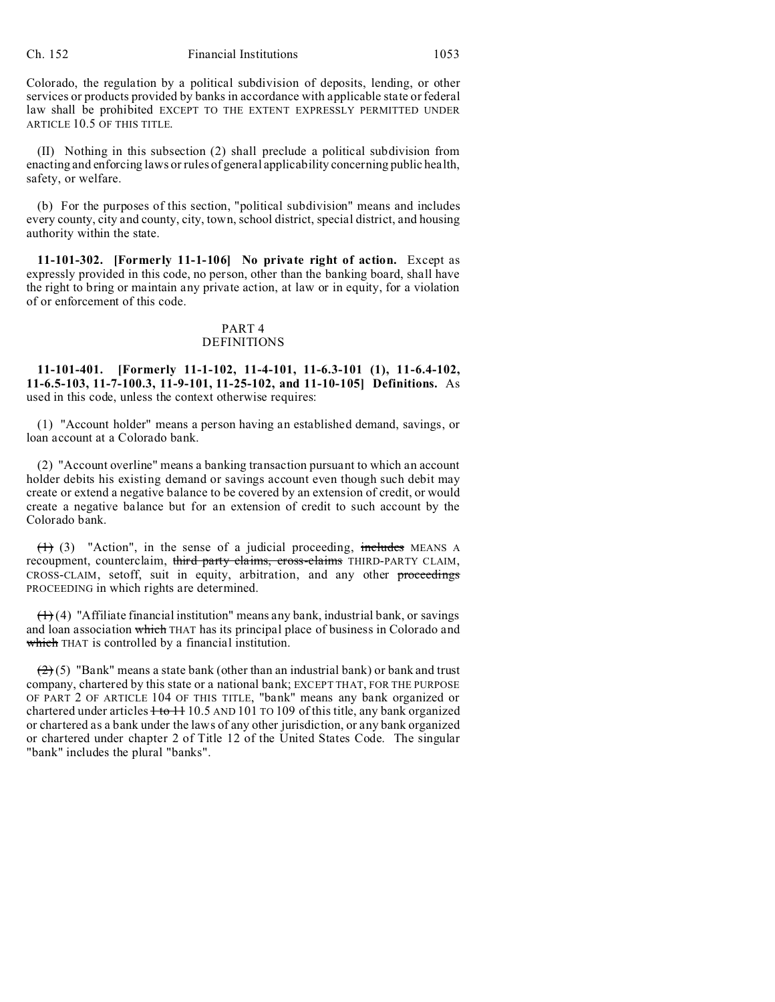Colorado, the regulation by a political subdivision of deposits, lending, or other services or products provided by banks in accordance with applicable state or federal law shall be prohibited EXCEPT TO THE EXTENT EXPRESSLY PERMITTED UNDER ARTICLE 10.5 OF THIS TITLE.

(II) Nothing in this subsection (2) shall preclude a political subdivision from enacting and enforcing laws or rules of general applicability concerning public health, safety, or welfare.

(b) For the purposes of this section, "political subdivision" means and includes every county, city and county, city, town, school district, special district, and housing authority within the state.

**11-101-302. [Formerly 11-1-106] No private right of action.** Except as expressly provided in this code, no person, other than the banking board, shall have the right to bring or maintain any private action, at law or in equity, for a violation of or enforcement of this code.

#### PART 4 DEFINITIONS

**11-101-401. [Formerly 11-1-102, 11-4-101, 11-6.3-101 (1), 11-6.4-102, 11-6.5-103, 11-7-100.3, 11-9-101, 11-25-102, and 11-10-105] Definitions.** As used in this code, unless the context otherwise requires:

(1) "Account holder" means a person having an established demand, savings, or loan account at a Colorado bank.

(2) "Account overline" means a banking transaction pursuant to which an account holder debits his existing demand or savings account even though such debit may create or extend a negative balance to be covered by an extension of credit, or would create a negative balance but for an extension of credit to such account by the Colorado bank.

 $(1)$  (3) "Action", in the sense of a judicial proceeding, includes MEANS A recoupment, counterclaim, third party claims, cross-claims THIRD-PARTY CLAIM, CROSS-CLAIM, setoff, suit in equity, arbitration, and any other proceedings PROCEEDING in which rights are determined.

 $(1)$  (4) "Affiliate financial institution" means any bank, industrial bank, or savings and loan association which THAT has its principal place of business in Colorado and which THAT is controlled by a financial institution.

 $(2)(5)$  "Bank" means a state bank (other than an industrial bank) or bank and trust company, chartered by this state or a national bank; EXCEPT THAT, FOR THE PURPOSE OF PART 2 OF ARTICLE 104 OF THIS TITLE, "bank" means any bank organized or chartered under articles  $+$  to  $+$  10.5 AND 101 TO 109 of this title, any bank organized or chartered as a bank under the laws of any other jurisdiction, or any bank organized or chartered under chapter 2 of Title 12 of the United States Code. The singular "bank" includes the plural "banks".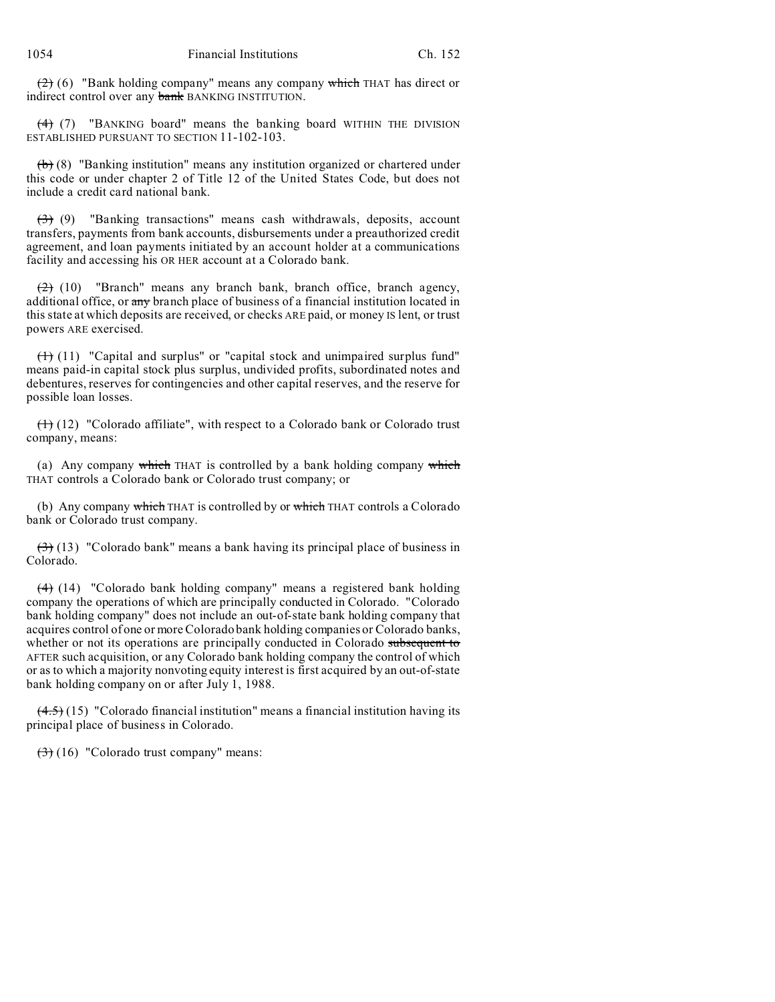$(2)$  (6) "Bank holding company" means any company which THAT has direct or indirect control over any **bank** BANKING INSTITUTION.

 $(4)$  (7) "BANKING board" means the banking board WITHIN THE DIVISION ESTABLISHED PURSUANT TO SECTION 11-102-103.

 $(b)$  (8) "Banking institution" means any institution organized or chartered under this code or under chapter 2 of Title 12 of the United States Code, but does not include a credit card national bank.

 $(3)$  (9) "Banking transactions" means cash withdrawals, deposits, account transfers, payments from bank accounts, disbursements under a preauthorized credit agreement, and loan payments initiated by an account holder at a communications facility and accessing his OR HER account at a Colorado bank.

 $(2)$  (10) "Branch" means any branch bank, branch office, branch agency, additional office, or any branch place of business of a financial institution located in this state at which deposits are received, or checks ARE paid, or money IS lent, or trust powers ARE exercised.

 $(1)$  (11) "Capital and surplus" or "capital stock and unimpaired surplus fund" means paid-in capital stock plus surplus, undivided profits, subordinated notes and debentures, reserves for contingencies and other capital reserves, and the reserve for possible loan losses.

 $(1)$  (12) "Colorado affiliate", with respect to a Colorado bank or Colorado trust company, means:

(a) Any company which THAT is controlled by a bank holding company which THAT controls a Colorado bank or Colorado trust company; or

(b) Any company which THAT is controlled by or which THAT controls a Colorado bank or Colorado trust company.

 $(3)$  (13) "Colorado bank" means a bank having its principal place of business in Colorado.

(4) (14) "Colorado bank holding company" means a registered bank holding company the operations of which are principally conducted in Colorado. "Colorado bank holding company" does not include an out-of-state bank holding company that acquires control of one or more Colorado bank holding companies or Colorado banks, whether or not its operations are principally conducted in Colorado subsequent to AFTER such acquisition, or any Colorado bank holding company the control of which or as to which a majority nonvoting equity interest is first acquired by an out-of-state bank holding company on or after July 1, 1988.

 $(4.5)$  (15) "Colorado financial institution" means a financial institution having its principal place of business in Colorado.

 $(3)$  (16) "Colorado trust company" means: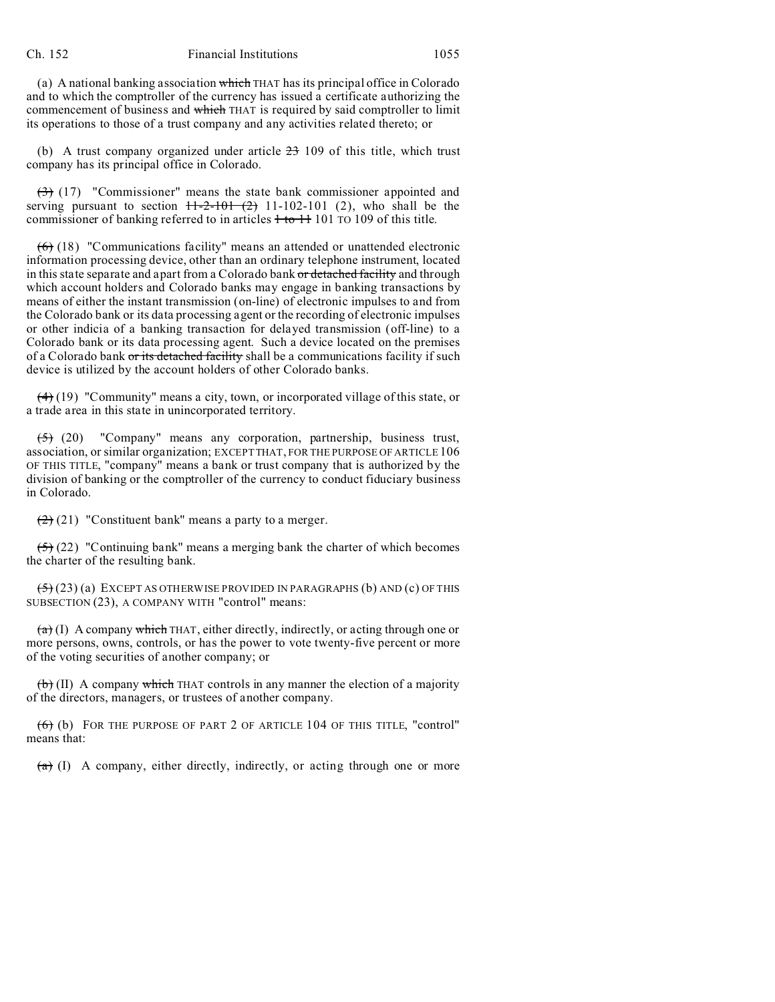(a) A national banking association which THAT has its principal office in Colorado and to which the comptroller of the currency has issued a certificate authorizing the commencement of business and which THAT is required by said comptroller to limit its operations to those of a trust company and any activities related thereto; or

(b) A trust company organized under article  $23$  109 of this title, which trust company has its principal office in Colorado.

(3) (17) "Commissioner" means the state bank commissioner appointed and serving pursuant to section  $11-2-101$   $(2)$  11-102-101  $(2)$ , who shall be the commissioner of banking referred to in articles  $+$  to  $+$  101 TO 109 of this title.

 $(6)$  (18) "Communications facility" means an attended or unattended electronic information processing device, other than an ordinary telephone instrument, located in this state separate and apart from a Colorado bank or detached facility and through which account holders and Colorado banks may engage in banking transactions by means of either the instant transmission (on-line) of electronic impulses to and from the Colorado bank or its data processing agent or the recording of electronic impulses or other indicia of a banking transaction for delayed transmission (off-line) to a Colorado bank or its data processing agent. Such a device located on the premises of a Colorado bank or its detached facility shall be a communications facility if such device is utilized by the account holders of other Colorado banks.

 $(4)$  (19) "Community" means a city, town, or incorporated village of this state, or a trade area in this state in unincorporated territory.

(5) (20) "Company" means any corporation, partnership, business trust, association, or similar organization; EXCEPT THAT, FOR THE PURPOSE OF ARTICLE 106 OF THIS TITLE, "company" means a bank or trust company that is authorized by the division of banking or the comptroller of the currency to conduct fiduciary business in Colorado.

 $(2)$  (21) "Constituent bank" means a party to a merger.

 $(5)$  (22) "Continuing bank" means a merging bank the charter of which becomes the charter of the resulting bank.

 $(5)(23)(a)$  EXCEPT AS OTHERWISE PROVIDED IN PARAGRAPHS (b) AND (c) OF THIS SUBSECTION (23), A COMPANY WITH "control" means:

 $(a)$  (I) A company which THAT, either directly, indirectly, or acting through one or more persons, owns, controls, or has the power to vote twenty-five percent or more of the voting securities of another company; or

 $\left(\mathbf{b}\right)$  (II) A company which THAT controls in any manner the election of a majority of the directors, managers, or trustees of another company.

(6) (b) FOR THE PURPOSE OF PART 2 OF ARTICLE 104 OF THIS TITLE, "control" means that:

 $(a)$  (I) A company, either directly, indirectly, or acting through one or more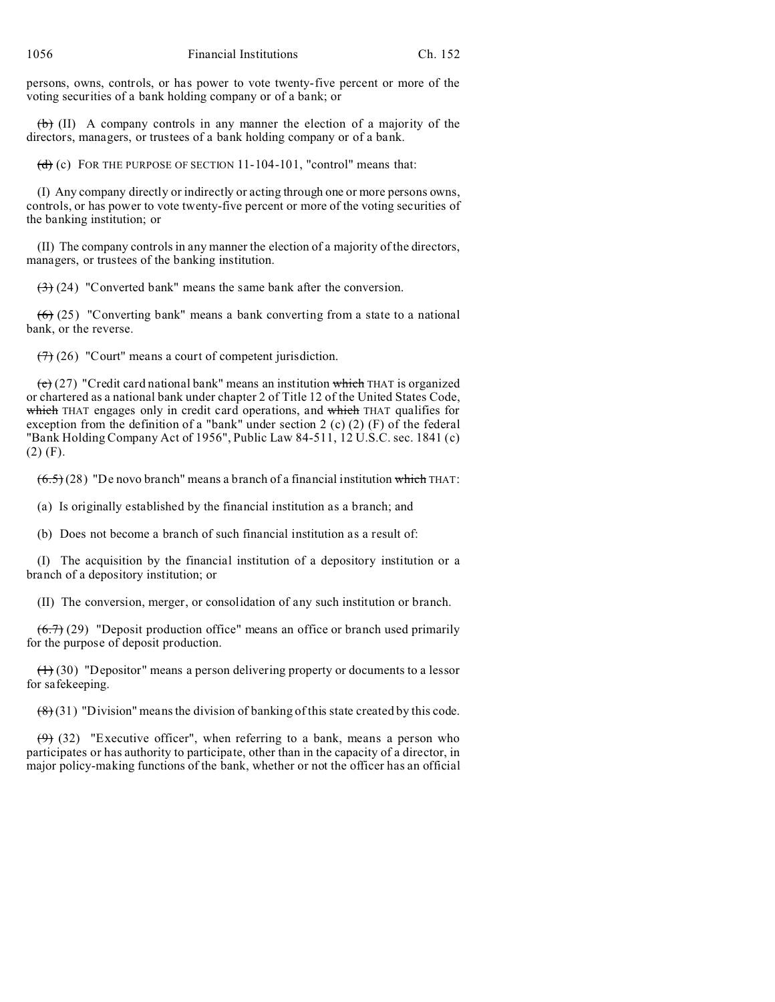persons, owns, controls, or has power to vote twenty-five percent or more of the voting securities of a bank holding company or of a bank; or

 $\left(\frac{b}{b}\right)$  (II) A company controls in any manner the election of a majority of the directors, managers, or trustees of a bank holding company or of a bank.

(d) (c) FOR THE PURPOSE OF SECTION  $11-104-101$ , "control" means that:

(I) Any company directly or indirectly or acting through one or more persons owns, controls, or has power to vote twenty-five percent or more of the voting securities of the banking institution; or

(II) The company controls in any manner the election of a majority of the directors, managers, or trustees of the banking institution.

 $\left(\frac{3}{2}\right)$  (24) "Converted bank" means the same bank after the conversion.

 $(6)$  (25) "Converting bank" means a bank converting from a state to a national bank, or the reverse.

 $(7)$  (26) "Court" means a court of competent jurisdiction.

 $(e)$  (27) "Credit card national bank" means an institution which THAT is organized or chartered as a national bank under chapter 2 of Title 12 of the United States Code, which THAT engages only in credit card operations, and which THAT qualifies for exception from the definition of a "bank" under section 2 (c) (2) (F) of the federal "Bank Holding Company Act of 1956", Public Law 84-511, 12 U.S.C. sec. 1841 (c) (2) (F).

 $(6.5)$  (28) "De novo branch" means a branch of a financial institution which THAT:

(a) Is originally established by the financial institution as a branch; and

(b) Does not become a branch of such financial institution as a result of:

(I) The acquisition by the financial institution of a depository institution or a branch of a depository institution; or

(II) The conversion, merger, or consolidation of any such institution or branch.

 $(6.7)$  (29) "Deposit production office" means an office or branch used primarily for the purpose of deposit production.

 $(1)$  (30) "Depositor" means a person delivering property or documents to a lessor for safekeeping.

 $(8)(31)$  "Division" means the division of banking of this state created by this code.

 $(9)$  (32) "Executive officer", when referring to a bank, means a person who participates or has authority to participate, other than in the capacity of a director, in major policy-making functions of the bank, whether or not the officer has an official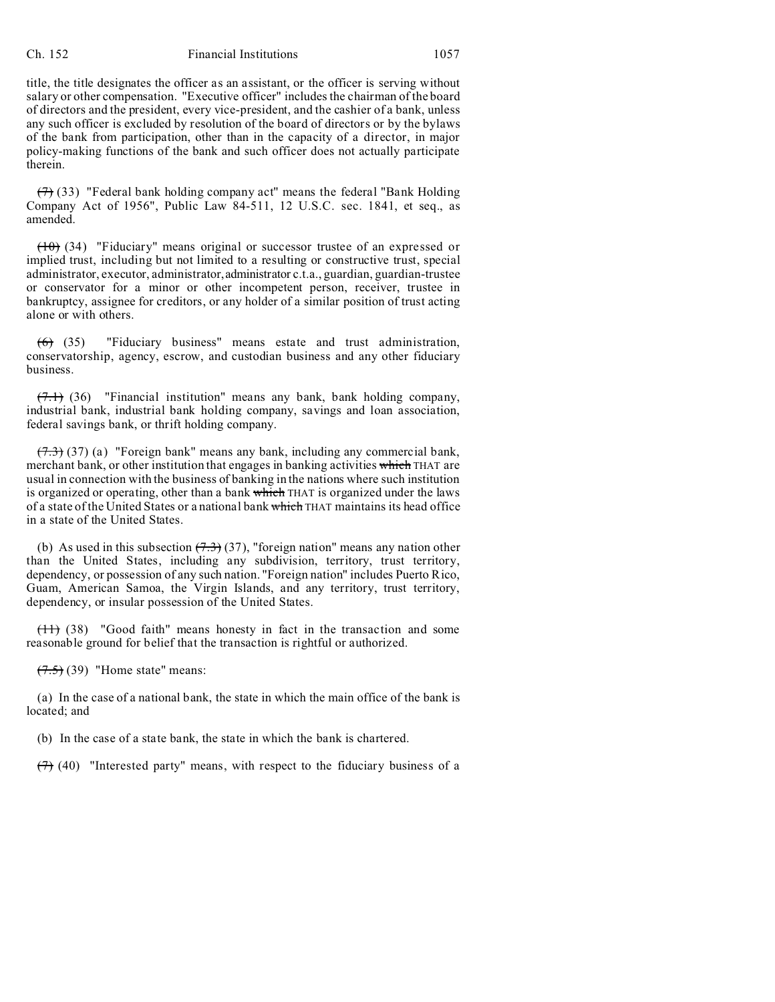#### Ch. 152 Financial Institutions 1057

title, the title designates the officer as an assistant, or the officer is serving without salary or other compensation. "Executive officer" includes the chairman of the board of directors and the president, every vice-president, and the cashier of a bank, unless any such officer is excluded by resolution of the board of directors or by the bylaws of the bank from participation, other than in the capacity of a director, in major policy-making functions of the bank and such officer does not actually participate therein.

 $(7)$  (33) "Federal bank holding company act" means the federal "Bank Holding Company Act of 1956", Public Law 84-511, 12 U.S.C. sec. 1841, et seq., as amended.

 $(10)$  (34) "Fiduciary" means original or successor trustee of an expressed or implied trust, including but not limited to a resulting or constructive trust, special administrator, executor, administrator,administrator c.t.a., guardian, guardian-trustee or conservator for a minor or other incompetent person, receiver, trustee in bankruptcy, assignee for creditors, or any holder of a similar position of trust acting alone or with others.

(6) (35) "Fiduciary business" means estate and trust administration, conservatorship, agency, escrow, and custodian business and any other fiduciary business.

 $(7.1)$  (36) "Financial institution" means any bank, bank holding company, industrial bank, industrial bank holding company, savings and loan association, federal savings bank, or thrift holding company.

 $(7.3)$  (37) (a) "Foreign bank" means any bank, including any commercial bank, merchant bank, or other institution that engages in banking activities which THAT are usual in connection with the business of banking in the nations where such institution is organized or operating, other than a bank which THAT is organized under the laws of a state of the United States or a national bank which THAT maintains its head office in a state of the United States.

(b) As used in this subsection  $(7.3)$  (37), "foreign nation" means any nation other than the United States, including any subdivision, territory, trust territory, dependency, or possession of any such nation. "Foreign nation" includes Puerto Rico, Guam, American Samoa, the Virgin Islands, and any territory, trust territory, dependency, or insular possession of the United States.

 $(11)$  (38) "Good faith" means honesty in fact in the transaction and some reasonable ground for belief that the transaction is rightful or authorized.

 $(7.5)$  (39) "Home state" means:

(a) In the case of a national bank, the state in which the main office of the bank is located; and

(b) In the case of a state bank, the state in which the bank is chartered.

 $(7)$  (40) "Interested party" means, with respect to the fiduciary business of a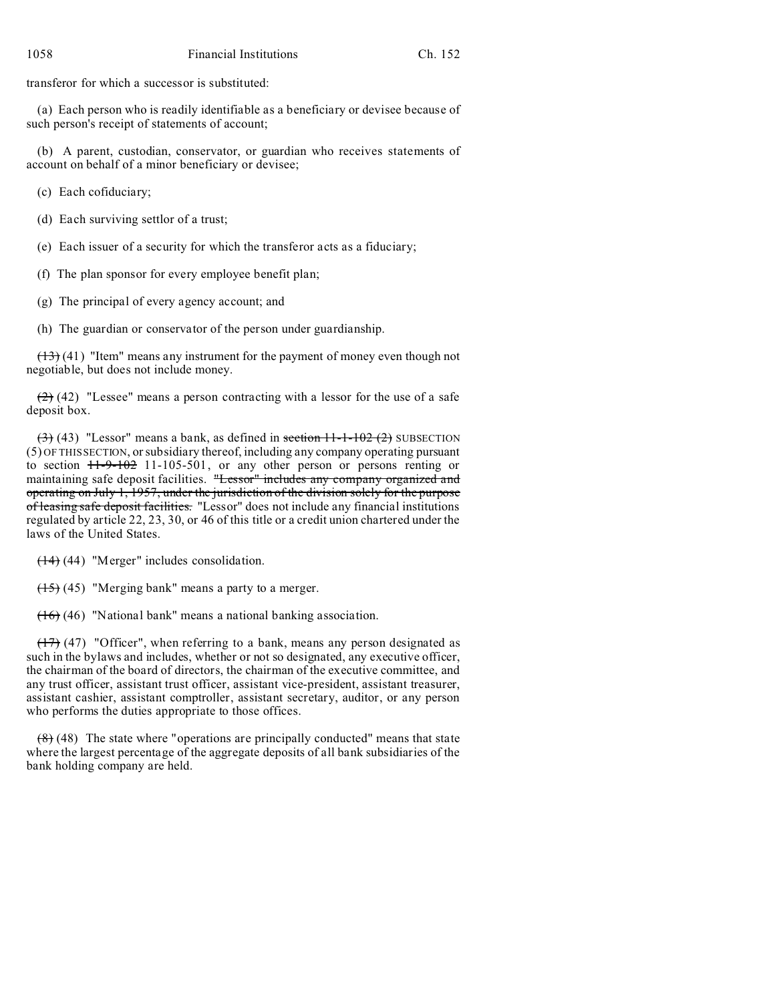transferor for which a successor is substituted:

(a) Each person who is readily identifiable as a beneficiary or devisee because of such person's receipt of statements of account;

(b) A parent, custodian, conservator, or guardian who receives statements of account on behalf of a minor beneficiary or devisee;

(c) Each cofiduciary;

(d) Each surviving settlor of a trust;

(e) Each issuer of a security for which the transferor acts as a fiduciary;

(f) The plan sponsor for every employee benefit plan;

(g) The principal of every agency account; and

(h) The guardian or conservator of the person under guardianship.

 $(13)$  (41) "Item" means any instrument for the payment of money even though not negotiable, but does not include money.

 $(2)$  (42) "Lessee" means a person contracting with a lessor for the use of a safe deposit box.

 $(3)$  (43) "Lessor" means a bank, as defined in section 11-1-102 (2) SUBSECTION (5) OF THIS SECTION, or subsidiary thereof, including any company operating pursuant to section 11-9-102 11-105-501, or any other person or persons renting or maintaining safe deposit facilities. "Lessor" includes any company organized and operating on July 1, 1957, under the jurisdiction of the division solely for the purpose of leasing safe deposit facilities. "Lessor" does not include any financial institutions regulated by article 22, 23, 30, or 46 of this title or a credit union chartered under the laws of the United States.

 $(14)$  (44) "Merger" includes consolidation.

 $(15)$  (45) "Merging bank" means a party to a merger.

(16) (46) "National bank" means a national banking association.

 $(17)$  (47) "Officer", when referring to a bank, means any person designated as such in the bylaws and includes, whether or not so designated, any executive officer, the chairman of the board of directors, the chairman of the executive committee, and any trust officer, assistant trust officer, assistant vice-president, assistant treasurer, assistant cashier, assistant comptroller, assistant secretary, auditor, or any person who performs the duties appropriate to those offices.

 $(8)$  (48) The state where "operations are principally conducted" means that state where the largest percentage of the aggregate deposits of all bank subsidiaries of the bank holding company are held.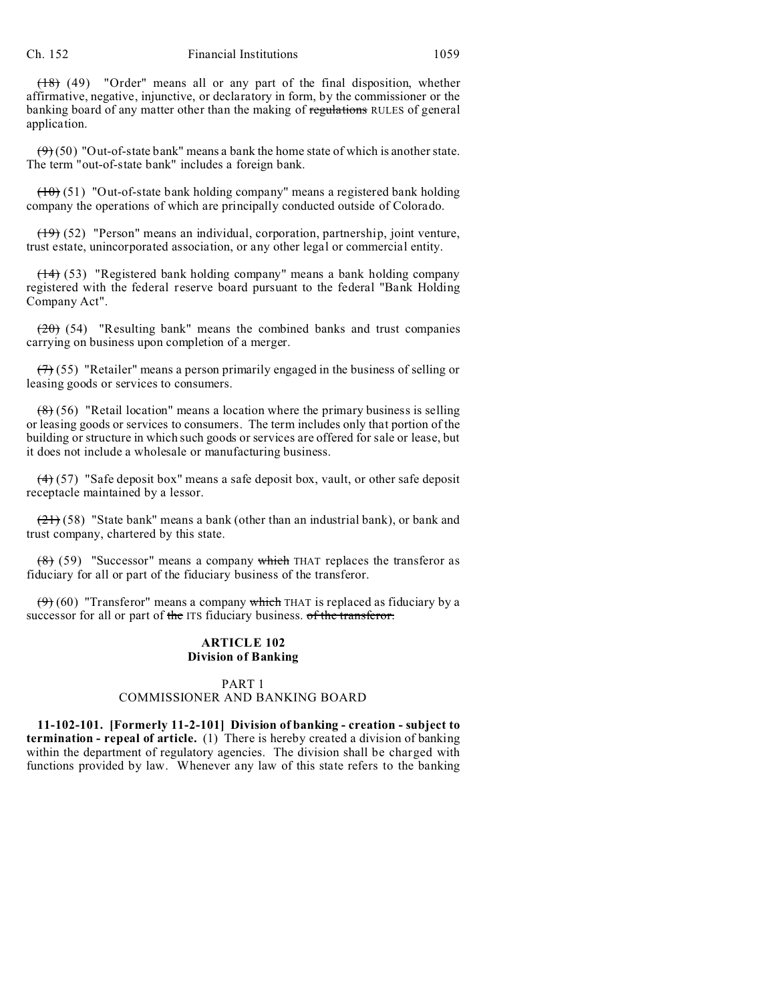(18) (49) "Order" means all or any part of the final disposition, whether affirmative, negative, injunctive, or declaratory in form, by the commissioner or the banking board of any matter other than the making of regulations RULES of general application.

 $(9)(50)$  "Out-of-state bank" means a bank the home state of which is another state. The term "out-of-state bank" includes a foreign bank.

 $(10)$  (51) "Out-of-state bank holding company" means a registered bank holding company the operations of which are principally conducted outside of Colorado.

 $(19)$  (52) "Person" means an individual, corporation, partnership, joint venture, trust estate, unincorporated association, or any other legal or commercial entity.

(14) (53) "Registered bank holding company" means a bank holding company registered with the federal reserve board pursuant to the federal "Bank Holding Company Act".

 $(20)$  (54) "Resulting bank" means the combined banks and trust companies carrying on business upon completion of a merger.

 $(7)$  (55) "Retailer" means a person primarily engaged in the business of selling or leasing goods or services to consumers.

 $(8)$  (56) "Retail location" means a location where the primary business is selling or leasing goods or services to consumers. The term includes only that portion of the building or structure in which such goods or services are offered for sale or lease, but it does not include a wholesale or manufacturing business.

 $(4)$  (57) "Safe deposit box" means a safe deposit box, vault, or other safe deposit receptacle maintained by a lessor.

 $(21)$  (58) "State bank" means a bank (other than an industrial bank), or bank and trust company, chartered by this state.

 $(8)$  (59) "Successor" means a company which THAT replaces the transferor as fiduciary for all or part of the fiduciary business of the transferor.

 $(9)$  (60) "Transferor" means a company which THAT is replaced as fiduciary by a successor for all or part of the ITS fiduciary business. of the transferor.

#### **ARTICLE 102 Division of Banking**

# PART 1 COMMISSIONER AND BANKING BOARD

**11-102-101. [Formerly 11-2-101] Division of banking - creation - subject to termination - repeal of article.** (1) There is hereby created a division of banking within the department of regulatory agencies. The division shall be charged with functions provided by law. Whenever any law of this state refers to the banking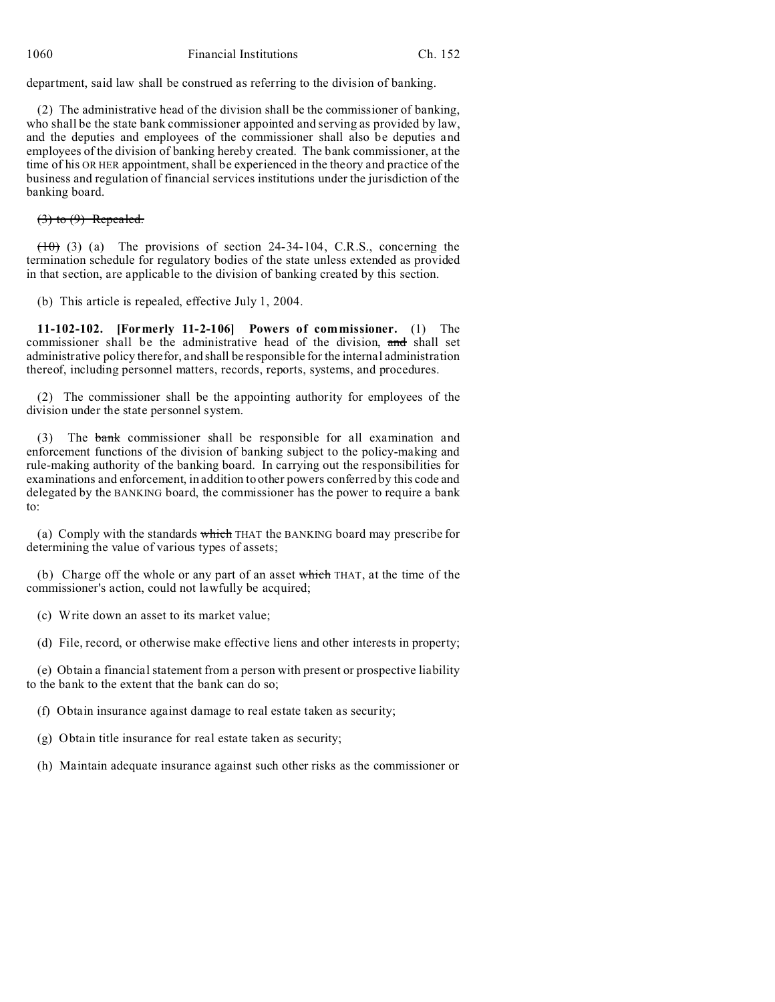department, said law shall be construed as referring to the division of banking.

(2) The administrative head of the division shall be the commissioner of banking, who shall be the state bank commissioner appointed and serving as provided by law, and the deputies and employees of the commissioner shall also be deputies and employees of the division of banking hereby created. The bank commissioner, at the time of his OR HER appointment, shall be experienced in the theory and practice of the business and regulation of financial services institutions under the jurisdiction of the banking board.

(3) to (9) Repealed.

 $(10)$  (3) (a) The provisions of section 24-34-104, C.R.S., concerning the termination schedule for regulatory bodies of the state unless extended as provided in that section, are applicable to the division of banking created by this section.

(b) This article is repealed, effective July 1, 2004.

**11-102-102. [Formerly 11-2-106] Powers of commissioner.** (1) The commissioner shall be the administrative head of the division, and shall set administrative policy therefor, and shall be responsible for the internal administration thereof, including personnel matters, records, reports, systems, and procedures.

(2) The commissioner shall be the appointing authority for employees of the division under the state personnel system.

(3) The bank commissioner shall be responsible for all examination and enforcement functions of the division of banking subject to the policy-making and rule-making authority of the banking board. In carrying out the responsibilities for examinations and enforcement, in addition to other powers conferred by this code and delegated by the BANKING board, the commissioner has the power to require a bank to:

(a) Comply with the standards which THAT the BANKING board may prescribe for determining the value of various types of assets;

(b) Charge off the whole or any part of an asset which THAT, at the time of the commissioner's action, could not lawfully be acquired;

(c) Write down an asset to its market value;

(d) File, record, or otherwise make effective liens and other interests in property;

(e) Obtain a financial statement from a person with present or prospective liability to the bank to the extent that the bank can do so;

(f) Obtain insurance against damage to real estate taken as security;

(g) Obtain title insurance for real estate taken as security;

(h) Maintain adequate insurance against such other risks as the commissioner or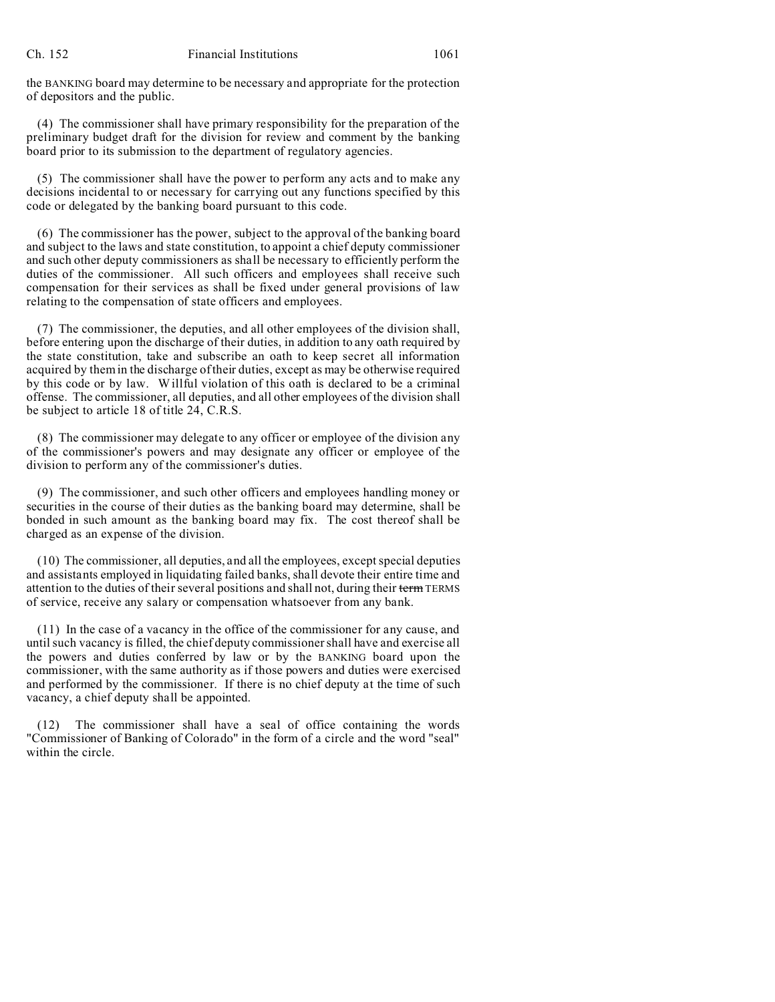the BANKING board may determine to be necessary and appropriate for the protection of depositors and the public.

(4) The commissioner shall have primary responsibility for the preparation of the preliminary budget draft for the division for review and comment by the banking board prior to its submission to the department of regulatory agencies.

(5) The commissioner shall have the power to perform any acts and to make any decisions incidental to or necessary for carrying out any functions specified by this code or delegated by the banking board pursuant to this code.

(6) The commissioner has the power, subject to the approval of the banking board and subject to the laws and state constitution, to appoint a chief deputy commissioner and such other deputy commissioners as shall be necessary to efficiently perform the duties of the commissioner. All such officers and employees shall receive such compensation for their services as shall be fixed under general provisions of law relating to the compensation of state officers and employees.

(7) The commissioner, the deputies, and all other employees of the division shall, before entering upon the discharge of their duties, in addition to any oath required by the state constitution, take and subscribe an oath to keep secret all information acquired by them in the discharge of their duties, except as may be otherwise required by this code or by law. Willful violation of this oath is declared to be a criminal offense. The commissioner, all deputies, and all other employees of the division shall be subject to article 18 of title 24, C.R.S.

(8) The commissioner may delegate to any officer or employee of the division any of the commissioner's powers and may designate any officer or employee of the division to perform any of the commissioner's duties.

(9) The commissioner, and such other officers and employees handling money or securities in the course of their duties as the banking board may determine, shall be bonded in such amount as the banking board may fix. The cost thereof shall be charged as an expense of the division.

(10) The commissioner, all deputies, and all the employees, except special deputies and assistants employed in liquidating failed banks, shall devote their entire time and attention to the duties of their several positions and shall not, during their term TERMS of service, receive any salary or compensation whatsoever from any bank.

(11) In the case of a vacancy in the office of the commissioner for any cause, and until such vacancy is filled, the chief deputy commissioner shall have and exercise all the powers and duties conferred by law or by the BANKING board upon the commissioner, with the same authority as if those powers and duties were exercised and performed by the commissioner. If there is no chief deputy at the time of such vacancy, a chief deputy shall be appointed.

(12) The commissioner shall have a seal of office containing the words "Commissioner of Banking of Colorado" in the form of a circle and the word "seal" within the circle.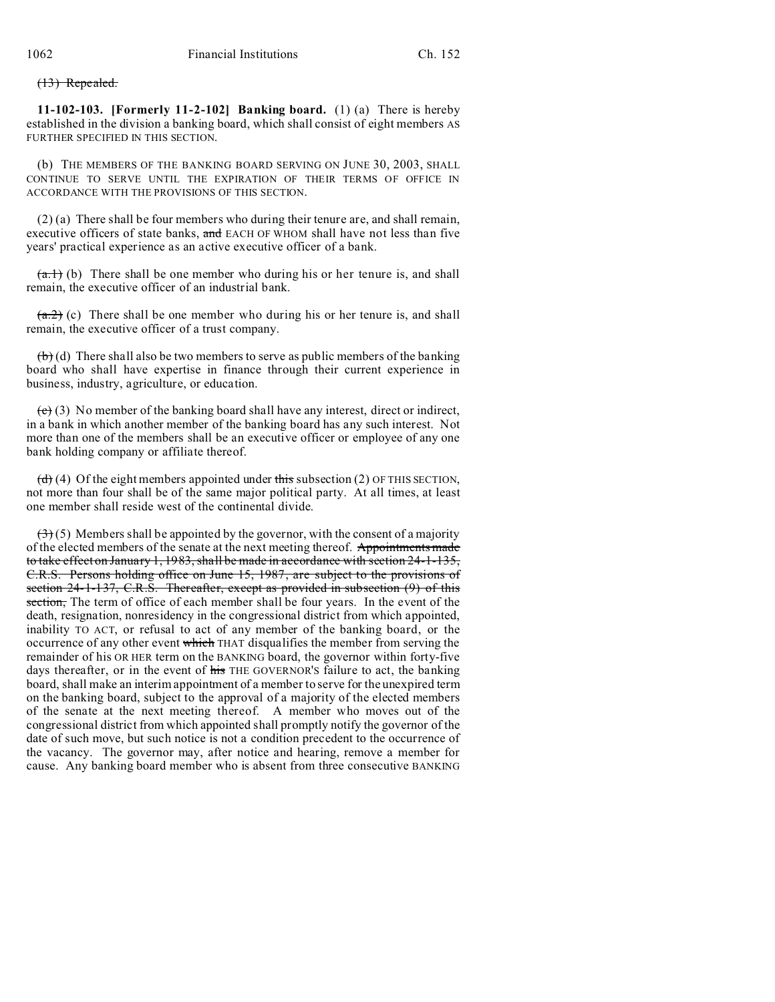#### (13) Repealed.

**11-102-103. [Formerly 11-2-102] Banking board.** (1) (a) There is hereby established in the division a banking board, which shall consist of eight members AS FURTHER SPECIFIED IN THIS SECTION.

(b) THE MEMBERS OF THE BANKING BOARD SERVING ON JUNE 30, 2003, SHALL CONTINUE TO SERVE UNTIL THE EXPIRATION OF THEIR TERMS OF OFFICE IN ACCORDANCE WITH THE PROVISIONS OF THIS SECTION.

(2) (a) There shall be four members who during their tenure are, and shall remain, executive officers of state banks, and EACH OF WHOM shall have not less than five years' practical experience as an active executive officer of a bank.

 $(a,1)$  (b) There shall be one member who during his or her tenure is, and shall remain, the executive officer of an industrial bank.

 $(a,2)$  (c) There shall be one member who during his or her tenure is, and shall remain, the executive officer of a trust company.

 $(b)$  (d) There shall also be two members to serve as public members of the banking board who shall have expertise in finance through their current experience in business, industry, agriculture, or education.

 $\left(\frac{c}{c}\right)$  (3) No member of the banking board shall have any interest, direct or indirect, in a bank in which another member of the banking board has any such interest. Not more than one of the members shall be an executive officer or employee of any one bank holding company or affiliate thereof.

 $(d)$  (4) Of the eight members appointed under this subsection (2) OF THIS SECTION, not more than four shall be of the same major political party. At all times, at least one member shall reside west of the continental divide.

 $(3)$  (5) Members shall be appointed by the governor, with the consent of a majority of the elected members of the senate at the next meeting thereof. Appointments made to take effect on January 1, 1983, shall be made in accordance with section 24-1-135, C.R.S. Persons holding office on June 15, 1987, are subject to the provisions of section 24-1-137, C.R.S. Thereafter, except as provided in subsection (9) of this section, The term of office of each member shall be four years. In the event of the death, resignation, nonresidency in the congressional district from which appointed, inability TO ACT, or refusal to act of any member of the banking board, or the occurrence of any other event which THAT disqualifies the member from serving the remainder of his OR HER term on the BANKING board, the governor within forty-five days thereafter, or in the event of his THE GOVERNOR'S failure to act, the banking board, shall make an interim appointment of a member to serve for the unexpired term on the banking board, subject to the approval of a majority of the elected members of the senate at the next meeting thereof. A member who moves out of the congressional district from which appointed shall promptly notify the governor of the date of such move, but such notice is not a condition precedent to the occurrence of the vacancy. The governor may, after notice and hearing, remove a member for cause. Any banking board member who is absent from three consecutive BANKING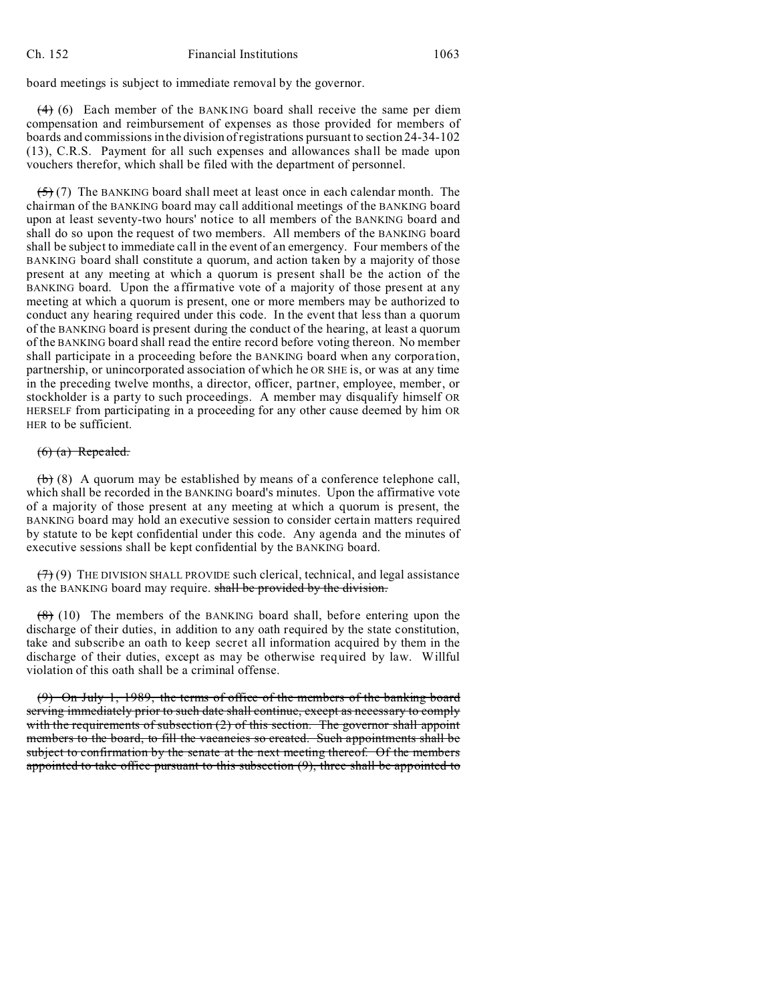board meetings is subject to immediate removal by the governor.

 $(4)$  (6) Each member of the BANKING board shall receive the same per diem compensation and reimbursement of expenses as those provided for members of boards and commissions in the division of registrations pursuant to section 24-34-102 (13), C.R.S. Payment for all such expenses and allowances shall be made upon vouchers therefor, which shall be filed with the department of personnel.

 $(5)$  (7) The BANKING board shall meet at least once in each calendar month. The chairman of the BANKING board may call additional meetings of the BANKING board upon at least seventy-two hours' notice to all members of the BANKING board and shall do so upon the request of two members. All members of the BANKING board shall be subject to immediate call in the event of an emergency. Four members of the BANKING board shall constitute a quorum, and action taken by a majority of those present at any meeting at which a quorum is present shall be the action of the BANKING board. Upon the affirmative vote of a majority of those present at any meeting at which a quorum is present, one or more members may be authorized to conduct any hearing required under this code. In the event that less than a quorum of the BANKING board is present during the conduct of the hearing, at least a quorum of the BANKING board shall read the entire record before voting thereon. No member shall participate in a proceeding before the BANKING board when any corporation, partnership, or unincorporated association of which he OR SHE is, or was at any time in the preceding twelve months, a director, officer, partner, employee, member, or stockholder is a party to such proceedings. A member may disqualify himself OR HERSELF from participating in a proceeding for any other cause deemed by him OR HER to be sufficient.

# $(6)$   $(a)$  Repealed.

 $(b)$  (8) A quorum may be established by means of a conference telephone call, which shall be recorded in the BANKING board's minutes. Upon the affirmative vote of a majority of those present at any meeting at which a quorum is present, the BANKING board may hold an executive session to consider certain matters required by statute to be kept confidential under this code. Any agenda and the minutes of executive sessions shall be kept confidential by the BANKING board.

 $(7)$  (9) THE DIVISION SHALL PROVIDE such clerical, technical, and legal assistance as the BANKING board may require. shall be provided by the division.

 $(8)$  (10) The members of the BANKING board shall, before entering upon the discharge of their duties, in addition to any oath required by the state constitution, take and subscribe an oath to keep secret all information acquired by them in the discharge of their duties, except as may be otherwise required by law. Willful violation of this oath shall be a criminal offense.

(9) On July 1, 1989, the terms of office of the members of the banking board serving immediately prior to such date shall continue, except as necessary to comply with the requirements of subsection (2) of this section. The governor shall appoint members to the board, to fill the vacancies so created. Such appointments shall be subject to confirmation by the senate at the next meeting thereof. Of the members appointed to take office pursuant to this subsection (9), three shall be appointed to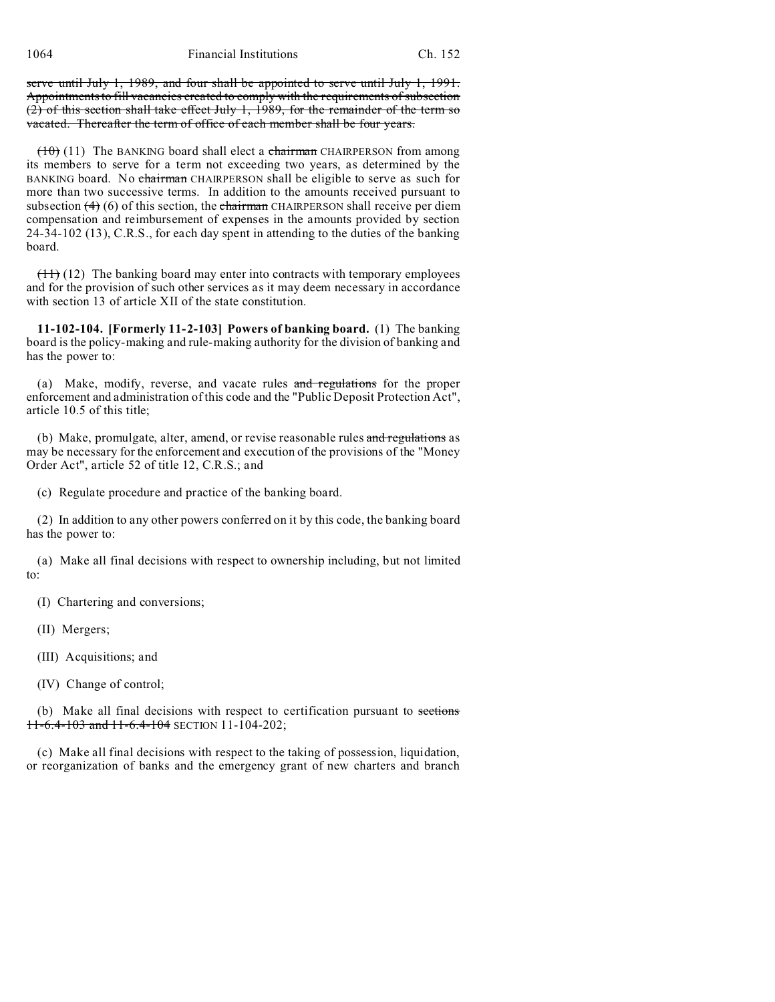serve until July 1, 1989, and four shall be appointed to serve until July 1, 1991. Appointments to fill vacancies created to comply with the requirements of subsection (2) of this section shall take effect July 1, 1989, for the remainder of the term so vacated. Thereafter the term of office of each member shall be four years.

 $(10)$  (11) The BANKING board shall elect a chairman CHAIRPERSON from among its members to serve for a term not exceeding two years, as determined by the BANKING board. No chairman CHAIRPERSON shall be eligible to serve as such for more than two successive terms. In addition to the amounts received pursuant to subsection  $(4)$  (6) of this section, the chairman CHAIRPERSON shall receive per diem compensation and reimbursement of expenses in the amounts provided by section 24-34-102 (13), C.R.S., for each day spent in attending to the duties of the banking board.

 $(11)$  (12) The banking board may enter into contracts with temporary employees and for the provision of such other services as it may deem necessary in accordance with section 13 of article XII of the state constitution.

**11-102-104. [Formerly 11-2-103] Powers of banking board.** (1) The banking board is the policy-making and rule-making authority for the division of banking and has the power to:

(a) Make, modify, reverse, and vacate rules and regulations for the proper enforcement and administration of this code and the "Public Deposit Protection Act", article 10.5 of this title;

(b) Make, promulgate, alter, amend, or revise reasonable rules and regulations as may be necessary for the enforcement and execution of the provisions of the "Money Order Act", article 52 of title 12, C.R.S.; and

(c) Regulate procedure and practice of the banking board.

(2) In addition to any other powers conferred on it by this code, the banking board has the power to:

(a) Make all final decisions with respect to ownership including, but not limited to:

(I) Chartering and conversions;

(II) Mergers;

(III) Acquisitions; and

(IV) Change of control;

(b) Make all final decisions with respect to certification pursuant to sections 11-6.4-103 and 11-6.4-104 SECTION 11-104-202;

(c) Make all final decisions with respect to the taking of possession, liquidation, or reorganization of banks and the emergency grant of new charters and branch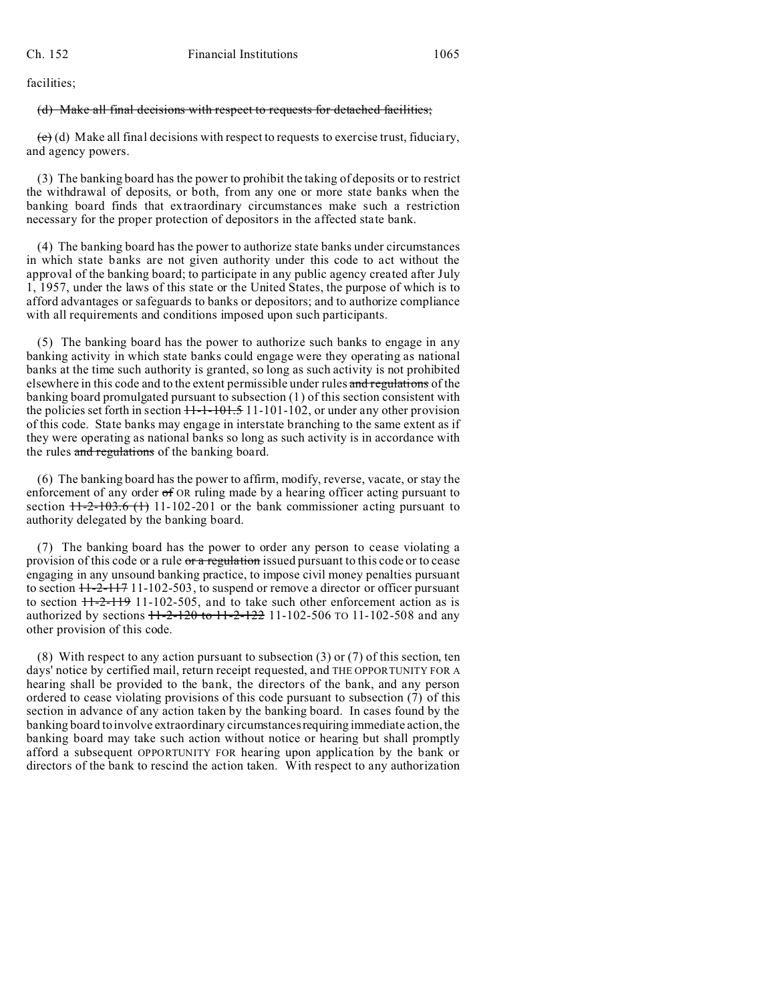facilities;

#### (d) Make all final decisions with respect to requests for detached facilities;

 $(e)$  (d) Make all final decisions with respect to requests to exercise trust, fiduciary, and agency powers.

(3) The banking board has the power to prohibit the taking of deposits or to restrict the withdrawal of deposits, or both, from any one or more state banks when the banking board finds that extraordinary circumstances make such a restriction necessary for the proper protection of depositors in the affected state bank.

(4) The banking board has the power to authorize state banks under circumstances in which state banks are not given authority under this code to act without the approval of the banking board; to participate in any public agency created after July 1, 1957, under the laws of this state or the United States, the purpose of which is to afford advantages or safeguards to banks or depositors; and to authorize compliance with all requirements and conditions imposed upon such participants.

(5) The banking board has the power to authorize such banks to engage in any banking activity in which state banks could engage were they operating as national banks at the time such authority is granted, so long as such activity is not prohibited elsewhere in this code and to the extent permissible under rules and regulations of the banking board promulgated pursuant to subsection (1) of this section consistent with the policies set forth in section  $H - 1 - 101 - 101 - 102$ , or under any other provision of this code. State banks may engage in interstate branching to the same extent as if they were operating as national banks so long as such activity is in accordance with the rules and regulations of the banking board.

(6) The banking board has the power to affirm, modify, reverse, vacate, or stay the enforcement of any order  $\sigma f$  OR ruling made by a hearing officer acting pursuant to section  $11-2-103.6$  (1) 11-102-201 or the bank commissioner acting pursuant to authority delegated by the banking board.

(7) The banking board has the power to order any person to cease violating a provision of this code or a rule or a regulation issued pursuant to this code or to cease engaging in any unsound banking practice, to impose civil money penalties pursuant to section 11-2-117 11-102-503, to suspend or remove a director or officer pursuant to section  $H-2-H9$  11-102-505, and to take such other enforcement action as is authorized by sections  $11-2-120$  to  $11-2-122$  11-102-506 TO 11-102-508 and any other provision of this code.

(8) With respect to any action pursuant to subsection (3) or (7) of this section, ten days' notice by certified mail, return receipt requested, and THE OPPORTUNITY FOR A hearing shall be provided to the bank, the directors of the bank, and any person ordered to cease violating provisions of this code pursuant to subsection (7) of this section in advance of any action taken by the banking board. In cases found by the banking board to involve extraordinary circumstances requiring immediate action, the banking board may take such action without notice or hearing but shall promptly afford a subsequent OPPORTUNITY FOR hearing upon application by the bank or directors of the bank to rescind the action taken. With respect to any authorization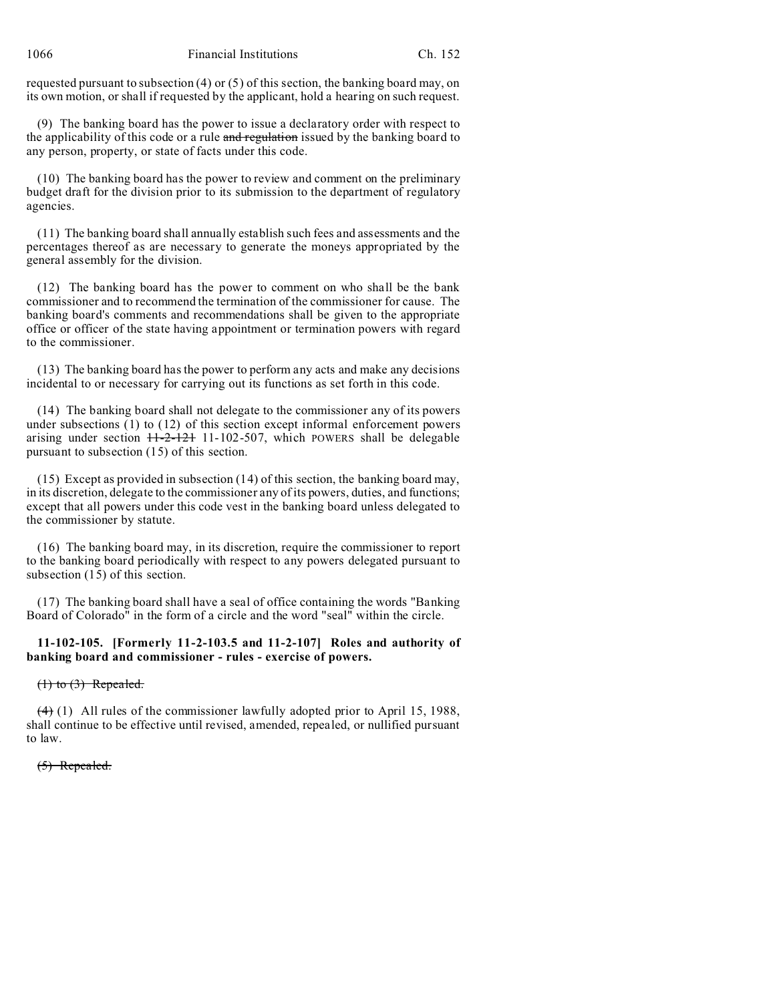requested pursuant to subsection (4) or (5) of this section, the banking board may, on its own motion, or shall if requested by the applicant, hold a hearing on such request.

(9) The banking board has the power to issue a declaratory order with respect to the applicability of this code or a rule and regulation issued by the banking board to any person, property, or state of facts under this code.

(10) The banking board has the power to review and comment on the preliminary budget draft for the division prior to its submission to the department of regulatory agencies.

(11) The banking board shall annually establish such fees and assessments and the percentages thereof as are necessary to generate the moneys appropriated by the general assembly for the division.

(12) The banking board has the power to comment on who shall be the bank commissioner and to recommend the termination of the commissioner for cause. The banking board's comments and recommendations shall be given to the appropriate office or officer of the state having appointment or termination powers with regard to the commissioner.

(13) The banking board has the power to perform any acts and make any decisions incidental to or necessary for carrying out its functions as set forth in this code.

(14) The banking board shall not delegate to the commissioner any of its powers under subsections (1) to (12) of this section except informal enforcement powers arising under section  $H-2-121$  11-102-507, which POWERS shall be delegable pursuant to subsection (15) of this section.

(15) Except as provided in subsection (14) of this section, the banking board may, in its discretion, delegate to the commissioner any of its powers, duties, and functions; except that all powers under this code vest in the banking board unless delegated to the commissioner by statute.

(16) The banking board may, in its discretion, require the commissioner to report to the banking board periodically with respect to any powers delegated pursuant to subsection (15) of this section.

(17) The banking board shall have a seal of office containing the words "Banking Board of Colorado" in the form of a circle and the word "seal" within the circle.

# **11-102-105. [Formerly 11-2-103.5 and 11-2-107] Roles and authority of banking board and commissioner - rules - exercise of powers.**

 $(1)$  to  $(3)$  Repealed.

 $(4)$  (1) All rules of the commissioner lawfully adopted prior to April 15, 1988, shall continue to be effective until revised, amended, repealed, or nullified pursuant to law.

# (5) Repealed.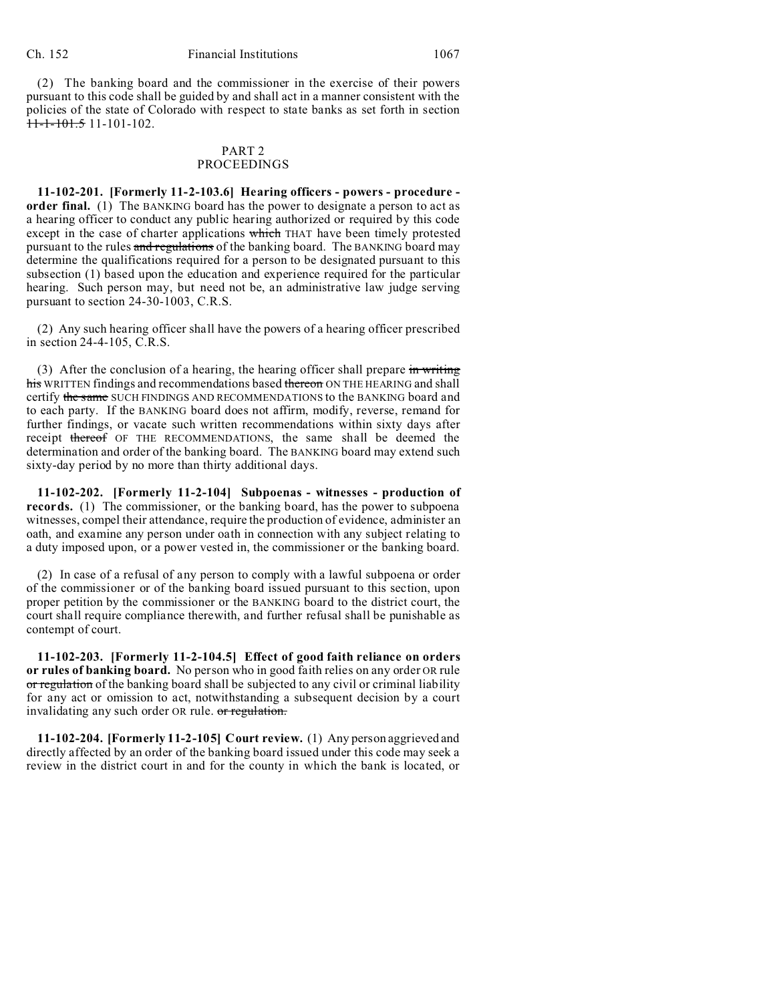(2) The banking board and the commissioner in the exercise of their powers pursuant to this code shall be guided by and shall act in a manner consistent with the policies of the state of Colorado with respect to state banks as set forth in section  $11-1-101.5$  11-101-102.

### PART 2 PROCEEDINGS

**11-102-201. [Formerly 11-2-103.6] Hearing officers - powers - procedure order final.** (1) The BANKING board has the power to designate a person to act as a hearing officer to conduct any public hearing authorized or required by this code except in the case of charter applications which THAT have been timely protested pursuant to the rules and regulations of the banking board. The BANKING board may determine the qualifications required for a person to be designated pursuant to this subsection (1) based upon the education and experience required for the particular hearing. Such person may, but need not be, an administrative law judge serving pursuant to section 24-30-1003, C.R.S.

(2) Any such hearing officer shall have the powers of a hearing officer prescribed in section 24-4-105, C.R.S.

(3) After the conclusion of a hearing, the hearing officer shall prepare  $\frac{1}{2}$  writing his WRITTEN findings and recommendations based thereon ON THE HEARING and shall certify the same SUCH FINDINGS AND RECOMMENDATIONS to the BANKING board and to each party. If the BANKING board does not affirm, modify, reverse, remand for further findings, or vacate such written recommendations within sixty days after receipt thereof OF THE RECOMMENDATIONS, the same shall be deemed the determination and order of the banking board. The BANKING board may extend such sixty-day period by no more than thirty additional days.

**11-102-202. [Formerly 11-2-104] Subpoenas - witnesses - production of records.** (1) The commissioner, or the banking board, has the power to subpoena witnesses, compel their attendance, require the production of evidence, administer an oath, and examine any person under oath in connection with any subject relating to a duty imposed upon, or a power vested in, the commissioner or the banking board.

(2) In case of a refusal of any person to comply with a lawful subpoena or order of the commissioner or of the banking board issued pursuant to this section, upon proper petition by the commissioner or the BANKING board to the district court, the court shall require compliance therewith, and further refusal shall be punishable as contempt of court.

**11-102-203. [Formerly 11-2-104.5] Effect of good faith reliance on orders or rules of banking board.** No person who in good faith relies on any order OR rule or regulation of the banking board shall be subjected to any civil or criminal liability for any act or omission to act, notwithstanding a subsequent decision by a court invalidating any such order OR rule. or regulation.

**11-102-204. [Formerly 11-2-105] Court review.** (1) Any person aggrieved and directly affected by an order of the banking board issued under this code may seek a review in the district court in and for the county in which the bank is located, or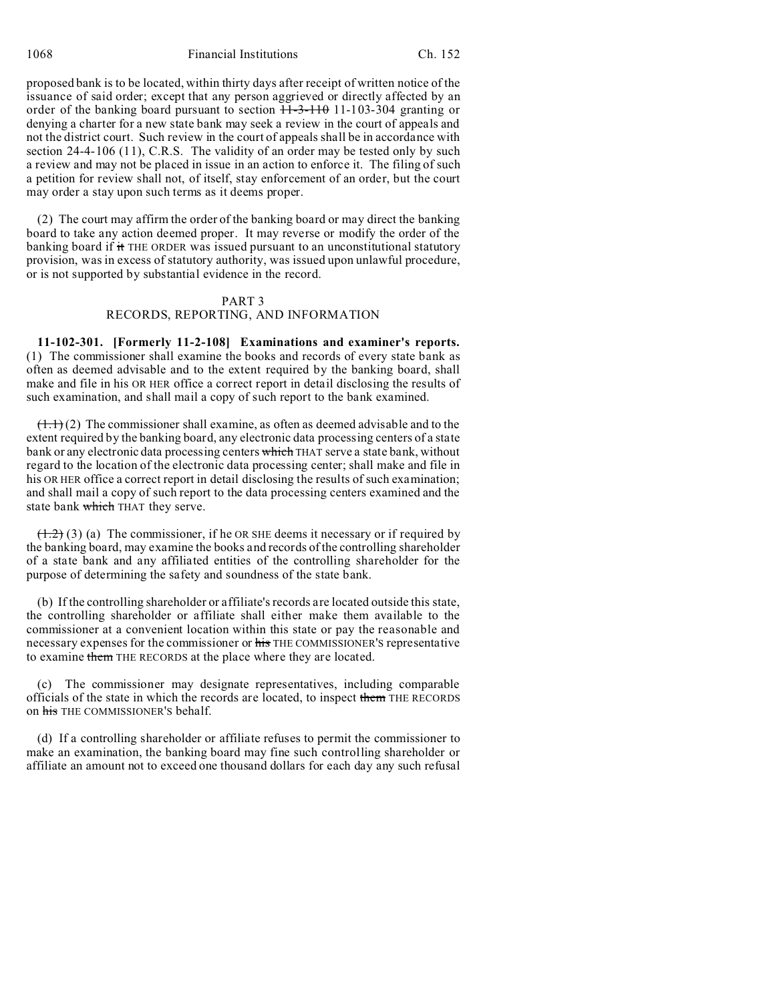proposed bank is to be located, within thirty days after receipt of written notice of the issuance of said order; except that any person aggrieved or directly affected by an order of the banking board pursuant to section  $11-3-110$  11-103-304 granting or denying a charter for a new state bank may seek a review in the court of appeals and not the district court. Such review in the court of appeals shall be in accordance with section 24-4-106 (11), C.R.S. The validity of an order may be tested only by such a review and may not be placed in issue in an action to enforce it. The filing of such a petition for review shall not, of itself, stay enforcement of an order, but the court may order a stay upon such terms as it deems proper.

(2) The court may affirm the order of the banking board or may direct the banking board to take any action deemed proper. It may reverse or modify the order of the banking board if it THE ORDER was issued pursuant to an unconstitutional statutory provision, was in excess of statutory authority, was issued upon unlawful procedure, or is not supported by substantial evidence in the record.

#### PART 3

## RECORDS, REPORTING, AND INFORMATION

**11-102-301. [Formerly 11-2-108] Examinations and examiner's reports.** (1) The commissioner shall examine the books and records of every state bank as often as deemed advisable and to the extent required by the banking board, shall make and file in his OR HER office a correct report in detail disclosing the results of such examination, and shall mail a copy of such report to the bank examined.

 $(1.1)$  (2) The commissioner shall examine, as often as deemed advisable and to the extent required by the banking board, any electronic data processing centers of a state bank or any electronic data processing centers which THAT serve a state bank, without regard to the location of the electronic data processing center; shall make and file in his OR HER office a correct report in detail disclosing the results of such examination; and shall mail a copy of such report to the data processing centers examined and the state bank which THAT they serve.

 $(1.2)$  (3) (a) The commissioner, if he OR SHE deems it necessary or if required by the banking board, may examine the books and records of the controlling shareholder of a state bank and any affiliated entities of the controlling shareholder for the purpose of determining the safety and soundness of the state bank.

(b) If the controlling shareholder or affiliate's records are located outside this state, the controlling shareholder or affiliate shall either make them available to the commissioner at a convenient location within this state or pay the reasonable and necessary expenses for the commissioner or his THE COMMISSIONER'S representative to examine them THE RECORDS at the place where they are located.

(c) The commissioner may designate representatives, including comparable officials of the state in which the records are located, to inspect them THE RECORDS on his THE COMMISSIONER'S behalf.

(d) If a controlling shareholder or affiliate refuses to permit the commissioner to make an examination, the banking board may fine such controlling shareholder or affiliate an amount not to exceed one thousand dollars for each day any such refusal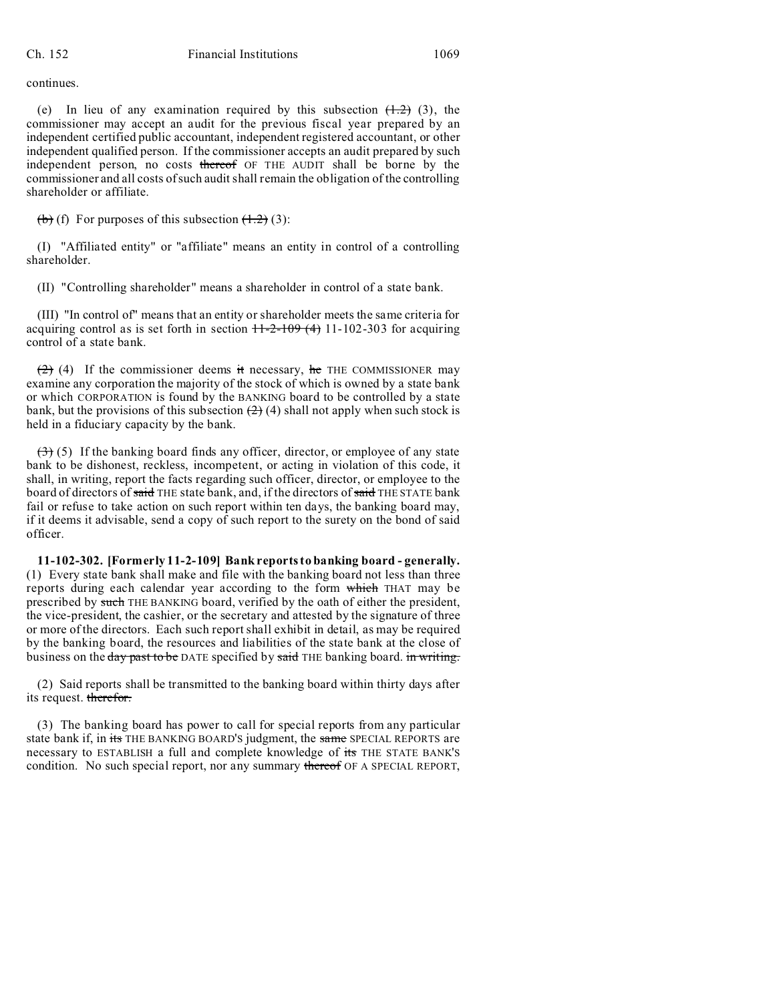continues.

(e) In lieu of any examination required by this subsection  $(1.2)$  (3), the commissioner may accept an audit for the previous fiscal year prepared by an independent certified public accountant, independent registered accountant, or other independent qualified person. If the commissioner accepts an audit prepared by such independent person, no costs thereof OF THE AUDIT shall be borne by the commissioner and all costs of such audit shall remain the obligation of the controlling shareholder or affiliate.

 $\left(\frac{b}{c}\right)$  (f) For purposes of this subsection  $\left(\frac{1}{c}\right)$  (3):

(I) "Affiliated entity" or "affiliate" means an entity in control of a controlling shareholder.

(II) "Controlling shareholder" means a shareholder in control of a state bank.

(III) "In control of" means that an entity or shareholder meets the same criteria for acquiring control as is set forth in section  $11-2-109(4)$  11-102-303 for acquiring control of a state bank.

 $(2)$  (4) If the commissioner deems it necessary, he THE COMMISSIONER may examine any corporation the majority of the stock of which is owned by a state bank or which CORPORATION is found by the BANKING board to be controlled by a state bank, but the provisions of this subsection  $(2)$  (4) shall not apply when such stock is held in a fiduciary capacity by the bank.

 $(3)$  (5) If the banking board finds any officer, director, or employee of any state bank to be dishonest, reckless, incompetent, or acting in violation of this code, it shall, in writing, report the facts regarding such officer, director, or employee to the board of directors of said THE state bank, and, if the directors of said THE STATE bank fail or refuse to take action on such report within ten days, the banking board may, if it deems it advisable, send a copy of such report to the surety on the bond of said officer.

**11-102-302. [Formerly 11-2-109] Bank reports to banking board - generally.** (1) Every state bank shall make and file with the banking board not less than three reports during each calendar year according to the form which THAT may be prescribed by such THE BANKING board, verified by the oath of either the president, the vice-president, the cashier, or the secretary and attested by the signature of three or more of the directors. Each such report shall exhibit in detail, as may be required by the banking board, the resources and liabilities of the state bank at the close of business on the day past to be DATE specified by said THE banking board. in writing.

(2) Said reports shall be transmitted to the banking board within thirty days after its request. therefor.

(3) The banking board has power to call for special reports from any particular state bank if, in its THE BANKING BOARD'S judgment, the same SPECIAL REPORTS are necessary to ESTABLISH a full and complete knowledge of its THE STATE BANK'S condition. No such special report, nor any summary thereof OF A SPECIAL REPORT,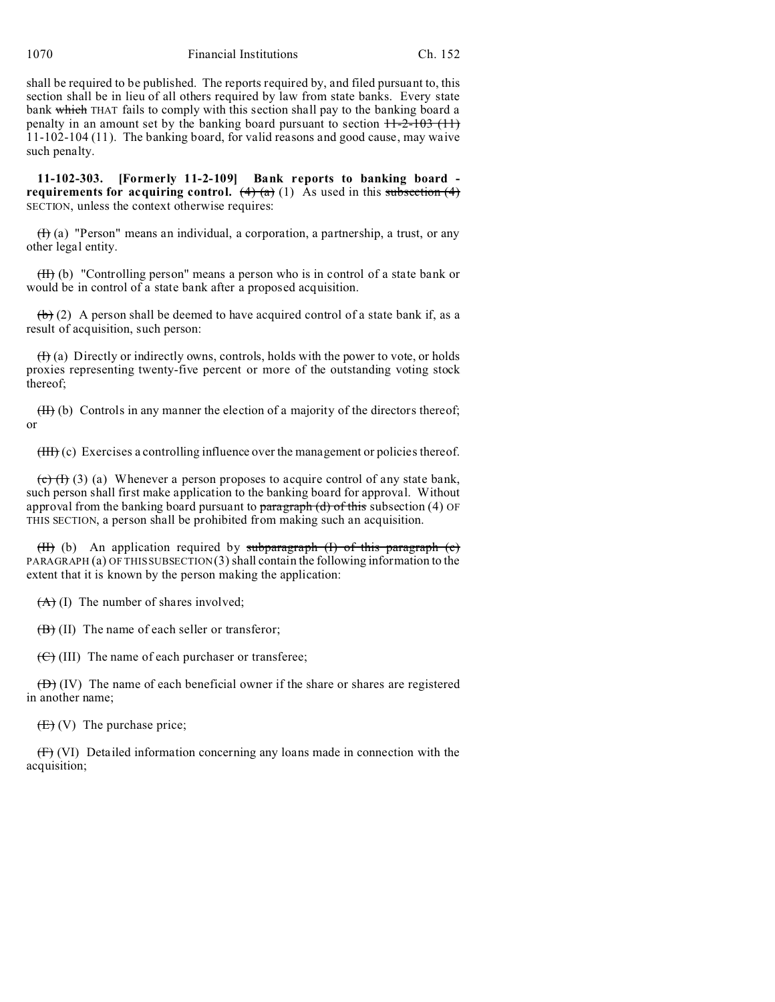shall be required to be published. The reports required by, and filed pursuant to, this section shall be in lieu of all others required by law from state banks. Every state bank which THAT fails to comply with this section shall pay to the banking board a penalty in an amount set by the banking board pursuant to section  $11-2-103$  (11) 11-102-104 (11). The banking board, for valid reasons and good cause, may waive such penalty.

**11-102-303. [Formerly 11-2-109] Bank reports to banking board requirements for acquiring control.**  $(4)$   $(4)$   $(1)$  As used in this subsection  $(4)$ SECTION, unless the context otherwise requires:

 $(H)$  (a) "Person" means an individual, a corporation, a partnership, a trust, or any other legal entity.

(II) (b) "Controlling person" means a person who is in control of a state bank or would be in control of a state bank after a proposed acquisition.

 $(b)$  (2) A person shall be deemed to have acquired control of a state bank if, as a result of acquisition, such person:

 $(H)$  (a) Directly or indirectly owns, controls, holds with the power to vote, or holds proxies representing twenty-five percent or more of the outstanding voting stock thereof;

(II) (b) Controls in any manner the election of a majority of the directors thereof; or

(III) (c) Exercises a controlling influence over the management or policies thereof.

 $(e)$  (H) (3) (a) Whenever a person proposes to acquire control of any state bank, such person shall first make application to the banking board for approval. Without approval from the banking board pursuant to  $\frac{1}{2}$  paragraph (d) of this subsection (4) OF THIS SECTION, a person shall be prohibited from making such an acquisition.

(II) (b) An application required by subparagraph  $(I)$  of this paragraph  $(e)$ PARAGRAPH (a) OF THIS SUBSECTION  $(3)$  shall contain the following information to the extent that it is known by the person making the application:

 $(A)$  (I) The number of shares involved;

 $(\overline{B})$  (II) The name of each seller or transferor;

 $(\overrightarrow{C})$  (III) The name of each purchaser or transferee;

 $(\overrightarrow{D})$  (IV) The name of each beneficial owner if the share or shares are registered in another name;

 $(E)$  (V) The purchase price;

(F) (VI) Detailed information concerning any loans made in connection with the acquisition;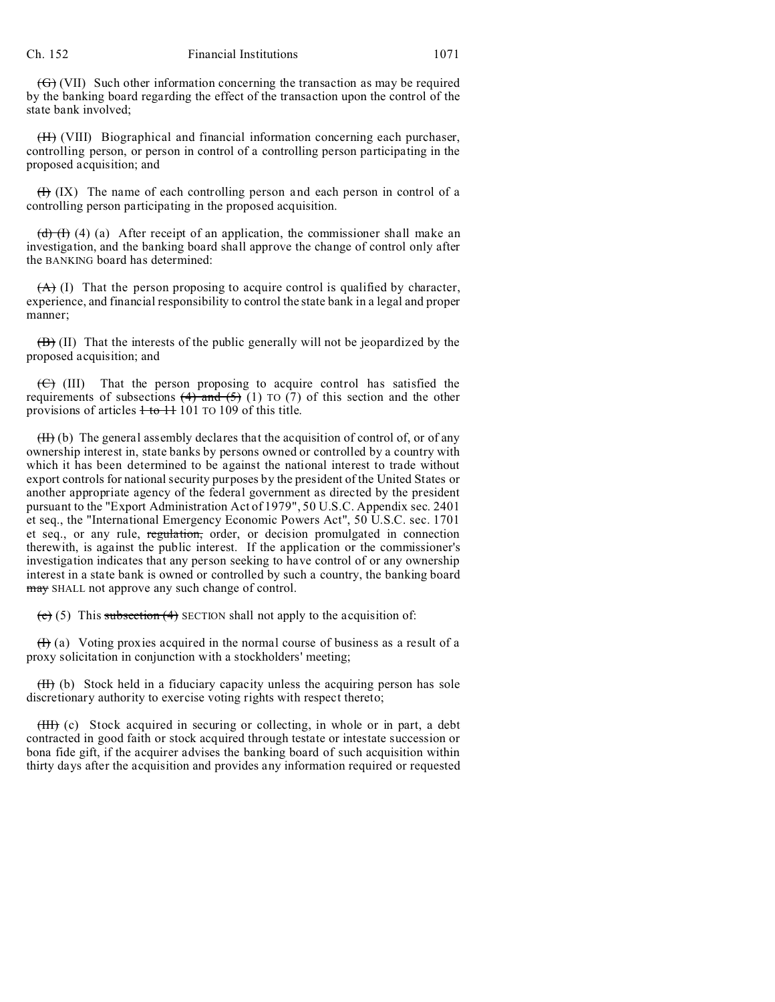$(\overline{\Theta})$  (VII) Such other information concerning the transaction as may be required by the banking board regarding the effect of the transaction upon the control of the state bank involved;

(H) (VIII) Biographical and financial information concerning each purchaser, controlling person, or person in control of a controlling person participating in the proposed acquisition; and

 $(H)$  (IX) The name of each controlling person and each person in control of a controlling person participating in the proposed acquisition.

(d)  $(H)$  (4) (a) After receipt of an application, the commissioner shall make an investigation, and the banking board shall approve the change of control only after the BANKING board has determined:

 $(A)$  (I) That the person proposing to acquire control is qualified by character, experience, and financial responsibility to control the state bank in a legal and proper manner;

(B) (II) That the interests of the public generally will not be jeopardized by the proposed acquisition; and

 $(\overline{\Theta})$  (III) That the person proposing to acquire control has satisfied the requirements of subsections  $(4)$  and  $(5)$  (1) TO (7) of this section and the other provisions of articles  $1$  to  $11$  101 TO 109 of this title.

 $(H)$  (b) The general assembly declares that the acquisition of control of, or of any ownership interest in, state banks by persons owned or controlled by a country with which it has been determined to be against the national interest to trade without export controls for national security purposes by the president of the United States or another appropriate agency of the federal government as directed by the president pursuant to the "Export Administration Act of 1979", 50 U.S.C. Appendix sec. 2401 et seq., the "International Emergency Economic Powers Act", 50 U.S.C. sec. 1701 et seq., or any rule, regulation, order, or decision promulgated in connection therewith, is against the public interest. If the application or the commissioner's investigation indicates that any person seeking to have control of or any ownership interest in a state bank is owned or controlled by such a country, the banking board may SHALL not approve any such change of control.

(e) (5) This subsection (4) SECTION shall not apply to the acquisition of:

 $(H)$  (a) Voting proxies acquired in the normal course of business as a result of a proxy solicitation in conjunction with a stockholders' meeting;

 $(H)$  (b) Stock held in a fiduciary capacity unless the acquiring person has sole discretionary authority to exercise voting rights with respect thereto;

(III) (c) Stock acquired in securing or collecting, in whole or in part, a debt contracted in good faith or stock acquired through testate or intestate succession or bona fide gift, if the acquirer advises the banking board of such acquisition within thirty days after the acquisition and provides any information required or requested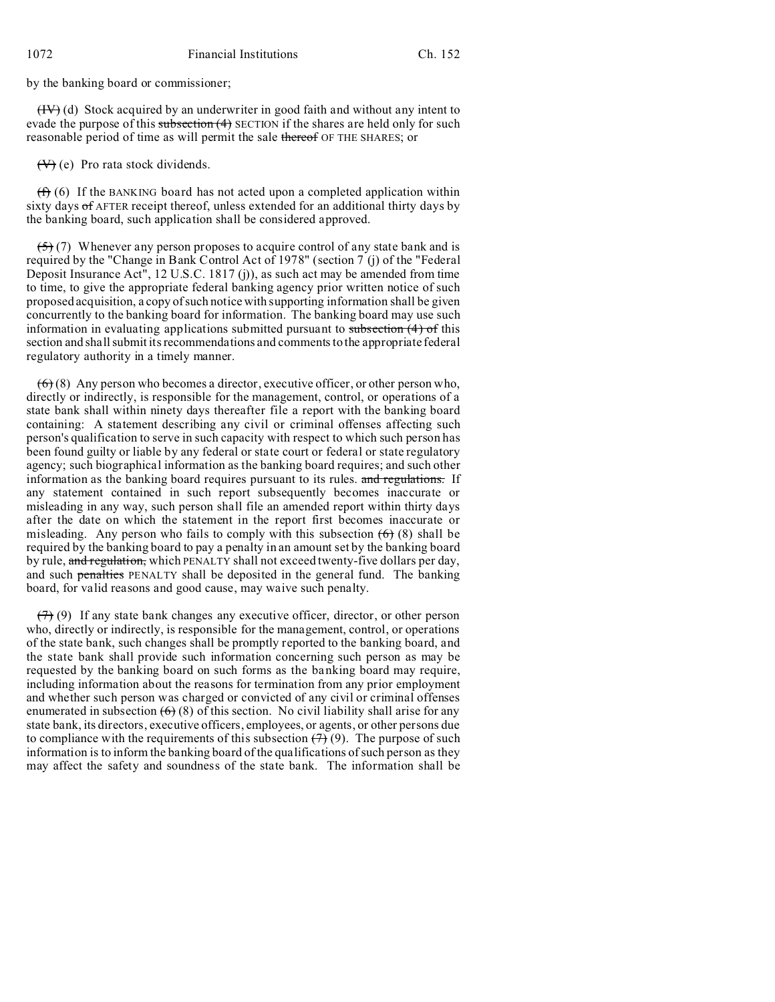by the banking board or commissioner;

 $(HV)$  (d) Stock acquired by an underwriter in good faith and without any intent to evade the purpose of this subsection (4) SECTION if the shares are held only for such reasonable period of time as will permit the sale thereof OF THE SHARES; or

 $(\forall)$  (e) Pro rata stock dividends.

 $(f)$  (6) If the BANKING board has not acted upon a completed application within sixty days of AFTER receipt thereof, unless extended for an additional thirty days by the banking board, such application shall be considered approved.

 $(5)$  (7) Whenever any person proposes to acquire control of any state bank and is required by the "Change in Bank Control Act of 1978" (section 7 (j) of the "Federal Deposit Insurance Act", 12 U.S.C. 1817 (j)), as such act may be amended from time to time, to give the appropriate federal banking agency prior written notice of such proposed acquisition, a copy of such notice with supporting information shall be given concurrently to the banking board for information. The banking board may use such information in evaluating applications submitted pursuant to subsection  $(4)$  of this section and shall submit its recommendations and comments to the appropriate federal regulatory authority in a timely manner.

 $(6)$  (8) Any person who becomes a director, executive officer, or other person who, directly or indirectly, is responsible for the management, control, or operations of a state bank shall within ninety days thereafter file a report with the banking board containing: A statement describing any civil or criminal offenses affecting such person's qualification to serve in such capacity with respect to which such person has been found guilty or liable by any federal or state court or federal or state regulatory agency; such biographical information as the banking board requires; and such other information as the banking board requires pursuant to its rules. and regulations. If any statement contained in such report subsequently becomes inaccurate or misleading in any way, such person shall file an amended report within thirty days after the date on which the statement in the report first becomes inaccurate or misleading. Any person who fails to comply with this subsection  $(6)$  (8) shall be required by the banking board to pay a penalty in an amount set by the banking board by rule, and regulation, which PENALTY shall not exceed twenty-five dollars per day, and such penalties PENALTY shall be deposited in the general fund. The banking board, for valid reasons and good cause, may waive such penalty.

 $(7)$  (9) If any state bank changes any executive officer, director, or other person who, directly or indirectly, is responsible for the management, control, or operations of the state bank, such changes shall be promptly reported to the banking board, and the state bank shall provide such information concerning such person as may be requested by the banking board on such forms as the banking board may require, including information about the reasons for termination from any prior employment and whether such person was charged or convicted of any civil or criminal offenses enumerated in subsection  $(6)$  (8) of this section. No civil liability shall arise for any state bank, its directors, executive officers, employees, or agents, or other persons due to compliance with the requirements of this subsection  $(7)$  (9). The purpose of such information is to inform the banking board of the qualifications of such person as they may affect the safety and soundness of the state bank. The information shall be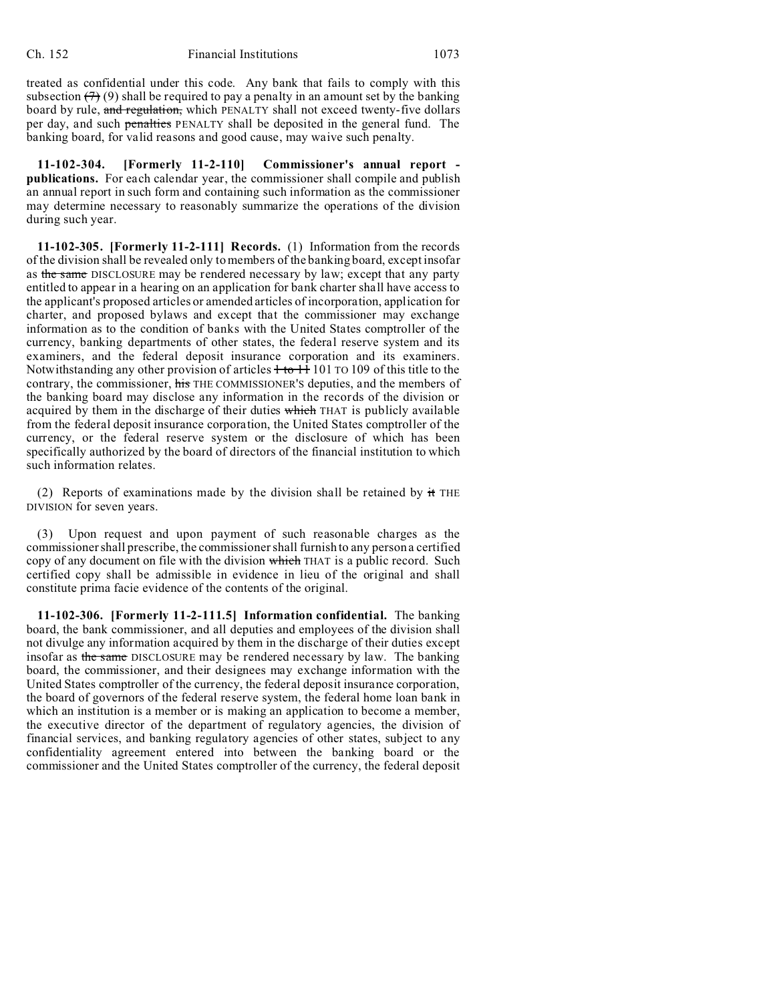treated as confidential under this code. Any bank that fails to comply with this subsection  $(7)(9)$  shall be required to pay a penalty in an amount set by the banking board by rule, and regulation, which PENALTY shall not exceed twenty-five dollars per day, and such penalties PENALTY shall be deposited in the general fund. The banking board, for valid reasons and good cause, may waive such penalty.

**11-102-304. [Formerly 11-2-110] Commissioner's annual report publications.** For each calendar year, the commissioner shall compile and publish an annual report in such form and containing such information as the commissioner may determine necessary to reasonably summarize the operations of the division during such year.

**11-102-305. [Formerly 11-2-111] Records.** (1) Information from the records of the division shall be revealed only to members of the banking board, except insofar as the same DISCLOSURE may be rendered necessary by law; except that any party entitled to appear in a hearing on an application for bank charter shall have access to the applicant's proposed articles or amended articles of incorporation, application for charter, and proposed bylaws and except that the commissioner may exchange information as to the condition of banks with the United States comptroller of the currency, banking departments of other states, the federal reserve system and its examiners, and the federal deposit insurance corporation and its examiners. Notwithstanding any other provision of articles  $+$  to  $+$  101 TO 109 of this title to the contrary, the commissioner, his THE COMMISSIONER'S deputies, and the members of the banking board may disclose any information in the records of the division or acquired by them in the discharge of their duties which THAT is publicly available from the federal deposit insurance corporation, the United States comptroller of the currency, or the federal reserve system or the disclosure of which has been specifically authorized by the board of directors of the financial institution to which such information relates.

(2) Reports of examinations made by the division shall be retained by  $\pm$  THE DIVISION for seven years.

(3) Upon request and upon payment of such reasonable charges as the commissioner shall prescribe, the commissioner shall furnish to any person a certified copy of any document on file with the division which THAT is a public record. Such certified copy shall be admissible in evidence in lieu of the original and shall constitute prima facie evidence of the contents of the original.

**11-102-306. [Formerly 11-2-111.5] Information confidential.** The banking board, the bank commissioner, and all deputies and employees of the division shall not divulge any information acquired by them in the discharge of their duties except insofar as the same DISCLOSURE may be rendered necessary by law. The banking board, the commissioner, and their designees may exchange information with the United States comptroller of the currency, the federal deposit insurance corporation, the board of governors of the federal reserve system, the federal home loan bank in which an institution is a member or is making an application to become a member, the executive director of the department of regulatory agencies, the division of financial services, and banking regulatory agencies of other states, subject to any confidentiality agreement entered into between the banking board or the commissioner and the United States comptroller of the currency, the federal deposit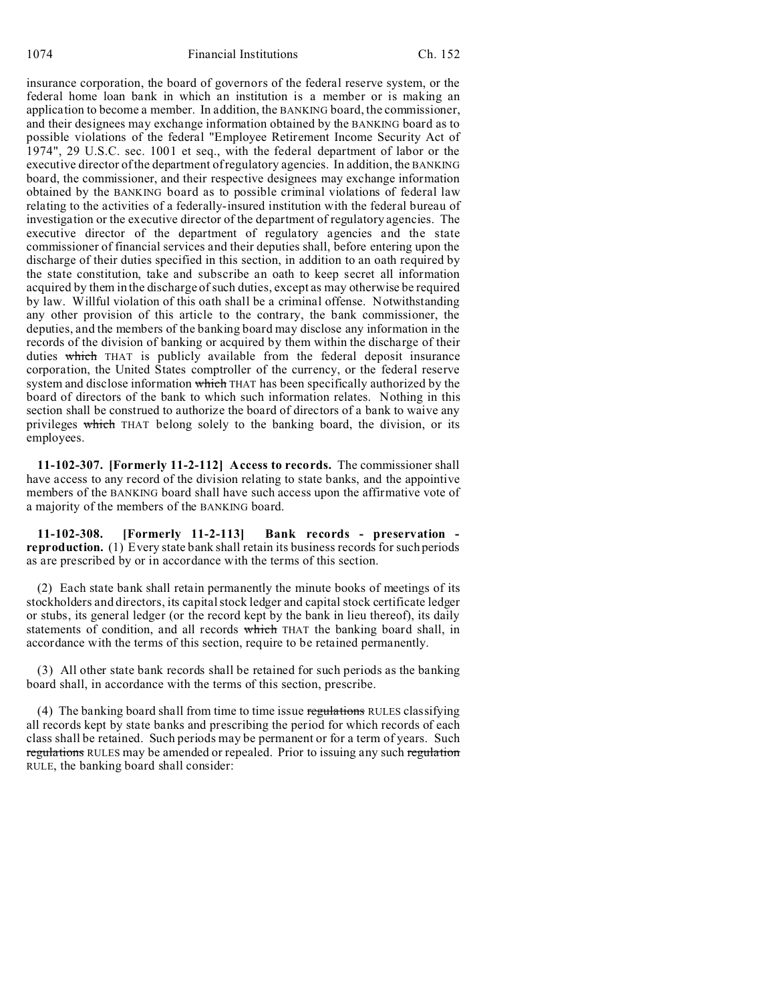insurance corporation, the board of governors of the federal reserve system, or the federal home loan bank in which an institution is a member or is making an application to become a member. In addition, the BANKING board, the commissioner, and their designees may exchange information obtained by the BANKING board as to possible violations of the federal "Employee Retirement Income Security Act of 1974", 29 U.S.C. sec. 1001 et seq., with the federal department of labor or the executive director of the department of regulatory agencies. In addition, the BANKING board, the commissioner, and their respective designees may exchange information obtained by the BANKING board as to possible criminal violations of federal law relating to the activities of a federally-insured institution with the federal bureau of investigation or the executive director of the department of regulatory agencies. The executive director of the department of regulatory agencies and the state commissioner of financial services and their deputies shall, before entering upon the discharge of their duties specified in this section, in addition to an oath required by the state constitution, take and subscribe an oath to keep secret all information acquired by them in the discharge of such duties, except as may otherwise be required by law. Willful violation of this oath shall be a criminal offense. Notwithstanding any other provision of this article to the contrary, the bank commissioner, the deputies, and the members of the banking board may disclose any information in the records of the division of banking or acquired by them within the discharge of their duties which THAT is publicly available from the federal deposit insurance corporation, the United States comptroller of the currency, or the federal reserve system and disclose information which THAT has been specifically authorized by the board of directors of the bank to which such information relates. Nothing in this section shall be construed to authorize the board of directors of a bank to waive any privileges which THAT belong solely to the banking board, the division, or its employees.

**11-102-307. [Formerly 11-2-112] Access to records.** The commissioner shall have access to any record of the division relating to state banks, and the appointive members of the BANKING board shall have such access upon the affirmative vote of a majority of the members of the BANKING board.

**11-102-308. [Formerly 11-2-113] Bank records - preservation reproduction.** (1) Every state bank shall retain its business records for such periods as are prescribed by or in accordance with the terms of this section.

(2) Each state bank shall retain permanently the minute books of meetings of its stockholders and directors, its capital stock ledger and capital stock certificate ledger or stubs, its general ledger (or the record kept by the bank in lieu thereof), its daily statements of condition, and all records which THAT the banking board shall, in accordance with the terms of this section, require to be retained permanently.

(3) All other state bank records shall be retained for such periods as the banking board shall, in accordance with the terms of this section, prescribe.

(4) The banking board shall from time to time issue regulations RULES classifying all records kept by state banks and prescribing the period for which records of each class shall be retained. Such periods may be permanent or for a term of years. Such regulations RULES may be amended or repealed. Prior to issuing any such regulation RULE, the banking board shall consider: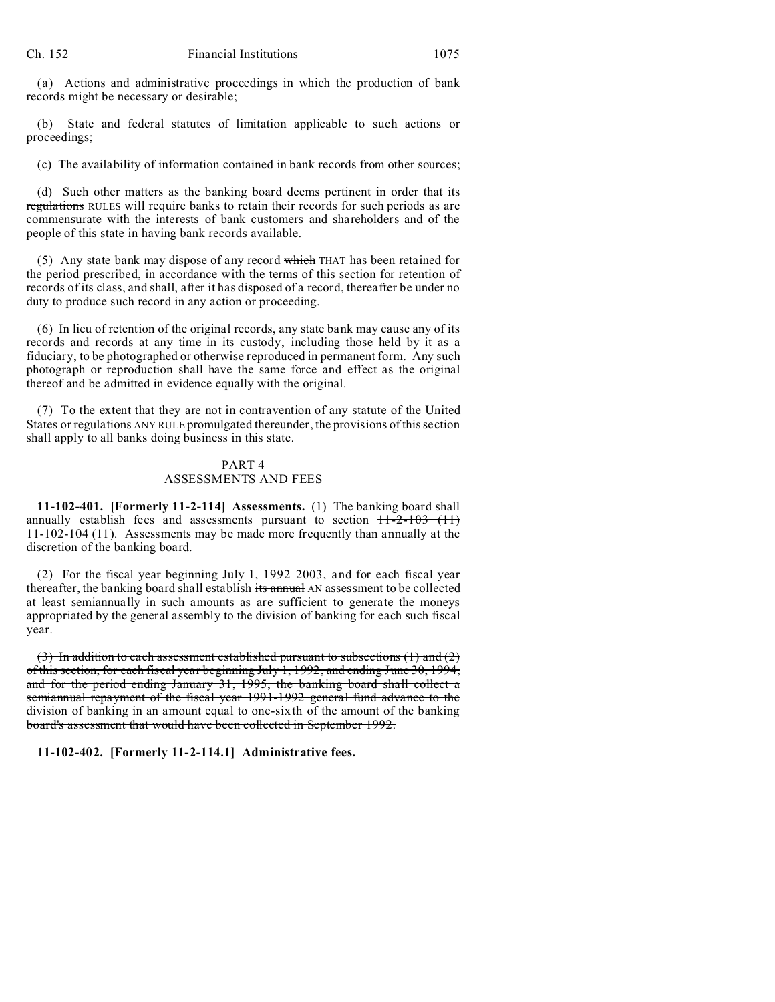(a) Actions and administrative proceedings in which the production of bank records might be necessary or desirable;

(b) State and federal statutes of limitation applicable to such actions or proceedings;

(c) The availability of information contained in bank records from other sources;

(d) Such other matters as the banking board deems pertinent in order that its regulations RULES will require banks to retain their records for such periods as are commensurate with the interests of bank customers and shareholders and of the people of this state in having bank records available.

(5) Any state bank may dispose of any record which THAT has been retained for the period prescribed, in accordance with the terms of this section for retention of records of its class, and shall, after it has disposed of a record, thereafter be under no duty to produce such record in any action or proceeding.

(6) In lieu of retention of the original records, any state bank may cause any of its records and records at any time in its custody, including those held by it as a fiduciary, to be photographed or otherwise reproduced in permanent form. Any such photograph or reproduction shall have the same force and effect as the original thereof and be admitted in evidence equally with the original.

(7) To the extent that they are not in contravention of any statute of the United States or regulations ANY RULE promulgated thereunder, the provisions of this section shall apply to all banks doing business in this state.

## PART 4 ASSESSMENTS AND FEES

**11-102-401. [Formerly 11-2-114] Assessments.** (1) The banking board shall annually establish fees and assessments pursuant to section  $H=2-103$  (11) 11-102-104 (11). Assessments may be made more frequently than annually at the discretion of the banking board.

(2) For the fiscal year beginning July 1,  $1992$  2003, and for each fiscal year thereafter, the banking board shall establish its annual AN assessment to be collected at least semiannually in such amounts as are sufficient to generate the moneys appropriated by the general assembly to the division of banking for each such fiscal year.

 $(3)$  In addition to each assessment established pursuant to subsections  $(1)$  and  $(2)$ of this section, for each fiscal year beginning July 1, 1992, and ending June 30, 1994, and for the period ending January 31, 1995, the banking board shall collect a semiannual repayment of the fiscal year 1991-1992 general fund advance to the division of banking in an amount equal to one-sixth of the amount of the banking board's assessment that would have been collected in September 1992.

**11-102-402. [Formerly 11-2-114.1] Administrative fees.**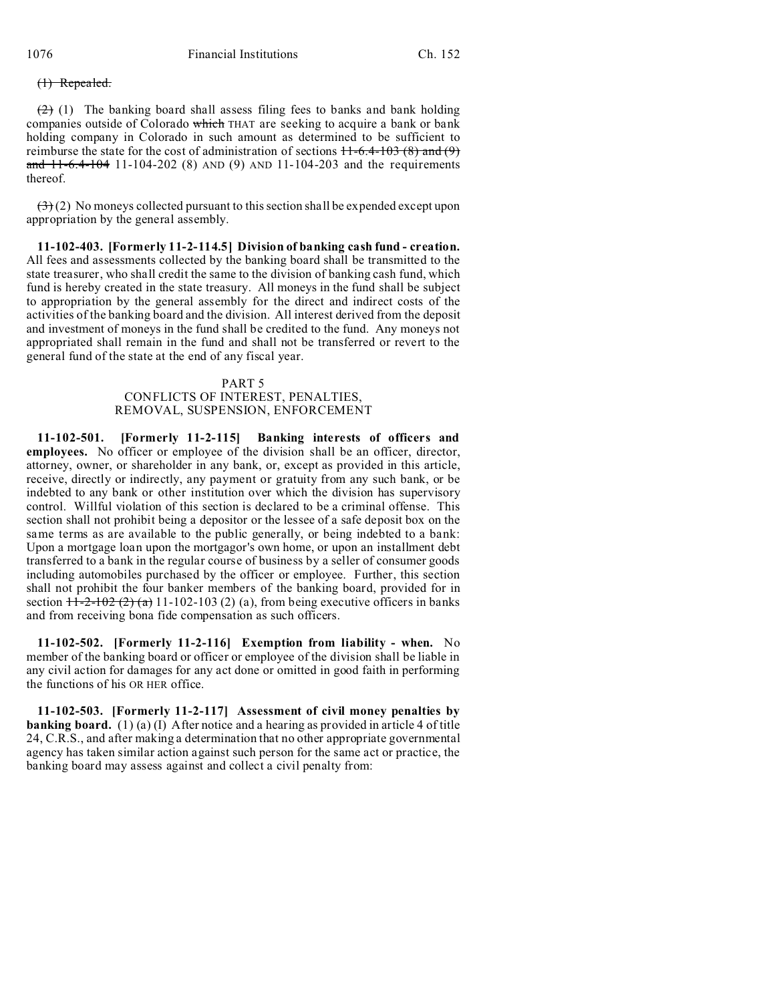## (1) Repealed.

 $(2)$  (1) The banking board shall assess filing fees to banks and bank holding companies outside of Colorado which THAT are seeking to acquire a bank or bank holding company in Colorado in such amount as determined to be sufficient to reimburse the state for the cost of administration of sections  $11-6.4-103(8)$  and (9) and 11-6.4-104 11-104-202 (8) AND (9) AND 11-104-203 and the requirements thereof.

 $(3)(2)$  No moneys collected pursuant to this section shall be expended except upon appropriation by the general assembly.

**11-102-403. [Formerly 11-2-114.5] Division of banking cash fund - creation.** All fees and assessments collected by the banking board shall be transmitted to the state treasurer, who shall credit the same to the division of banking cash fund, which fund is hereby created in the state treasury. All moneys in the fund shall be subject to appropriation by the general assembly for the direct and indirect costs of the activities of the banking board and the division. All interest derived from the deposit and investment of moneys in the fund shall be credited to the fund. Any moneys not appropriated shall remain in the fund and shall not be transferred or revert to the general fund of the state at the end of any fiscal year.

## PART 5 CONFLICTS OF INTEREST, PENALTIES, REMOVAL, SUSPENSION, ENFORCEMENT

**11-102-501. [Formerly 11-2-115] Banking interests of officers and employees.** No officer or employee of the division shall be an officer, director, attorney, owner, or shareholder in any bank, or, except as provided in this article, receive, directly or indirectly, any payment or gratuity from any such bank, or be indebted to any bank or other institution over which the division has supervisory control. Willful violation of this section is declared to be a criminal offense. This section shall not prohibit being a depositor or the lessee of a safe deposit box on the same terms as are available to the public generally, or being indebted to a bank: Upon a mortgage loan upon the mortgagor's own home, or upon an installment debt transferred to a bank in the regular course of business by a seller of consumer goods including automobiles purchased by the officer or employee. Further, this section shall not prohibit the four banker members of the banking board, provided for in section  $+1-2-102(2)(a)$  11-102-103 (2) (a), from being executive officers in banks and from receiving bona fide compensation as such officers.

**11-102-502. [Formerly 11-2-116] Exemption from liability - when.** No member of the banking board or officer or employee of the division shall be liable in any civil action for damages for any act done or omitted in good faith in performing the functions of his OR HER office.

**11-102-503. [Formerly 11-2-117] Assessment of civil money penalties by banking board.** (1) (a) (I) After notice and a hearing as provided in article 4 of title 24, C.R.S., and after making a determination that no other appropriate governmental agency has taken similar action against such person for the same act or practice, the banking board may assess against and collect a civil penalty from: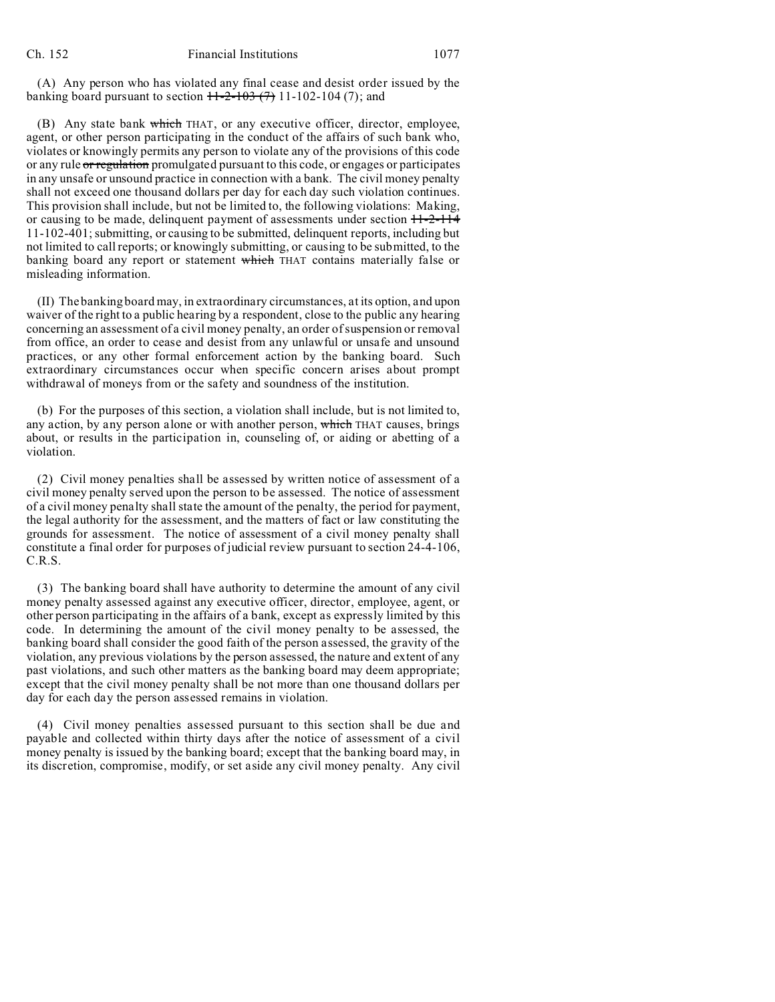(A) Any person who has violated any final cease and desist order issued by the banking board pursuant to section  $H-2-103$  (7) 11-102-104 (7); and

(B) Any state bank which THAT, or any executive officer, director, employee, agent, or other person participating in the conduct of the affairs of such bank who, violates or knowingly permits any person to violate any of the provisions of this code or any rule or regulation promulgated pursuant to this code, or engages or participates in any unsafe or unsound practice in connection with a bank. The civil money penalty shall not exceed one thousand dollars per day for each day such violation continues. This provision shall include, but not be limited to, the following violations: Making, or causing to be made, delinquent payment of assessments under section  $11-2-114$ 11-102-401; submitting, or causing to be submitted, delinquent reports, including but not limited to call reports; or knowingly submitting, or causing to be submitted, to the banking board any report or statement which THAT contains materially false or misleading information.

(II) The banking board may, in extraordinary circumstances, at its option, and upon waiver of the right to a public hearing by a respondent, close to the public any hearing concerning an assessment of a civil money penalty, an order of suspension or removal from office, an order to cease and desist from any unlawful or unsafe and unsound practices, or any other formal enforcement action by the banking board. Such extraordinary circumstances occur when specific concern arises about prompt withdrawal of moneys from or the safety and soundness of the institution.

(b) For the purposes of this section, a violation shall include, but is not limited to, any action, by any person alone or with another person, which THAT causes, brings about, or results in the participation in, counseling of, or aiding or abetting of a violation.

(2) Civil money penalties shall be assessed by written notice of assessment of a civil money penalty served upon the person to be assessed. The notice of assessment of a civil money penalty shall state the amount of the penalty, the period for payment, the legal authority for the assessment, and the matters of fact or law constituting the grounds for assessment. The notice of assessment of a civil money penalty shall constitute a final order for purposes of judicial review pursuant to section 24-4-106, C.R.S.

(3) The banking board shall have authority to determine the amount of any civil money penalty assessed against any executive officer, director, employee, agent, or other person participating in the affairs of a bank, except as expressly limited by this code. In determining the amount of the civil money penalty to be assessed, the banking board shall consider the good faith of the person assessed, the gravity of the violation, any previous violations by the person assessed, the nature and extent of any past violations, and such other matters as the banking board may deem appropriate; except that the civil money penalty shall be not more than one thousand dollars per day for each day the person assessed remains in violation.

(4) Civil money penalties assessed pursuant to this section shall be due and payable and collected within thirty days after the notice of assessment of a civil money penalty is issued by the banking board; except that the banking board may, in its discretion, compromise, modify, or set aside any civil money penalty. Any civil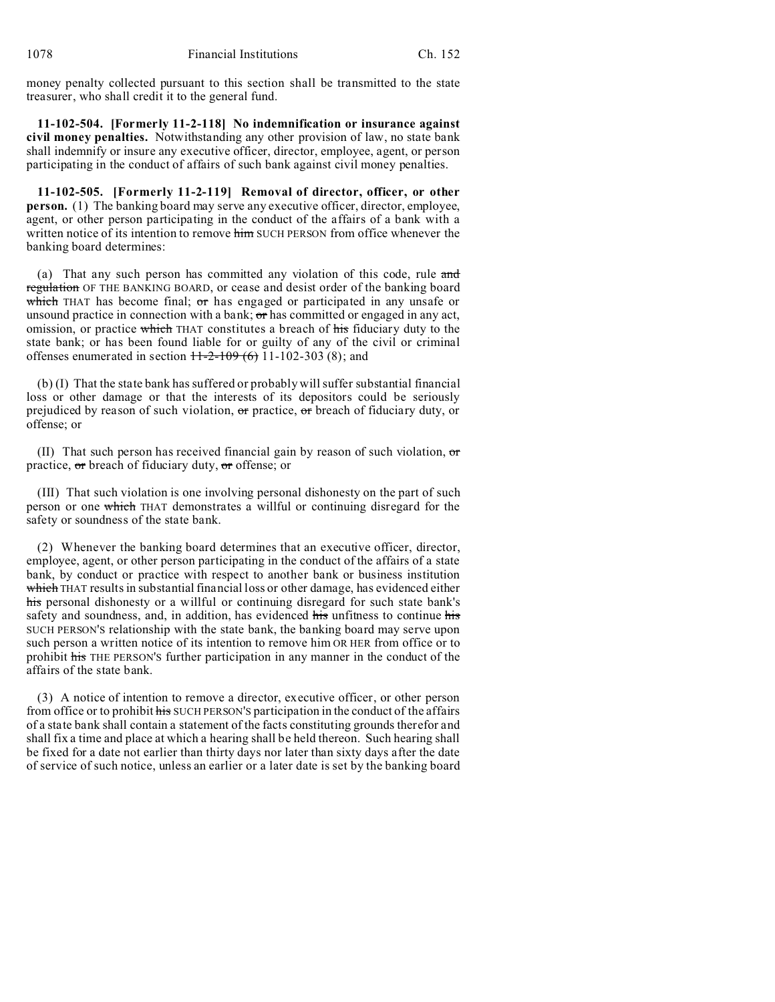money penalty collected pursuant to this section shall be transmitted to the state treasurer, who shall credit it to the general fund.

**11-102-504. [Formerly 11-2-118] No indemnification or insurance against civil money penalties.** Notwithstanding any other provision of law, no state bank shall indemnify or insure any executive officer, director, employee, agent, or person participating in the conduct of affairs of such bank against civil money penalties.

**11-102-505. [Formerly 11-2-119] Removal of director, officer, or other person.** (1) The banking board may serve any executive officer, director, employee, agent, or other person participating in the conduct of the affairs of a bank with a written notice of its intention to remove him SUCH PERSON from office whenever the banking board determines:

(a) That any such person has committed any violation of this code, rule and regulation OF THE BANKING BOARD, or cease and desist order of the banking board which THAT has become final;  $\sigma$ r has engaged or participated in any unsafe or unsound practice in connection with a bank;  $\sigma$  has committed or engaged in any act, omission, or practice which THAT constitutes a breach of his fiduciary duty to the state bank; or has been found liable for or guilty of any of the civil or criminal offenses enumerated in section  $11-2-109(6)$  11-102-303 (8); and

(b) (I) That the state bank has suffered or probably will suffer substantial financial loss or other damage or that the interests of its depositors could be seriously prejudiced by reason of such violation,  $\sigma$ r practice,  $\sigma$ r breach of fiduciary duty, or offense; or

(II) That such person has received financial gain by reason of such violation,  $\sigma$ practice,  $\sigma$ r breach of fiduciary duty,  $\sigma$ r offense; or

(III) That such violation is one involving personal dishonesty on the part of such person or one which THAT demonstrates a willful or continuing disregard for the safety or soundness of the state bank.

(2) Whenever the banking board determines that an executive officer, director, employee, agent, or other person participating in the conduct of the affairs of a state bank, by conduct or practice with respect to another bank or business institution which THAT results in substantial financial loss or other damage, has evidenced either his personal dishonesty or a willful or continuing disregard for such state bank's safety and soundness, and, in addition, has evidenced his unfitness to continue his SUCH PERSON'S relationship with the state bank, the banking board may serve upon such person a written notice of its intention to remove him OR HER from office or to prohibit his THE PERSON'S further participation in any manner in the conduct of the affairs of the state bank.

(3) A notice of intention to remove a director, executive officer, or other person from office or to prohibit his SUCH PERSON'S participation in the conduct of the affairs of a state bank shall contain a statement of the facts constituting grounds therefor and shall fix a time and place at which a hearing shall be held thereon. Such hearing shall be fixed for a date not earlier than thirty days nor later than sixty days after the date of service of such notice, unless an earlier or a later date is set by the banking board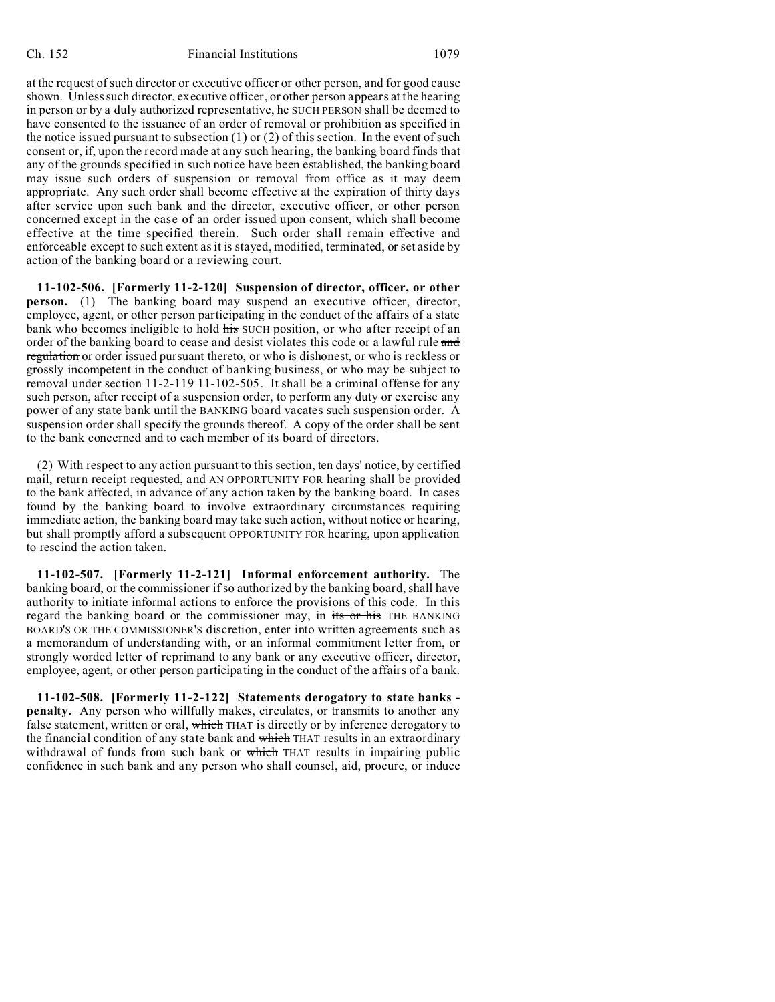at the request of such director or executive officer or other person, and for good cause shown. Unless such director, executive officer, or other person appears at the hearing in person or by a duly authorized representative, he SUCH PERSON shall be deemed to have consented to the issuance of an order of removal or prohibition as specified in the notice issued pursuant to subsection  $(1)$  or  $(2)$  of this section. In the event of such consent or, if, upon the record made at any such hearing, the banking board finds that any of the grounds specified in such notice have been established, the banking board may issue such orders of suspension or removal from office as it may deem appropriate. Any such order shall become effective at the expiration of thirty days after service upon such bank and the director, executive officer, or other person concerned except in the case of an order issued upon consent, which shall become effective at the time specified therein. Such order shall remain effective and enforceable except to such extent as it is stayed, modified, terminated, or set aside by action of the banking board or a reviewing court.

**11-102-506. [Formerly 11-2-120] Suspension of director, officer, or other person.** (1) The banking board may suspend an executive officer, director, employee, agent, or other person participating in the conduct of the affairs of a state bank who becomes ineligible to hold his SUCH position, or who after receipt of an order of the banking board to cease and desist violates this code or a lawful rule and regulation or order issued pursuant thereto, or who is dishonest, or who is reckless or grossly incompetent in the conduct of banking business, or who may be subject to removal under section  $11-2-119$  11-102-505. It shall be a criminal offense for any such person, after receipt of a suspension order, to perform any duty or exercise any power of any state bank until the BANKING board vacates such suspension order. A suspension order shall specify the grounds thereof. A copy of the order shall be sent to the bank concerned and to each member of its board of directors.

(2) With respect to any action pursuant to this section, ten days' notice, by certified mail, return receipt requested, and AN OPPORTUNITY FOR hearing shall be provided to the bank affected, in advance of any action taken by the banking board. In cases found by the banking board to involve extraordinary circumstances requiring immediate action, the banking board may take such action, without notice or hearing, but shall promptly afford a subsequent OPPORTUNITY FOR hearing, upon application to rescind the action taken.

**11-102-507. [Formerly 11-2-121] Informal enforcement authority.** The banking board, or the commissioner if so authorized by the banking board, shall have authority to initiate informal actions to enforce the provisions of this code. In this regard the banking board or the commissioner may, in its or his THE BANKING BOARD'S OR THE COMMISSIONER'S discretion, enter into written agreements such as a memorandum of understanding with, or an informal commitment letter from, or strongly worded letter of reprimand to any bank or any executive officer, director, employee, agent, or other person participating in the conduct of the affairs of a bank.

**11-102-508. [Formerly 11-2-122] Statements derogatory to state banks penalty.** Any person who willfully makes, circulates, or transmits to another any false statement, written or oral, which THAT is directly or by inference derogatory to the financial condition of any state bank and which THAT results in an extraordinary withdrawal of funds from such bank or which THAT results in impairing public confidence in such bank and any person who shall counsel, aid, procure, or induce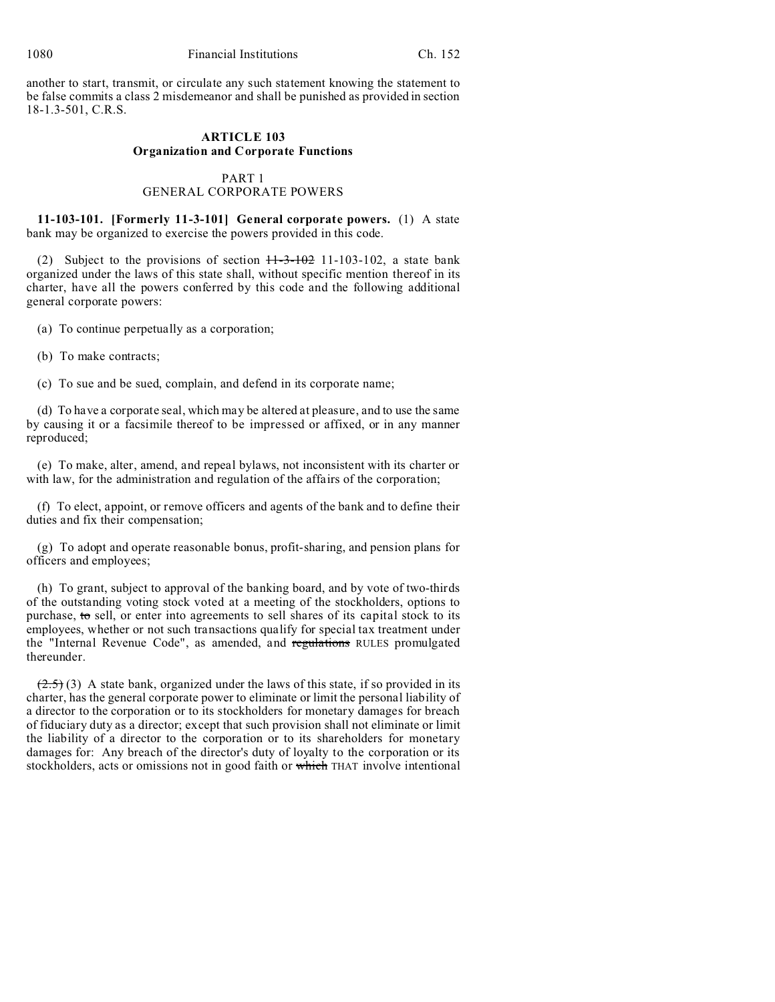another to start, transmit, or circulate any such statement knowing the statement to be false commits a class 2 misdemeanor and shall be punished as provided in section 18-1.3-501, C.R.S.

# **ARTICLE 103 Organization and Corporate Functions**

## PART 1 GENERAL CORPORATE POWERS

**11-103-101. [Formerly 11-3-101] General corporate powers.** (1) A state bank may be organized to exercise the powers provided in this code.

(2) Subject to the provisions of section  $11-3-102$  11-103-102, a state bank organized under the laws of this state shall, without specific mention thereof in its charter, have all the powers conferred by this code and the following additional general corporate powers:

(a) To continue perpetually as a corporation;

(b) To make contracts;

(c) To sue and be sued, complain, and defend in its corporate name;

(d) To have a corporate seal, which may be altered at pleasure, and to use the same by causing it or a facsimile thereof to be impressed or affixed, or in any manner reproduced;

(e) To make, alter, amend, and repeal bylaws, not inconsistent with its charter or with law, for the administration and regulation of the affairs of the corporation;

(f) To elect, appoint, or remove officers and agents of the bank and to define their duties and fix their compensation;

(g) To adopt and operate reasonable bonus, profit-sharing, and pension plans for officers and employees;

(h) To grant, subject to approval of the banking board, and by vote of two-thirds of the outstanding voting stock voted at a meeting of the stockholders, options to purchase, to sell, or enter into agreements to sell shares of its capital stock to its employees, whether or not such transactions qualify for special tax treatment under the "Internal Revenue Code", as amended, and regulations RULES promulgated thereunder.

 $(2.5)$  (3) A state bank, organized under the laws of this state, if so provided in its charter, has the general corporate power to eliminate or limit the personal liability of a director to the corporation or to its stockholders for monetary damages for breach of fiduciary duty as a director; except that such provision shall not eliminate or limit the liability of a director to the corporation or to its shareholders for monetary damages for: Any breach of the director's duty of loyalty to the corporation or its stockholders, acts or omissions not in good faith or which THAT involve intentional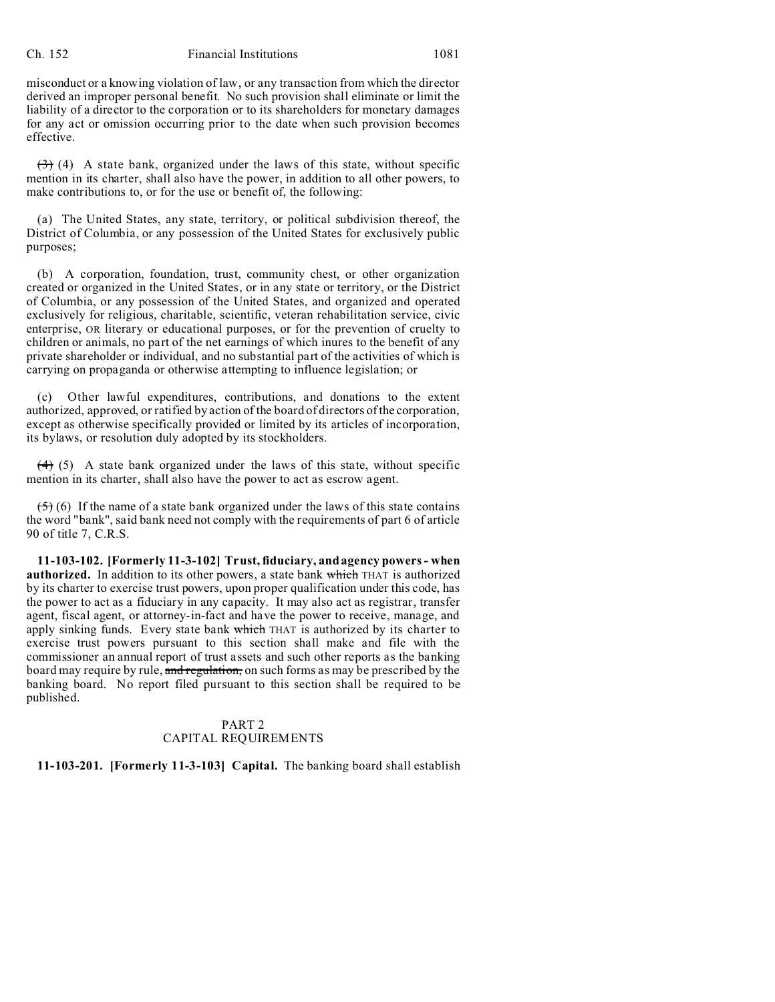#### Ch. 152 Financial Institutions 1081

misconduct or a knowing violation of law, or any transaction from which the director derived an improper personal benefit. No such provision shall eliminate or limit the liability of a director to the corporation or to its shareholders for monetary damages for any act or omission occurring prior to the date when such provision becomes effective.

 $(3)$  (4) A state bank, organized under the laws of this state, without specific mention in its charter, shall also have the power, in addition to all other powers, to make contributions to, or for the use or benefit of, the following:

(a) The United States, any state, territory, or political subdivision thereof, the District of Columbia, or any possession of the United States for exclusively public purposes;

(b) A corporation, foundation, trust, community chest, or other organization created or organized in the United States, or in any state or territory, or the District of Columbia, or any possession of the United States, and organized and operated exclusively for religious, charitable, scientific, veteran rehabilitation service, civic enterprise, OR literary or educational purposes, or for the prevention of cruelty to children or animals, no part of the net earnings of which inures to the benefit of any private shareholder or individual, and no substantial part of the activities of which is carrying on propaganda or otherwise attempting to influence legislation; or

(c) Other lawful expenditures, contributions, and donations to the extent authorized, approved, or ratified by action of the board of directors of the corporation, except as otherwise specifically provided or limited by its articles of incorporation, its bylaws, or resolution duly adopted by its stockholders.

 $(4)$  (5) A state bank organized under the laws of this state, without specific mention in its charter, shall also have the power to act as escrow agent.

 $(5)$  (6) If the name of a state bank organized under the laws of this state contains the word "bank", said bank need not comply with the requirements of part 6 of article 90 of title 7, C.R.S.

**11-103-102. [Formerly 11-3-102] Trust, fiduciary, and agency powers - when authorized.** In addition to its other powers, a state bank which THAT is authorized by its charter to exercise trust powers, upon proper qualification under this code, has the power to act as a fiduciary in any capacity. It may also act as registrar, transfer agent, fiscal agent, or attorney-in-fact and have the power to receive, manage, and apply sinking funds. Every state bank which THAT is authorized by its charter to exercise trust powers pursuant to this section shall make and file with the commissioner an annual report of trust assets and such other reports as the banking board may require by rule, and regulation, on such forms as may be prescribed by the banking board. No report filed pursuant to this section shall be required to be published.

## PART 2 CAPITAL REQUIREMENTS

## **11-103-201. [Formerly 11-3-103] Capital.** The banking board shall establish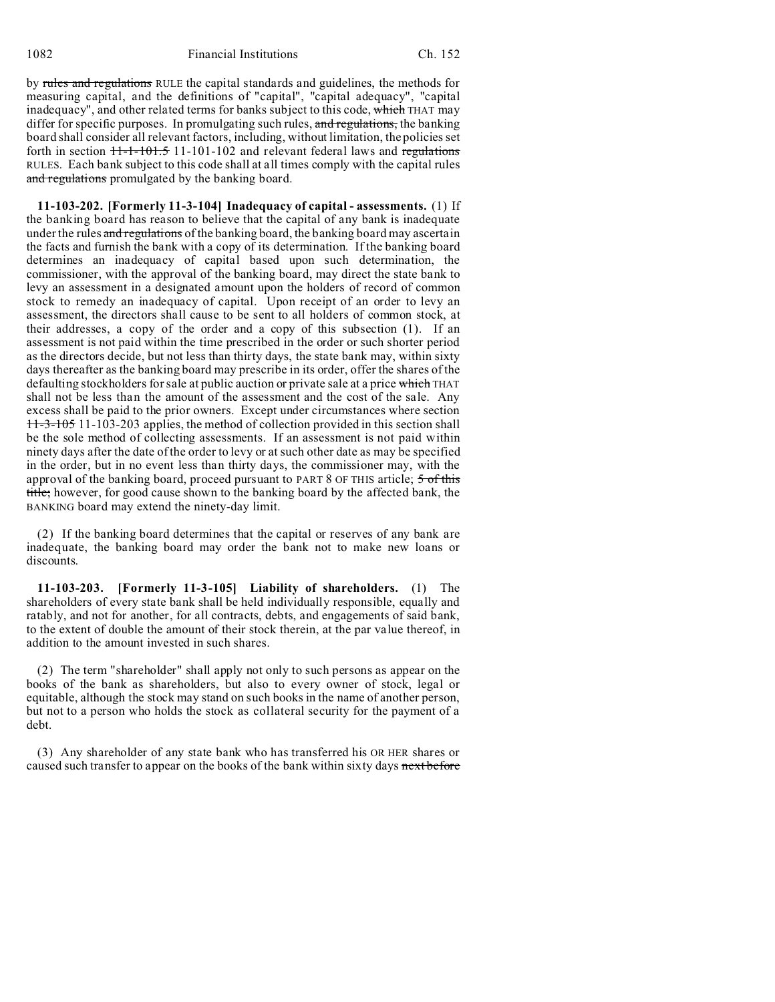by rules and regulations RULE the capital standards and guidelines, the methods for measuring capital, and the definitions of "capital", "capital adequacy", "capital inadequacy", and other related terms for banks subject to this code, which THAT may differ for specific purposes. In promulgating such rules, and regulations, the banking board shall consider all relevant factors, including, without limitation, the policies set forth in section  $H - 1 - 101 - 101 - 102$  and relevant federal laws and regulations RULES. Each bank subject to this code shall at all times comply with the capital rules and regulations promulgated by the banking board.

**11-103-202. [Formerly 11-3-104] Inadequacy of capital - assessments.** (1) If the banking board has reason to believe that the capital of any bank is inadequate under the rules and regulations of the banking board, the banking board may ascertain the facts and furnish the bank with a copy of its determination. If the banking board determines an inadequacy of capital based upon such determination, the commissioner, with the approval of the banking board, may direct the state bank to levy an assessment in a designated amount upon the holders of record of common stock to remedy an inadequacy of capital. Upon receipt of an order to levy an assessment, the directors shall cause to be sent to all holders of common stock, at their addresses, a copy of the order and a copy of this subsection (1). If an assessment is not paid within the time prescribed in the order or such shorter period as the directors decide, but not less than thirty days, the state bank may, within sixty days thereafter as the banking board may prescribe in its order, offer the shares of the defaulting stockholders for sale at public auction or private sale at a price which THAT shall not be less than the amount of the assessment and the cost of the sale. Any excess shall be paid to the prior owners. Except under circumstances where section 11-3-105 11-103-203 applies, the method of collection provided in this section shall be the sole method of collecting assessments. If an assessment is not paid within ninety days after the date of the order to levy or at such other date as may be specified in the order, but in no event less than thirty days, the commissioner may, with the approval of the banking board, proceed pursuant to PART 8 OF THIS article; 5 of this title; however, for good cause shown to the banking board by the affected bank, the BANKING board may extend the ninety-day limit.

(2) If the banking board determines that the capital or reserves of any bank are inadequate, the banking board may order the bank not to make new loans or discounts.

**11-103-203. [Formerly 11-3-105] Liability of shareholders.** (1) The shareholders of every state bank shall be held individually responsible, equally and ratably, and not for another, for all contracts, debts, and engagements of said bank, to the extent of double the amount of their stock therein, at the par value thereof, in addition to the amount invested in such shares.

(2) The term "shareholder" shall apply not only to such persons as appear on the books of the bank as shareholders, but also to every owner of stock, legal or equitable, although the stock may stand on such books in the name of another person, but not to a person who holds the stock as collateral security for the payment of a debt.

(3) Any shareholder of any state bank who has transferred his OR HER shares or caused such transfer to appear on the books of the bank within sixty days next before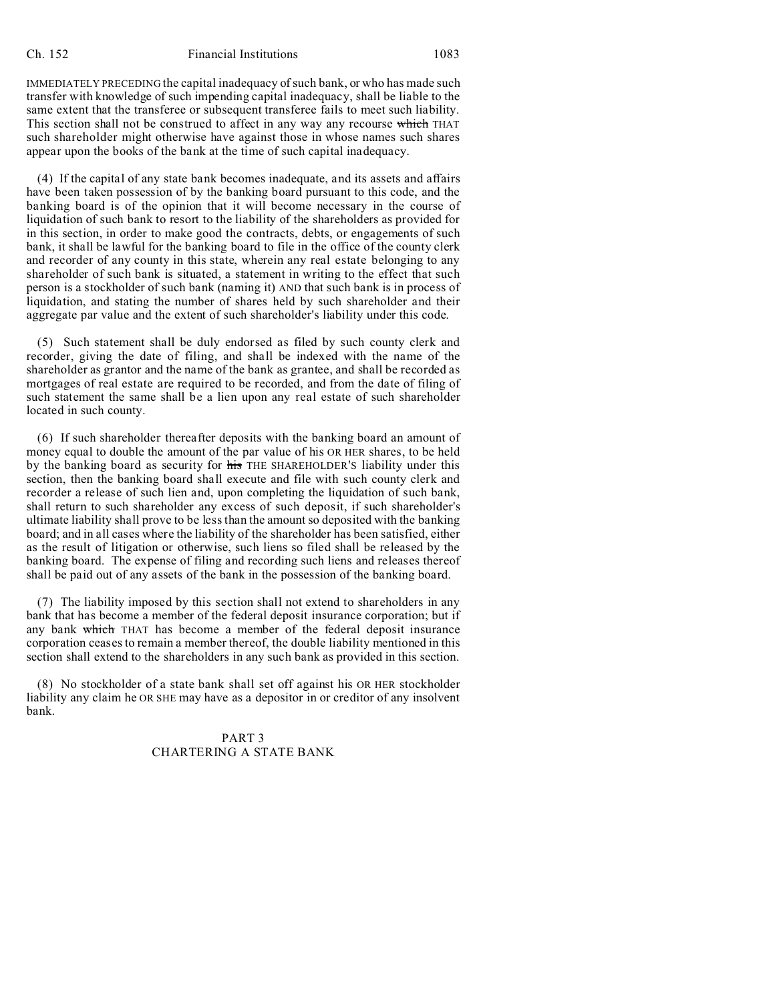IMMEDIATELY PRECEDING the capital inadequacy of such bank, or who has made such transfer with knowledge of such impending capital inadequacy, shall be liable to the same extent that the transferee or subsequent transferee fails to meet such liability. This section shall not be construed to affect in any way any recourse which THAT such shareholder might otherwise have against those in whose names such shares appear upon the books of the bank at the time of such capital inadequacy.

(4) If the capital of any state bank becomes inadequate, and its assets and affairs have been taken possession of by the banking board pursuant to this code, and the banking board is of the opinion that it will become necessary in the course of liquidation of such bank to resort to the liability of the shareholders as provided for in this section, in order to make good the contracts, debts, or engagements of such bank, it shall be lawful for the banking board to file in the office of the county clerk and recorder of any county in this state, wherein any real estate belonging to any shareholder of such bank is situated, a statement in writing to the effect that such person is a stockholder of such bank (naming it) AND that such bank is in process of liquidation, and stating the number of shares held by such shareholder and their aggregate par value and the extent of such shareholder's liability under this code.

(5) Such statement shall be duly endorsed as filed by such county clerk and recorder, giving the date of filing, and shall be indexed with the name of the shareholder as grantor and the name of the bank as grantee, and shall be recorded as mortgages of real estate are required to be recorded, and from the date of filing of such statement the same shall be a lien upon any real estate of such shareholder located in such county.

(6) If such shareholder thereafter deposits with the banking board an amount of money equal to double the amount of the par value of his OR HER shares, to be held by the banking board as security for his THE SHAREHOLDER'S liability under this section, then the banking board shall execute and file with such county clerk and recorder a release of such lien and, upon completing the liquidation of such bank, shall return to such shareholder any excess of such deposit, if such shareholder's ultimate liability shall prove to be less than the amount so deposited with the banking board; and in all cases where the liability of the shareholder has been satisfied, either as the result of litigation or otherwise, such liens so filed shall be released by the banking board. The expense of filing and recording such liens and releases thereof shall be paid out of any assets of the bank in the possession of the banking board.

(7) The liability imposed by this section shall not extend to shareholders in any bank that has become a member of the federal deposit insurance corporation; but if any bank which THAT has become a member of the federal deposit insurance corporation ceases to remain a member thereof, the double liability mentioned in this section shall extend to the shareholders in any such bank as provided in this section.

(8) No stockholder of a state bank shall set off against his OR HER stockholder liability any claim he OR SHE may have as a depositor in or creditor of any insolvent bank.

## PART 3 CHARTERING A STATE BANK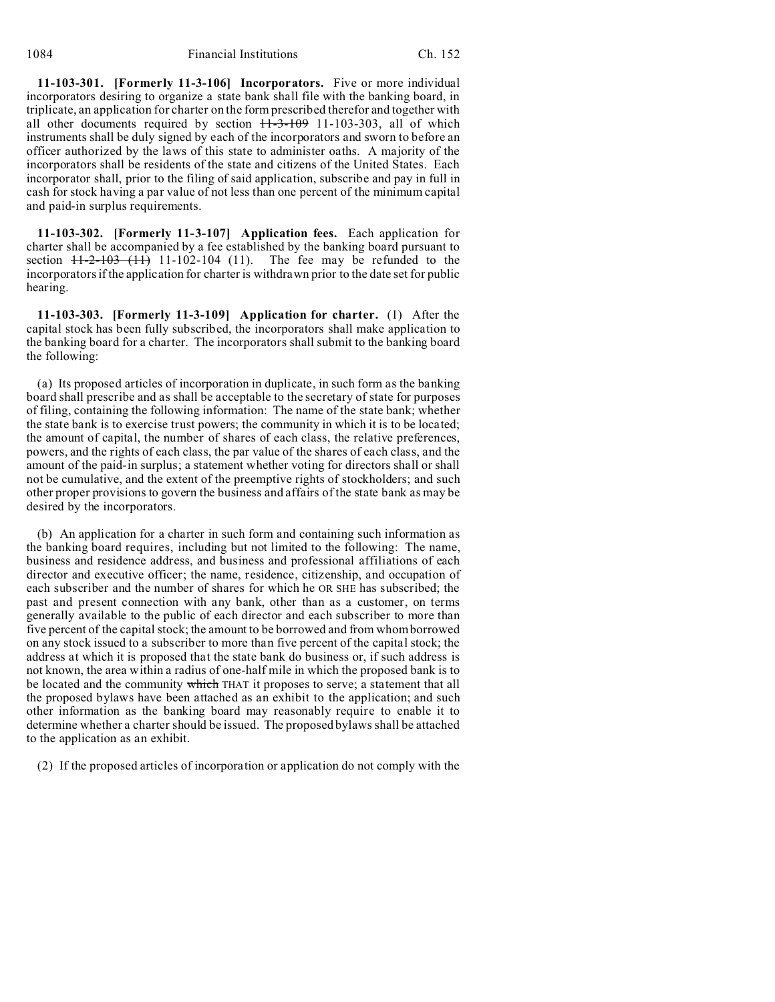**11-103-301. [Formerly 11-3-106] Incorporators.** Five or more individual incorporators desiring to organize a state bank shall file with the banking board, in triplicate, an application for charter on the form prescribed therefor and together with all other documents required by section  $H=3-109$  11-103-303, all of which instruments shall be duly signed by each of the incorporators and sworn to before an officer authorized by the laws of this state to administer oaths. A majority of the incorporators shall be residents of the state and citizens of the United States. Each incorporator shall, prior to the filing of said application, subscribe and pay in full in cash for stock having a par value of not less than one percent of the minimum capital and paid-in surplus requirements.

**11-103-302. [Formerly 11-3-107] Application fees.** Each application for charter shall be accompanied by a fee established by the banking board pursuant to section  $11-2-103$  (11) 11-102-104 (11). The fee may be refunded to the incorporators if the application for charter is withdrawn prior to the date set for public hearing.

**11-103-303. [Formerly 11-3-109] Application for charter.** (1) After the capital stock has been fully subscribed, the incorporators shall make application to the banking board for a charter. The incorporators shall submit to the banking board the following:

(a) Its proposed articles of incorporation in duplicate, in such form as the banking board shall prescribe and as shall be acceptable to the secretary of state for purposes of filing, containing the following information: The name of the state bank; whether the state bank is to exercise trust powers; the community in which it is to be located; the amount of capital, the number of shares of each class, the relative preferences, powers, and the rights of each class, the par value of the shares of each class, and the amount of the paid-in surplus; a statement whether voting for directors shall or shall not be cumulative, and the extent of the preemptive rights of stockholders; and such other proper provisions to govern the business and affairs of the state bank as may be desired by the incorporators.

(b) An application for a charter in such form and containing such information as the banking board requires, including but not limited to the following: The name, business and residence address, and business and professional affiliations of each director and executive officer; the name, residence, citizenship, and occupation of each subscriber and the number of shares for which he OR SHE has subscribed; the past and present connection with any bank, other than as a customer, on terms generally available to the public of each director and each subscriber to more than five percent of the capital stock; the amount to be borrowed and from whom borrowed on any stock issued to a subscriber to more than five percent of the capital stock; the address at which it is proposed that the state bank do business or, if such address is not known, the area within a radius of one-half mile in which the proposed bank is to be located and the community which THAT it proposes to serve; a statement that all the proposed bylaws have been attached as an exhibit to the application; and such other information as the banking board may reasonably require to enable it to determine whether a charter should be issued. The proposed bylaws shall be attached to the application as an exhibit.

(2) If the proposed articles of incorporation or application do not comply with the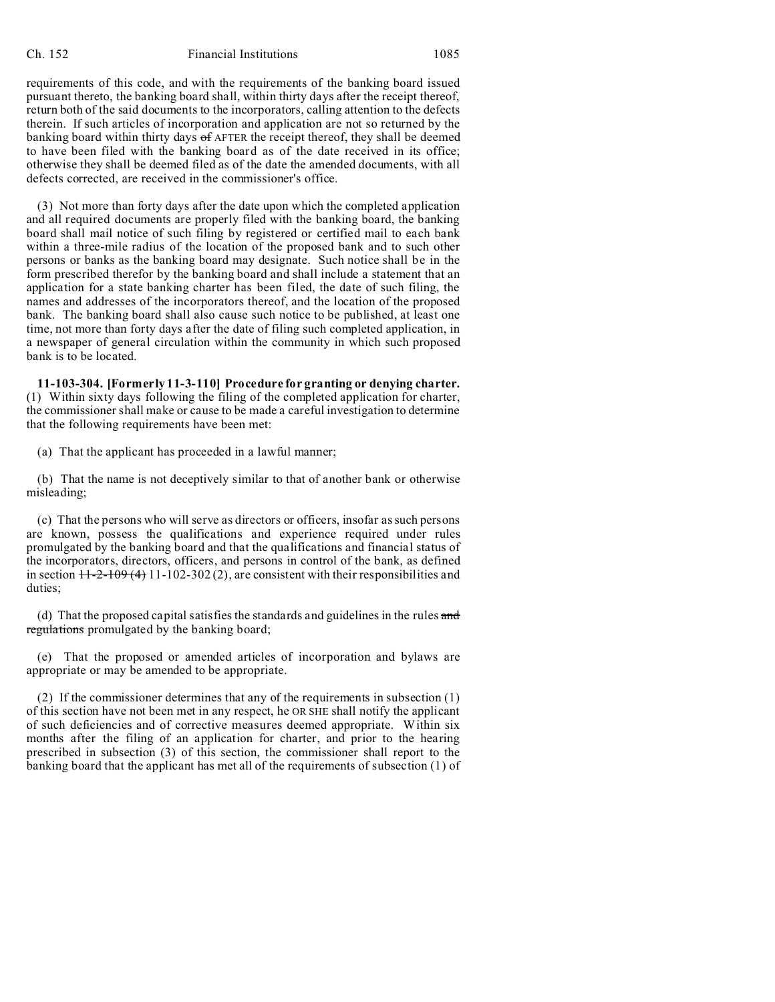#### Ch. 152 Financial Institutions 1085

requirements of this code, and with the requirements of the banking board issued pursuant thereto, the banking board shall, within thirty days after the receipt thereof, return both of the said documents to the incorporators, calling attention to the defects therein. If such articles of incorporation and application are not so returned by the banking board within thirty days  $\sigma$ f AFTER the receipt thereof, they shall be deemed to have been filed with the banking board as of the date received in its office; otherwise they shall be deemed filed as of the date the amended documents, with all defects corrected, are received in the commissioner's office.

(3) Not more than forty days after the date upon which the completed application and all required documents are properly filed with the banking board, the banking board shall mail notice of such filing by registered or certified mail to each bank within a three-mile radius of the location of the proposed bank and to such other persons or banks as the banking board may designate. Such notice shall be in the form prescribed therefor by the banking board and shall include a statement that an application for a state banking charter has been filed, the date of such filing, the names and addresses of the incorporators thereof, and the location of the proposed bank. The banking board shall also cause such notice to be published, at least one time, not more than forty days after the date of filing such completed application, in a newspaper of general circulation within the community in which such proposed bank is to be located.

**11-103-304. [Formerly 11-3-110] Procedure for granting or denying charter.** (1) Within sixty days following the filing of the completed application for charter, the commissioner shall make or cause to be made a careful investigation to determine that the following requirements have been met:

(a) That the applicant has proceeded in a lawful manner;

(b) That the name is not deceptively similar to that of another bank or otherwise misleading;

(c) That the persons who will serve as directors or officers, insofar as such persons are known, possess the qualifications and experience required under rules promulgated by the banking board and that the qualifications and financial status of the incorporators, directors, officers, and persons in control of the bank, as defined in section  $11-2-109(4)$  11-102-302(2), are consistent with their responsibilities and duties;

(d) That the proposed capital satisfies the standards and guidelines in the rules and regulations promulgated by the banking board;

(e) That the proposed or amended articles of incorporation and bylaws are appropriate or may be amended to be appropriate.

(2) If the commissioner determines that any of the requirements in subsection (1) of this section have not been met in any respect, he OR SHE shall notify the applicant of such deficiencies and of corrective measures deemed appropriate. Within six months after the filing of an application for charter, and prior to the hearing prescribed in subsection (3) of this section, the commissioner shall report to the banking board that the applicant has met all of the requirements of subsection (1) of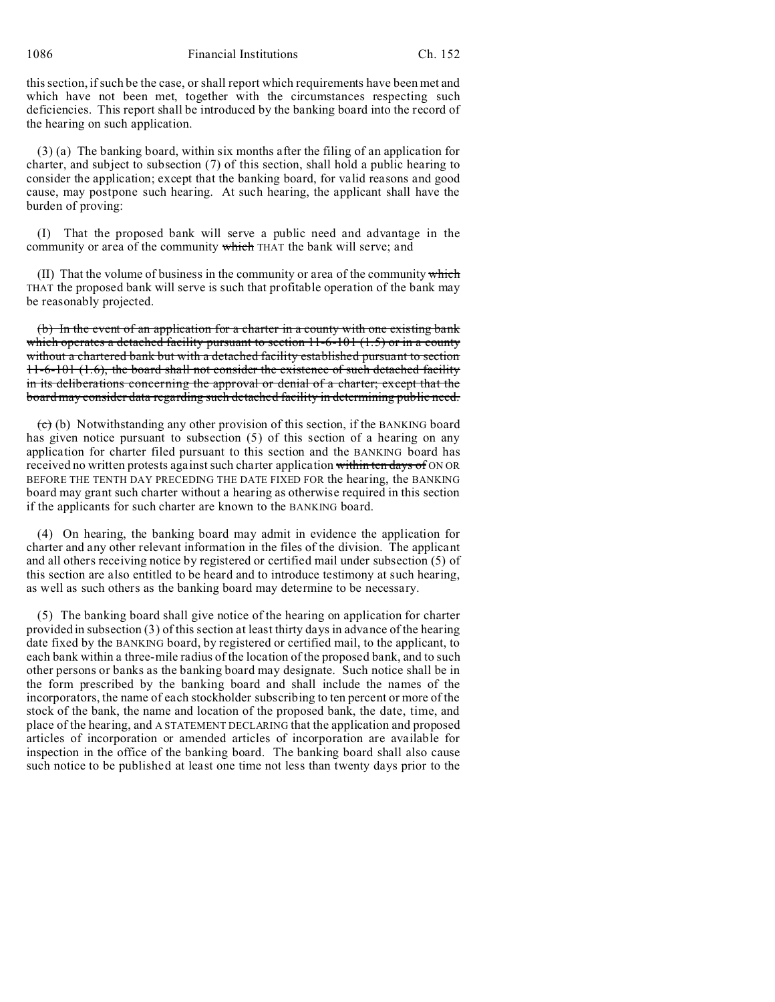this section, if such be the case, or shall report which requirements have been met and which have not been met, together with the circumstances respecting such deficiencies. This report shall be introduced by the banking board into the record of the hearing on such application.

(3) (a) The banking board, within six months after the filing of an application for charter, and subject to subsection (7) of this section, shall hold a public hearing to consider the application; except that the banking board, for valid reasons and good cause, may postpone such hearing. At such hearing, the applicant shall have the burden of proving:

(I) That the proposed bank will serve a public need and advantage in the community or area of the community which THAT the bank will serve; and

 $(II)$  That the volume of business in the community or area of the community which THAT the proposed bank will serve is such that profitable operation of the bank may be reasonably projected.

(b) In the event of an application for a charter in a county with one existing bank which operates a detached facility pursuant to section  $11-6-101$  (1.5) or in a county without a chartered bank but with a detached facility established pursuant to section 11-6-101 (1.6), the board shall not consider the existence of such detached facility in its deliberations concerning the approval or denial of a charter; except that the board may consider data regarding such detached facility in determining public need.

 $(e)$  (b) Notwithstanding any other provision of this section, if the BANKING board has given notice pursuant to subsection (5) of this section of a hearing on any application for charter filed pursuant to this section and the BANKING board has received no written protests against such charter application within ten days of ON OR BEFORE THE TENTH DAY PRECEDING THE DATE FIXED FOR the hearing, the BANKING board may grant such charter without a hearing as otherwise required in this section if the applicants for such charter are known to the BANKING board.

(4) On hearing, the banking board may admit in evidence the application for charter and any other relevant information in the files of the division. The applicant and all others receiving notice by registered or certified mail under subsection (5) of this section are also entitled to be heard and to introduce testimony at such hearing, as well as such others as the banking board may determine to be necessary.

(5) The banking board shall give notice of the hearing on application for charter provided in subsection (3) of this section at least thirty days in advance of the hearing date fixed by the BANKING board, by registered or certified mail, to the applicant, to each bank within a three-mile radius of the location of the proposed bank, and to such other persons or banks as the banking board may designate. Such notice shall be in the form prescribed by the banking board and shall include the names of the incorporators, the name of each stockholder subscribing to ten percent or more of the stock of the bank, the name and location of the proposed bank, the date, time, and place of the hearing, and A STATEMENT DECLARING that the application and proposed articles of incorporation or amended articles of incorporation are available for inspection in the office of the banking board. The banking board shall also cause such notice to be published at least one time not less than twenty days prior to the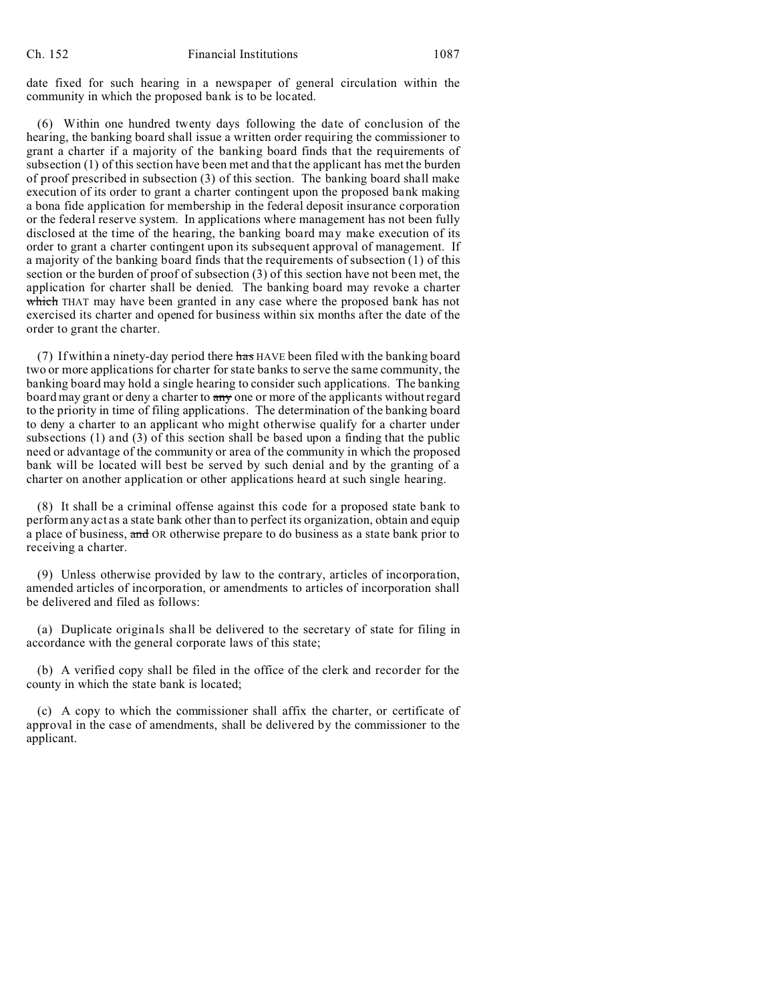date fixed for such hearing in a newspaper of general circulation within the community in which the proposed bank is to be located.

(6) Within one hundred twenty days following the date of conclusion of the hearing, the banking board shall issue a written order requiring the commissioner to grant a charter if a majority of the banking board finds that the requirements of subsection (1) of this section have been met and that the applicant has met the burden of proof prescribed in subsection (3) of this section. The banking board shall make execution of its order to grant a charter contingent upon the proposed bank making a bona fide application for membership in the federal deposit insurance corporation or the federal reserve system. In applications where management has not been fully disclosed at the time of the hearing, the banking board may make execution of its order to grant a charter contingent upon its subsequent approval of management. If a majority of the banking board finds that the requirements of subsection (1) of this section or the burden of proof of subsection (3) of this section have not been met, the application for charter shall be denied. The banking board may revoke a charter which THAT may have been granted in any case where the proposed bank has not exercised its charter and opened for business within six months after the date of the order to grant the charter.

(7) If within a ninety-day period there has HAVE been filed with the banking board two or more applications for charter for state banks to serve the same community, the banking board may hold a single hearing to consider such applications. The banking board may grant or deny a charter to any one or more of the applicants without regard to the priority in time of filing applications. The determination of the banking board to deny a charter to an applicant who might otherwise qualify for a charter under subsections (1) and (3) of this section shall be based upon a finding that the public need or advantage of the community or area of the community in which the proposed bank will be located will best be served by such denial and by the granting of a charter on another application or other applications heard at such single hearing.

(8) It shall be a criminal offense against this code for a proposed state bank to perform any act as a state bank other than to perfect its organization, obtain and equip a place of business, and OR otherwise prepare to do business as a state bank prior to receiving a charter.

(9) Unless otherwise provided by law to the contrary, articles of incorporation, amended articles of incorporation, or amendments to articles of incorporation shall be delivered and filed as follows:

(a) Duplicate originals shall be delivered to the secretary of state for filing in accordance with the general corporate laws of this state;

(b) A verified copy shall be filed in the office of the clerk and recorder for the county in which the state bank is located;

(c) A copy to which the commissioner shall affix the charter, or certificate of approval in the case of amendments, shall be delivered by the commissioner to the applicant.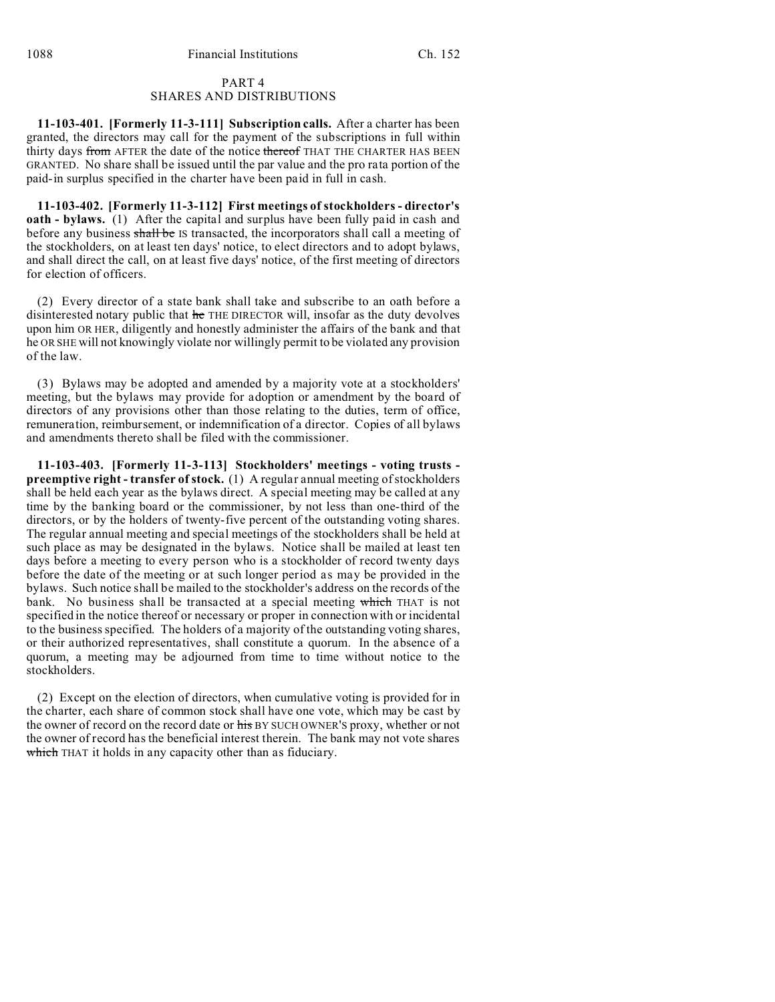### PART 4 SHARES AND DISTRIBUTIONS

**11-103-401. [Formerly 11-3-111] Subscription calls.** After a charter has been granted, the directors may call for the payment of the subscriptions in full within thirty days from AFTER the date of the notice thereof THAT THE CHARTER HAS BEEN GRANTED. No share shall be issued until the par value and the pro rata portion of the paid-in surplus specified in the charter have been paid in full in cash.

**11-103-402. [Formerly 11-3-112] First meetings of stockholders - director's oath - bylaws.** (1) After the capital and surplus have been fully paid in cash and before any business shall be IS transacted, the incorporators shall call a meeting of the stockholders, on at least ten days' notice, to elect directors and to adopt bylaws, and shall direct the call, on at least five days' notice, of the first meeting of directors for election of officers.

(2) Every director of a state bank shall take and subscribe to an oath before a disinterested notary public that he THE DIRECTOR will, insofar as the duty devolves upon him OR HER, diligently and honestly administer the affairs of the bank and that he OR SHE will not knowingly violate nor willingly permit to be violated any provision of the law.

(3) Bylaws may be adopted and amended by a majority vote at a stockholders' meeting, but the bylaws may provide for adoption or amendment by the board of directors of any provisions other than those relating to the duties, term of office, remuneration, reimbursement, or indemnification of a director. Copies of all bylaws and amendments thereto shall be filed with the commissioner.

**11-103-403. [Formerly 11-3-113] Stockholders' meetings - voting trusts preemptive right - transfer of stock.** (1) A regular annual meeting of stockholders shall be held each year as the bylaws direct. A special meeting may be called at any time by the banking board or the commissioner, by not less than one-third of the directors, or by the holders of twenty-five percent of the outstanding voting shares. The regular annual meeting and special meetings of the stockholders shall be held at such place as may be designated in the bylaws. Notice shall be mailed at least ten days before a meeting to every person who is a stockholder of record twenty days before the date of the meeting or at such longer period as may be provided in the bylaws. Such notice shall be mailed to the stockholder's address on the records of the bank. No business shall be transacted at a special meeting which THAT is not specified in the notice thereof or necessary or proper in connection with or incidental to the business specified. The holders of a majority of the outstanding voting shares, or their authorized representatives, shall constitute a quorum. In the absence of a quorum, a meeting may be adjourned from time to time without notice to the stockholders.

(2) Except on the election of directors, when cumulative voting is provided for in the charter, each share of common stock shall have one vote, which may be cast by the owner of record on the record date or his BY SUCH OWNER'S proxy, whether or not the owner of record has the beneficial interest therein. The bank may not vote shares which THAT it holds in any capacity other than as fiduciary.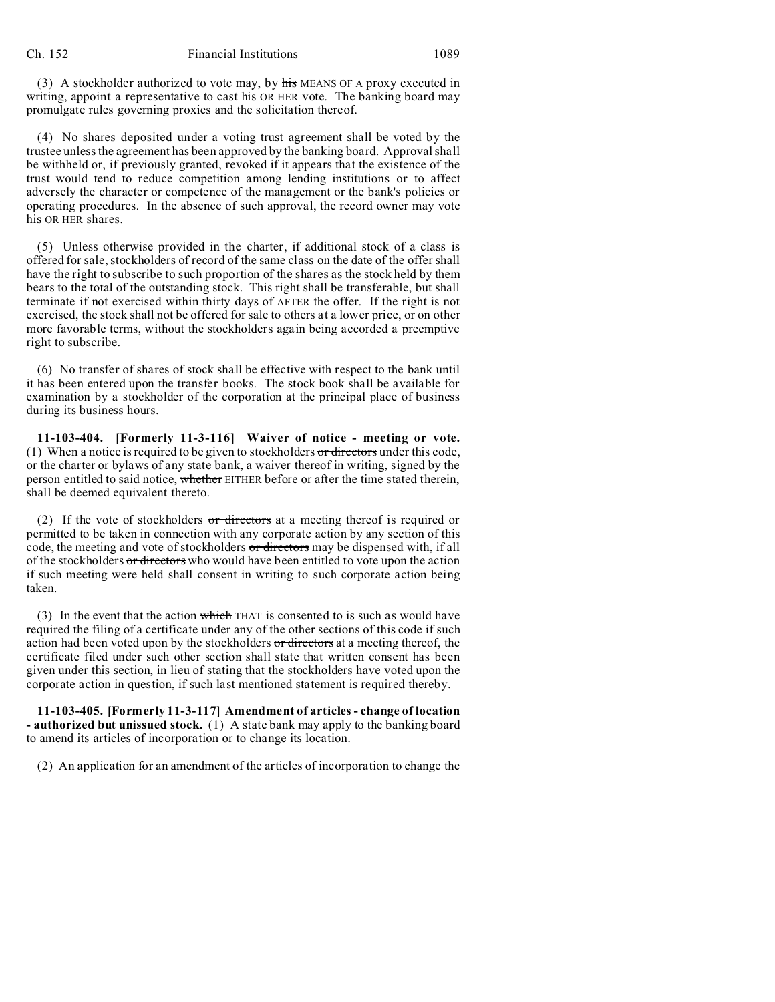(3) A stockholder authorized to vote may, by his MEANS OF A proxy executed in writing, appoint a representative to cast his OR HER vote. The banking board may promulgate rules governing proxies and the solicitation thereof.

(4) No shares deposited under a voting trust agreement shall be voted by the trustee unless the agreement has been approved by the banking board. Approval shall be withheld or, if previously granted, revoked if it appears that the existence of the trust would tend to reduce competition among lending institutions or to affect adversely the character or competence of the management or the bank's policies or operating procedures. In the absence of such approval, the record owner may vote his OR HER shares.

(5) Unless otherwise provided in the charter, if additional stock of a class is offered for sale, stockholders of record of the same class on the date of the offer shall have the right to subscribe to such proportion of the shares as the stock held by them bears to the total of the outstanding stock. This right shall be transferable, but shall terminate if not exercised within thirty days  $\sigma$ f AFTER the offer. If the right is not exercised, the stock shall not be offered for sale to others at a lower price, or on other more favorable terms, without the stockholders again being accorded a preemptive right to subscribe.

(6) No transfer of shares of stock shall be effective with respect to the bank until it has been entered upon the transfer books. The stock book shall be available for examination by a stockholder of the corporation at the principal place of business during its business hours.

**11-103-404. [Formerly 11-3-116] Waiver of notice - meeting or vote.** (1) When a notice is required to be given to stockholders  $\sigma r$  directors under this code, or the charter or bylaws of any state bank, a waiver thereof in writing, signed by the person entitled to said notice, whether EITHER before or after the time stated therein, shall be deemed equivalent thereto.

(2) If the vote of stockholders  $\sigma r$  directors at a meeting thereof is required or permitted to be taken in connection with any corporate action by any section of this code, the meeting and vote of stockholders or directors may be dispensed with, if all of the stockholders or directors who would have been entitled to vote upon the action if such meeting were held shall consent in writing to such corporate action being taken.

(3) In the event that the action which THAT is consented to is such as would have required the filing of a certificate under any of the other sections of this code if such action had been voted upon by the stockholders or directors at a meeting thereof, the certificate filed under such other section shall state that written consent has been given under this section, in lieu of stating that the stockholders have voted upon the corporate action in question, if such last mentioned statement is required thereby.

**11-103-405. [Formerly 11-3-117] Amendment of articles - change of location - authorized but unissued stock.** (1) A state bank may apply to the banking board to amend its articles of incorporation or to change its location.

(2) An application for an amendment of the articles of incorporation to change the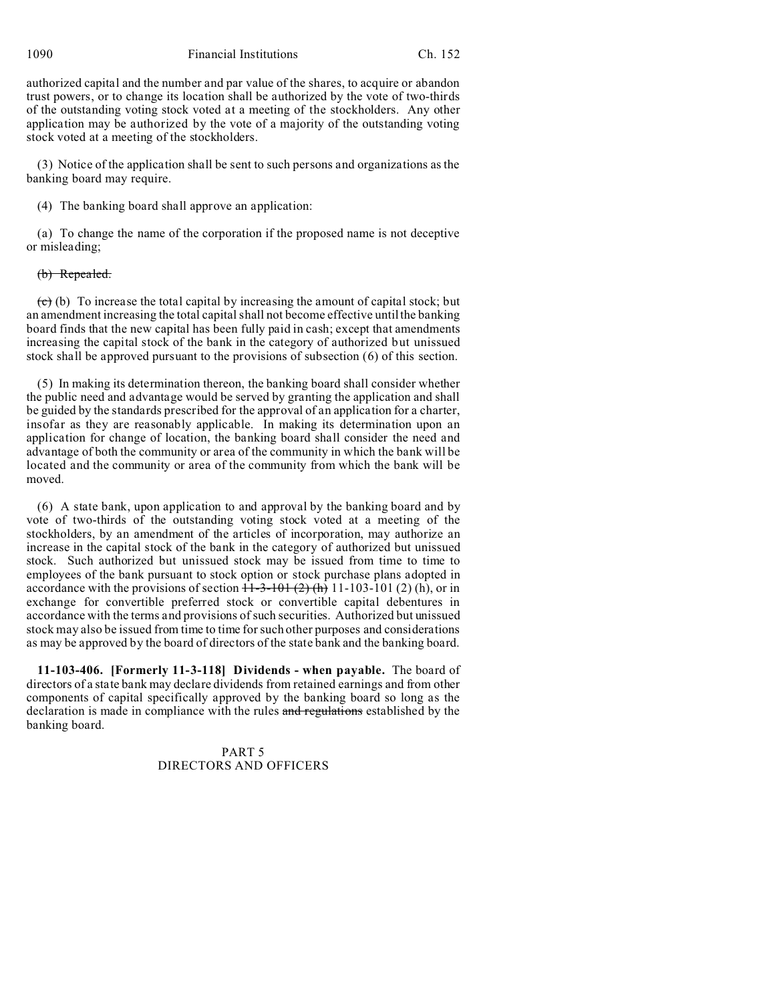1090 Financial Institutions Ch. 152

authorized capital and the number and par value of the shares, to acquire or abandon trust powers, or to change its location shall be authorized by the vote of two-thirds of the outstanding voting stock voted at a meeting of the stockholders. Any other application may be authorized by the vote of a majority of the outstanding voting stock voted at a meeting of the stockholders.

(3) Notice of the application shall be sent to such persons and organizations as the banking board may require.

(4) The banking board shall approve an application:

(a) To change the name of the corporation if the proposed name is not deceptive or misleading;

## (b) Repealed.

 $\overrightarrow{c}$  (b) To increase the total capital by increasing the amount of capital stock; but an amendment increasing the total capital shall not become effective until the banking board finds that the new capital has been fully paid in cash; except that amendments increasing the capital stock of the bank in the category of authorized but unissued stock shall be approved pursuant to the provisions of subsection (6) of this section.

(5) In making its determination thereon, the banking board shall consider whether the public need and advantage would be served by granting the application and shall be guided by the standards prescribed for the approval of an application for a charter, insofar as they are reasonably applicable. In making its determination upon an application for change of location, the banking board shall consider the need and advantage of both the community or area of the community in which the bank will be located and the community or area of the community from which the bank will be moved.

(6) A state bank, upon application to and approval by the banking board and by vote of two-thirds of the outstanding voting stock voted at a meeting of the stockholders, by an amendment of the articles of incorporation, may authorize an increase in the capital stock of the bank in the category of authorized but unissued stock. Such authorized but unissued stock may be issued from time to time to employees of the bank pursuant to stock option or stock purchase plans adopted in accordance with the provisions of section  $H=3-101(2)$  (h) 11-103-101 (2) (h), or in exchange for convertible preferred stock or convertible capital debentures in accordance with the terms and provisions of such securities. Authorized but unissued stock may also be issued from time to time for such other purposes and considerations as may be approved by the board of directors of the state bank and the banking board.

**11-103-406. [Formerly 11-3-118] Dividends - when payable.** The board of directors of a state bank may declare dividends from retained earnings and from other components of capital specifically approved by the banking board so long as the declaration is made in compliance with the rules and regulations established by the banking board.

> PART 5 DIRECTORS AND OFFICERS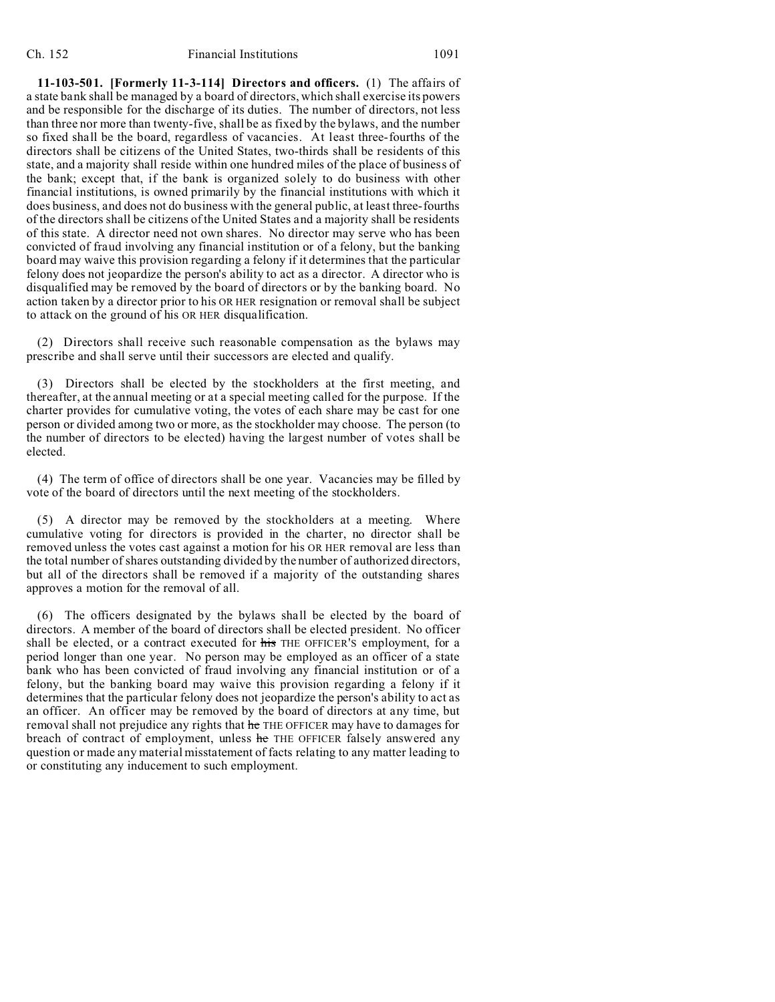**11-103-501. [Formerly 11-3-114] Directors and officers.** (1) The affairs of a state bank shall be managed by a board of directors, which shall exercise its powers and be responsible for the discharge of its duties. The number of directors, not less than three nor more than twenty-five, shall be as fixed by the bylaws, and the number so fixed shall be the board, regardless of vacancies. At least three-fourths of the directors shall be citizens of the United States, two-thirds shall be residents of this state, and a majority shall reside within one hundred miles of the place of business of the bank; except that, if the bank is organized solely to do business with other financial institutions, is owned primarily by the financial institutions with which it does business, and does not do business with the general public, at least three-fourths of the directors shall be citizens of the United States and a majority shall be residents of this state. A director need not own shares. No director may serve who has been convicted of fraud involving any financial institution or of a felony, but the banking board may waive this provision regarding a felony if it determines that the particular felony does not jeopardize the person's ability to act as a director. A director who is disqualified may be removed by the board of directors or by the banking board. No action taken by a director prior to his OR HER resignation or removal shall be subject to attack on the ground of his OR HER disqualification.

(2) Directors shall receive such reasonable compensation as the bylaws may prescribe and shall serve until their successors are elected and qualify.

(3) Directors shall be elected by the stockholders at the first meeting, and thereafter, at the annual meeting or at a special meeting called for the purpose. If the charter provides for cumulative voting, the votes of each share may be cast for one person or divided among two or more, as the stockholder may choose. The person (to the number of directors to be elected) having the largest number of votes shall be elected.

(4) The term of office of directors shall be one year. Vacancies may be filled by vote of the board of directors until the next meeting of the stockholders.

(5) A director may be removed by the stockholders at a meeting. Where cumulative voting for directors is provided in the charter, no director shall be removed unless the votes cast against a motion for his OR HER removal are less than the total number of shares outstanding divided by the number of authorized directors, but all of the directors shall be removed if a majority of the outstanding shares approves a motion for the removal of all.

(6) The officers designated by the bylaws shall be elected by the board of directors. A member of the board of directors shall be elected president. No officer shall be elected, or a contract executed for his THE OFFICER'S employment, for a period longer than one year. No person may be employed as an officer of a state bank who has been convicted of fraud involving any financial institution or of a felony, but the banking board may waive this provision regarding a felony if it determines that the particular felony does not jeopardize the person's ability to act as an officer. An officer may be removed by the board of directors at any time, but removal shall not prejudice any rights that he THE OFFICER may have to damages for breach of contract of employment, unless he THE OFFICER falsely answered any question or made any material misstatement of facts relating to any matter leading to or constituting any inducement to such employment.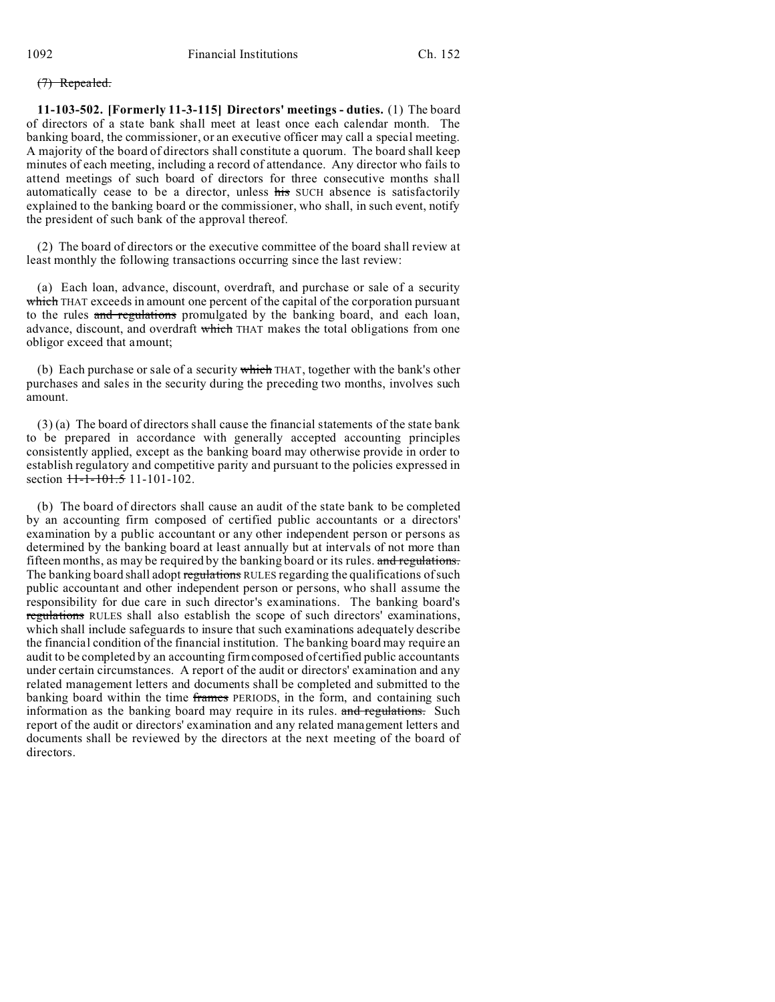# (7) Repealed.

**11-103-502. [Formerly 11-3-115] Directors' meetings - duties.** (1) The board of directors of a state bank shall meet at least once each calendar month. The banking board, the commissioner, or an executive officer may call a special meeting. A majority of the board of directors shall constitute a quorum. The board shall keep minutes of each meeting, including a record of attendance. Any director who fails to attend meetings of such board of directors for three consecutive months shall automatically cease to be a director, unless his SUCH absence is satisfactorily explained to the banking board or the commissioner, who shall, in such event, notify the president of such bank of the approval thereof.

(2) The board of directors or the executive committee of the board shall review at least monthly the following transactions occurring since the last review:

(a) Each loan, advance, discount, overdraft, and purchase or sale of a security which THAT exceeds in amount one percent of the capital of the corporation pursuant to the rules and regulations promulgated by the banking board, and each loan, advance, discount, and overdraft which THAT makes the total obligations from one obligor exceed that amount;

(b) Each purchase or sale of a security  $\frac{1}{1 + \frac{1}{1 + \frac{1}{1}}$  together with the bank's other purchases and sales in the security during the preceding two months, involves such amount.

(3) (a) The board of directors shall cause the financial statements of the state bank to be prepared in accordance with generally accepted accounting principles consistently applied, except as the banking board may otherwise provide in order to establish regulatory and competitive parity and pursuant to the policies expressed in section  $11-1-101.5$  11-101-102.

(b) The board of directors shall cause an audit of the state bank to be completed by an accounting firm composed of certified public accountants or a directors' examination by a public accountant or any other independent person or persons as determined by the banking board at least annually but at intervals of not more than fifteen months, as may be required by the banking board or its rules. and regulations. The banking board shall adopt regulations RULES regarding the qualifications of such public accountant and other independent person or persons, who shall assume the responsibility for due care in such director's examinations. The banking board's regulations RULES shall also establish the scope of such directors' examinations, which shall include safeguards to insure that such examinations adequately describe the financial condition of the financial institution. The banking board may require an audit to be completed by an accounting firm composed of certified public accountants under certain circumstances. A report of the audit or directors' examination and any related management letters and documents shall be completed and submitted to the banking board within the time frames PERIODS, in the form, and containing such information as the banking board may require in its rules. and regulations. Such report of the audit or directors' examination and any related management letters and documents shall be reviewed by the directors at the next meeting of the board of directors.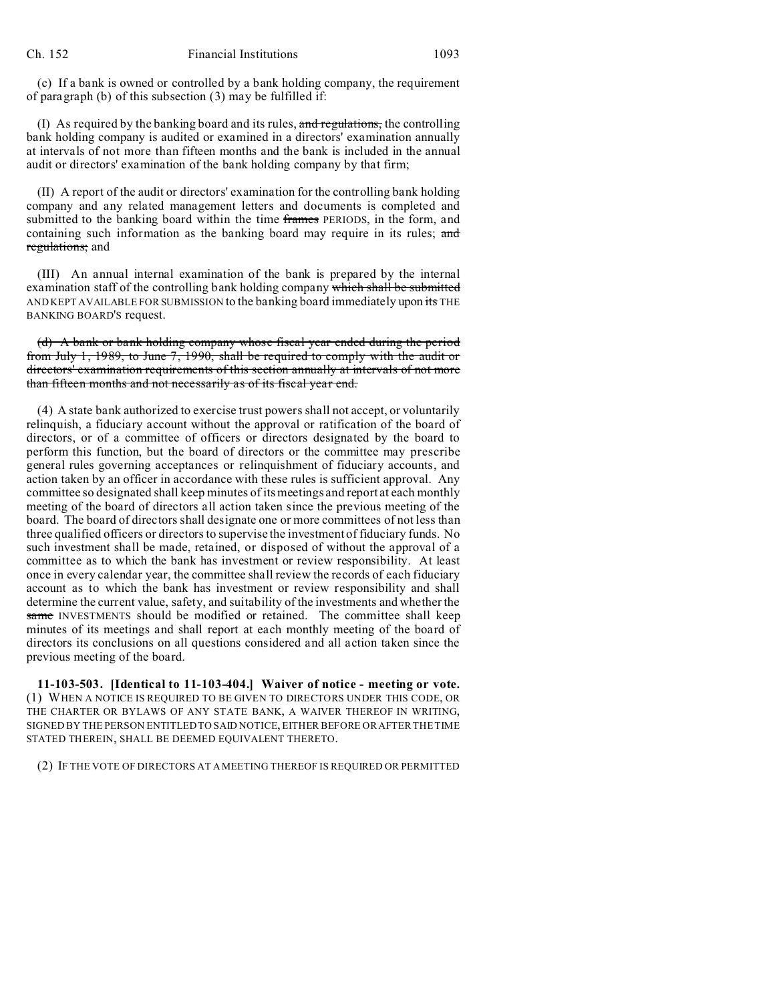(c) If a bank is owned or controlled by a bank holding company, the requirement of paragraph (b) of this subsection (3) may be fulfilled if:

(I) As required by the banking board and its rules, and regulations, the controlling bank holding company is audited or examined in a directors' examination annually at intervals of not more than fifteen months and the bank is included in the annual audit or directors' examination of the bank holding company by that firm;

(II) A report of the audit or directors' examination for the controlling bank holding company and any related management letters and documents is completed and submitted to the banking board within the time frames PERIODS, in the form, and containing such information as the banking board may require in its rules; and regulations; and

(III) An annual internal examination of the bank is prepared by the internal examination staff of the controlling bank holding company which shall be submitted AND KEPT AVAILABLE FOR SUBMISSION to the banking board immediately upon its THE BANKING BOARD'S request.

(d) A bank or bank holding company whose fiscal year ended during the period from July 1, 1989, to June 7, 1990, shall be required to comply with the audit or directors' examination requirements of this section annually at intervals of not more than fifteen months and not necessarily as of its fiscal year end.

(4) A state bank authorized to exercise trust powers shall not accept, or voluntarily relinquish, a fiduciary account without the approval or ratification of the board of directors, or of a committee of officers or directors designated by the board to perform this function, but the board of directors or the committee may prescribe general rules governing acceptances or relinquishment of fiduciary accounts, and action taken by an officer in accordance with these rules is sufficient approval. Any committee so designated shall keep minutes of its meetings and report at each monthly meeting of the board of directors all action taken since the previous meeting of the board. The board of directors shall designate one or more committees of not less than three qualified officers or directors to supervise the investment of fiduciary funds. No such investment shall be made, retained, or disposed of without the approval of a committee as to which the bank has investment or review responsibility. At least once in every calendar year, the committee shall review the records of each fiduciary account as to which the bank has investment or review responsibility and shall determine the current value, safety, and suitability of the investments and whether the same INVESTMENTS should be modified or retained. The committee shall keep minutes of its meetings and shall report at each monthly meeting of the board of directors its conclusions on all questions considered and all action taken since the previous meeting of the board.

**11-103-503. [Identical to 11-103-404.] Waiver of notice - meeting or vote.** (1) WHEN A NOTICE IS REQUIRED TO BE GIVEN TO DIRECTORS UNDER THIS CODE, OR THE CHARTER OR BYLAWS OF ANY STATE BANK, A WAIVER THEREOF IN WRITING, SIGNED BY THE PERSON ENTITLED TO SAID NOTICE, EITHER BEFORE OR AFTER THE TIME STATED THEREIN, SHALL BE DEEMED EQUIVALENT THERETO.

(2) IF THE VOTE OF DIRECTORS AT A MEETING THEREOF IS REQUIRED OR PERMITTED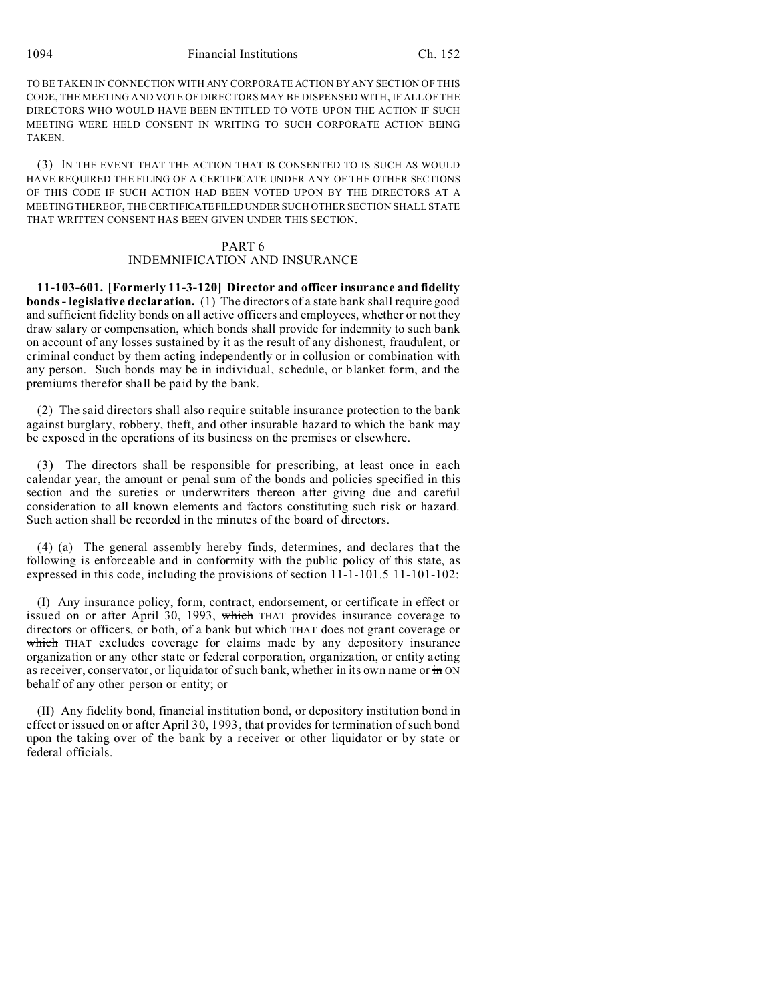1094 Financial Institutions Ch. 152

TO BE TAKEN IN CONNECTION WITH ANY CORPORATE ACTION BY ANY SECTION OF THIS CODE, THE MEETING AND VOTE OF DIRECTORS MAY BE DISPENSED WITH, IF ALL OF THE DIRECTORS WHO WOULD HAVE BEEN ENTITLED TO VOTE UPON THE ACTION IF SUCH MEETING WERE HELD CONSENT IN WRITING TO SUCH CORPORATE ACTION BEING TAKEN.

(3) IN THE EVENT THAT THE ACTION THAT IS CONSENTED TO IS SUCH AS WOULD HAVE REQUIRED THE FILING OF A CERTIFICATE UNDER ANY OF THE OTHER SECTIONS OF THIS CODE IF SUCH ACTION HAD BEEN VOTED UPON BY THE DIRECTORS AT A MEETING THEREOF, THE CERTIFICATEFILEDUNDER SUCH OTHER SECTION SHALL STATE THAT WRITTEN CONSENT HAS BEEN GIVEN UNDER THIS SECTION.

### PART 6

# INDEMNIFICATION AND INSURANCE

**11-103-601. [Formerly 11-3-120] Director and officer insurance and fidelity bonds - legislative declaration.** (1) The directors of a state bank shall require good and sufficient fidelity bonds on all active officers and employees, whether or not they draw salary or compensation, which bonds shall provide for indemnity to such bank on account of any losses sustained by it as the result of any dishonest, fraudulent, or criminal conduct by them acting independently or in collusion or combination with any person. Such bonds may be in individual, schedule, or blanket form, and the premiums therefor shall be paid by the bank.

(2) The said directors shall also require suitable insurance protection to the bank against burglary, robbery, theft, and other insurable hazard to which the bank may be exposed in the operations of its business on the premises or elsewhere.

(3) The directors shall be responsible for prescribing, at least once in each calendar year, the amount or penal sum of the bonds and policies specified in this section and the sureties or underwriters thereon after giving due and careful consideration to all known elements and factors constituting such risk or hazard. Such action shall be recorded in the minutes of the board of directors.

(4) (a) The general assembly hereby finds, determines, and declares that the following is enforceable and in conformity with the public policy of this state, as expressed in this code, including the provisions of section  $11\overline{+1}$ - $101\overline{+5}$  11-101-102:

(I) Any insurance policy, form, contract, endorsement, or certificate in effect or issued on or after April 30, 1993, which THAT provides insurance coverage to directors or officers, or both, of a bank but which THAT does not grant coverage or which THAT excludes coverage for claims made by any depository insurance organization or any other state or federal corporation, organization, or entity acting as receiver, conservator, or liquidator of such bank, whether in its own name or in ON behalf of any other person or entity; or

(II) Any fidelity bond, financial institution bond, or depository institution bond in effect or issued on or after April 30, 1993, that provides for termination of such bond upon the taking over of the bank by a receiver or other liquidator or by state or federal officials.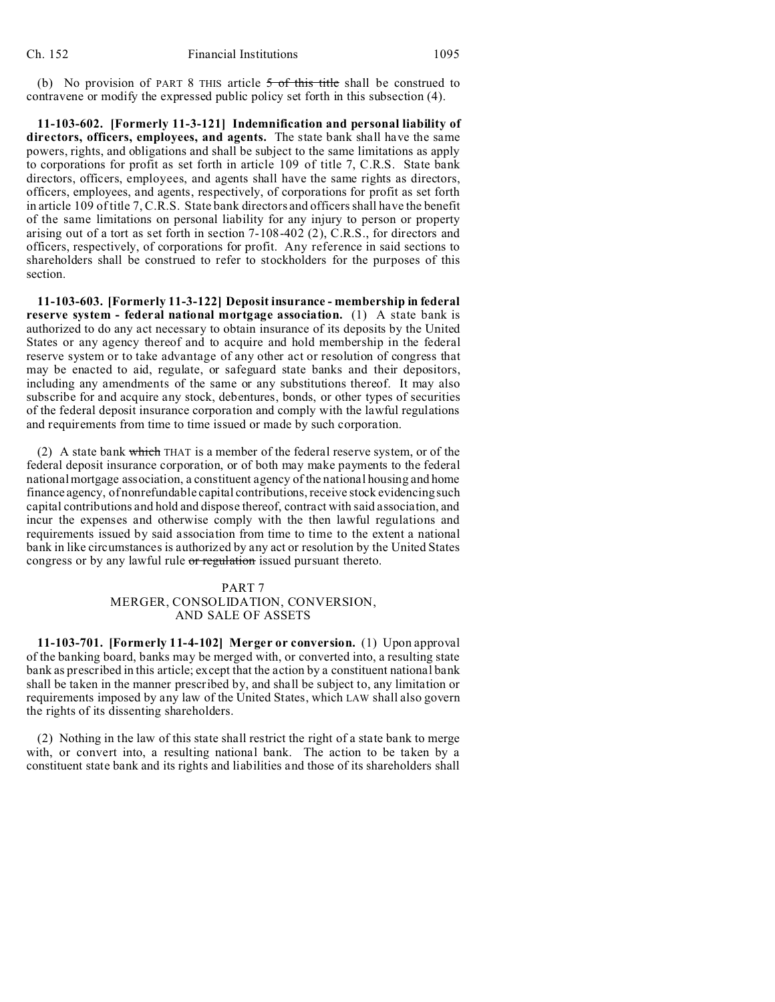(b) No provision of PART 8 THIS article  $5$  of this title shall be construed to contravene or modify the expressed public policy set forth in this subsection (4).

**11-103-602. [Formerly 11-3-121] Indemnification and personal liability of directors, officers, employees, and agents.** The state bank shall have the same powers, rights, and obligations and shall be subject to the same limitations as apply to corporations for profit as set forth in article 109 of title 7, C.R.S. State bank directors, officers, employees, and agents shall have the same rights as directors, officers, employees, and agents, respectively, of corporations for profit as set forth in article 109 of title 7, C.R.S. State bank directors and officers shall have the benefit of the same limitations on personal liability for any injury to person or property arising out of a tort as set forth in section 7-108-402 (2), C.R.S., for directors and officers, respectively, of corporations for profit. Any reference in said sections to shareholders shall be construed to refer to stockholders for the purposes of this section.

**11-103-603. [Formerly 11-3-122] Deposit insurance - membership in federal reserve system - federal national mortgage association.** (1) A state bank is authorized to do any act necessary to obtain insurance of its deposits by the United States or any agency thereof and to acquire and hold membership in the federal reserve system or to take advantage of any other act or resolution of congress that may be enacted to aid, regulate, or safeguard state banks and their depositors, including any amendments of the same or any substitutions thereof. It may also subscribe for and acquire any stock, debentures, bonds, or other types of securities of the federal deposit insurance corporation and comply with the lawful regulations and requirements from time to time issued or made by such corporation.

(2) A state bank which THAT is a member of the federal reserve system, or of the federal deposit insurance corporation, or of both may make payments to the federal national mortgage association, a constituent agency of the national housing and home finance agency, of nonrefundable capital contributions, receive stock evidencing such capital contributions and hold and dispose thereof, contract with said association, and incur the expenses and otherwise comply with the then lawful regulations and requirements issued by said association from time to time to the extent a national bank in like circumstances is authorized by any act or resolution by the United States congress or by any lawful rule or regulation issued pursuant thereto.

# PART 7 MERGER, CONSOLIDATION, CONVERSION, AND SALE OF ASSETS

**11-103-701. [Formerly 11-4-102] Merger or conversion.** (1) Upon approval of the banking board, banks may be merged with, or converted into, a resulting state bank as prescribed in this article; except that the action by a constituent national bank shall be taken in the manner prescribed by, and shall be subject to, any limitation or requirements imposed by any law of the United States, which LAW shall also govern the rights of its dissenting shareholders.

(2) Nothing in the law of this state shall restrict the right of a state bank to merge with, or convert into, a resulting national bank. The action to be taken by a constituent state bank and its rights and liabilities and those of its shareholders shall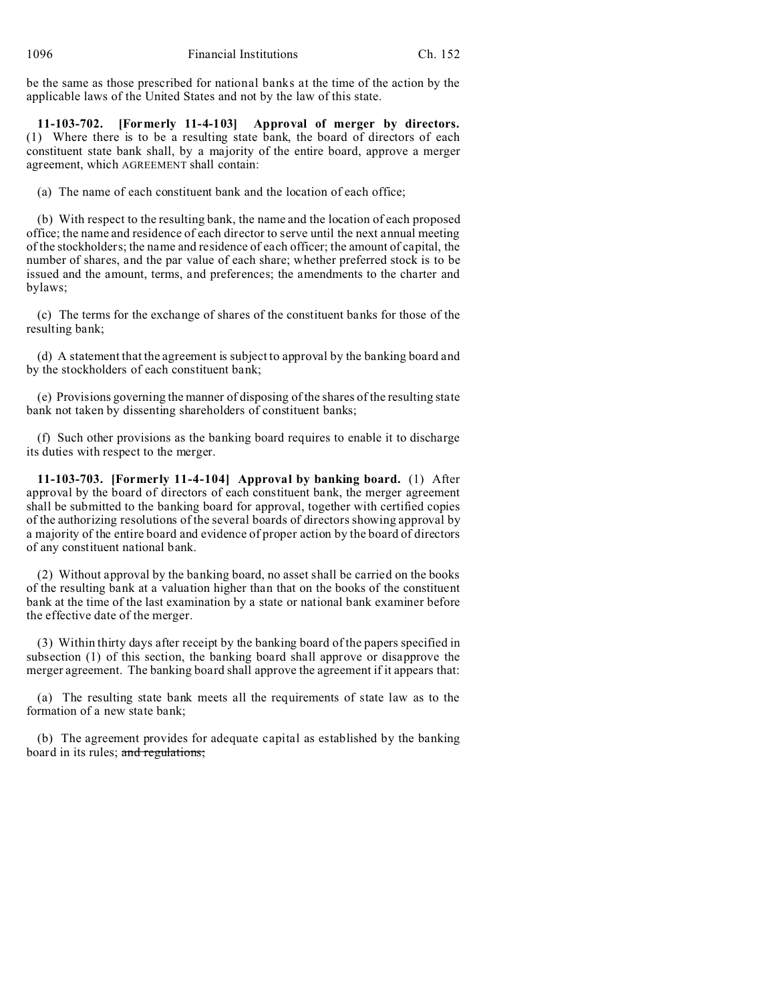be the same as those prescribed for national banks at the time of the action by the applicable laws of the United States and not by the law of this state.

**11-103-702. [Formerly 11-4-103] Approval of merger by directors.** (1) Where there is to be a resulting state bank, the board of directors of each constituent state bank shall, by a majority of the entire board, approve a merger agreement, which AGREEMENT shall contain:

(a) The name of each constituent bank and the location of each office;

(b) With respect to the resulting bank, the name and the location of each proposed office; the name and residence of each director to serve until the next annual meeting of the stockholders; the name and residence of each officer; the amount of capital, the number of shares, and the par value of each share; whether preferred stock is to be issued and the amount, terms, and preferences; the amendments to the charter and bylaws;

(c) The terms for the exchange of shares of the constituent banks for those of the resulting bank;

(d) A statement that the agreement is subject to approval by the banking board and by the stockholders of each constituent bank;

(e) Provisions governing the manner of disposing of the shares of the resulting state bank not taken by dissenting shareholders of constituent banks;

(f) Such other provisions as the banking board requires to enable it to discharge its duties with respect to the merger.

**11-103-703. [Formerly 11-4-104] Approval by banking board.** (1) After approval by the board of directors of each constituent bank, the merger agreement shall be submitted to the banking board for approval, together with certified copies of the authorizing resolutions of the several boards of directors showing approval by a majority of the entire board and evidence of proper action by the board of directors of any constituent national bank.

(2) Without approval by the banking board, no asset shall be carried on the books of the resulting bank at a valuation higher than that on the books of the constituent bank at the time of the last examination by a state or national bank examiner before the effective date of the merger.

(3) Within thirty days after receipt by the banking board of the papers specified in subsection (1) of this section, the banking board shall approve or disapprove the merger agreement. The banking board shall approve the agreement if it appears that:

(a) The resulting state bank meets all the requirements of state law as to the formation of a new state bank;

(b) The agreement provides for adequate capital as established by the banking board in its rules; and regulations;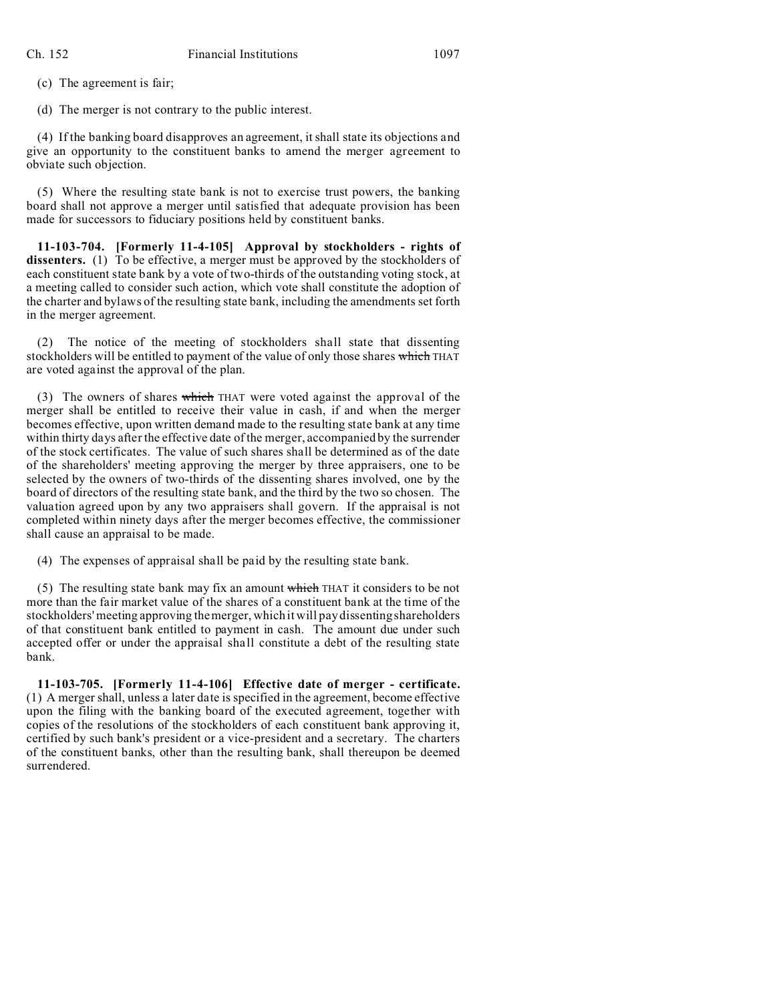(c) The agreement is fair;

(d) The merger is not contrary to the public interest.

(4) If the banking board disapproves an agreement, it shall state its objections and give an opportunity to the constituent banks to amend the merger agreement to obviate such objection.

(5) Where the resulting state bank is not to exercise trust powers, the banking board shall not approve a merger until satisfied that adequate provision has been made for successors to fiduciary positions held by constituent banks.

**11-103-704. [Formerly 11-4-105] Approval by stockholders - rights of dissenters.** (1) To be effective, a merger must be approved by the stockholders of each constituent state bank by a vote of two-thirds of the outstanding voting stock, at a meeting called to consider such action, which vote shall constitute the adoption of the charter and bylaws of the resulting state bank, including the amendments set forth in the merger agreement.

(2) The notice of the meeting of stockholders shall state that dissenting stockholders will be entitled to payment of the value of only those shares which THAT are voted against the approval of the plan.

(3) The owners of shares which THAT were voted against the approval of the merger shall be entitled to receive their value in cash, if and when the merger becomes effective, upon written demand made to the resulting state bank at any time within thirty days after the effective date of the merger, accompanied by the surrender of the stock certificates. The value of such shares shall be determined as of the date of the shareholders' meeting approving the merger by three appraisers, one to be selected by the owners of two-thirds of the dissenting shares involved, one by the board of directors of the resulting state bank, and the third by the two so chosen. The valuation agreed upon by any two appraisers shall govern. If the appraisal is not completed within ninety days after the merger becomes effective, the commissioner shall cause an appraisal to be made.

(4) The expenses of appraisal shall be paid by the resulting state bank.

(5) The resulting state bank may fix an amount which THAT it considers to be not more than the fair market value of the shares of a constituent bank at the time of the stockholders' meeting approving the merger, which it will pay dissenting shareholders of that constituent bank entitled to payment in cash. The amount due under such accepted offer or under the appraisal shall constitute a debt of the resulting state bank.

**11-103-705. [Formerly 11-4-106] Effective date of merger - certificate.** (1) A merger shall, unless a later date is specified in the agreement, become effective upon the filing with the banking board of the executed agreement, together with copies of the resolutions of the stockholders of each constituent bank approving it, certified by such bank's president or a vice-president and a secretary. The charters of the constituent banks, other than the resulting bank, shall thereupon be deemed surrendered.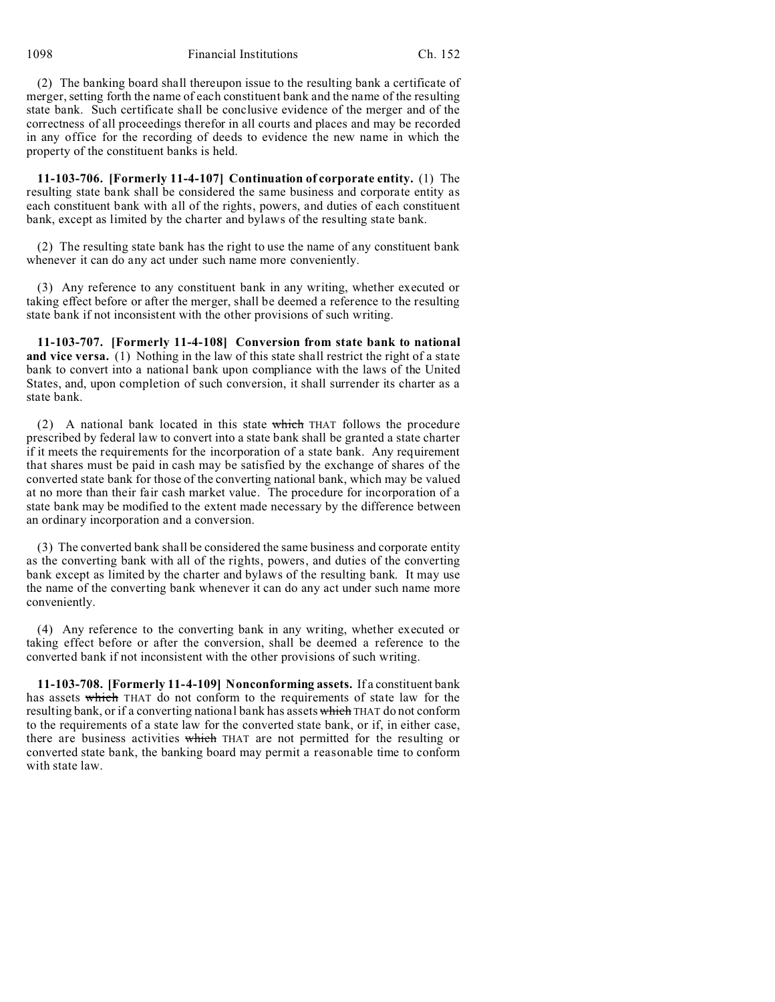1098 Financial Institutions Ch. 152

(2) The banking board shall thereupon issue to the resulting bank a certificate of merger, setting forth the name of each constituent bank and the name of the resulting state bank. Such certificate shall be conclusive evidence of the merger and of the correctness of all proceedings therefor in all courts and places and may be recorded in any office for the recording of deeds to evidence the new name in which the property of the constituent banks is held.

**11-103-706. [Formerly 11-4-107] Continuation of corporate entity.** (1) The resulting state bank shall be considered the same business and corporate entity as each constituent bank with all of the rights, powers, and duties of each constituent bank, except as limited by the charter and bylaws of the resulting state bank.

(2) The resulting state bank has the right to use the name of any constituent bank whenever it can do any act under such name more conveniently.

(3) Any reference to any constituent bank in any writing, whether executed or taking effect before or after the merger, shall be deemed a reference to the resulting state bank if not inconsistent with the other provisions of such writing.

**11-103-707. [Formerly 11-4-108] Conversion from state bank to national and vice versa.** (1) Nothing in the law of this state shall restrict the right of a state bank to convert into a national bank upon compliance with the laws of the United States, and, upon completion of such conversion, it shall surrender its charter as a state bank.

(2) A national bank located in this state which THAT follows the procedure prescribed by federal law to convert into a state bank shall be granted a state charter if it meets the requirements for the incorporation of a state bank. Any requirement that shares must be paid in cash may be satisfied by the exchange of shares of the converted state bank for those of the converting national bank, which may be valued at no more than their fair cash market value. The procedure for incorporation of a state bank may be modified to the extent made necessary by the difference between an ordinary incorporation and a conversion.

(3) The converted bank shall be considered the same business and corporate entity as the converting bank with all of the rights, powers, and duties of the converting bank except as limited by the charter and bylaws of the resulting bank. It may use the name of the converting bank whenever it can do any act under such name more conveniently.

(4) Any reference to the converting bank in any writing, whether executed or taking effect before or after the conversion, shall be deemed a reference to the converted bank if not inconsistent with the other provisions of such writing.

**11-103-708. [Formerly 11-4-109] Nonconforming assets.** If a constituent bank has assets which THAT do not conform to the requirements of state law for the resulting bank, or if a converting national bank has assets which THAT do not conform to the requirements of a state law for the converted state bank, or if, in either case, there are business activities which THAT are not permitted for the resulting or converted state bank, the banking board may permit a reasonable time to conform with state law.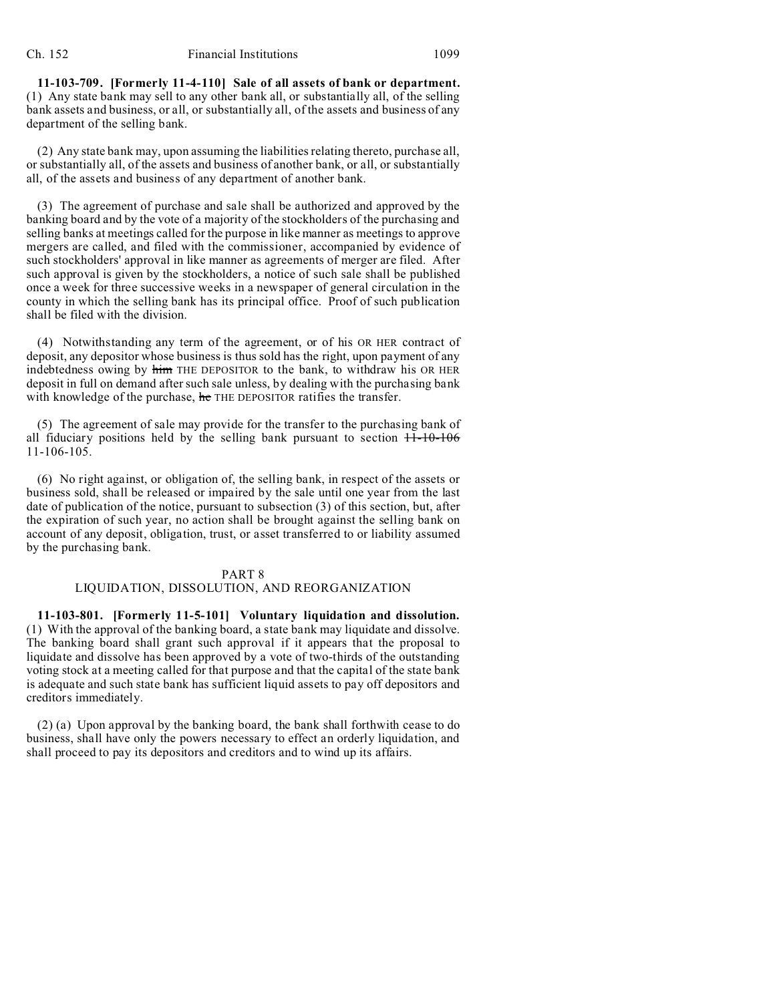**11-103-709. [Formerly 11-4-110] Sale of all assets of bank or department.** (1) Any state bank may sell to any other bank all, or substantially all, of the selling bank assets and business, or all, or substantially all, of the assets and business of any department of the selling bank.

(2) Any state bank may, upon assuming the liabilities relating thereto, purchase all, or substantially all, of the assets and business of another bank, or all, or substantially all, of the assets and business of any department of another bank.

(3) The agreement of purchase and sale shall be authorized and approved by the banking board and by the vote of a majority of the stockholders of the purchasing and selling banks at meetings called for the purpose in like manner as meetings to approve mergers are called, and filed with the commissioner, accompanied by evidence of such stockholders' approval in like manner as agreements of merger are filed. After such approval is given by the stockholders, a notice of such sale shall be published once a week for three successive weeks in a newspaper of general circulation in the county in which the selling bank has its principal office. Proof of such publication shall be filed with the division.

(4) Notwithstanding any term of the agreement, or of his OR HER contract of deposit, any depositor whose business is thus sold has the right, upon payment of any indebtedness owing by him THE DEPOSITOR to the bank, to withdraw his OR HER deposit in full on demand after such sale unless, by dealing with the purchasing bank with knowledge of the purchase, he THE DEPOSITOR ratifies the transfer.

(5) The agreement of sale may provide for the transfer to the purchasing bank of all fiduciary positions held by the selling bank pursuant to section  $11-10-106$ 11-106-105.

(6) No right against, or obligation of, the selling bank, in respect of the assets or business sold, shall be released or impaired by the sale until one year from the last date of publication of the notice, pursuant to subsection (3) of this section, but, after the expiration of such year, no action shall be brought against the selling bank on account of any deposit, obligation, trust, or asset transferred to or liability assumed by the purchasing bank.

#### PART 8

### LIQUIDATION, DISSOLUTION, AND REORGANIZATION

**11-103-801. [Formerly 11-5-101] Voluntary liquidation and dissolution.** (1) With the approval of the banking board, a state bank may liquidate and dissolve. The banking board shall grant such approval if it appears that the proposal to liquidate and dissolve has been approved by a vote of two-thirds of the outstanding voting stock at a meeting called for that purpose and that the capital of the state bank is adequate and such state bank has sufficient liquid assets to pay off depositors and creditors immediately.

(2) (a) Upon approval by the banking board, the bank shall forthwith cease to do business, shall have only the powers necessary to effect an orderly liquidation, and shall proceed to pay its depositors and creditors and to wind up its affairs.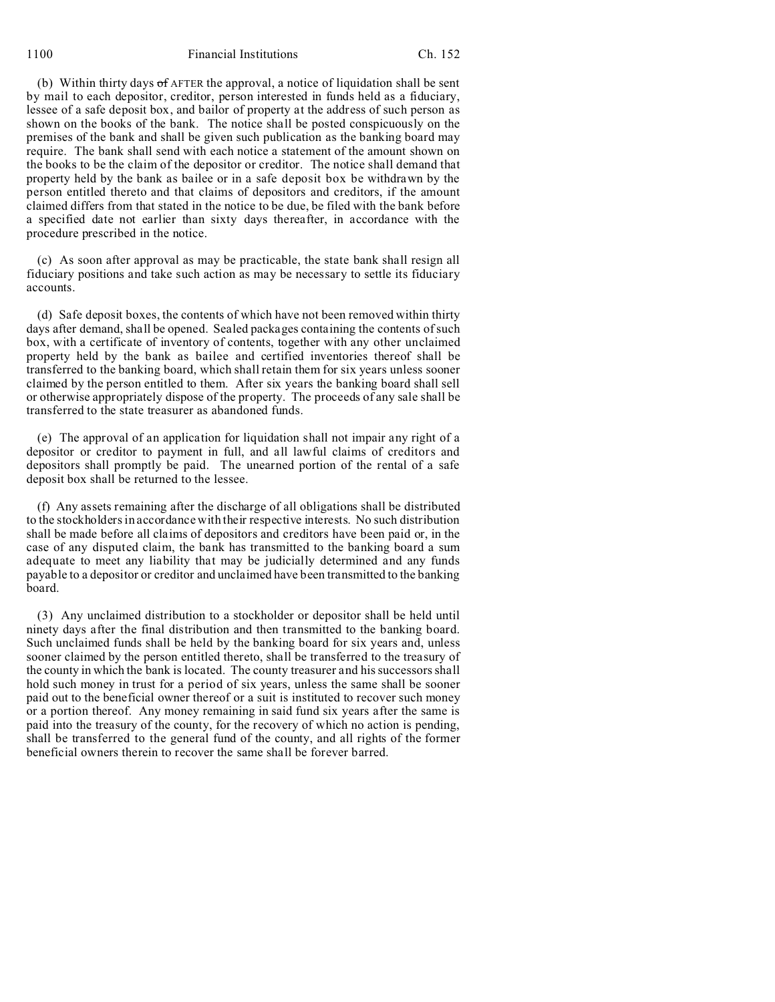1100 Financial Institutions Ch. 152

(b) Within thirty days of AFTER the approval, a notice of liquidation shall be sent by mail to each depositor, creditor, person interested in funds held as a fiduciary, lessee of a safe deposit box, and bailor of property at the address of such person as shown on the books of the bank. The notice shall be posted conspicuously on the premises of the bank and shall be given such publication as the banking board may require. The bank shall send with each notice a statement of the amount shown on the books to be the claim of the depositor or creditor. The notice shall demand that property held by the bank as bailee or in a safe deposit box be withdrawn by the person entitled thereto and that claims of depositors and creditors, if the amount claimed differs from that stated in the notice to be due, be filed with the bank before a specified date not earlier than sixty days thereafter, in accordance with the procedure prescribed in the notice.

(c) As soon after approval as may be practicable, the state bank shall resign all fiduciary positions and take such action as may be necessary to settle its fiduciary accounts.

(d) Safe deposit boxes, the contents of which have not been removed within thirty days after demand, shall be opened. Sealed packages containing the contents of such box, with a certificate of inventory of contents, together with any other unclaimed property held by the bank as bailee and certified inventories thereof shall be transferred to the banking board, which shall retain them for six years unless sooner claimed by the person entitled to them. After six years the banking board shall sell or otherwise appropriately dispose of the property. The proceeds of any sale shall be transferred to the state treasurer as abandoned funds.

(e) The approval of an application for liquidation shall not impair any right of a depositor or creditor to payment in full, and all lawful claims of creditors and depositors shall promptly be paid. The unearned portion of the rental of a safe deposit box shall be returned to the lessee.

(f) Any assets remaining after the discharge of all obligations shall be distributed to the stockholders in accordance with their respective interests. No such distribution shall be made before all claims of depositors and creditors have been paid or, in the case of any disputed claim, the bank has transmitted to the banking board a sum adequate to meet any liability that may be judicially determined and any funds payable to a depositor or creditor and unclaimed have been transmitted to the banking board.

(3) Any unclaimed distribution to a stockholder or depositor shall be held until ninety days after the final distribution and then transmitted to the banking board. Such unclaimed funds shall be held by the banking board for six years and, unless sooner claimed by the person entitled thereto, shall be transferred to the treasury of the county in which the bank is located. The county treasurer and his successors shall hold such money in trust for a period of six years, unless the same shall be sooner paid out to the beneficial owner thereof or a suit is instituted to recover such money or a portion thereof. Any money remaining in said fund six years after the same is paid into the treasury of the county, for the recovery of which no action is pending, shall be transferred to the general fund of the county, and all rights of the former beneficial owners therein to recover the same shall be forever barred.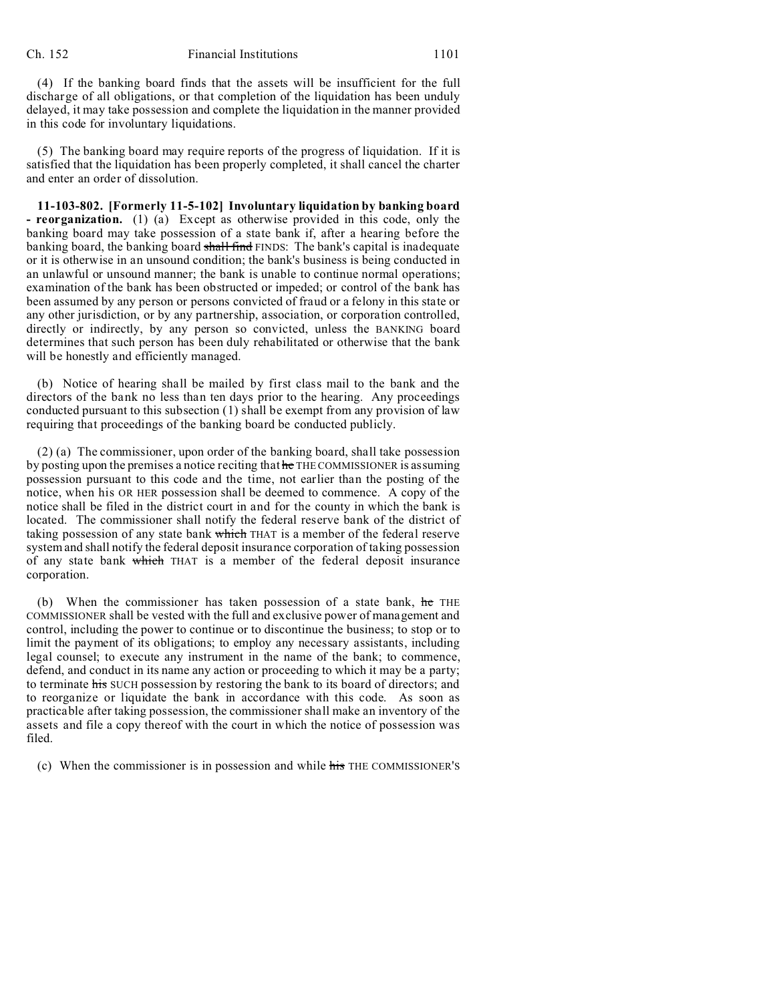(4) If the banking board finds that the assets will be insufficient for the full discharge of all obligations, or that completion of the liquidation has been unduly delayed, it may take possession and complete the liquidation in the manner provided in this code for involuntary liquidations.

(5) The banking board may require reports of the progress of liquidation. If it is satisfied that the liquidation has been properly completed, it shall cancel the charter and enter an order of dissolution.

**11-103-802. [Formerly 11-5-102] Involuntary liquidation by banking board - reorganization.** (1) (a) Except as otherwise provided in this code, only the banking board may take possession of a state bank if, after a hearing before the banking board, the banking board shall find FINDS: The bank's capital is inadequate or it is otherwise in an unsound condition; the bank's business is being conducted in an unlawful or unsound manner; the bank is unable to continue normal operations; examination of the bank has been obstructed or impeded; or control of the bank has been assumed by any person or persons convicted of fraud or a felony in this state or any other jurisdiction, or by any partnership, association, or corporation controlled, directly or indirectly, by any person so convicted, unless the BANKING board determines that such person has been duly rehabilitated or otherwise that the bank will be honestly and efficiently managed.

(b) Notice of hearing shall be mailed by first class mail to the bank and the directors of the bank no less than ten days prior to the hearing. Any proceedings conducted pursuant to this subsection (1) shall be exempt from any provision of law requiring that proceedings of the banking board be conducted publicly.

(2) (a) The commissioner, upon order of the banking board, shall take possession by posting upon the premises a notice reciting that he THE COMMISSIONER is assuming possession pursuant to this code and the time, not earlier than the posting of the notice, when his OR HER possession shall be deemed to commence. A copy of the notice shall be filed in the district court in and for the county in which the bank is located. The commissioner shall notify the federal reserve bank of the district of taking possession of any state bank which THAT is a member of the federal reserve system and shall notify the federal deposit insurance corporation of taking possession of any state bank which THAT is a member of the federal deposit insurance corporation.

(b) When the commissioner has taken possession of a state bank, he THE COMMISSIONER shall be vested with the full and exclusive power of management and control, including the power to continue or to discontinue the business; to stop or to limit the payment of its obligations; to employ any necessary assistants, including legal counsel; to execute any instrument in the name of the bank; to commence, defend, and conduct in its name any action or proceeding to which it may be a party; to terminate his SUCH possession by restoring the bank to its board of directors; and to reorganize or liquidate the bank in accordance with this code. As soon as practicable after taking possession, the commissioner shall make an inventory of the assets and file a copy thereof with the court in which the notice of possession was filed.

(c) When the commissioner is in possession and while his THE COMMISSIONER'S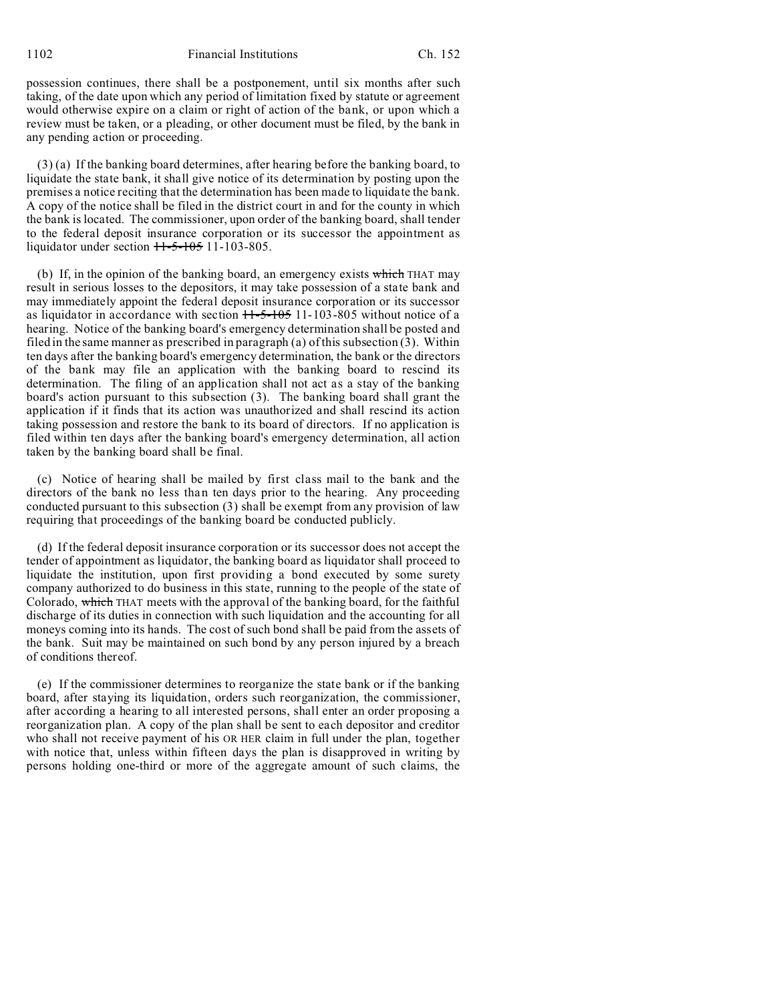possession continues, there shall be a postponement, until six months after such taking, of the date upon which any period of limitation fixed by statute or agreement would otherwise expire on a claim or right of action of the bank, or upon which a review must be taken, or a pleading, or other document must be filed, by the bank in any pending action or proceeding.

(3) (a) If the banking board determines, after hearing before the banking board, to liquidate the state bank, it shall give notice of its determination by posting upon the premises a notice reciting that the determination has been made to liquidate the bank. A copy of the notice shall be filed in the district court in and for the county in which the bank is located. The commissioner, upon order of the banking board, shall tender to the federal deposit insurance corporation or its successor the appointment as liquidator under section  $11-5-105$  11-103-805.

(b) If, in the opinion of the banking board, an emergency exists which THAT may result in serious losses to the depositors, it may take possession of a state bank and may immediately appoint the federal deposit insurance corporation or its successor as liquidator in accordance with section  $11-5-105$  11-103-805 without notice of a hearing. Notice of the banking board's emergency determination shall be posted and filed in the same manner as prescribed in paragraph (a) of this subsection  $(3)$ . Within ten days after the banking board's emergency determination, the bank or the directors of the bank may file an application with the banking board to rescind its determination. The filing of an application shall not act as a stay of the banking board's action pursuant to this subsection (3). The banking board shall grant the application if it finds that its action was unauthorized and shall rescind its action taking possession and restore the bank to its board of directors. If no application is filed within ten days after the banking board's emergency determination, all action taken by the banking board shall be final.

(c) Notice of hearing shall be mailed by first class mail to the bank and the directors of the bank no less than ten days prior to the hearing. Any proceeding conducted pursuant to this subsection (3) shall be exempt from any provision of law requiring that proceedings of the banking board be conducted publicly.

(d) If the federal deposit insurance corporation or its successor does not accept the tender of appointment as liquidator, the banking board as liquidator shall proceed to liquidate the institution, upon first providing a bond executed by some surety company authorized to do business in this state, running to the people of the state of Colorado, which THAT meets with the approval of the banking board, for the faithful discharge of its duties in connection with such liquidation and the accounting for all moneys coming into its hands. The cost of such bond shall be paid from the assets of the bank. Suit may be maintained on such bond by any person injured by a breach of conditions thereof.

(e) If the commissioner determines to reorganize the state bank or if the banking board, after staying its liquidation, orders such reorganization, the commissioner, after according a hearing to all interested persons, shall enter an order proposing a reorganization plan. A copy of the plan shall be sent to each depositor and creditor who shall not receive payment of his OR HER claim in full under the plan, together with notice that, unless within fifteen days the plan is disapproved in writing by persons holding one-third or more of the aggregate amount of such claims, the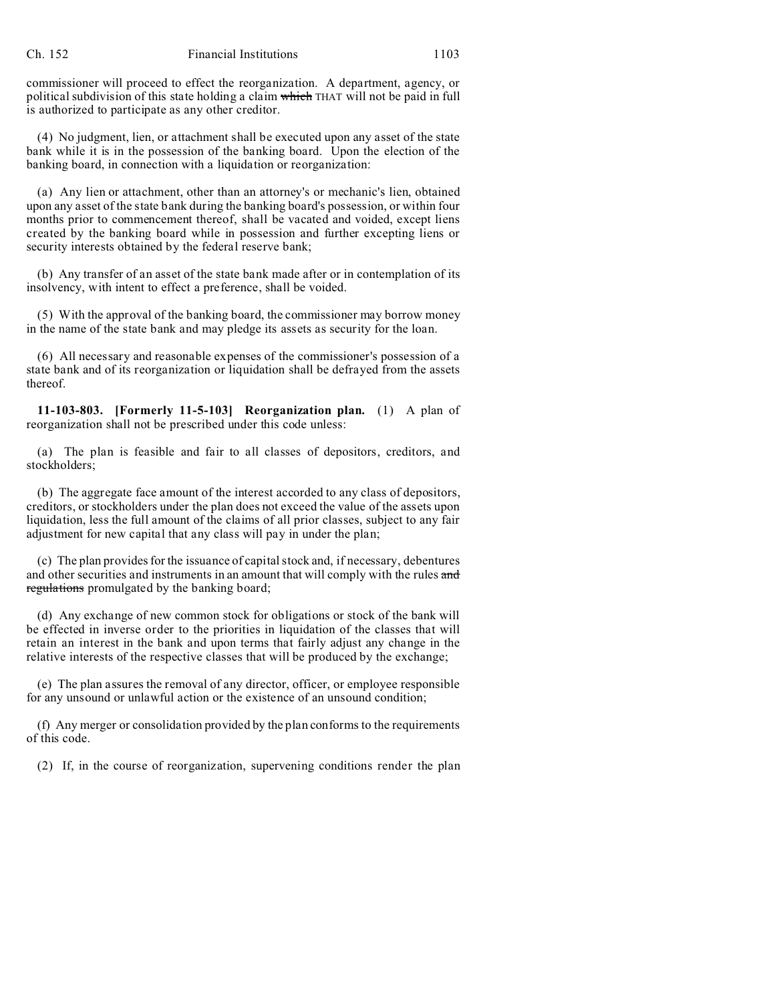commissioner will proceed to effect the reorganization. A department, agency, or political subdivision of this state holding a claim which THAT will not be paid in full is authorized to participate as any other creditor.

(4) No judgment, lien, or attachment shall be executed upon any asset of the state bank while it is in the possession of the banking board. Upon the election of the banking board, in connection with a liquidation or reorganization:

(a) Any lien or attachment, other than an attorney's or mechanic's lien, obtained upon any asset of the state bank during the banking board's possession, or within four months prior to commencement thereof, shall be vacated and voided, except liens created by the banking board while in possession and further excepting liens or security interests obtained by the federal reserve bank;

(b) Any transfer of an asset of the state bank made after or in contemplation of its insolvency, with intent to effect a preference, shall be voided.

(5) With the approval of the banking board, the commissioner may borrow money in the name of the state bank and may pledge its assets as security for the loan.

(6) All necessary and reasonable expenses of the commissioner's possession of a state bank and of its reorganization or liquidation shall be defrayed from the assets thereof.

**11-103-803. [Formerly 11-5-103] Reorganization plan.** (1) A plan of reorganization shall not be prescribed under this code unless:

(a) The plan is feasible and fair to all classes of depositors, creditors, and stockholders;

(b) The aggregate face amount of the interest accorded to any class of depositors, creditors, or stockholders under the plan does not exceed the value of the assets upon liquidation, less the full amount of the claims of all prior classes, subject to any fair adjustment for new capital that any class will pay in under the plan;

(c) The plan provides for the issuance of capital stock and, if necessary, debentures and other securities and instruments in an amount that will comply with the rules and regulations promulgated by the banking board;

(d) Any exchange of new common stock for obligations or stock of the bank will be effected in inverse order to the priorities in liquidation of the classes that will retain an interest in the bank and upon terms that fairly adjust any change in the relative interests of the respective classes that will be produced by the exchange;

(e) The plan assures the removal of any director, officer, or employee responsible for any unsound or unlawful action or the existence of an unsound condition;

(f) Any merger or consolidation provided by the plan conforms to the requirements of this code.

(2) If, in the course of reorganization, supervening conditions render the plan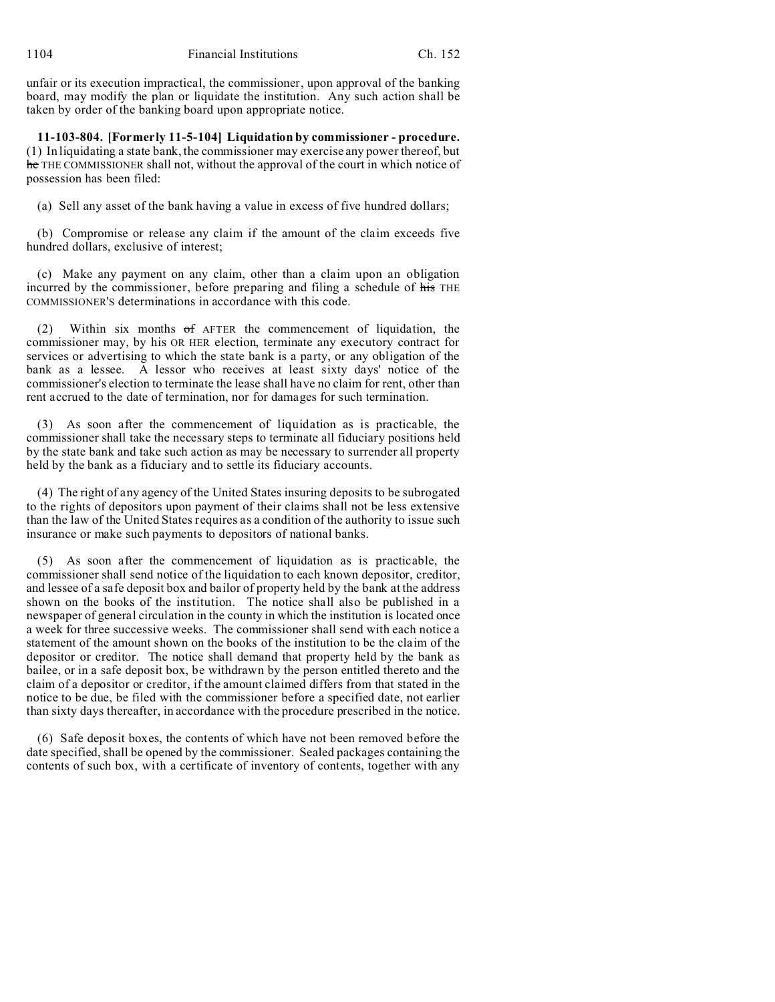unfair or its execution impractical, the commissioner, upon approval of the banking board, may modify the plan or liquidate the institution. Any such action shall be taken by order of the banking board upon appropriate notice.

**11-103-804. [Formerly 11-5-104] Liquidation by commissioner - procedure.** (1) In liquidating a state bank, the commissioner may exercise any power thereof, but he THE COMMISSIONER shall not, without the approval of the court in which notice of possession has been filed:

(a) Sell any asset of the bank having a value in excess of five hundred dollars;

(b) Compromise or release any claim if the amount of the claim exceeds five hundred dollars, exclusive of interest;

(c) Make any payment on any claim, other than a claim upon an obligation incurred by the commissioner, before preparing and filing a schedule of his THE COMMISSIONER'S determinations in accordance with this code.

(2) Within six months of AFTER the commencement of liquidation, the commissioner may, by his OR HER election, terminate any executory contract for services or advertising to which the state bank is a party, or any obligation of the bank as a lessee. A lessor who receives at least sixty days' notice of the commissioner's election to terminate the lease shall have no claim for rent, other than rent accrued to the date of termination, nor for damages for such termination.

(3) As soon after the commencement of liquidation as is practicable, the commissioner shall take the necessary steps to terminate all fiduciary positions held by the state bank and take such action as may be necessary to surrender all property held by the bank as a fiduciary and to settle its fiduciary accounts.

(4) The right of any agency of the United States insuring deposits to be subrogated to the rights of depositors upon payment of their claims shall not be less extensive than the law of the United States requires as a condition of the authority to issue such insurance or make such payments to depositors of national banks.

(5) As soon after the commencement of liquidation as is practicable, the commissioner shall send notice of the liquidation to each known depositor, creditor, and lessee of a safe deposit box and bailor of property held by the bank at the address shown on the books of the institution. The notice shall also be published in a newspaper of general circulation in the county in which the institution is located once a week for three successive weeks. The commissioner shall send with each notice a statement of the amount shown on the books of the institution to be the claim of the depositor or creditor. The notice shall demand that property held by the bank as bailee, or in a safe deposit box, be withdrawn by the person entitled thereto and the claim of a depositor or creditor, if the amount claimed differs from that stated in the notice to be due, be filed with the commissioner before a specified date, not earlier than sixty days thereafter, in accordance with the procedure prescribed in the notice.

(6) Safe deposit boxes, the contents of which have not been removed before the date specified, shall be opened by the commissioner. Sealed packages containing the contents of such box, with a certificate of inventory of contents, together with any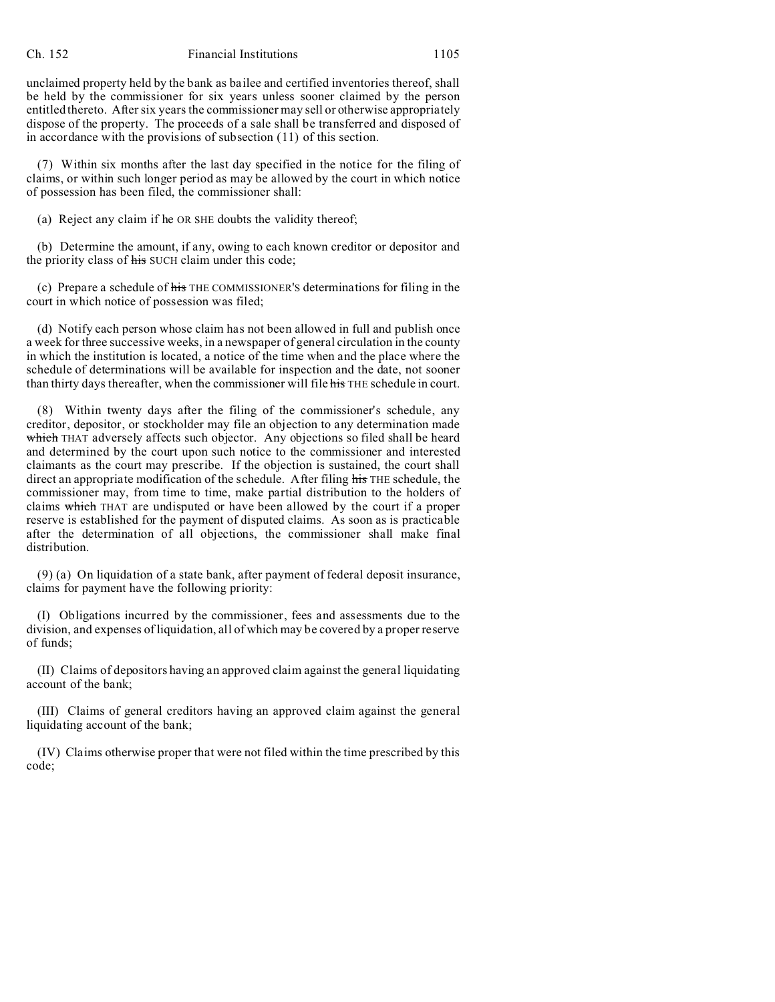#### Ch. 152 Financial Institutions 1105

unclaimed property held by the bank as bailee and certified inventories thereof, shall be held by the commissioner for six years unless sooner claimed by the person entitled thereto. After six years the commissioner may sell or otherwise appropriately dispose of the property. The proceeds of a sale shall be transferred and disposed of in accordance with the provisions of subsection (11) of this section.

(7) Within six months after the last day specified in the notice for the filing of claims, or within such longer period as may be allowed by the court in which notice of possession has been filed, the commissioner shall:

(a) Reject any claim if he OR SHE doubts the validity thereof;

(b) Determine the amount, if any, owing to each known creditor or depositor and the priority class of his SUCH claim under this code;

(c) Prepare a schedule of his THE COMMISSIONER'S determinations for filing in the court in which notice of possession was filed;

(d) Notify each person whose claim has not been allowed in full and publish once a week for three successive weeks, in a newspaper of general circulation in the county in which the institution is located, a notice of the time when and the place where the schedule of determinations will be available for inspection and the date, not sooner than thirty days thereafter, when the commissioner will file his THE schedule in court.

(8) Within twenty days after the filing of the commissioner's schedule, any creditor, depositor, or stockholder may file an objection to any determination made which THAT adversely affects such objector. Any objections so filed shall be heard and determined by the court upon such notice to the commissioner and interested claimants as the court may prescribe. If the objection is sustained, the court shall direct an appropriate modification of the schedule. After filing his THE schedule, the commissioner may, from time to time, make partial distribution to the holders of claims which THAT are undisputed or have been allowed by the court if a proper reserve is established for the payment of disputed claims. As soon as is practicable after the determination of all objections, the commissioner shall make final distribution.

(9) (a) On liquidation of a state bank, after payment of federal deposit insurance, claims for payment have the following priority:

(I) Obligations incurred by the commissioner, fees and assessments due to the division, and expenses of liquidation, all of which may be covered by a proper reserve of funds;

(II) Claims of depositors having an approved claim against the general liquidating account of the bank;

(III) Claims of general creditors having an approved claim against the general liquidating account of the bank;

(IV) Claims otherwise proper that were not filed within the time prescribed by this code;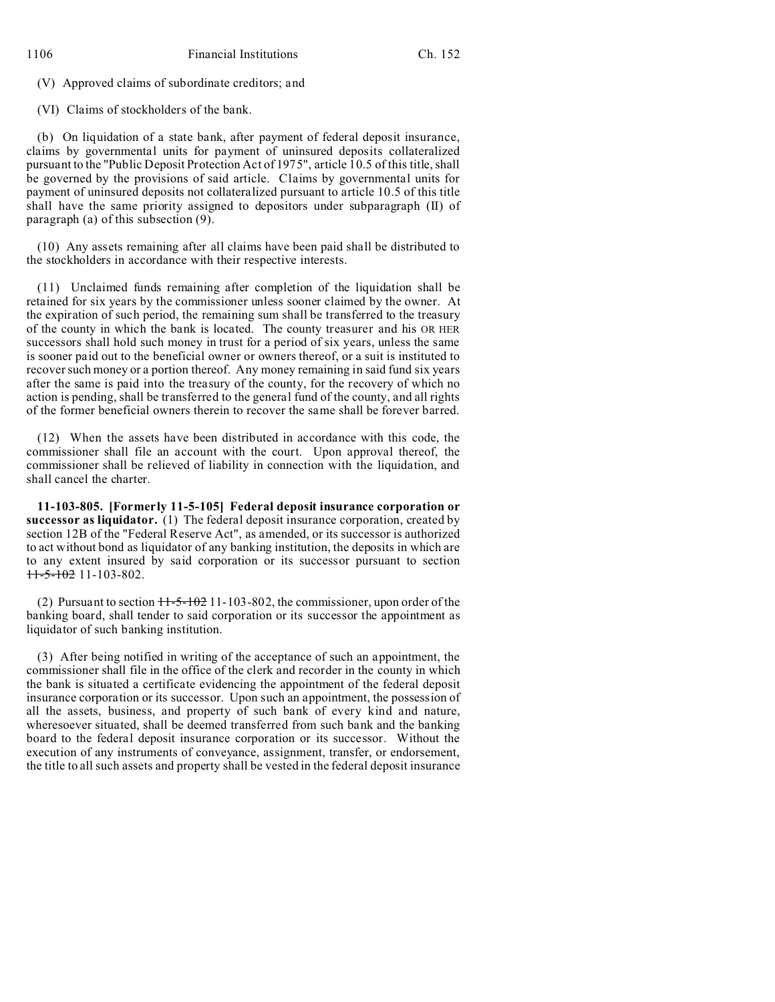(V) Approved claims of subordinate creditors; and

(VI) Claims of stockholders of the bank.

(b) On liquidation of a state bank, after payment of federal deposit insurance, claims by governmental units for payment of uninsured deposits collateralized pursuant to the "Public Deposit Protection Act of 1975", article 10.5 of this title, shall be governed by the provisions of said article. Claims by governmental units for payment of uninsured deposits not collateralized pursuant to article 10.5 of this title shall have the same priority assigned to depositors under subparagraph (II) of paragraph (a) of this subsection (9).

(10) Any assets remaining after all claims have been paid shall be distributed to the stockholders in accordance with their respective interests.

(11) Unclaimed funds remaining after completion of the liquidation shall be retained for six years by the commissioner unless sooner claimed by the owner. At the expiration of such period, the remaining sum shall be transferred to the treasury of the county in which the bank is located. The county treasurer and his OR HER successors shall hold such money in trust for a period of six years, unless the same is sooner paid out to the beneficial owner or owners thereof, or a suit is instituted to recover such money or a portion thereof. Any money remaining in said fund six years after the same is paid into the treasury of the county, for the recovery of which no action is pending, shall be transferred to the general fund of the county, and all rights of the former beneficial owners therein to recover the same shall be forever barred.

(12) When the assets have been distributed in accordance with this code, the commissioner shall file an account with the court. Upon approval thereof, the commissioner shall be relieved of liability in connection with the liquidation, and shall cancel the charter.

**11-103-805. [Formerly 11-5-105] Federal deposit insurance corporation or successor as liquidator.** (1) The federal deposit insurance corporation, created by section 12B of the "Federal Reserve Act", as amended, or its successor is authorized to act without bond as liquidator of any banking institution, the deposits in which are to any extent insured by said corporation or its successor pursuant to section  $11-5-102$  11-103-802.

(2) Pursuant to section  $H=5-102$  11-103-802, the commissioner, upon order of the banking board, shall tender to said corporation or its successor the appointment as liquidator of such banking institution.

(3) After being notified in writing of the acceptance of such an appointment, the commissioner shall file in the office of the clerk and recorder in the county in which the bank is situated a certificate evidencing the appointment of the federal deposit insurance corporation or its successor. Upon such an appointment, the possession of all the assets, business, and property of such bank of every kind and nature, wheresoever situated, shall be deemed transferred from such bank and the banking board to the federal deposit insurance corporation or its successor. Without the execution of any instruments of conveyance, assignment, transfer, or endorsement, the title to all such assets and property shall be vested in the federal deposit insurance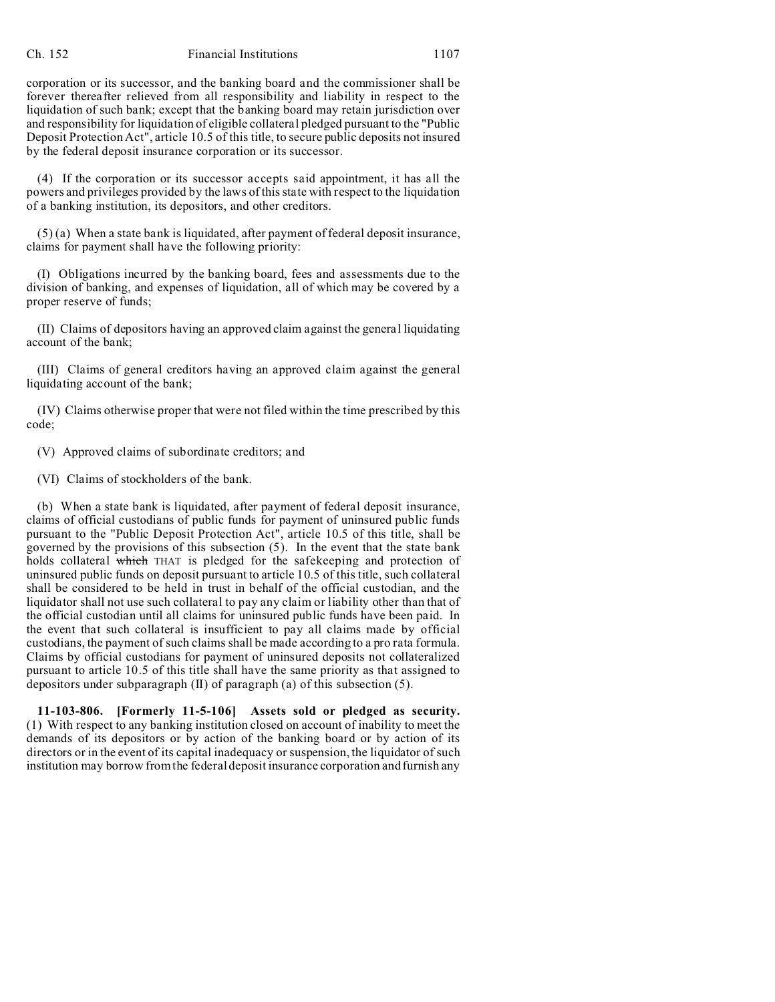corporation or its successor, and the banking board and the commissioner shall be forever thereafter relieved from all responsibility and liability in respect to the liquidation of such bank; except that the banking board may retain jurisdiction over and responsibility for liquidation of eligible collateral pledged pursuant to the "Public Deposit Protection Act", article 10.5 of this title, to secure public deposits not insured by the federal deposit insurance corporation or its successor.

(4) If the corporation or its successor accepts said appointment, it has all the powers and privileges provided by the laws of this state with respect to the liquidation of a banking institution, its depositors, and other creditors.

(5) (a) When a state bank is liquidated, after payment of federal deposit insurance, claims for payment shall have the following priority:

(I) Obligations incurred by the banking board, fees and assessments due to the division of banking, and expenses of liquidation, all of which may be covered by a proper reserve of funds;

(II) Claims of depositors having an approved claim against the general liquidating account of the bank;

(III) Claims of general creditors having an approved claim against the general liquidating account of the bank;

(IV) Claims otherwise proper that were not filed within the time prescribed by this code;

(V) Approved claims of subordinate creditors; and

(VI) Claims of stockholders of the bank.

(b) When a state bank is liquidated, after payment of federal deposit insurance, claims of official custodians of public funds for payment of uninsured public funds pursuant to the "Public Deposit Protection Act", article 10.5 of this title, shall be governed by the provisions of this subsection (5). In the event that the state bank holds collateral which THAT is pledged for the safekeeping and protection of uninsured public funds on deposit pursuant to article 10.5 of this title, such collateral shall be considered to be held in trust in behalf of the official custodian, and the liquidator shall not use such collateral to pay any claim or liability other than that of the official custodian until all claims for uninsured public funds have been paid. In the event that such collateral is insufficient to pay all claims made by official custodians, the payment of such claims shall be made according to a pro rata formula. Claims by official custodians for payment of uninsured deposits not collateralized pursuant to article 10.5 of this title shall have the same priority as that assigned to depositors under subparagraph  $(II)$  of paragraph  $(a)$  of this subsection  $(5)$ .

**11-103-806. [Formerly 11-5-106] Assets sold or pledged as security.** (1) With respect to any banking institution closed on account of inability to meet the demands of its depositors or by action of the banking board or by action of its directors or in the event of its capital inadequacy or suspension, the liquidator of such institution may borrow from the federal deposit insurance corporation and furnish any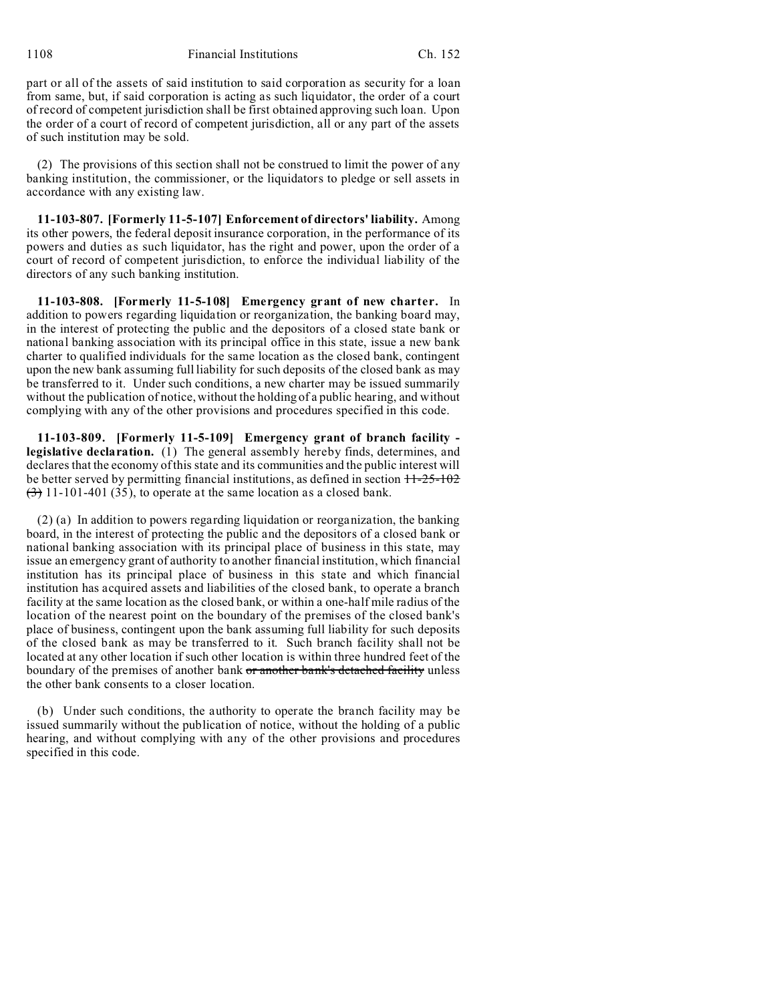1108 Financial Institutions Ch. 152

part or all of the assets of said institution to said corporation as security for a loan from same, but, if said corporation is acting as such liquidator, the order of a court of record of competent jurisdiction shall be first obtained approving such loan. Upon the order of a court of record of competent jurisdiction, all or any part of the assets of such institution may be sold.

(2) The provisions of this section shall not be construed to limit the power of any banking institution, the commissioner, or the liquidators to pledge or sell assets in accordance with any existing law.

**11-103-807. [Formerly 11-5-107] Enforcement of directors' liability.** Among its other powers, the federal deposit insurance corporation, in the performance of its powers and duties as such liquidator, has the right and power, upon the order of a court of record of competent jurisdiction, to enforce the individual liability of the directors of any such banking institution.

**11-103-808. [Formerly 11-5-108] Emergency grant of new charter.** In addition to powers regarding liquidation or reorganization, the banking board may, in the interest of protecting the public and the depositors of a closed state bank or national banking association with its principal office in this state, issue a new bank charter to qualified individuals for the same location as the closed bank, contingent upon the new bank assuming full liability for such deposits of the closed bank as may be transferred to it. Under such conditions, a new charter may be issued summarily without the publication of notice, without the holding of a public hearing, and without complying with any of the other provisions and procedures specified in this code.

**11-103-809. [Formerly 11-5-109] Emergency grant of branch facility legislative declaration.** (1) The general assembly hereby finds, determines, and declares that the economy of this state and its communities and the public interest will be better served by permitting financial institutions, as defined in section  $11-25-102$  $\left(\frac{3}{2}\right)$  11-101-401 (35), to operate at the same location as a closed bank.

(2) (a) In addition to powers regarding liquidation or reorganization, the banking board, in the interest of protecting the public and the depositors of a closed bank or national banking association with its principal place of business in this state, may issue an emergency grant of authority to another financial institution, which financial institution has its principal place of business in this state and which financial institution has acquired assets and liabilities of the closed bank, to operate a branch facility at the same location as the closed bank, or within a one-half mile radius of the location of the nearest point on the boundary of the premises of the closed bank's place of business, contingent upon the bank assuming full liability for such deposits of the closed bank as may be transferred to it. Such branch facility shall not be located at any other location if such other location is within three hundred feet of the boundary of the premises of another bank or another bank's detached facility unless the other bank consents to a closer location.

(b) Under such conditions, the authority to operate the branch facility may be issued summarily without the publication of notice, without the holding of a public hearing, and without complying with any of the other provisions and procedures specified in this code.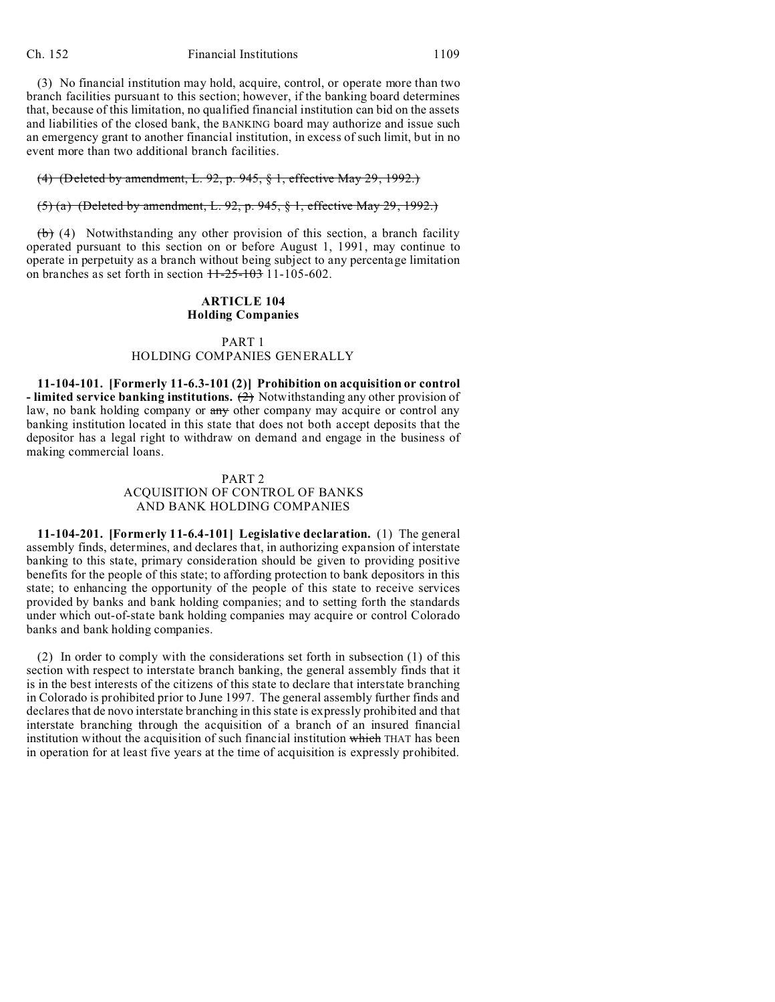#### Ch. 152 Financial Institutions 1109

(3) No financial institution may hold, acquire, control, or operate more than two branch facilities pursuant to this section; however, if the banking board determines that, because of this limitation, no qualified financial institution can bid on the assets and liabilities of the closed bank, the BANKING board may authorize and issue such an emergency grant to another financial institution, in excess of such limit, but in no event more than two additional branch facilities.

### (4) (Deleted by amendment, L. 92, p. 945, § 1, effective May 29, 1992.)

# (5) (a) (Deleted by amendment, L. 92, p. 945, § 1, effective May 29, 1992.)

 $(b)$  (4) Notwithstanding any other provision of this section, a branch facility operated pursuant to this section on or before August 1, 1991, may continue to operate in perpetuity as a branch without being subject to any percentage limitation on branches as set forth in section  $11-25-103$  11-105-602.

### **ARTICLE 104 Holding Companies**

# PART 1

# HOLDING COMPANIES GENERALLY

**11-104-101. [Formerly 11-6.3-101 (2)] Prohibition on acquisition or control - limited service banking institutions.** (2) Notwithstanding any other provision of law, no bank holding company or any other company may acquire or control any banking institution located in this state that does not both accept deposits that the depositor has a legal right to withdraw on demand and engage in the business of making commercial loans.

### PART 2 ACQUISITION OF CONTROL OF BANKS

### AND BANK HOLDING COMPANIES

**11-104-201. [Formerly 11-6.4-101] Legislative declaration.** (1) The general assembly finds, determines, and declares that, in authorizing expansion of interstate banking to this state, primary consideration should be given to providing positive benefits for the people of this state; to affording protection to bank depositors in this state; to enhancing the opportunity of the people of this state to receive services provided by banks and bank holding companies; and to setting forth the standards under which out-of-state bank holding companies may acquire or control Colorado banks and bank holding companies.

(2) In order to comply with the considerations set forth in subsection (1) of this section with respect to interstate branch banking, the general assembly finds that it is in the best interests of the citizens of this state to declare that interstate branching in Colorado is prohibited prior to June 1997. The general assembly further finds and declares that de novo interstate branching in this state is expressly prohibited and that interstate branching through the acquisition of a branch of an insured financial institution without the acquisition of such financial institution which THAT has been in operation for at least five years at the time of acquisition is expressly prohibited.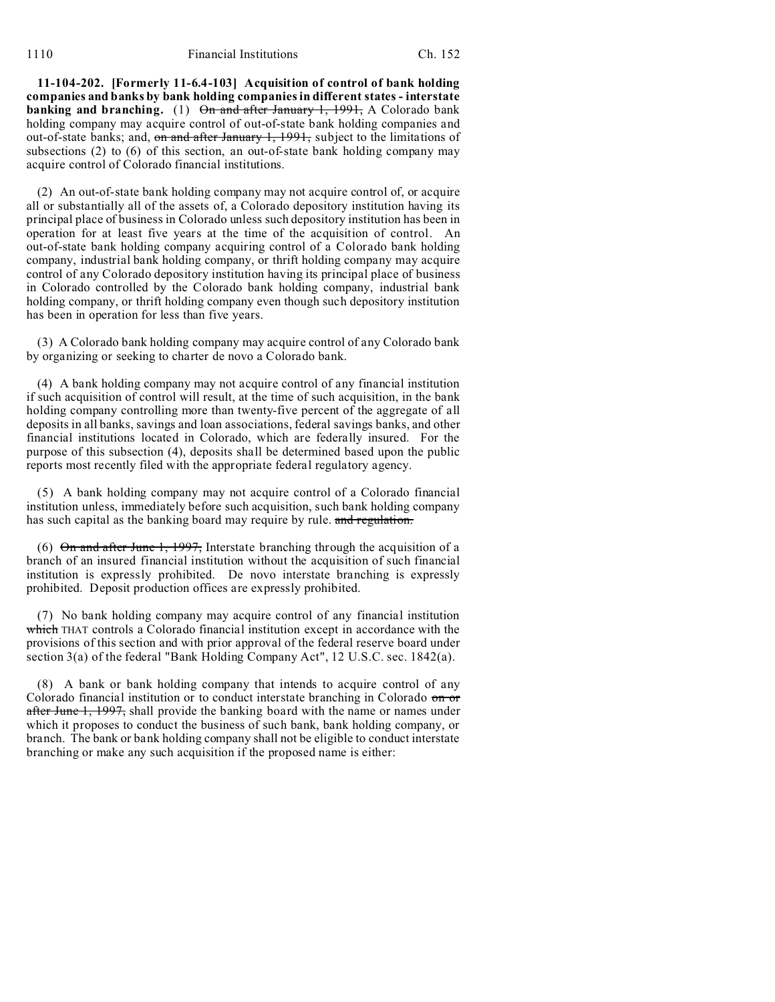**11-104-202. [Formerly 11-6.4-103] Acquisition of control of bank holding companies and banks by bank holding companies in different states - interstate banking and branching.** (1) On and after January 1, 1991, A Colorado bank holding company may acquire control of out-of-state bank holding companies and out-of-state banks; and, on and after January 1, 1991, subject to the limitations of subsections (2) to (6) of this section, an out-of-state bank holding company may acquire control of Colorado financial institutions.

(2) An out-of-state bank holding company may not acquire control of, or acquire all or substantially all of the assets of, a Colorado depository institution having its principal place of business in Colorado unless such depository institution has been in operation for at least five years at the time of the acquisition of control. An out-of-state bank holding company acquiring control of a Colorado bank holding company, industrial bank holding company, or thrift holding company may acquire control of any Colorado depository institution having its principal place of business in Colorado controlled by the Colorado bank holding company, industrial bank holding company, or thrift holding company even though such depository institution has been in operation for less than five years.

(3) A Colorado bank holding company may acquire control of any Colorado bank by organizing or seeking to charter de novo a Colorado bank.

(4) A bank holding company may not acquire control of any financial institution if such acquisition of control will result, at the time of such acquisition, in the bank holding company controlling more than twenty-five percent of the aggregate of all deposits in all banks, savings and loan associations, federal savings banks, and other financial institutions located in Colorado, which are federally insured. For the purpose of this subsection (4), deposits shall be determined based upon the public reports most recently filed with the appropriate federal regulatory agency.

(5) A bank holding company may not acquire control of a Colorado financial institution unless, immediately before such acquisition, such bank holding company has such capital as the banking board may require by rule. and regulation.

(6) On and after June 1, 1997, Interstate branching through the acquisition of a branch of an insured financial institution without the acquisition of such financial institution is expressly prohibited. De novo interstate branching is expressly prohibited. Deposit production offices are expressly prohibited.

(7) No bank holding company may acquire control of any financial institution which THAT controls a Colorado financial institution except in accordance with the provisions of this section and with prior approval of the federal reserve board under section 3(a) of the federal "Bank Holding Company Act", 12 U.S.C. sec. 1842(a).

(8) A bank or bank holding company that intends to acquire control of any Colorado financial institution or to conduct interstate branching in Colorado on or after June 1, 1997, shall provide the banking board with the name or names under which it proposes to conduct the business of such bank, bank holding company, or branch. The bank or bank holding company shall not be eligible to conduct interstate branching or make any such acquisition if the proposed name is either: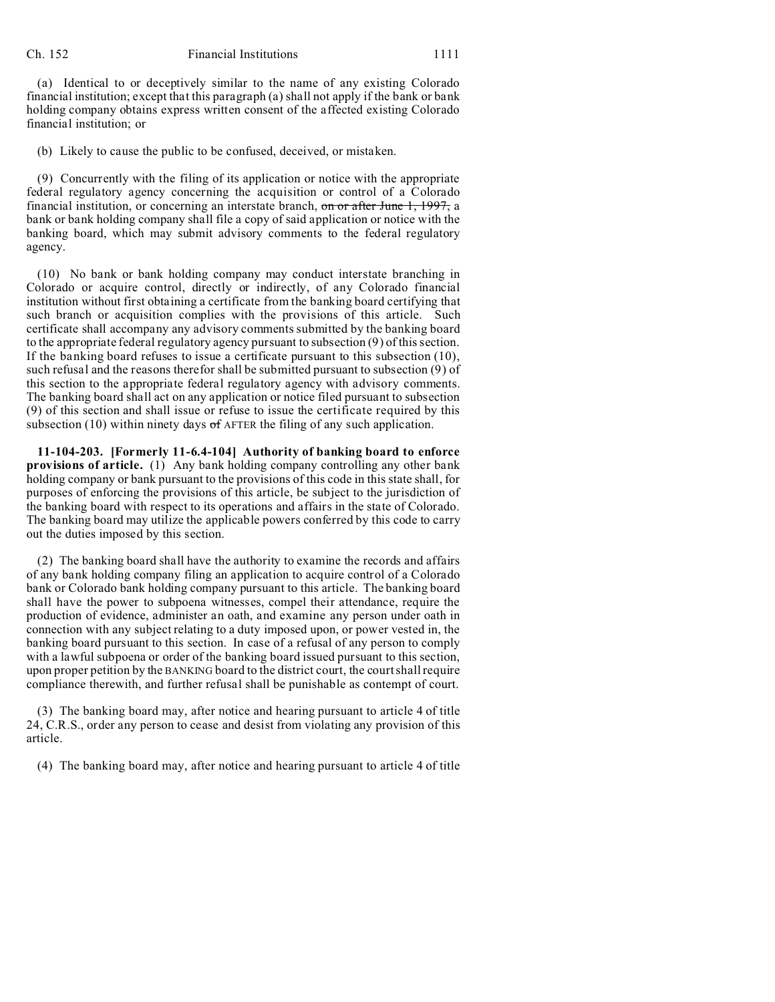(a) Identical to or deceptively similar to the name of any existing Colorado financial institution; except that this paragraph (a) shall not apply if the bank or bank holding company obtains express written consent of the affected existing Colorado financial institution; or

(b) Likely to cause the public to be confused, deceived, or mistaken.

(9) Concurrently with the filing of its application or notice with the appropriate federal regulatory agency concerning the acquisition or control of a Colorado financial institution, or concerning an interstate branch, on or after June 1, 1997, a bank or bank holding company shall file a copy of said application or notice with the banking board, which may submit advisory comments to the federal regulatory agency.

(10) No bank or bank holding company may conduct interstate branching in Colorado or acquire control, directly or indirectly, of any Colorado financial institution without first obtaining a certificate from the banking board certifying that such branch or acquisition complies with the provisions of this article. Such certificate shall accompany any advisory comments submitted by the banking board to the appropriate federal regulatory agency pursuant to subsection (9) of this section. If the banking board refuses to issue a certificate pursuant to this subsection (10), such refusal and the reasons therefor shall be submitted pursuant to subsection (9) of this section to the appropriate federal regulatory agency with advisory comments. The banking board shall act on any application or notice filed pursuant to subsection (9) of this section and shall issue or refuse to issue the certificate required by this subsection (10) within ninety days  $\sigma$ f AFTER the filing of any such application.

**11-104-203. [Formerly 11-6.4-104] Authority of banking board to enforce provisions of article.** (1) Any bank holding company controlling any other bank holding company or bank pursuant to the provisions of this code in this state shall, for purposes of enforcing the provisions of this article, be subject to the jurisdiction of the banking board with respect to its operations and affairs in the state of Colorado. The banking board may utilize the applicable powers conferred by this code to carry out the duties imposed by this section.

(2) The banking board shall have the authority to examine the records and affairs of any bank holding company filing an application to acquire control of a Colorado bank or Colorado bank holding company pursuant to this article. The banking board shall have the power to subpoena witnesses, compel their attendance, require the production of evidence, administer an oath, and examine any person under oath in connection with any subject relating to a duty imposed upon, or power vested in, the banking board pursuant to this section. In case of a refusal of any person to comply with a lawful subpoena or order of the banking board issued pursuant to this section, upon proper petition by the BANKING board to the district court, the court shall require compliance therewith, and further refusal shall be punishable as contempt of court.

(3) The banking board may, after notice and hearing pursuant to article 4 of title 24, C.R.S., order any person to cease and desist from violating any provision of this article.

(4) The banking board may, after notice and hearing pursuant to article 4 of title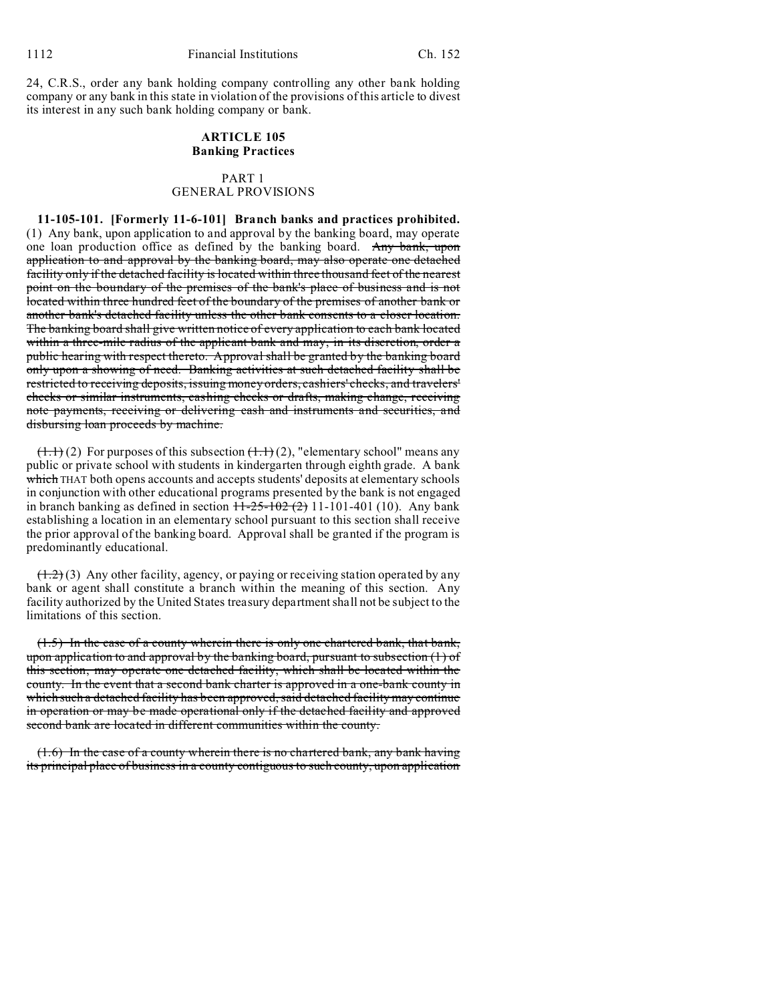24, C.R.S., order any bank holding company controlling any other bank holding company or any bank in this state in violation of the provisions of this article to divest its interest in any such bank holding company or bank.

# **ARTICLE 105 Banking Practices**

### PART 1 GENERAL PROVISIONS

**11-105-101. [Formerly 11-6-101] Branch banks and practices prohibited.** (1) Any bank, upon application to and approval by the banking board, may operate one loan production office as defined by the banking board. Any bank, upon application to and approval by the banking board, may also operate one detached facility only if the detached facility is located within three thousand feet of the nearest point on the boundary of the premises of the bank's place of business and is not located within three hundred feet of the boundary of the premises of another bank or another bank's detached facility unless the other bank consents to a closer location. The banking board shall give written notice of every application to each bank located within a three-mile radius of the applicant bank and may, in its discretion, order a public hearing with respect thereto. Approval shall be granted by the banking board only upon a showing of need. Banking activities at such detached facility shall be restricted to receiving deposits, issuing money orders, cashiers' checks, and travelers' checks or similar instruments, cashing checks or drafts, making change, receiving note payments, receiving or delivering cash and instruments and securities, and disbursing loan proceeds by machine.

 $(1.1)$  (2) For purposes of this subsection  $(1.1)$  (2), "elementary school" means any public or private school with students in kindergarten through eighth grade. A bank which THAT both opens accounts and accepts students' deposits at elementary schools in conjunction with other educational programs presented by the bank is not engaged in branch banking as defined in section  $11-25-102(2)$  11-101-401 (10). Any bank establishing a location in an elementary school pursuant to this section shall receive the prior approval of the banking board. Approval shall be granted if the program is predominantly educational.

 $(1.2)$  (3) Any other facility, agency, or paying or receiving station operated by any bank or agent shall constitute a branch within the meaning of this section. Any facility authorized by the United States treasury department shall not be subject to the limitations of this section.

(1.5) In the case of a county wherein there is only one chartered bank, that bank, upon application to and approval by the banking board, pursuant to subsection (1) of this section, may operate one detached facility, which shall be located within the county. In the event that a second bank charter is approved in a one-bank county in which such a detached facility has been approved, said detached facility may continue in operation or may be made operational only if the detached facility and approved second bank are located in different communities within the county.

(1.6) In the case of a county wherein there is no chartered bank, any bank having its principal place of business in a county contiguous to such county, upon application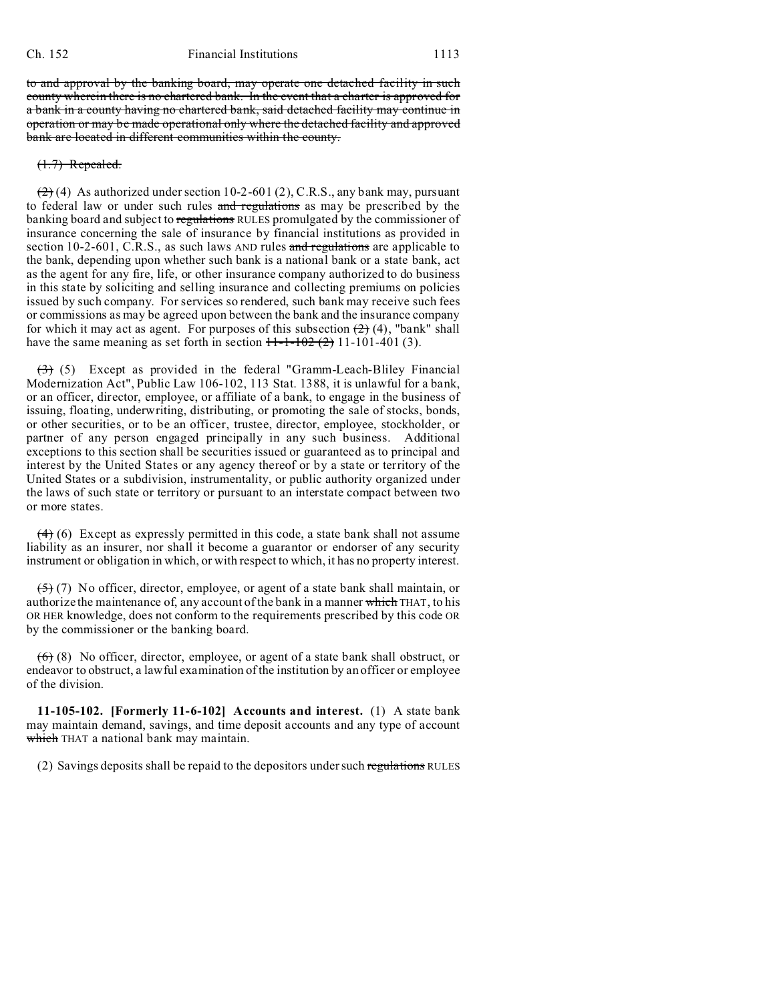to and approval by the banking board, may operate one detached facility in such county wherein there is no chartered bank. In the event that a charter is approved for a bank in a county having no chartered bank, said detached facility may continue in operation or may be made operational only where the detached facility and approved bank are located in different communities within the county.

# (1.7) Repealed.

 $(2)$  (4) As authorized under section 10-2-601 (2), C.R.S., any bank may, pursuant to federal law or under such rules and regulations as may be prescribed by the banking board and subject to regulations RULES promulgated by the commissioner of insurance concerning the sale of insurance by financial institutions as provided in section 10-2-601, C.R.S., as such laws AND rules and regulations are applicable to the bank, depending upon whether such bank is a national bank or a state bank, act as the agent for any fire, life, or other insurance company authorized to do business in this state by soliciting and selling insurance and collecting premiums on policies issued by such company. For services so rendered, such bank may receive such fees or commissions as may be agreed upon between the bank and the insurance company for which it may act as agent. For purposes of this subsection  $(2)$  (4), "bank" shall have the same meaning as set forth in section  $H - 1 - 102$  (2) 11-101-401 (3).

 $(3)$  (5) Except as provided in the federal "Gramm-Leach-Bliley Financial Modernization Act", Public Law 106-102, 113 Stat. 1388, it is unlawful for a bank, or an officer, director, employee, or affiliate of a bank, to engage in the business of issuing, floating, underwriting, distributing, or promoting the sale of stocks, bonds, or other securities, or to be an officer, trustee, director, employee, stockholder, or partner of any person engaged principally in any such business. Additional exceptions to this section shall be securities issued or guaranteed as to principal and interest by the United States or any agency thereof or by a state or territory of the United States or a subdivision, instrumentality, or public authority organized under the laws of such state or territory or pursuant to an interstate compact between two or more states.

 $(4)$  (6) Except as expressly permitted in this code, a state bank shall not assume liability as an insurer, nor shall it become a guarantor or endorser of any security instrument or obligation in which, or with respect to which, it has no property interest.

 $(5)$  (7) No officer, director, employee, or agent of a state bank shall maintain, or authorize the maintenance of, any account of the bank in a manner which THAT, to his OR HER knowledge, does not conform to the requirements prescribed by this code OR by the commissioner or the banking board.

 $(6)$  (8) No officer, director, employee, or agent of a state bank shall obstruct, or endeavor to obstruct, a lawful examination of the institution by an officer or employee of the division.

**11-105-102. [Formerly 11-6-102] Accounts and interest.** (1) A state bank may maintain demand, savings, and time deposit accounts and any type of account which THAT a national bank may maintain.

(2) Savings deposits shall be repaid to the depositors under such regulations RULES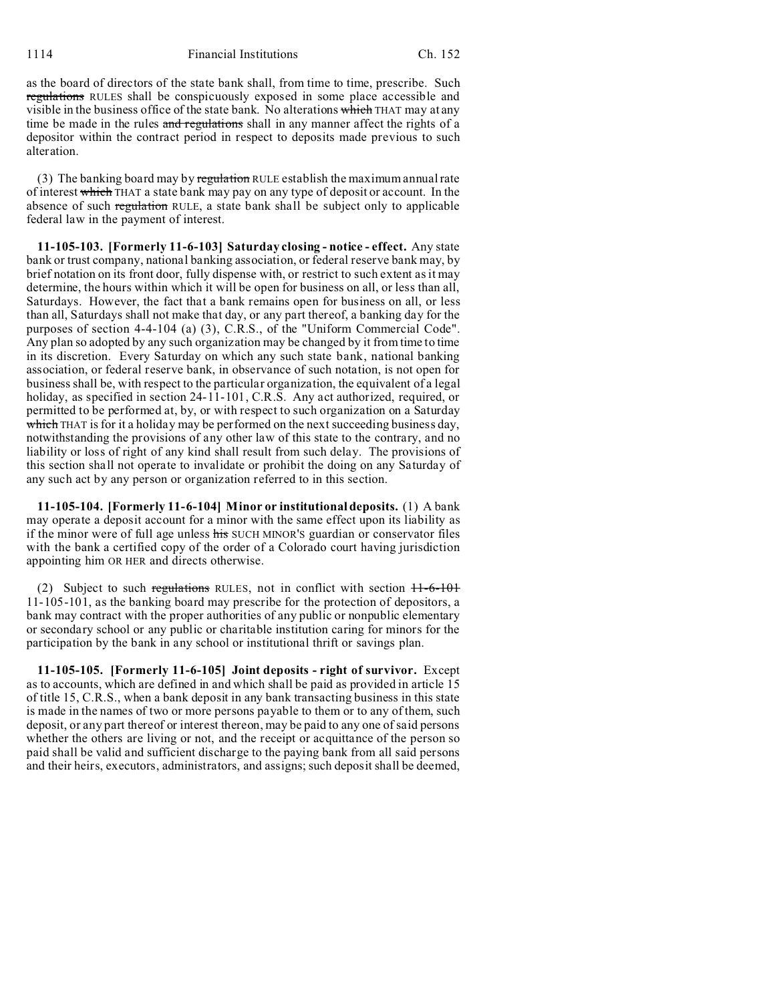as the board of directors of the state bank shall, from time to time, prescribe. Such regulations RULES shall be conspicuously exposed in some place accessible and visible in the business office of the state bank. No alterations which THAT may at any time be made in the rules and regulations shall in any manner affect the rights of a depositor within the contract period in respect to deposits made previous to such alteration.

(3) The banking board may by regulation RULE establish the maximum annual rate of interest which THAT a state bank may pay on any type of deposit or account. In the absence of such regulation RULE, a state bank shall be subject only to applicable federal law in the payment of interest.

**11-105-103. [Formerly 11-6-103] Saturday closing - notice - effect.** Any state bank or trust company, national banking association, or federal reserve bank may, by brief notation on its front door, fully dispense with, or restrict to such extent as it may determine, the hours within which it will be open for business on all, or less than all, Saturdays. However, the fact that a bank remains open for business on all, or less than all, Saturdays shall not make that day, or any part thereof, a banking day for the purposes of section 4-4-104 (a) (3), C.R.S., of the "Uniform Commercial Code". Any plan so adopted by any such organization may be changed by it from time to time in its discretion. Every Saturday on which any such state bank, national banking association, or federal reserve bank, in observance of such notation, is not open for business shall be, with respect to the particular organization, the equivalent of a legal holiday, as specified in section 24-11-101, C.R.S. Any act authorized, required, or permitted to be performed at, by, or with respect to such organization on a Saturday which THAT is for it a holiday may be performed on the next succeeding business day, notwithstanding the provisions of any other law of this state to the contrary, and no liability or loss of right of any kind shall result from such delay. The provisions of this section shall not operate to invalidate or prohibit the doing on any Saturday of any such act by any person or organization referred to in this section.

**11-105-104. [Formerly 11-6-104] Minor or institutional deposits.** (1) A bank may operate a deposit account for a minor with the same effect upon its liability as if the minor were of full age unless his SUCH MINOR'S guardian or conservator files with the bank a certified copy of the order of a Colorado court having jurisdiction appointing him OR HER and directs otherwise.

(2) Subject to such regulations RULES, not in conflict with section 11-6-101 11-105-101, as the banking board may prescribe for the protection of depositors, a bank may contract with the proper authorities of any public or nonpublic elementary or secondary school or any public or charitable institution caring for minors for the participation by the bank in any school or institutional thrift or savings plan.

**11-105-105. [Formerly 11-6-105] Joint deposits - right of survivor.** Except as to accounts, which are defined in and which shall be paid as provided in article 15 of title 15, C.R.S., when a bank deposit in any bank transacting business in this state is made in the names of two or more persons payable to them or to any of them, such deposit, or any part thereof or interest thereon, may be paid to any one of said persons whether the others are living or not, and the receipt or acquittance of the person so paid shall be valid and sufficient discharge to the paying bank from all said persons and their heirs, executors, administrators, and assigns; such deposit shall be deemed,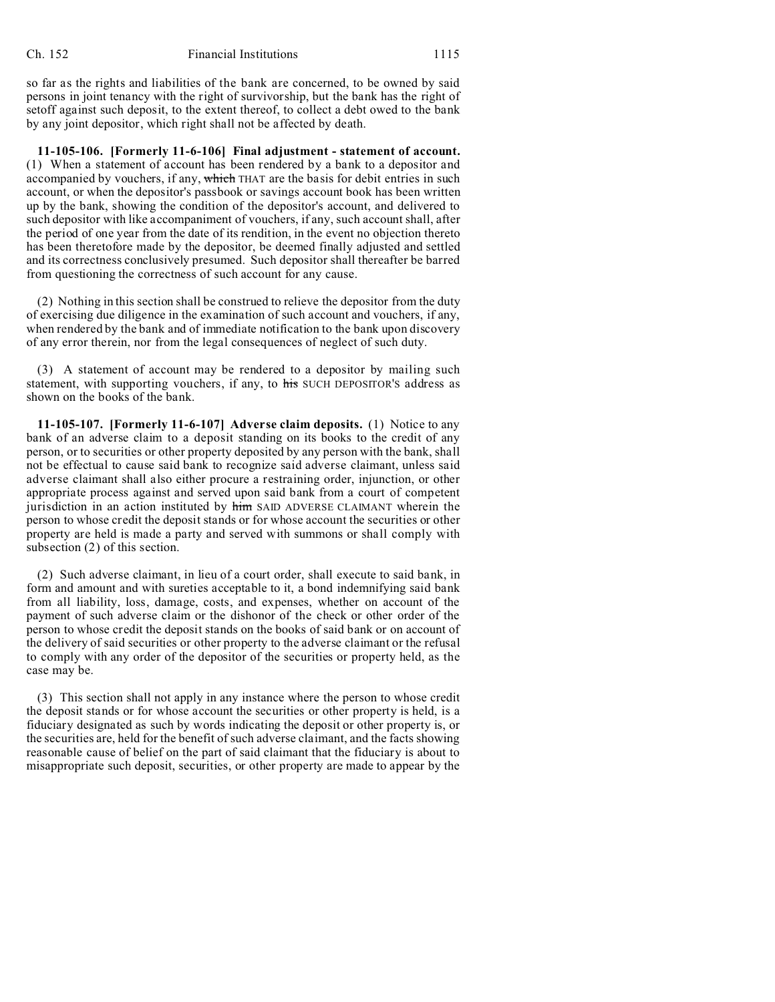so far as the rights and liabilities of the bank are concerned, to be owned by said persons in joint tenancy with the right of survivorship, but the bank has the right of setoff against such deposit, to the extent thereof, to collect a debt owed to the bank by any joint depositor, which right shall not be affected by death.

**11-105-106. [Formerly 11-6-106] Final adjustment - statement of account.** (1) When a statement of account has been rendered by a bank to a depositor and accompanied by vouchers, if any, which THAT are the basis for debit entries in such account, or when the depositor's passbook or savings account book has been written up by the bank, showing the condition of the depositor's account, and delivered to such depositor with like accompaniment of vouchers, if any, such account shall, after the period of one year from the date of its rendition, in the event no objection thereto has been theretofore made by the depositor, be deemed finally adjusted and settled and its correctness conclusively presumed. Such depositor shall thereafter be barred from questioning the correctness of such account for any cause.

(2) Nothing in this section shall be construed to relieve the depositor from the duty of exercising due diligence in the examination of such account and vouchers, if any, when rendered by the bank and of immediate notification to the bank upon discovery of any error therein, nor from the legal consequences of neglect of such duty.

(3) A statement of account may be rendered to a depositor by mailing such statement, with supporting vouchers, if any, to his SUCH DEPOSITOR'S address as shown on the books of the bank.

**11-105-107. [Formerly 11-6-107] Adverse claim deposits.** (1) Notice to any bank of an adverse claim to a deposit standing on its books to the credit of any person, or to securities or other property deposited by any person with the bank, shall not be effectual to cause said bank to recognize said adverse claimant, unless said adverse claimant shall also either procure a restraining order, injunction, or other appropriate process against and served upon said bank from a court of competent jurisdiction in an action instituted by him SAID ADVERSE CLAIMANT wherein the person to whose credit the deposit stands or for whose account the securities or other property are held is made a party and served with summons or shall comply with subsection (2) of this section.

(2) Such adverse claimant, in lieu of a court order, shall execute to said bank, in form and amount and with sureties acceptable to it, a bond indemnifying said bank from all liability, loss, damage, costs, and expenses, whether on account of the payment of such adverse claim or the dishonor of the check or other order of the person to whose credit the deposit stands on the books of said bank or on account of the delivery of said securities or other property to the adverse claimant or the refusal to comply with any order of the depositor of the securities or property held, as the case may be.

(3) This section shall not apply in any instance where the person to whose credit the deposit stands or for whose account the securities or other property is held, is a fiduciary designated as such by words indicating the deposit or other property is, or the securities are, held for the benefit of such adverse claimant, and the facts showing reasonable cause of belief on the part of said claimant that the fiduciary is about to misappropriate such deposit, securities, or other property are made to appear by the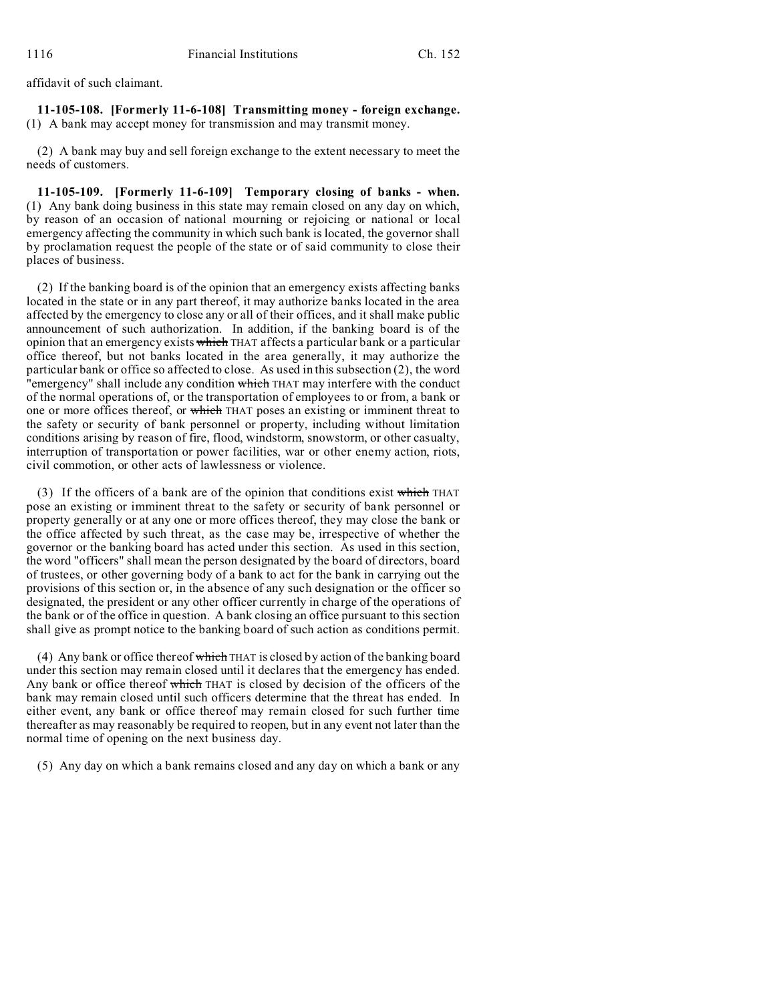affidavit of such claimant.

**11-105-108. [Formerly 11-6-108] Transmitting money - foreign exchange.** (1) A bank may accept money for transmission and may transmit money.

(2) A bank may buy and sell foreign exchange to the extent necessary to meet the needs of customers.

**11-105-109. [Formerly 11-6-109] Temporary closing of banks - when.** (1) Any bank doing business in this state may remain closed on any day on which, by reason of an occasion of national mourning or rejoicing or national or local emergency affecting the community in which such bank is located, the governor shall by proclamation request the people of the state or of said community to close their places of business.

(2) If the banking board is of the opinion that an emergency exists affecting banks located in the state or in any part thereof, it may authorize banks located in the area affected by the emergency to close any or all of their offices, and it shall make public announcement of such authorization. In addition, if the banking board is of the opinion that an emergency exists which THAT affects a particular bank or a particular office thereof, but not banks located in the area generally, it may authorize the particular bank or office so affected to close. As used in this subsection (2), the word "emergency" shall include any condition which THAT may interfere with the conduct of the normal operations of, or the transportation of employees to or from, a bank or one or more offices thereof, or which THAT poses an existing or imminent threat to the safety or security of bank personnel or property, including without limitation conditions arising by reason of fire, flood, windstorm, snowstorm, or other casualty, interruption of transportation or power facilities, war or other enemy action, riots, civil commotion, or other acts of lawlessness or violence.

(3) If the officers of a bank are of the opinion that conditions exist which THAT pose an existing or imminent threat to the safety or security of bank personnel or property generally or at any one or more offices thereof, they may close the bank or the office affected by such threat, as the case may be, irrespective of whether the governor or the banking board has acted under this section. As used in this section, the word "officers" shall mean the person designated by the board of directors, board of trustees, or other governing body of a bank to act for the bank in carrying out the provisions of this section or, in the absence of any such designation or the officer so designated, the president or any other officer currently in charge of the operations of the bank or of the office in question. A bank closing an office pursuant to this section shall give as prompt notice to the banking board of such action as conditions permit.

(4) Any bank or office thereof which THAT is closed by action of the banking board under this section may remain closed until it declares that the emergency has ended. Any bank or office thereof which THAT is closed by decision of the officers of the bank may remain closed until such officers determine that the threat has ended. In either event, any bank or office thereof may remain closed for such further time thereafter as may reasonably be required to reopen, but in any event not later than the normal time of opening on the next business day.

(5) Any day on which a bank remains closed and any day on which a bank or any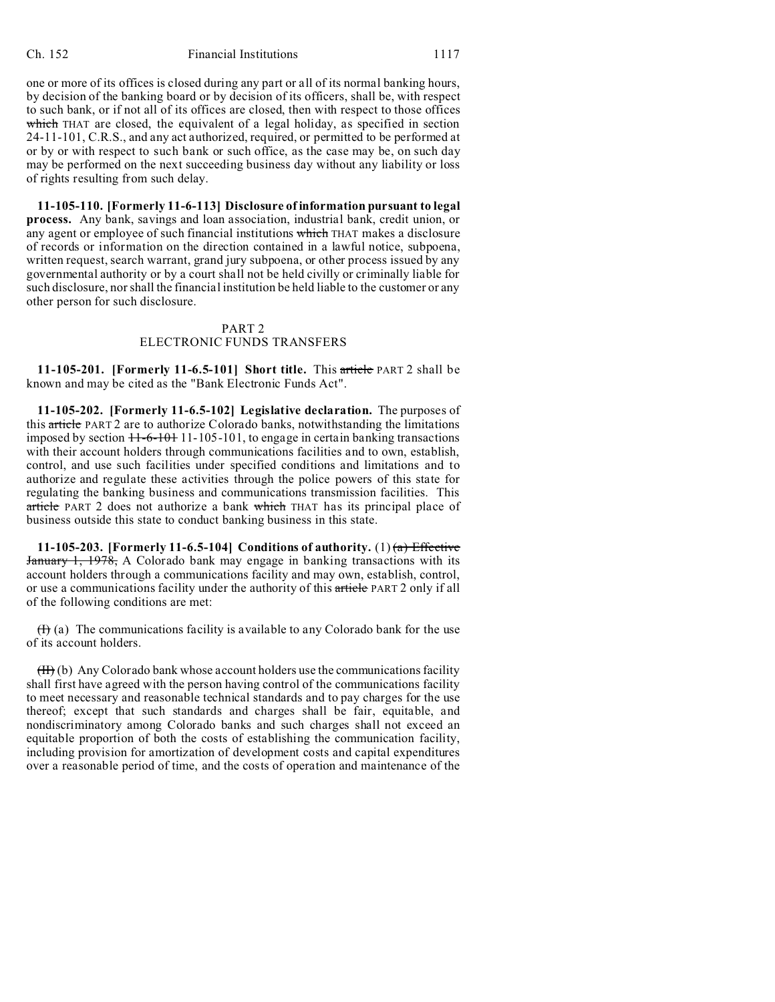one or more of its offices is closed during any part or all of its normal banking hours, by decision of the banking board or by decision of its officers, shall be, with respect to such bank, or if not all of its offices are closed, then with respect to those offices which THAT are closed, the equivalent of a legal holiday, as specified in section 24-11-101, C.R.S., and any act authorized, required, or permitted to be performed at or by or with respect to such bank or such office, as the case may be, on such day may be performed on the next succeeding business day without any liability or loss of rights resulting from such delay.

**11-105-110. [Formerly 11-6-113] Disclosure of information pursuant to legal process.** Any bank, savings and loan association, industrial bank, credit union, or any agent or employee of such financial institutions which THAT makes a disclosure of records or information on the direction contained in a lawful notice, subpoena, written request, search warrant, grand jury subpoena, or other process issued by any governmental authority or by a court shall not be held civilly or criminally liable for such disclosure, nor shall the financial institution be held liable to the customer or any other person for such disclosure.

# PART 2 ELECTRONIC FUNDS TRANSFERS

**11-105-201. [Formerly 11-6.5-101] Short title.** This article PART 2 shall be known and may be cited as the "Bank Electronic Funds Act".

**11-105-202. [Formerly 11-6.5-102] Legislative declaration.** The purposes of this article PART 2 are to authorize Colorado banks, notwithstanding the limitations imposed by section  $11-6-101$  11-105-101, to engage in certain banking transactions with their account holders through communications facilities and to own, establish, control, and use such facilities under specified conditions and limitations and to authorize and regulate these activities through the police powers of this state for regulating the banking business and communications transmission facilities. This article PART 2 does not authorize a bank which THAT has its principal place of business outside this state to conduct banking business in this state.

**11-105-203.** [Formerly 11-6.5-104] Conditions of authority. (1)  $\left(\frac{a}{b}\right)$  Effective January 1, 1978, A Colorado bank may engage in banking transactions with its account holders through a communications facility and may own, establish, control, or use a communications facility under the authority of this article PART 2 only if all of the following conditions are met:

 $(H)$  (a) The communications facility is available to any Colorado bank for the use of its account holders.

 $(H)$  (b) Any Colorado bank whose account holders use the communications facility shall first have agreed with the person having control of the communications facility to meet necessary and reasonable technical standards and to pay charges for the use thereof; except that such standards and charges shall be fair, equitable, and nondiscriminatory among Colorado banks and such charges shall not exceed an equitable proportion of both the costs of establishing the communication facility, including provision for amortization of development costs and capital expenditures over a reasonable period of time, and the costs of operation and maintenance of the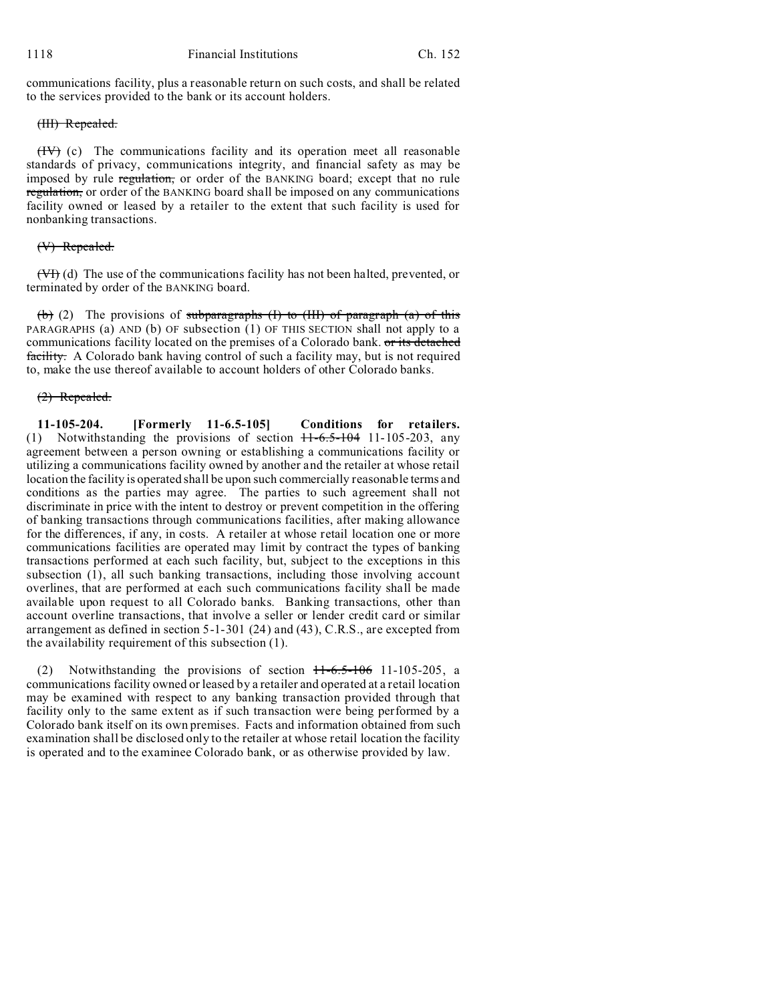communications facility, plus a reasonable return on such costs, and shall be related to the services provided to the bank or its account holders.

# (III) Repealed.

 $(HY)$  (c) The communications facility and its operation meet all reasonable standards of privacy, communications integrity, and financial safety as may be imposed by rule regulation, or order of the BANKING board; except that no rule regulation, or order of the BANKING board shall be imposed on any communications facility owned or leased by a retailer to the extent that such facility is used for nonbanking transactions.

# (V) Repealed.

(VI) (d) The use of the communications facility has not been halted, prevented, or terminated by order of the BANKING board.

(b) (2) The provisions of subparagraphs (I) to (III) of paragraph (a) of this PARAGRAPHS (a) AND (b) OF subsection  $(1)$  OF THIS SECTION shall not apply to a communications facility located on the premises of a Colorado bank. or its detached facility. A Colorado bank having control of such a facility may, but is not required to, make the use thereof available to account holders of other Colorado banks.

# (2) Repealed.

**11-105-204. [Formerly 11-6.5-105] Conditions for retailers.** (1) Notwithstanding the provisions of section  $11-6.5-104$  11-105-203, any agreement between a person owning or establishing a communications facility or utilizing a communications facility owned by another and the retailer at whose retail location the facility is operated shall be upon such commercially reasonable terms and conditions as the parties may agree. The parties to such agreement shall not discriminate in price with the intent to destroy or prevent competition in the offering of banking transactions through communications facilities, after making allowance for the differences, if any, in costs. A retailer at whose retail location one or more communications facilities are operated may limit by contract the types of banking transactions performed at each such facility, but, subject to the exceptions in this subsection (1), all such banking transactions, including those involving account overlines, that are performed at each such communications facility shall be made available upon request to all Colorado banks. Banking transactions, other than account overline transactions, that involve a seller or lender credit card or similar arrangement as defined in section 5-1-301 (24) and (43), C.R.S., are excepted from the availability requirement of this subsection (1).

Notwithstanding the provisions of section  $11-6.5-106$  11-105-205, a communications facility owned or leased by a retailer and operated at a retail location may be examined with respect to any banking transaction provided through that facility only to the same extent as if such transaction were being performed by a Colorado bank itself on its own premises. Facts and information obtained from such examination shall be disclosed only to the retailer at whose retail location the facility is operated and to the examinee Colorado bank, or as otherwise provided by law.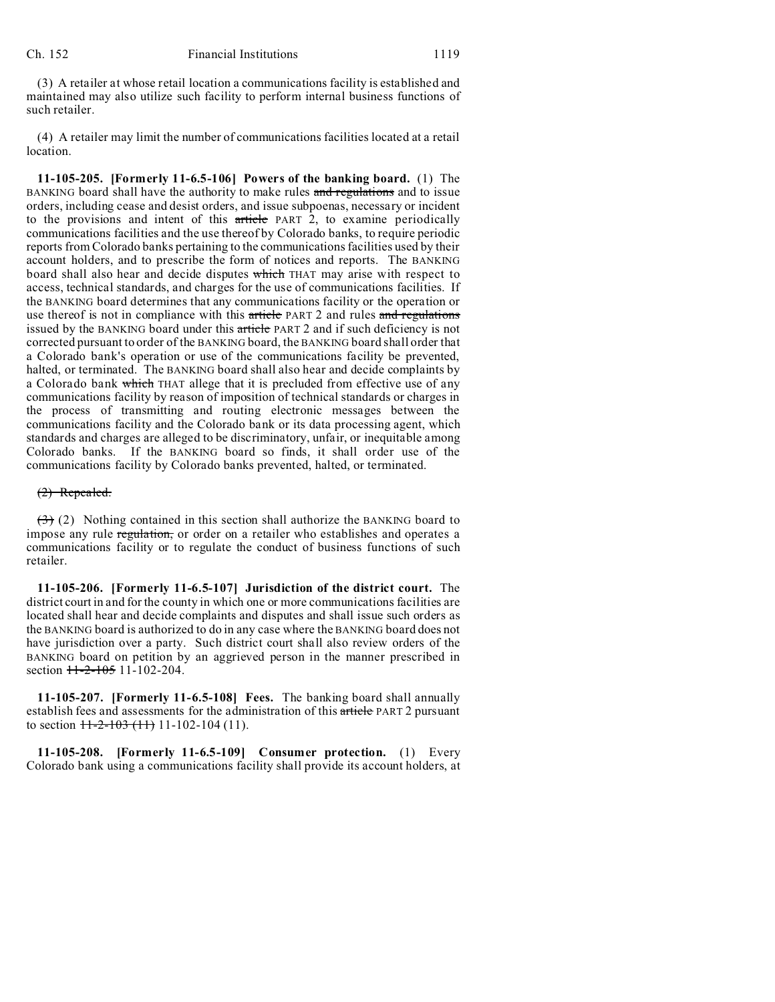(3) A retailer at whose retail location a communications facility is established and maintained may also utilize such facility to perform internal business functions of such retailer.

(4) A retailer may limit the number of communications facilities located at a retail location.

**11-105-205. [Formerly 11-6.5-106] Powers of the banking board.** (1) The BANKING board shall have the authority to make rules and regulations and to issue orders, including cease and desist orders, and issue subpoenas, necessary or incident to the provisions and intent of this article PART 2, to examine periodically communications facilities and the use thereof by Colorado banks, to require periodic reports from Colorado banks pertaining to the communications facilities used by their account holders, and to prescribe the form of notices and reports. The BANKING board shall also hear and decide disputes which THAT may arise with respect to access, technical standards, and charges for the use of communications facilities. If the BANKING board determines that any communications facility or the operation or use thereof is not in compliance with this article PART 2 and rules and regulations issued by the BANKING board under this article PART 2 and if such deficiency is not corrected pursuant to order of the BANKING board, the BANKING board shall order that a Colorado bank's operation or use of the communications facility be prevented, halted, or terminated. The BANKING board shall also hear and decide complaints by a Colorado bank which THAT allege that it is precluded from effective use of any communications facility by reason of imposition of technical standards or charges in the process of transmitting and routing electronic messages between the communications facility and the Colorado bank or its data processing agent, which standards and charges are alleged to be discriminatory, unfair, or inequitable among Colorado banks. If the BANKING board so finds, it shall order use of the communications facility by Colorado banks prevented, halted, or terminated.

### (2) Repealed.

 $(3)$  (2) Nothing contained in this section shall authorize the BANKING board to impose any rule regulation, or order on a retailer who establishes and operates a communications facility or to regulate the conduct of business functions of such retailer.

**11-105-206. [Formerly 11-6.5-107] Jurisdiction of the district court.** The district court in and for the county in which one or more communications facilities are located shall hear and decide complaints and disputes and shall issue such orders as the BANKING board is authorized to do in any case where the BANKING board does not have jurisdiction over a party. Such district court shall also review orders of the BANKING board on petition by an aggrieved person in the manner prescribed in section  $11-2-105$  11-102-204.

**11-105-207. [Formerly 11-6.5-108] Fees.** The banking board shall annually establish fees and assessments for the administration of this article PART 2 pursuant to section  $\frac{11-2-103(11)}{11-102-104(11)}$ .

**11-105-208. [Formerly 11-6.5-109] Consumer protection.** (1) Every Colorado bank using a communications facility shall provide its account holders, at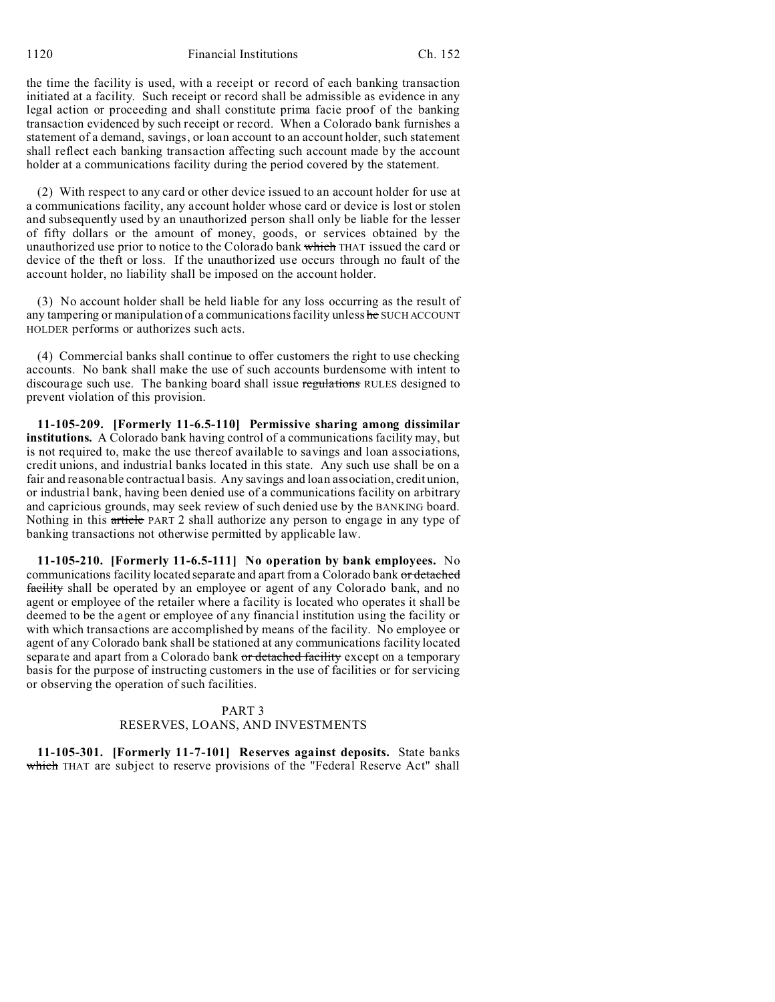1120 Financial Institutions Ch. 152

the time the facility is used, with a receipt or record of each banking transaction initiated at a facility. Such receipt or record shall be admissible as evidence in any legal action or proceeding and shall constitute prima facie proof of the banking transaction evidenced by such receipt or record. When a Colorado bank furnishes a statement of a demand, savings, or loan account to an account holder, such statement shall reflect each banking transaction affecting such account made by the account holder at a communications facility during the period covered by the statement.

(2) With respect to any card or other device issued to an account holder for use at a communications facility, any account holder whose card or device is lost or stolen and subsequently used by an unauthorized person shall only be liable for the lesser of fifty dollars or the amount of money, goods, or services obtained by the unauthorized use prior to notice to the Colorado bank which THAT issued the card or device of the theft or loss. If the unauthorized use occurs through no fault of the account holder, no liability shall be imposed on the account holder.

(3) No account holder shall be held liable for any loss occurring as the result of any tampering or manipulation of a communications facility unless he SUCH ACCOUNT HOLDER performs or authorizes such acts.

(4) Commercial banks shall continue to offer customers the right to use checking accounts. No bank shall make the use of such accounts burdensome with intent to discourage such use. The banking board shall issue regulations RULES designed to prevent violation of this provision.

**11-105-209. [Formerly 11-6.5-110] Permissive sharing among dissimilar institutions.** A Colorado bank having control of a communications facility may, but is not required to, make the use thereof available to savings and loan associations, credit unions, and industrial banks located in this state. Any such use shall be on a fair and reasonable contractual basis. Any savings and loan association, credit union, or industrial bank, having been denied use of a communications facility on arbitrary and capricious grounds, may seek review of such denied use by the BANKING board. Nothing in this article PART 2 shall authorize any person to engage in any type of banking transactions not otherwise permitted by applicable law.

**11-105-210. [Formerly 11-6.5-111] No operation by bank employees.** No communications facility located separate and apart from a Colorado bank or detached facility shall be operated by an employee or agent of any Colorado bank, and no agent or employee of the retailer where a facility is located who operates it shall be deemed to be the agent or employee of any financial institution using the facility or with which transactions are accomplished by means of the facility. No employee or agent of any Colorado bank shall be stationed at any communications facility located separate and apart from a Colorado bank or detached facility except on a temporary basis for the purpose of instructing customers in the use of facilities or for servicing or observing the operation of such facilities.

# PART 3 RESERVES, LOANS, AND INVESTMENTS

**11-105-301. [Formerly 11-7-101] Reserves against deposits.** State banks which THAT are subject to reserve provisions of the "Federal Reserve Act" shall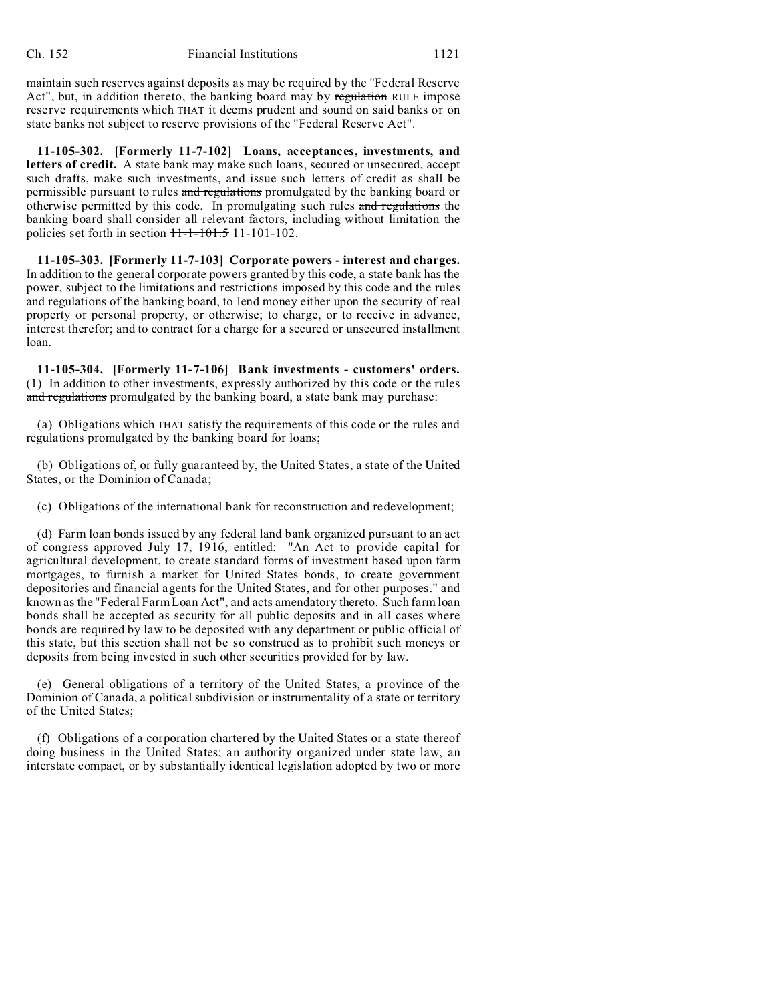maintain such reserves against deposits as may be required by the "Federal Reserve Act", but, in addition thereto, the banking board may by regulation RULE impose reserve requirements which THAT it deems prudent and sound on said banks or on state banks not subject to reserve provisions of the "Federal Reserve Act".

**11-105-302. [Formerly 11-7-102] Loans, acceptances, investments, and letters of credit.** A state bank may make such loans, secured or unsecured, accept such drafts, make such investments, and issue such letters of credit as shall be permissible pursuant to rules and regulations promulgated by the banking board or otherwise permitted by this code. In promulgating such rules and regulations the banking board shall consider all relevant factors, including without limitation the policies set forth in section  $H-1-101.5$  11-101-102.

**11-105-303. [Formerly 11-7-103] Corporate powers - interest and charges.** In addition to the general corporate powers granted by this code, a state bank has the power, subject to the limitations and restrictions imposed by this code and the rules and regulations of the banking board, to lend money either upon the security of real property or personal property, or otherwise; to charge, or to receive in advance, interest therefor; and to contract for a charge for a secured or unsecured installment loan.

**11-105-304. [Formerly 11-7-106] Bank investments - customers' orders.** (1) In addition to other investments, expressly authorized by this code or the rules and regulations promulgated by the banking board, a state bank may purchase:

(a) Obligations which THAT satisfy the requirements of this code or the rules and regulations promulgated by the banking board for loans;

(b) Obligations of, or fully guaranteed by, the United States, a state of the United States, or the Dominion of Canada;

(c) Obligations of the international bank for reconstruction and redevelopment;

(d) Farm loan bonds issued by any federal land bank organized pursuant to an act of congress approved July 17, 1916, entitled: "An Act to provide capital for agricultural development, to create standard forms of investment based upon farm mortgages, to furnish a market for United States bonds, to create government depositories and financial agents for the United States, and for other purposes." and known as the "Federal Farm Loan Act", and acts amendatory thereto. Such farm loan bonds shall be accepted as security for all public deposits and in all cases where bonds are required by law to be deposited with any department or public official of this state, but this section shall not be so construed as to prohibit such moneys or deposits from being invested in such other securities provided for by law.

(e) General obligations of a territory of the United States, a province of the Dominion of Canada, a political subdivision or instrumentality of a state or territory of the United States;

(f) Obligations of a corporation chartered by the United States or a state thereof doing business in the United States; an authority organized under state law, an interstate compact, or by substantially identical legislation adopted by two or more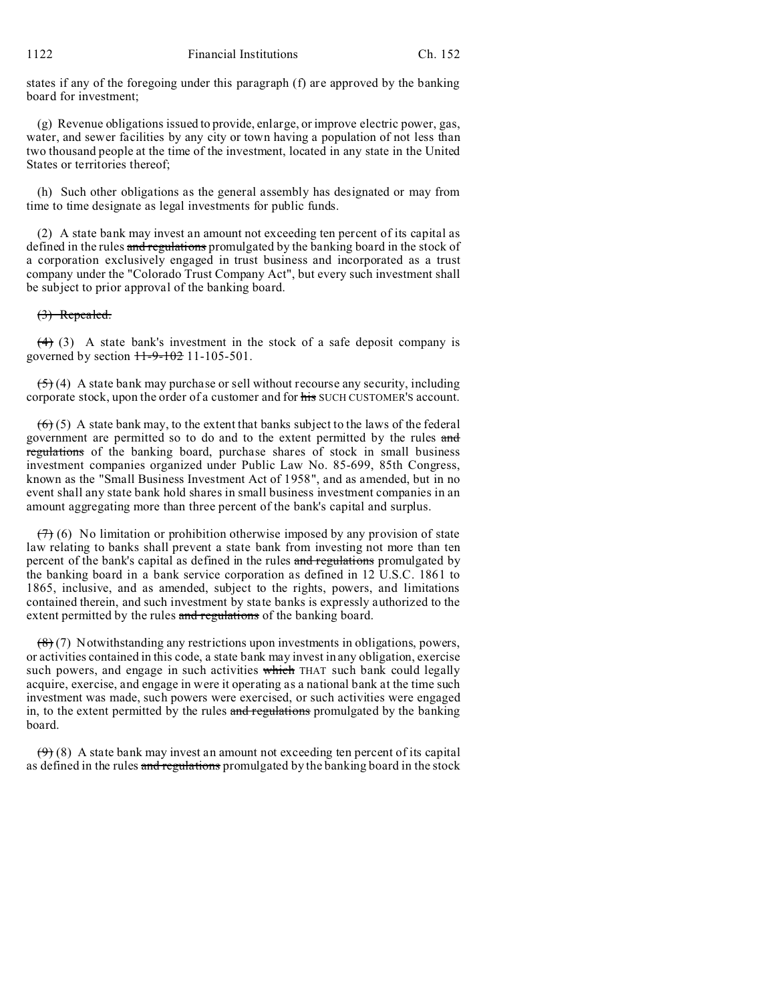states if any of the foregoing under this paragraph (f) are approved by the banking board for investment;

(g) Revenue obligations issued to provide, enlarge, or improve electric power, gas, water, and sewer facilities by any city or town having a population of not less than two thousand people at the time of the investment, located in any state in the United States or territories thereof;

(h) Such other obligations as the general assembly has designated or may from time to time designate as legal investments for public funds.

(2) A state bank may invest an amount not exceeding ten percent of its capital as defined in the rules and regulations promulgated by the banking board in the stock of a corporation exclusively engaged in trust business and incorporated as a trust company under the "Colorado Trust Company Act", but every such investment shall be subject to prior approval of the banking board.

# (3) Repealed.

 $(4)$  (3) A state bank's investment in the stock of a safe deposit company is governed by section  $11-9-102$  11-105-501.

 $(5)$  (4) A state bank may purchase or sell without recourse any security, including corporate stock, upon the order of a customer and for his SUCH CUSTOMER's account.

 $(6)$  (5) A state bank may, to the extent that banks subject to the laws of the federal government are permitted so to do and to the extent permitted by the rules and regulations of the banking board, purchase shares of stock in small business investment companies organized under Public Law No. 85-699, 85th Congress, known as the "Small Business Investment Act of 1958", and as amended, but in no event shall any state bank hold shares in small business investment companies in an amount aggregating more than three percent of the bank's capital and surplus.

 $(7)$  (6) No limitation or prohibition otherwise imposed by any provision of state law relating to banks shall prevent a state bank from investing not more than ten percent of the bank's capital as defined in the rules and regulations promulgated by the banking board in a bank service corporation as defined in 12 U.S.C. 1861 to 1865, inclusive, and as amended, subject to the rights, powers, and limitations contained therein, and such investment by state banks is expressly authorized to the extent permitted by the rules and regulations of the banking board.

 $(8)(7)$  Notwithstanding any restrictions upon investments in obligations, powers, or activities contained in this code, a state bank may invest in any obligation, exercise such powers, and engage in such activities which THAT such bank could legally acquire, exercise, and engage in were it operating as a national bank at the time such investment was made, such powers were exercised, or such activities were engaged in, to the extent permitted by the rules and regulations promulgated by the banking board.

 $(9)$  (8) A state bank may invest an amount not exceeding ten percent of its capital as defined in the rules and regulations promulgated by the banking board in the stock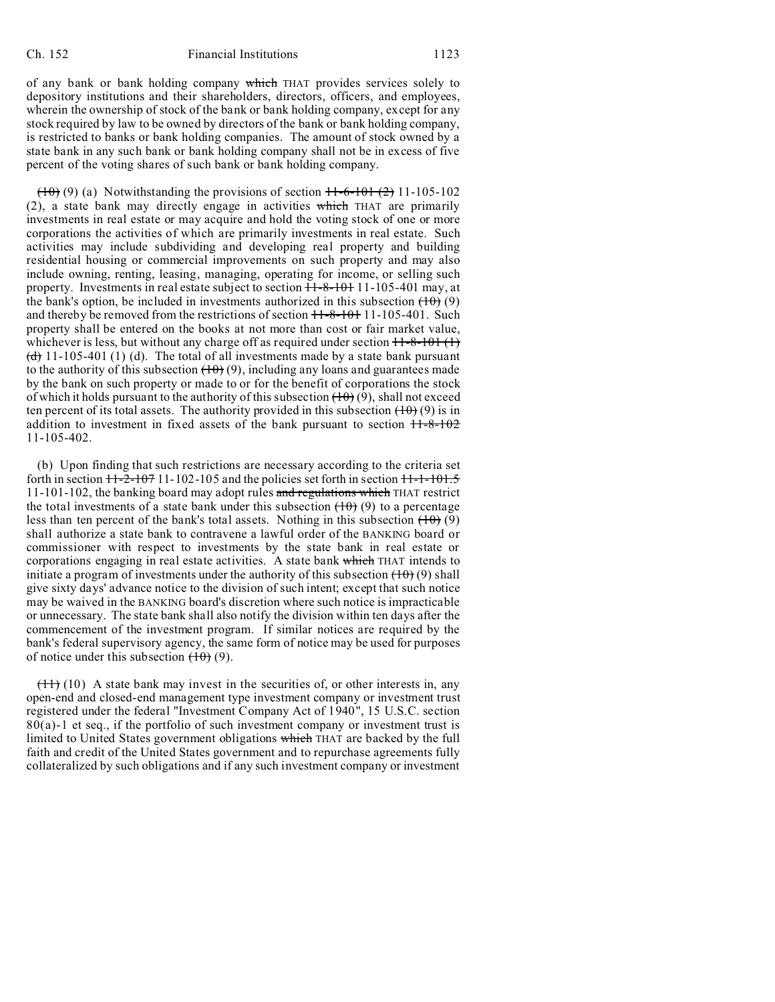of any bank or bank holding company which THAT provides services solely to depository institutions and their shareholders, directors, officers, and employees, wherein the ownership of stock of the bank or bank holding company, except for any stock required by law to be owned by directors of the bank or bank holding company, is restricted to banks or bank holding companies. The amount of stock owned by a state bank in any such bank or bank holding company shall not be in excess of five percent of the voting shares of such bank or bank holding company.

 $(10)$  (9) (a) Notwithstanding the provisions of section  $11-6-101$  (2) 11-105-102 (2), a state bank may directly engage in activities which THAT are primarily investments in real estate or may acquire and hold the voting stock of one or more corporations the activities of which are primarily investments in real estate. Such activities may include subdividing and developing real property and building residential housing or commercial improvements on such property and may also include owning, renting, leasing, managing, operating for income, or selling such property. Investments in real estate subject to section  $11-8-101$  11-105-401 may, at the bank's option, be included in investments authorized in this subsection  $(10)(9)$ and thereby be removed from the restrictions of section  $11-8-101$  11-105-401. Such property shall be entered on the books at not more than cost or fair market value, whichever is less, but without any charge off as required under section  $11-8-101(1)$  $\left(\frac{d}{d}\right)$  11-105-401 (1) (d). The total of all investments made by a state bank pursuant to the authority of this subsection  $(10)(9)$ , including any loans and guarantees made by the bank on such property or made to or for the benefit of corporations the stock of which it holds pursuant to the authority of this subsection  $(10)(9)$ , shall not exceed ten percent of its total assets. The authority provided in this subsection  $(10)(9)$  is in addition to investment in fixed assets of the bank pursuant to section  $11-8-102$ 11-105-402.

(b) Upon finding that such restrictions are necessary according to the criteria set forth in section  $11-2-107$  11-102-105 and the policies set forth in section  $11-1-101.5$ 11-101-102, the banking board may adopt rules and regulations which THAT restrict the total investments of a state bank under this subsection  $(10)(9)$  to a percentage less than ten percent of the bank's total assets. Nothing in this subsection  $(10)(9)$ shall authorize a state bank to contravene a lawful order of the BANKING board or commissioner with respect to investments by the state bank in real estate or corporations engaging in real estate activities. A state bank which THAT intends to initiate a program of investments under the authority of this subsection  $(10)(9)$  shall give sixty days' advance notice to the division of such intent; except that such notice may be waived in the BANKING board's discretion where such notice is impracticable or unnecessary. The state bank shall also notify the division within ten days after the commencement of the investment program. If similar notices are required by the bank's federal supervisory agency, the same form of notice may be used for purposes of notice under this subsection  $(10)(9)$ .

 $(11)$  (10) A state bank may invest in the securities of, or other interests in, any open-end and closed-end management type investment company or investment trust registered under the federal "Investment Company Act of 1940", 15 U.S.C. section  $80(a)$ -1 et seq., if the portfolio of such investment company or investment trust is limited to United States government obligations which THAT are backed by the full faith and credit of the United States government and to repurchase agreements fully collateralized by such obligations and if any such investment company or investment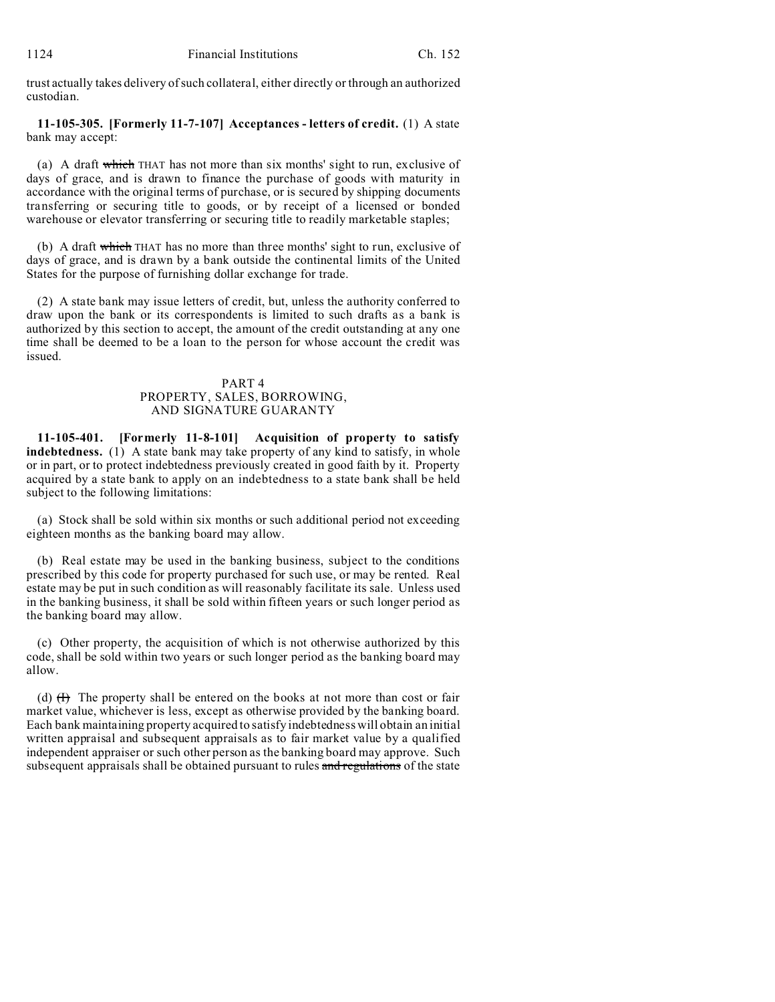trust actually takes delivery of such collateral, either directly or through an authorized custodian.

**11-105-305. [Formerly 11-7-107] Acceptances - letters of credit.** (1) A state bank may accept:

(a) A draft which THAT has not more than six months' sight to run, exclusive of days of grace, and is drawn to finance the purchase of goods with maturity in accordance with the original terms of purchase, or is secured by shipping documents transferring or securing title to goods, or by receipt of a licensed or bonded warehouse or elevator transferring or securing title to readily marketable staples;

(b) A draft which THAT has no more than three months' sight to run, exclusive of days of grace, and is drawn by a bank outside the continental limits of the United States for the purpose of furnishing dollar exchange for trade.

(2) A state bank may issue letters of credit, but, unless the authority conferred to draw upon the bank or its correspondents is limited to such drafts as a bank is authorized by this section to accept, the amount of the credit outstanding at any one time shall be deemed to be a loan to the person for whose account the credit was issued.

### PART 4 PROPERTY, SALES, BORROWING, AND SIGNATURE GUARANTY

**11-105-401. [Formerly 11-8-101] Acquisition of property to satisfy indebtedness.** (1) A state bank may take property of any kind to satisfy, in whole or in part, or to protect indebtedness previously created in good faith by it. Property acquired by a state bank to apply on an indebtedness to a state bank shall be held subject to the following limitations:

(a) Stock shall be sold within six months or such additional period not exceeding eighteen months as the banking board may allow.

(b) Real estate may be used in the banking business, subject to the conditions prescribed by this code for property purchased for such use, or may be rented. Real estate may be put in such condition as will reasonably facilitate its sale. Unless used in the banking business, it shall be sold within fifteen years or such longer period as the banking board may allow.

(c) Other property, the acquisition of which is not otherwise authorized by this code, shall be sold within two years or such longer period as the banking board may allow.

(d)  $(H)$  The property shall be entered on the books at not more than cost or fair market value, whichever is less, except as otherwise provided by the banking board. Each bank maintaining property acquired to satisfy indebtedness will obtain an initial written appraisal and subsequent appraisals as to fair market value by a qualified independent appraiser or such other person as the banking board may approve. Such subsequent appraisals shall be obtained pursuant to rules and regulations of the state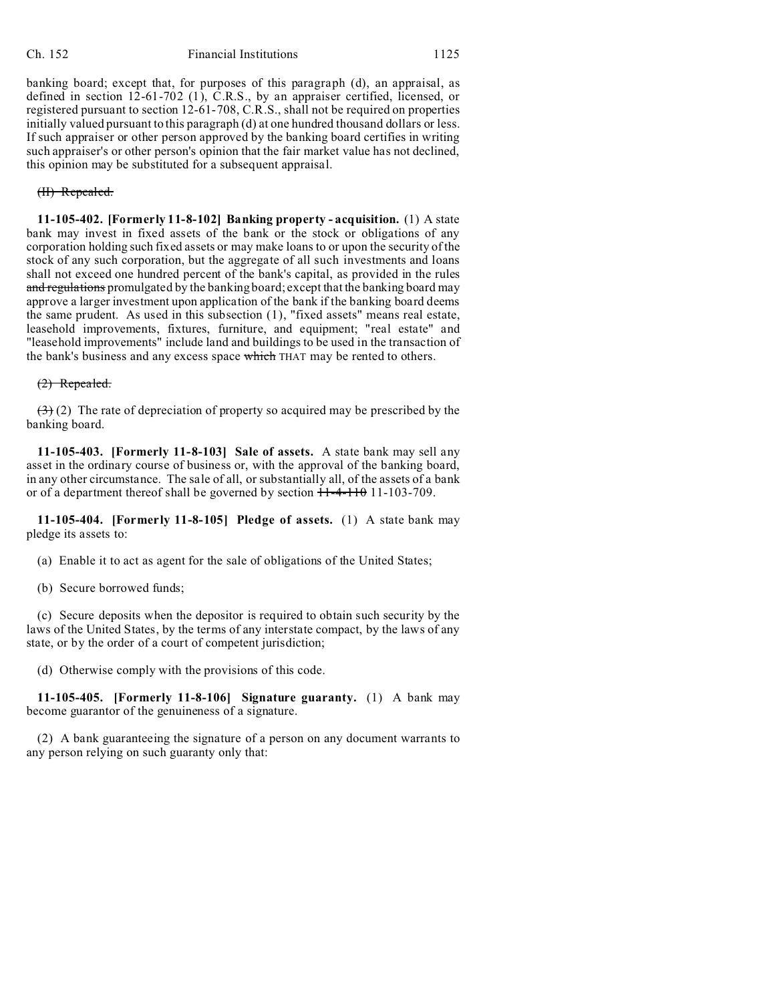banking board; except that, for purposes of this paragraph (d), an appraisal, as defined in section 12-61-702 (1), C.R.S., by an appraiser certified, licensed, or registered pursuant to section 12-61-708, C.R.S., shall not be required on properties initially valued pursuant to this paragraph (d) at one hundred thousand dollars or less. If such appraiser or other person approved by the banking board certifies in writing such appraiser's or other person's opinion that the fair market value has not declined, this opinion may be substituted for a subsequent appraisal.

### (II) Repealed.

**11-105-402. [Formerly 11-8-102] Banking property - acquisition.** (1) A state bank may invest in fixed assets of the bank or the stock or obligations of any corporation holding such fixed assets or may make loans to or upon the security of the stock of any such corporation, but the aggregate of all such investments and loans shall not exceed one hundred percent of the bank's capital, as provided in the rules and regulations promulgated by the banking board; except that the banking board may approve a larger investment upon application of the bank if the banking board deems the same prudent. As used in this subsection (1), "fixed assets" means real estate, leasehold improvements, fixtures, furniture, and equipment; "real estate" and "leasehold improvements" include land and buildings to be used in the transaction of the bank's business and any excess space which THAT may be rented to others.

### (2) Repealed.

 $(3)$  (2) The rate of depreciation of property so acquired may be prescribed by the banking board.

**11-105-403. [Formerly 11-8-103] Sale of assets.** A state bank may sell any asset in the ordinary course of business or, with the approval of the banking board, in any other circumstance. The sale of all, or substantially all, of the assets of a bank or of a department thereof shall be governed by section  $11-4-1101-103-709$ .

**11-105-404. [Formerly 11-8-105] Pledge of assets.** (1) A state bank may pledge its assets to:

(a) Enable it to act as agent for the sale of obligations of the United States;

(b) Secure borrowed funds;

(c) Secure deposits when the depositor is required to obtain such security by the laws of the United States, by the terms of any interstate compact, by the laws of any state, or by the order of a court of competent jurisdiction;

(d) Otherwise comply with the provisions of this code.

**11-105-405. [Formerly 11-8-106] Signature guaranty.** (1) A bank may become guarantor of the genuineness of a signature.

(2) A bank guaranteeing the signature of a person on any document warrants to any person relying on such guaranty only that: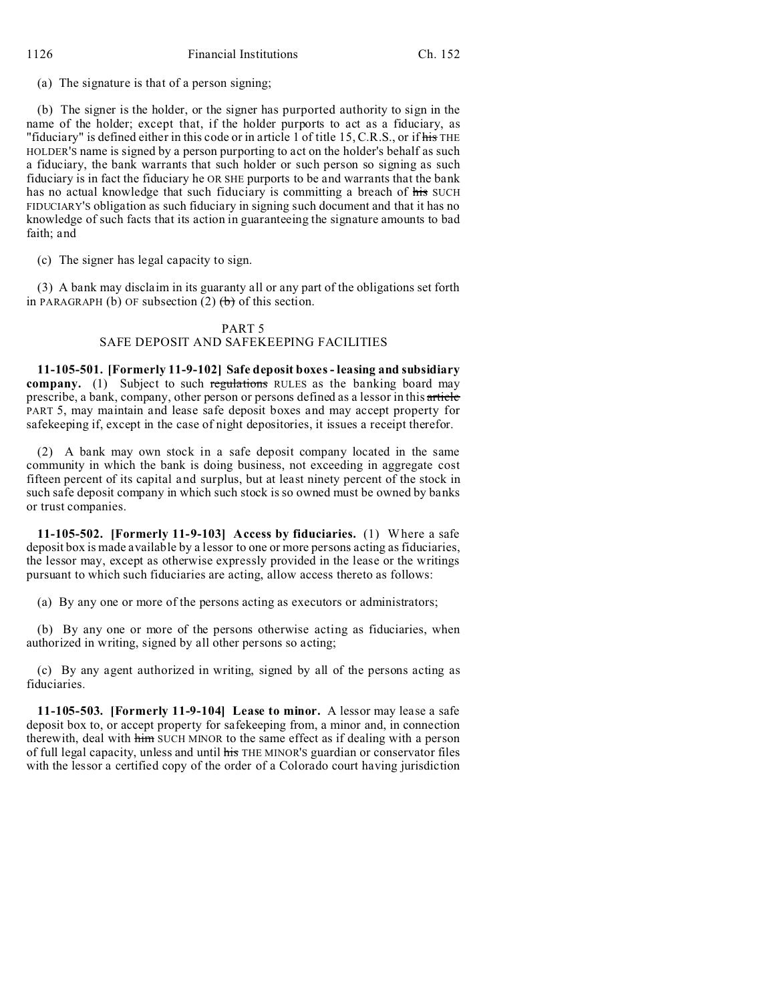(a) The signature is that of a person signing;

(b) The signer is the holder, or the signer has purported authority to sign in the name of the holder; except that, if the holder purports to act as a fiduciary, as "fiduciary" is defined either in this code or in article 1 of title 15, C.R.S., or if his THE HOLDER'S name is signed by a person purporting to act on the holder's behalf as such a fiduciary, the bank warrants that such holder or such person so signing as such fiduciary is in fact the fiduciary he OR SHE purports to be and warrants that the bank has no actual knowledge that such fiduciary is committing a breach of his SUCH FIDUCIARY'S obligation as such fiduciary in signing such document and that it has no knowledge of such facts that its action in guaranteeing the signature amounts to bad faith; and

(c) The signer has legal capacity to sign.

(3) A bank may disclaim in its guaranty all or any part of the obligations set forth in PARAGRAPH (b) OF subsection  $(2)$  (b) of this section.

### PART 5

## SAFE DEPOSIT AND SAFEKEEPING FACILITIES

**11-105-501. [Formerly 11-9-102] Safe deposit boxes - leasing and subsidiary company.** (1) Subject to such regulations RULES as the banking board may prescribe, a bank, company, other person or persons defined as a lessor in this article PART 5, may maintain and lease safe deposit boxes and may accept property for safekeeping if, except in the case of night depositories, it issues a receipt therefor.

(2) A bank may own stock in a safe deposit company located in the same community in which the bank is doing business, not exceeding in aggregate cost fifteen percent of its capital and surplus, but at least ninety percent of the stock in such safe deposit company in which such stock is so owned must be owned by banks or trust companies.

**11-105-502. [Formerly 11-9-103] Access by fiduciaries.** (1) Where a safe deposit box is made available by a lessor to one or more persons acting as fiduciaries, the lessor may, except as otherwise expressly provided in the lease or the writings pursuant to which such fiduciaries are acting, allow access thereto as follows:

(a) By any one or more of the persons acting as executors or administrators;

(b) By any one or more of the persons otherwise acting as fiduciaries, when authorized in writing, signed by all other persons so acting;

(c) By any agent authorized in writing, signed by all of the persons acting as fiduciaries.

**11-105-503. [Formerly 11-9-104] Lease to minor.** A lessor may lease a safe deposit box to, or accept property for safekeeping from, a minor and, in connection therewith, deal with him SUCH MINOR to the same effect as if dealing with a person of full legal capacity, unless and until his THE MINOR'S guardian or conservator files with the lessor a certified copy of the order of a Colorado court having jurisdiction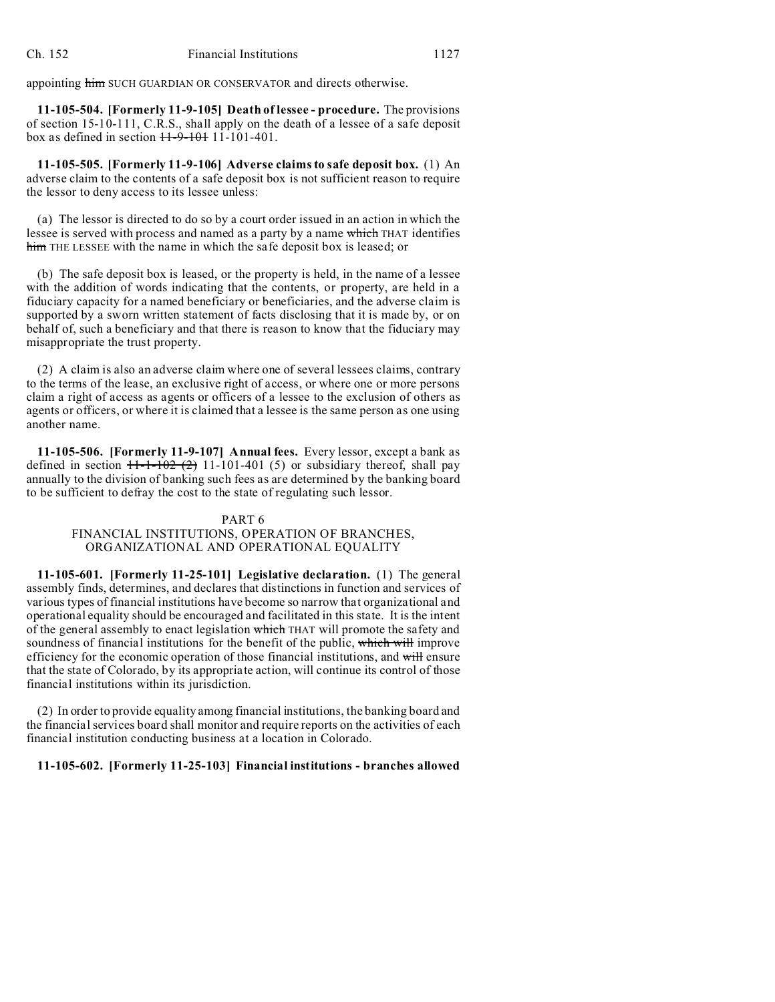appointing him SUCH GUARDIAN OR CONSERVATOR and directs otherwise.

**11-105-504. [Formerly 11-9-105] Death of lessee - procedure.** The provisions of section 15-10-111, C.R.S., shall apply on the death of a lessee of a safe deposit box as defined in section  $11-9-101-101-401$ .

**11-105-505. [Formerly 11-9-106] Adverse claims to safe deposit box.** (1) An adverse claim to the contents of a safe deposit box is not sufficient reason to require the lessor to deny access to its lessee unless:

(a) The lessor is directed to do so by a court order issued in an action in which the lessee is served with process and named as a party by a name which THAT identifies him THE LESSEE with the name in which the safe deposit box is leased; or

(b) The safe deposit box is leased, or the property is held, in the name of a lessee with the addition of words indicating that the contents, or property, are held in a fiduciary capacity for a named beneficiary or beneficiaries, and the adverse claim is supported by a sworn written statement of facts disclosing that it is made by, or on behalf of, such a beneficiary and that there is reason to know that the fiduciary may misappropriate the trust property.

(2) A claim is also an adverse claim where one of several lessees claims, contrary to the terms of the lease, an exclusive right of access, or where one or more persons claim a right of access as agents or officers of a lessee to the exclusion of others as agents or officers, or where it is claimed that a lessee is the same person as one using another name.

**11-105-506. [Formerly 11-9-107] Annual fees.** Every lessor, except a bank as defined in section  $11-1-102$  (2) 11-101-401 (5) or subsidiary thereof, shall pay annually to the division of banking such fees as are determined by the banking board to be sufficient to defray the cost to the state of regulating such lessor.

#### PART 6

FINANCIAL INSTITUTIONS, OPERATION OF BRANCHES, ORGANIZATIONAL AND OPERATIONAL EQUALITY

**11-105-601. [Formerly 11-25-101] Legislative declaration.** (1) The general assembly finds, determines, and declares that distinctions in function and services of various types of financial institutions have become so narrow that organizational and operational equality should be encouraged and facilitated in this state. It is the intent of the general assembly to enact legislation which THAT will promote the safety and soundness of financial institutions for the benefit of the public, which will improve efficiency for the economic operation of those financial institutions, and will ensure that the state of Colorado, by its appropriate action, will continue its control of those financial institutions within its jurisdiction.

(2) In order to provide equality among financial institutions, the banking board and the financial services board shall monitor and require reports on the activities of each financial institution conducting business at a location in Colorado.

# **11-105-602. [Formerly 11-25-103] Financial institutions - branches allowed**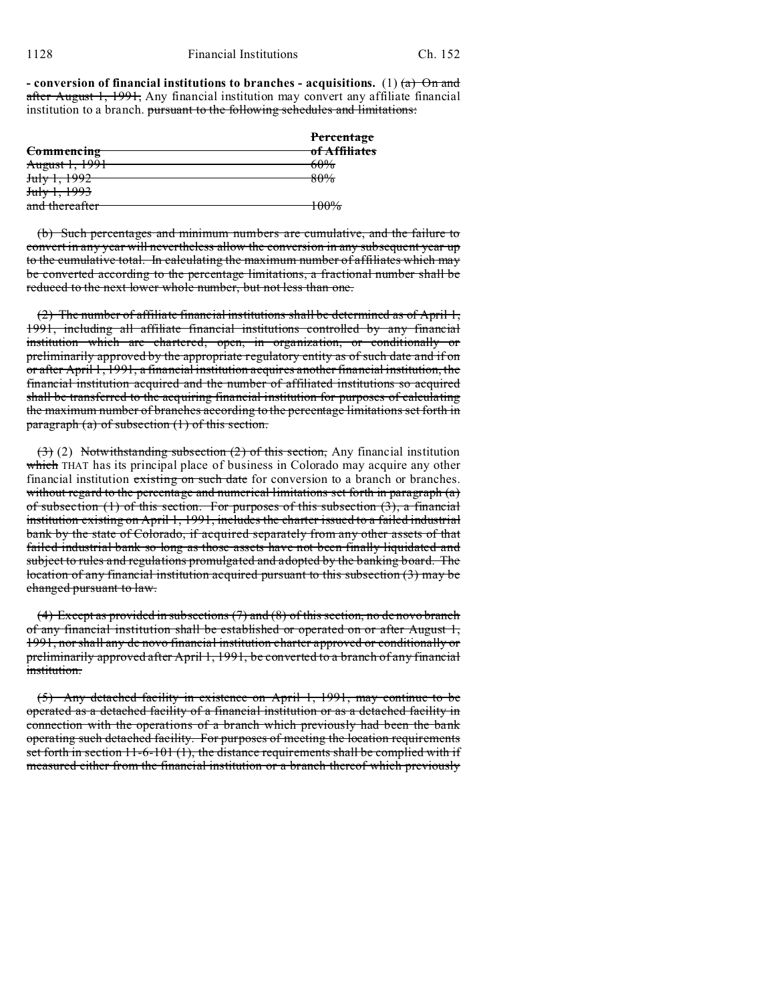**- conversion of financial institutions to branches - acquisitions.** (1)  $\left(\frac{a}{b}\right)$  On and after August 1, 1991, Any financial institution may convert any affiliate financial institution to a branch. pursuant to the following schedules and limitations:

|                         | Percentage     |
|-------------------------|----------------|
| <b>Commencing</b>       | of Affiliates  |
| August 1, 1991          | 60%            |
| 1002<br>1.1992<br>JUIY  | 80%            |
| <del>July 1, 1993</del> |                |
| and thereafter          | 1000/<br>10070 |

(b) Such percentages and minimum numbers are cumulative, and the failure to convert in any year will nevertheless allow the conversion in any subsequent year up to the cumulative total. In calculating the maximum number of affiliates which may be converted according to the percentage limitations, a fractional number shall be reduced to the next lower whole number, but not less than one.

(2) The number of affiliate financial institutions shall be determined as of April 1, 1991, including all affiliate financial institutions controlled by any financial institution which are chartered, open, in organization, or conditionally or preliminarily approved by the appropriate regulatory entity as of such date and if on or after April 1, 1991, a financial institution acquires another financial institution, the financial institution acquired and the number of affiliated institutions so acquired shall be transferred to the acquiring financial institution for purposes of calculating the maximum number of branches according to the percentage limitations set forth in paragraph (a) of subsection (1) of this section.

(3) (2) Notwithstanding subsection (2) of this section, Any financial institution which THAT has its principal place of business in Colorado may acquire any other financial institution existing on such date for conversion to a branch or branches. without regard to the percentage and numerical limitations set forth in paragraph (a) of subsection  $(1)$  of this section. For purposes of this subsection  $(3)$ , a financial institution existing on April 1, 1991, includes the charter issued to a failed industrial bank by the state of Colorado, if acquired separately from any other assets of that failed industrial bank so long as those assets have not been finally liquidated and subject to rules and regulations promulgated and adopted by the banking board. The location of any financial institution acquired pursuant to this subsection (3) may be changed pursuant to law.

(4) Except as provided in subsections (7) and (8) of this section, no de novo branch of any financial institution shall be established or operated on or after August 1, 1991, nor shall any de novo financial institution charter approved or conditionally or preliminarily approved after April 1, 1991, be converted to a branch of any financial institution.

(5) Any detached facility in existence on April 1, 1991, may continue to be operated as a detached facility of a financial institution or as a detached facility in connection with the operations of a branch which previously had been the bank operating such detached facility. For purposes of meeting the location requirements set forth in section 11-6-101 (1), the distance requirements shall be complied with if measured either from the financial institution or a branch thereof which previously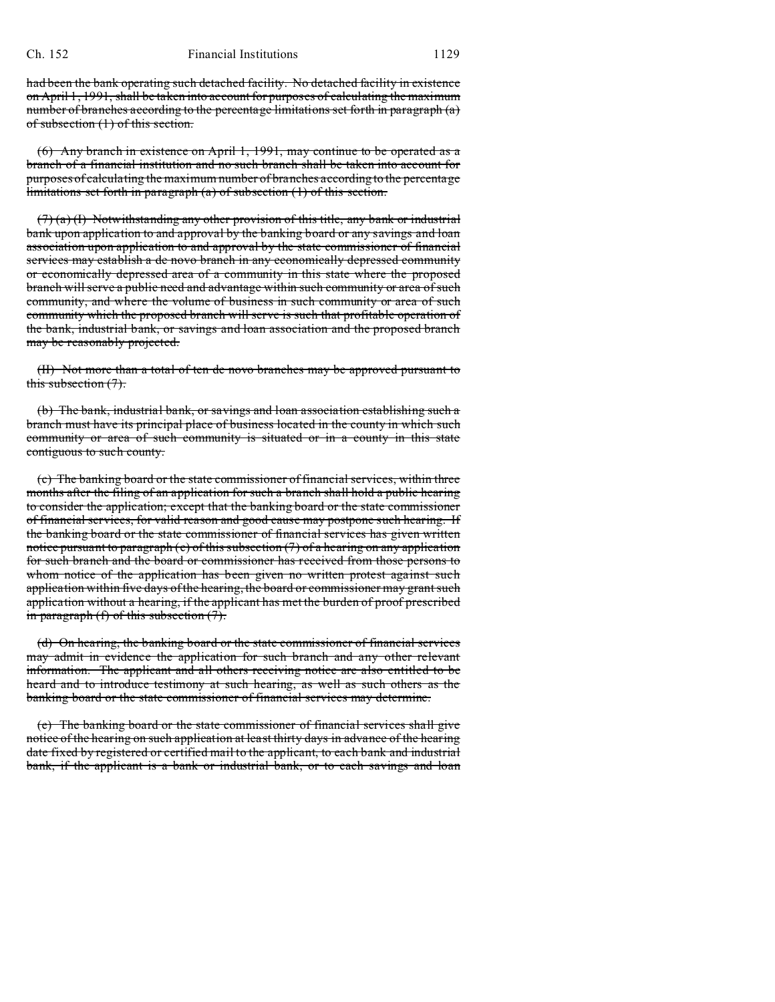had been the bank operating such detached facility. No detached facility in existence on April 1, 1991, shall be taken into account for purposes of calculating the maximum number of branches according to the percentage limitations set forth in paragraph (a) of subsection (1) of this section.

(6) Any branch in existence on April 1, 1991, may continue to be operated as a branch of a financial institution and no such branch shall be taken into account for purposes of calculating the maximum number of branches according to the percentage limitations set forth in paragraph (a) of subsection (1) of this section.

 $(7)$  (a) (I) Notwithstanding any other provision of this title, any bank or industrial bank upon application to and approval by the banking board or any savings and loan association upon application to and approval by the state commissioner of financial services may establish a de novo branch in any economically depressed community or economically depressed area of a community in this state where the proposed branch will serve a public need and advantage within such community or area of such community, and where the volume of business in such community or area of such community which the proposed branch will serve is such that profitable operation of the bank, industrial bank, or savings and loan association and the proposed branch may be reasonably projected.

(II) Not more than a total of ten de novo branches may be approved pursuant to this subsection  $(7)$ .

(b) The bank, industrial bank, or savings and loan association establishing such a branch must have its principal place of business located in the county in which such community or area of such community is situated or in a county in this state contiguous to such county.

(c) The banking board or the state commissioner of financial services, within three months after the filing of an application for such a branch shall hold a public hearing to consider the application; except that the banking board or the state commissioner of financial services, for valid reason and good cause may postpone such hearing. If the banking board or the state commissioner of financial services has given written notice pursuant to paragraph (e) of this subsection  $(7)$  of a hearing on any application for such branch and the board or commissioner has received from those persons to whom notice of the application has been given no written protest against such application within five days of the hearing, the board or commissioner may grant such application without a hearing, if the applicant has met the burden of proof prescribed in paragraph (f) of this subsection (7).

(d) On hearing, the banking board or the state commissioner of financial services may admit in evidence the application for such branch and any other relevant information. The applicant and all others receiving notice are also entitled to be heard and to introduce testimony at such hearing, as well as such others as the banking board or the state commissioner of financial services may determine.

(e) The banking board or the state commissioner of financial services shall give notice of the hearing on such application at least thirty days in advance of the hearing date fixed by registered or certified mail to the applicant, to each bank and industrial bank, if the applicant is a bank or industrial bank, or to each savings and loan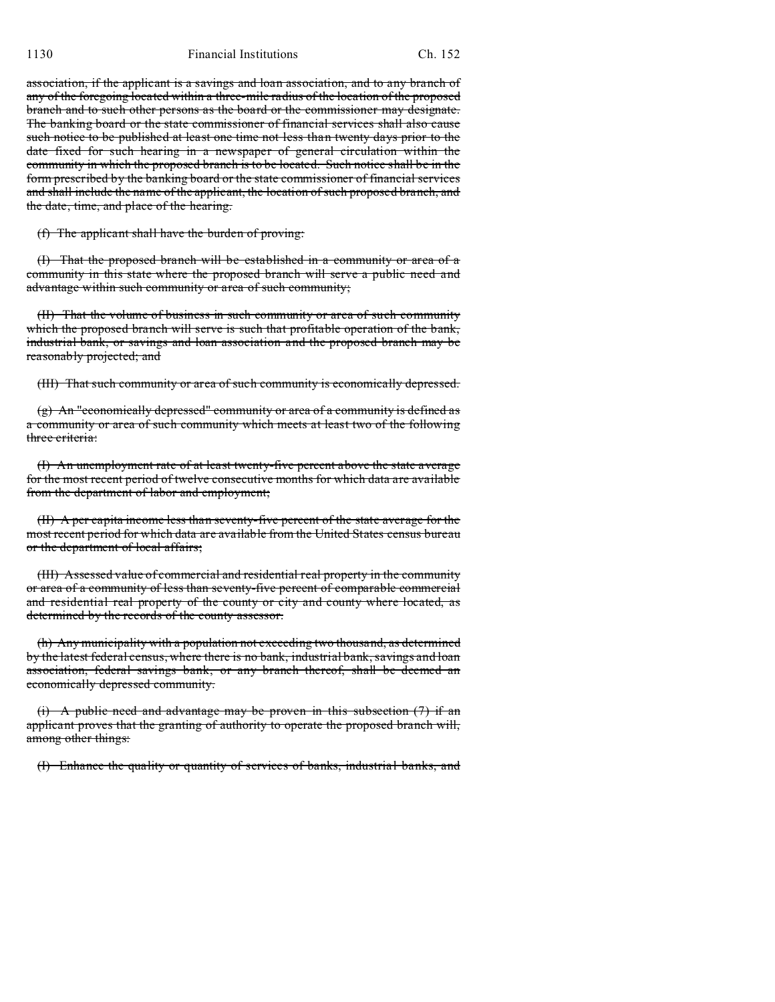1130 Financial Institutions Ch. 152

association, if the applicant is a savings and loan association, and to any branch of any of the foregoing located within a three-mile radius of the location of the proposed branch and to such other persons as the board or the commissioner may designate. The banking board or the state commissioner of financial services shall also cause such notice to be published at least one time not less than twenty days prior to the date fixed for such hearing in a newspaper of general circulation within the community in which the proposed branch is to be located. Such notice shall be in the form prescribed by the banking board or the state commissioner of financial services and shall include the name of the applicant, the location of such proposed branch, and the date, time, and place of the hearing.

(f) The applicant shall have the burden of proving:

(I) That the proposed branch will be established in a community or area of a community in this state where the proposed branch will serve a public need and advantage within such community or area of such community;

(II) That the volume of business in such community or area of such community which the proposed branch will serve is such that profitable operation of the bank, industrial bank, or savings and loan association and the proposed branch may be reasonably projected; and

(III) That such community or area of such community is economically depressed.

(g) An "economically depressed" community or area of a community is defined as a community or area of such community which meets at least two of the following three criteria:

(I) An unemployment rate of at least twenty-five percent above the state average for the most recent period of twelve consecutive months for which data are available from the department of labor and employment;

(II) A per capita income less than seventy-five percent of the state average for the most recent period for which data are available from the United States census bureau or the department of local affairs;

(III) Assessed value of commercial and residential real property in the community or area of a community of less than seventy-five percent of comparable commercial and residential real property of the county or city and county where located, as determined by the records of the county assessor.

(h) Any municipality with a population not exceeding two thousand, as determined by the latest federal census, where there is no bank, industrial bank, savings and loan association, federal savings bank, or any branch thereof, shall be deemed an economically depressed community.

(i) A public need and advantage may be proven in this subsection  $(7)$  if an applicant proves that the granting of authority to operate the proposed branch will, among other things:

(I) Enhance the quality or quantity of services of banks, industrial banks, and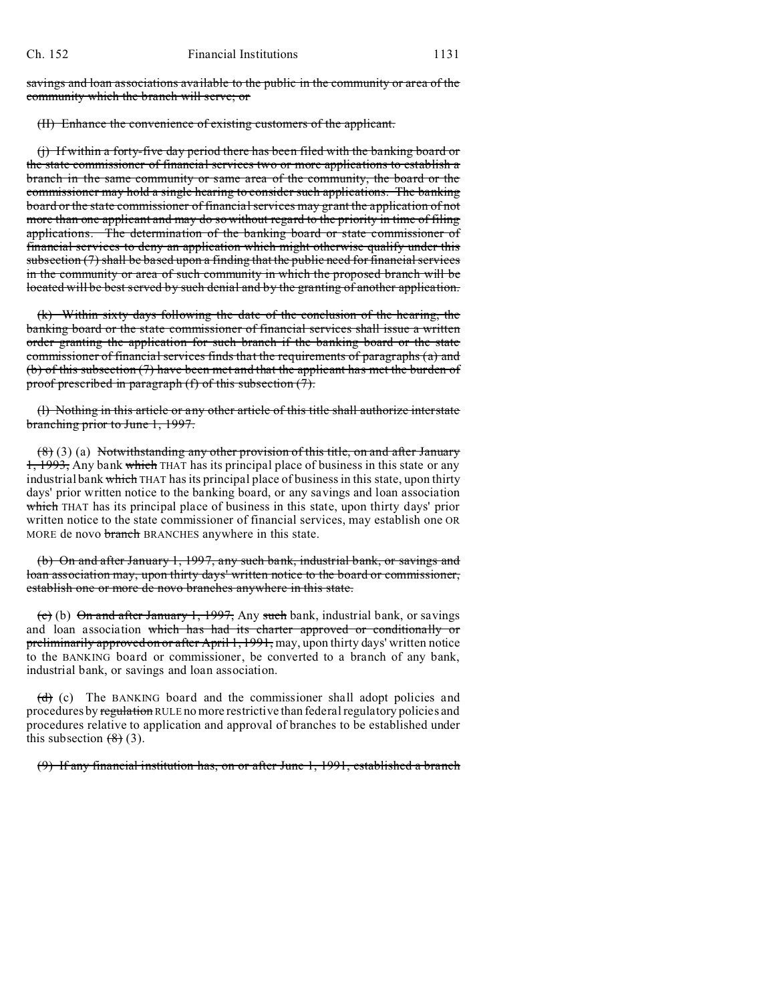savings and loan associations available to the public in the community or area of the community which the branch will serve; or

(II) Enhance the convenience of existing customers of the applicant.

(j) If within a forty-five day period there has been filed with the banking board or the state commissioner of financial services two or more applications to establish a branch in the same community or same area of the community, the board or the commissioner may hold a single hearing to consider such applications. The banking board or the state commissioner of financial services may grant the application of not more than one applicant and may do so without regard to the priority in time of filing applications. The determination of the banking board or state commissioner of financial services to deny an application which might otherwise qualify under this subsection  $(7)$  shall be based upon a finding that the public need for financial services in the community or area of such community in which the proposed branch will be located will be best served by such denial and by the granting of another application.

(k) Within sixty days following the date of the conclusion of the hearing, the banking board or the state commissioner of financial services shall issue a written order granting the application for such branch if the banking board or the state commissioner of financial services finds that the requirements of paragraphs (a) and (b) of this subsection (7) have been met and that the applicant has met the burden of proof prescribed in paragraph (f) of this subsection (7).

(l) Nothing in this article or any other article of this title shall authorize interstate branching prior to June 1, 1997.

(8) (3) (a) Notwithstanding any other provision of this title, on and after January 1, 1993, Any bank which THAT has its principal place of business in this state or any industrial bank which THAT has its principal place of business in this state, upon thirty days' prior written notice to the banking board, or any savings and loan association which THAT has its principal place of business in this state, upon thirty days' prior written notice to the state commissioner of financial services, may establish one OR MORE de novo branch BRANCHES anywhere in this state.

(b) On and after January 1, 1997, any such bank, industrial bank, or savings and loan association may, upon thirty days' written notice to the board or commissioner, establish one or more de novo branches anywhere in this state.

(c) (b) On and after January 1, 1997, Any such bank, industrial bank, or savings and loan association which has had its charter approved or conditionally or preliminarily approved on or after April 1, 1991, may, upon thirty days' written notice to the BANKING board or commissioner, be converted to a branch of any bank, industrial bank, or savings and loan association.

 $\left(\frac{d}{d}\right)$  (c) The BANKING board and the commissioner shall adopt policies and procedures by regulation RULE no more restrictive than federal regulatory policies and procedures relative to application and approval of branches to be established under this subsection  $(8)$  (3).

(9) If any financial institution has, on or after June 1, 1991, established a branch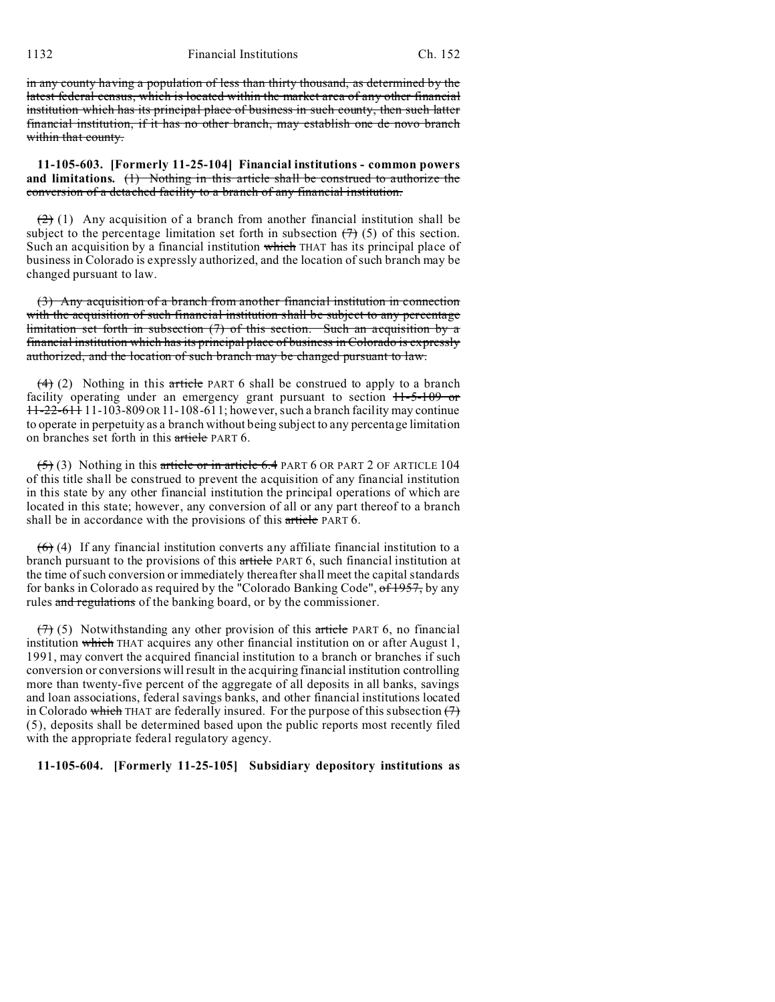1132 Financial Institutions Ch. 152

in any county having a population of less than thirty thousand, as determined by the latest federal census, which is located within the market area of any other financial institution which has its principal place of business in such county, then such latter financial institution, if it has no other branch, may establish one de novo branch within that county.

**11-105-603. [Formerly 11-25-104] Financial institutions - common powers and limitations.** (1) Nothing in this article shall be construed to authorize the conversion of a detached facility to a branch of any financial institution.

 $(2)$  (1) Any acquisition of a branch from another financial institution shall be subject to the percentage limitation set forth in subsection  $(7)(5)$  of this section. Such an acquisition by a financial institution which THAT has its principal place of business in Colorado is expressly authorized, and the location of such branch may be changed pursuant to law.

(3) Any acquisition of a branch from another financial institution in connection with the acquisition of such financial institution shall be subject to any percentage limitation set forth in subsection (7) of this section. Such an acquisition by a financial institution which has its principal place of business in Colorado is expressly authorized, and the location of such branch may be changed pursuant to law.

 $(4)$  (2) Nothing in this article PART 6 shall be construed to apply to a branch facility operating under an emergency grant pursuant to section  $11-5-109$  or 11-22-611 11-103-809 OR11-108-611; however, such a branch facility may continue to operate in perpetuity as a branch without being subject to any percentage limitation on branches set forth in this article PART 6.

 $(5)$  (3) Nothing in this article or in article 6.4 PART 6 OR PART 2 OF ARTICLE 104 of this title shall be construed to prevent the acquisition of any financial institution in this state by any other financial institution the principal operations of which are located in this state; however, any conversion of all or any part thereof to a branch shall be in accordance with the provisions of this article PART 6.

 $(6)$  (4) If any financial institution converts any affiliate financial institution to a branch pursuant to the provisions of this article PART 6, such financial institution at the time of such conversion or immediately thereafter shall meet the capital standards for banks in Colorado as required by the "Colorado Banking Code", of 1957, by any rules and regulations of the banking board, or by the commissioner.

 $(7)$  (5) Notwithstanding any other provision of this article PART 6, no financial institution which THAT acquires any other financial institution on or after August 1, 1991, may convert the acquired financial institution to a branch or branches if such conversion or conversions will result in the acquiring financial institution controlling more than twenty-five percent of the aggregate of all deposits in all banks, savings and loan associations, federal savings banks, and other financial institutions located in Colorado which THAT are federally insured. For the purpose of this subsection  $(7)$ (5), deposits shall be determined based upon the public reports most recently filed with the appropriate federal regulatory agency.

## **11-105-604. [Formerly 11-25-105] Subsidiary depository institutions as**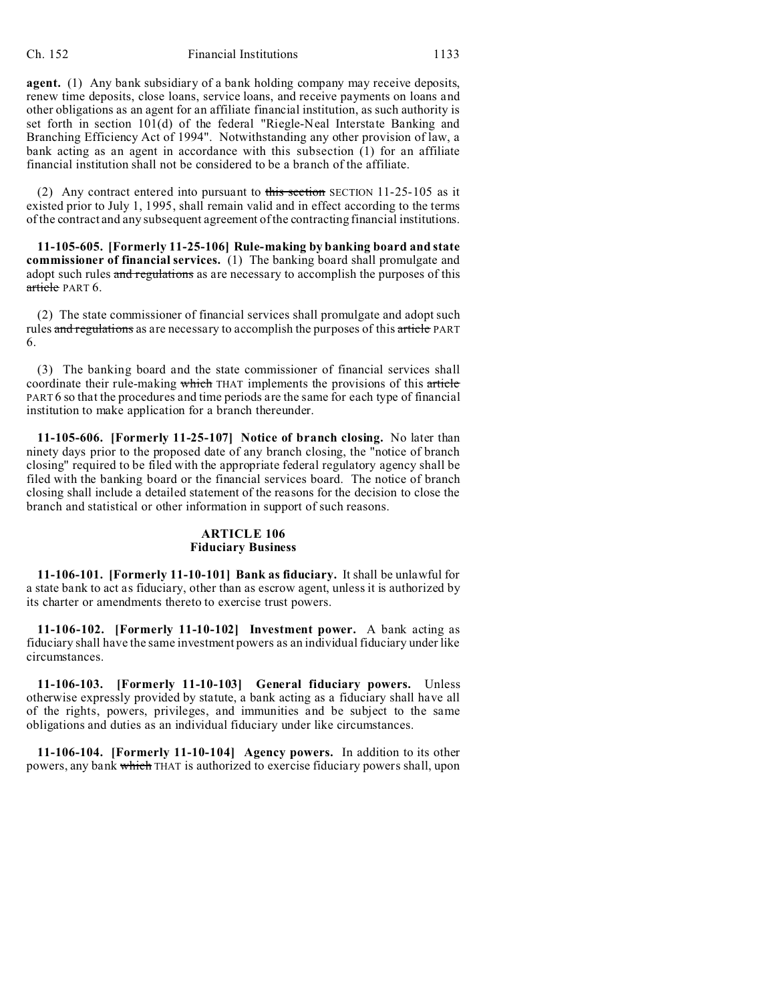**agent.** (1) Any bank subsidiary of a bank holding company may receive deposits, renew time deposits, close loans, service loans, and receive payments on loans and other obligations as an agent for an affiliate financial institution, as such authority is set forth in section 101(d) of the federal "Riegle-Neal Interstate Banking and Branching Efficiency Act of 1994". Notwithstanding any other provision of law, a bank acting as an agent in accordance with this subsection (1) for an affiliate financial institution shall not be considered to be a branch of the affiliate.

(2) Any contract entered into pursuant to this section SECTION  $11-25-105$  as it existed prior to July 1, 1995, shall remain valid and in effect according to the terms of the contract and any subsequent agreement of the contracting financial institutions.

**11-105-605. [Formerly 11-25-106] Rule-making by banking board and state commissioner of financial services.** (1) The banking board shall promulgate and adopt such rules and regulations as are necessary to accomplish the purposes of this article PART 6.

(2) The state commissioner of financial services shall promulgate and adopt such rules and regulations as are necessary to accomplish the purposes of this article PART 6.

(3) The banking board and the state commissioner of financial services shall coordinate their rule-making which THAT implements the provisions of this article PART 6 so that the procedures and time periods are the same for each type of financial institution to make application for a branch thereunder.

**11-105-606. [Formerly 11-25-107] Notice of branch closing.** No later than ninety days prior to the proposed date of any branch closing, the "notice of branch closing" required to be filed with the appropriate federal regulatory agency shall be filed with the banking board or the financial services board. The notice of branch closing shall include a detailed statement of the reasons for the decision to close the branch and statistical or other information in support of such reasons.

### **ARTICLE 106 Fiduciary Business**

**11-106-101. [Formerly 11-10-101] Bank as fiduciary.** It shall be unlawful for a state bank to act as fiduciary, other than as escrow agent, unless it is authorized by its charter or amendments thereto to exercise trust powers.

**11-106-102. [Formerly 11-10-102] Investment power.** A bank acting as fiduciary shall have the same investment powers as an individual fiduciary under like circumstances.

**11-106-103. [Formerly 11-10-103] General fiduciary powers.** Unless otherwise expressly provided by statute, a bank acting as a fiduciary shall have all of the rights, powers, privileges, and immunities and be subject to the same obligations and duties as an individual fiduciary under like circumstances.

**11-106-104. [Formerly 11-10-104] Agency powers.** In addition to its other powers, any bank which THAT is authorized to exercise fiduciary powers shall, upon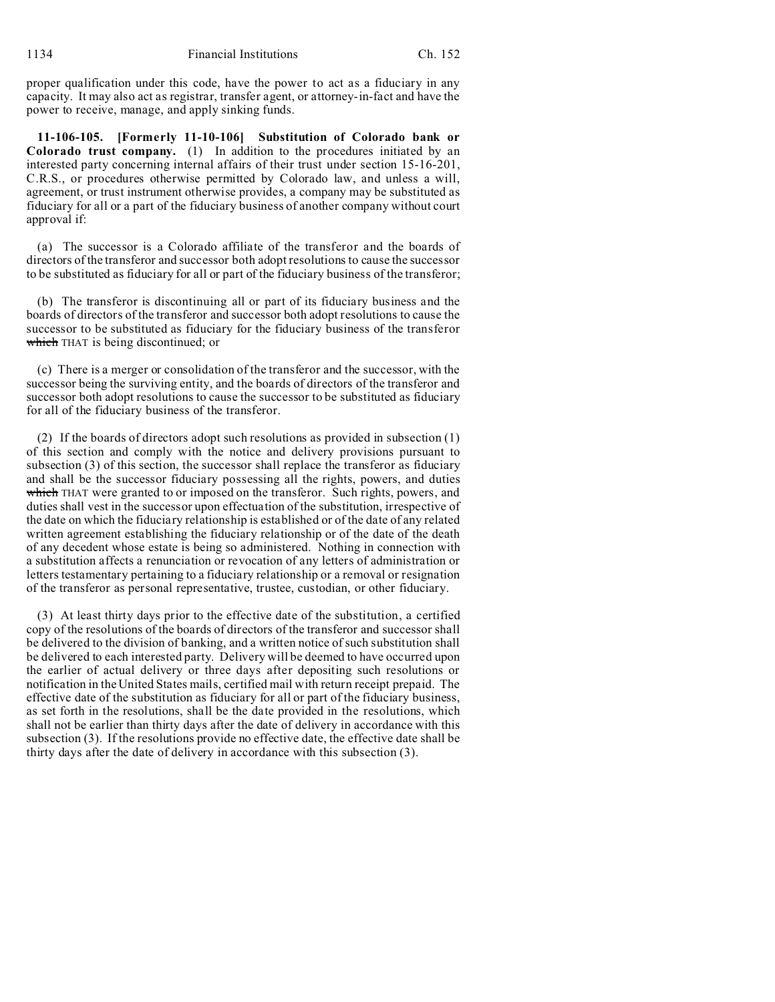proper qualification under this code, have the power to act as a fiduciary in any capacity. It may also act as registrar, transfer agent, or attorney-in-fact and have the power to receive, manage, and apply sinking funds.

**11-106-105. [Formerly 11-10-106] Substitution of Colorado bank or Colorado trust company.** (1) In addition to the procedures initiated by an interested party concerning internal affairs of their trust under section 15-16-201, C.R.S., or procedures otherwise permitted by Colorado law, and unless a will, agreement, or trust instrument otherwise provides, a company may be substituted as fiduciary for all or a part of the fiduciary business of another company without court approval if:

(a) The successor is a Colorado affiliate of the transferor and the boards of directors of the transferor and successor both adopt resolutions to cause the successor to be substituted as fiduciary for all or part of the fiduciary business of the transferor;

(b) The transferor is discontinuing all or part of its fiduciary business and the boards of directors of the transferor and successor both adopt resolutions to cause the successor to be substituted as fiduciary for the fiduciary business of the transferor which THAT is being discontinued; or

(c) There is a merger or consolidation of the transferor and the successor, with the successor being the surviving entity, and the boards of directors of the transferor and successor both adopt resolutions to cause the successor to be substituted as fiduciary for all of the fiduciary business of the transferor.

(2) If the boards of directors adopt such resolutions as provided in subsection (1) of this section and comply with the notice and delivery provisions pursuant to subsection (3) of this section, the successor shall replace the transferor as fiduciary and shall be the successor fiduciary possessing all the rights, powers, and duties which THAT were granted to or imposed on the transferor. Such rights, powers, and duties shall vest in the successor upon effectuation of the substitution, irrespective of the date on which the fiduciary relationship is established or of the date of any related written agreement establishing the fiduciary relationship or of the date of the death of any decedent whose estate is being so administered. Nothing in connection with a substitution affects a renunciation or revocation of any letters of administration or letters testamentary pertaining to a fiduciary relationship or a removal or resignation of the transferor as personal representative, trustee, custodian, or other fiduciary.

(3) At least thirty days prior to the effective date of the substitution, a certified copy of the resolutions of the boards of directors of the transferor and successor shall be delivered to the division of banking, and a written notice of such substitution shall be delivered to each interested party. Delivery will be deemed to have occurred upon the earlier of actual delivery or three days after depositing such resolutions or notification in the United States mails, certified mail with return receipt prepaid. The effective date of the substitution as fiduciary for all or part of the fiduciary business, as set forth in the resolutions, shall be the date provided in the resolutions, which shall not be earlier than thirty days after the date of delivery in accordance with this subsection (3). If the resolutions provide no effective date, the effective date shall be thirty days after the date of delivery in accordance with this subsection (3).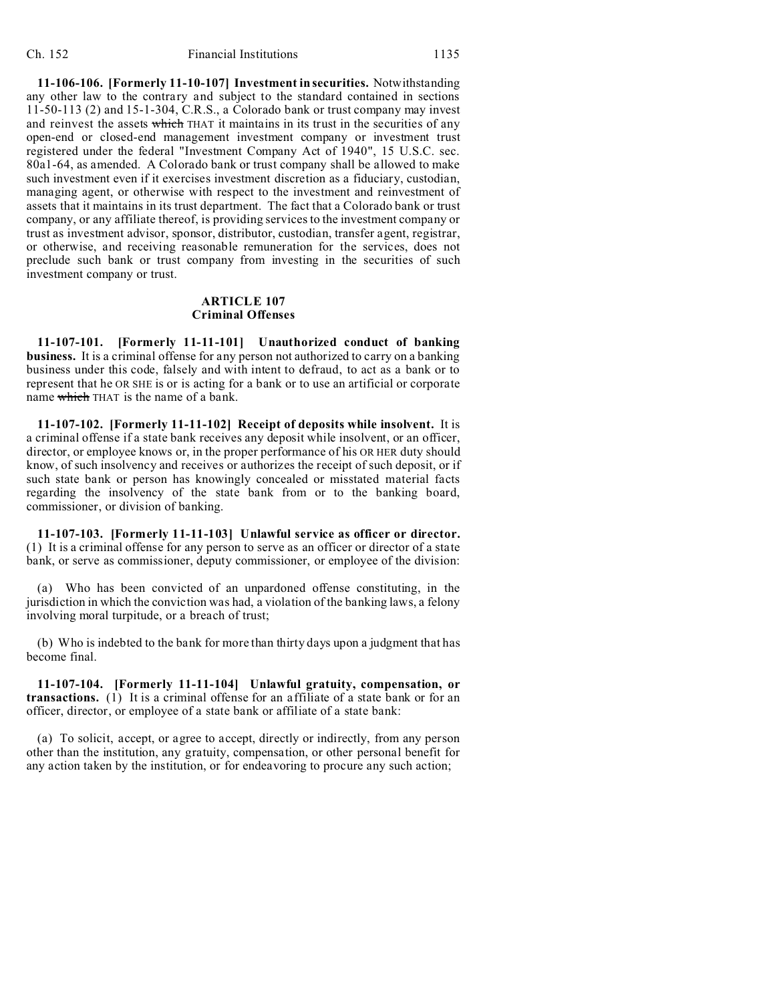**11-106-106. [Formerly 11-10-107] Investment in securities.** Notwithstanding any other law to the contrary and subject to the standard contained in sections 11-50-113 (2) and 15-1-304, C.R.S., a Colorado bank or trust company may invest and reinvest the assets which THAT it maintains in its trust in the securities of any open-end or closed-end management investment company or investment trust registered under the federal "Investment Company Act of 1940", 15 U.S.C. sec. 80a1-64, as amended. A Colorado bank or trust company shall be allowed to make such investment even if it exercises investment discretion as a fiduciary, custodian, managing agent, or otherwise with respect to the investment and reinvestment of assets that it maintains in its trust department. The fact that a Colorado bank or trust company, or any affiliate thereof, is providing services to the investment company or trust as investment advisor, sponsor, distributor, custodian, transfer agent, registrar, or otherwise, and receiving reasonable remuneration for the services, does not preclude such bank or trust company from investing in the securities of such investment company or trust.

## **ARTICLE 107 Criminal Offenses**

**11-107-101. [Formerly 11-11-101] Unauthorized conduct of banking business.** It is a criminal offense for any person not authorized to carry on a banking business under this code, falsely and with intent to defraud, to act as a bank or to represent that he OR SHE is or is acting for a bank or to use an artificial or corporate name which THAT is the name of a bank.

**11-107-102. [Formerly 11-11-102] Receipt of deposits while insolvent.** It is a criminal offense if a state bank receives any deposit while insolvent, or an officer, director, or employee knows or, in the proper performance of his OR HER duty should know, of such insolvency and receives or authorizes the receipt of such deposit, or if such state bank or person has knowingly concealed or misstated material facts regarding the insolvency of the state bank from or to the banking board, commissioner, or division of banking.

**11-107-103. [Formerly 11-11-103] Unlawful service as officer or director.** (1) It is a criminal offense for any person to serve as an officer or director of a state bank, or serve as commissioner, deputy commissioner, or employee of the division:

(a) Who has been convicted of an unpardoned offense constituting, in the jurisdiction in which the conviction was had, a violation of the banking laws, a felony involving moral turpitude, or a breach of trust;

(b) Who is indebted to the bank for more than thirty days upon a judgment that has become final.

**11-107-104. [Formerly 11-11-104] Unlawful gratuity, compensation, or transactions.** (1) It is a criminal offense for an affiliate of a state bank or for an officer, director, or employee of a state bank or affiliate of a state bank:

(a) To solicit, accept, or agree to accept, directly or indirectly, from any person other than the institution, any gratuity, compensation, or other personal benefit for any action taken by the institution, or for endeavoring to procure any such action;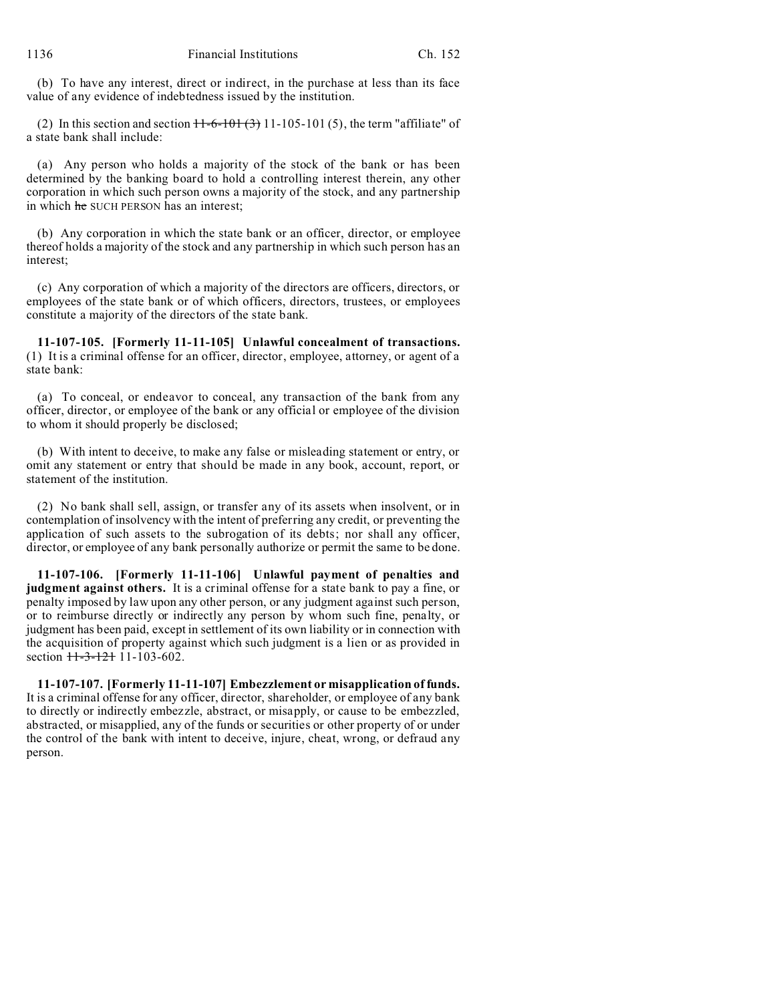(b) To have any interest, direct or indirect, in the purchase at less than its face value of any evidence of indebtedness issued by the institution.

(2) In this section and section  $H$ -6-101  $(3)$  11-105-101  $(5)$ , the term "affiliate" of a state bank shall include:

(a) Any person who holds a majority of the stock of the bank or has been determined by the banking board to hold a controlling interest therein, any other corporation in which such person owns a majority of the stock, and any partnership in which he SUCH PERSON has an interest:

(b) Any corporation in which the state bank or an officer, director, or employee thereof holds a majority of the stock and any partnership in which such person has an interest;

(c) Any corporation of which a majority of the directors are officers, directors, or employees of the state bank or of which officers, directors, trustees, or employees constitute a majority of the directors of the state bank.

**11-107-105. [Formerly 11-11-105] Unlawful concealment of transactions.** (1) It is a criminal offense for an officer, director, employee, attorney, or agent of a state bank:

(a) To conceal, or endeavor to conceal, any transaction of the bank from any officer, director, or employee of the bank or any official or employee of the division to whom it should properly be disclosed;

(b) With intent to deceive, to make any false or misleading statement or entry, or omit any statement or entry that should be made in any book, account, report, or statement of the institution.

(2) No bank shall sell, assign, or transfer any of its assets when insolvent, or in contemplation of insolvency with the intent of preferring any credit, or preventing the application of such assets to the subrogation of its debts; nor shall any officer, director, or employee of any bank personally authorize or permit the same to be done.

**11-107-106. [Formerly 11-11-106] Unlawful payment of penalties and judgment against others.** It is a criminal offense for a state bank to pay a fine, or penalty imposed by law upon any other person, or any judgment against such person, or to reimburse directly or indirectly any person by whom such fine, penalty, or judgment has been paid, except in settlement of its own liability or in connection with the acquisition of property against which such judgment is a lien or as provided in section  $11-3-121$  11-103-602.

**11-107-107. [Formerly 11-11-107] Embezzlement or misapplication of funds.** It is a criminal offense for any officer, director, shareholder, or employee of any bank to directly or indirectly embezzle, abstract, or misapply, or cause to be embezzled, abstracted, or misapplied, any of the funds or securities or other property of or under the control of the bank with intent to deceive, injure, cheat, wrong, or defraud any person.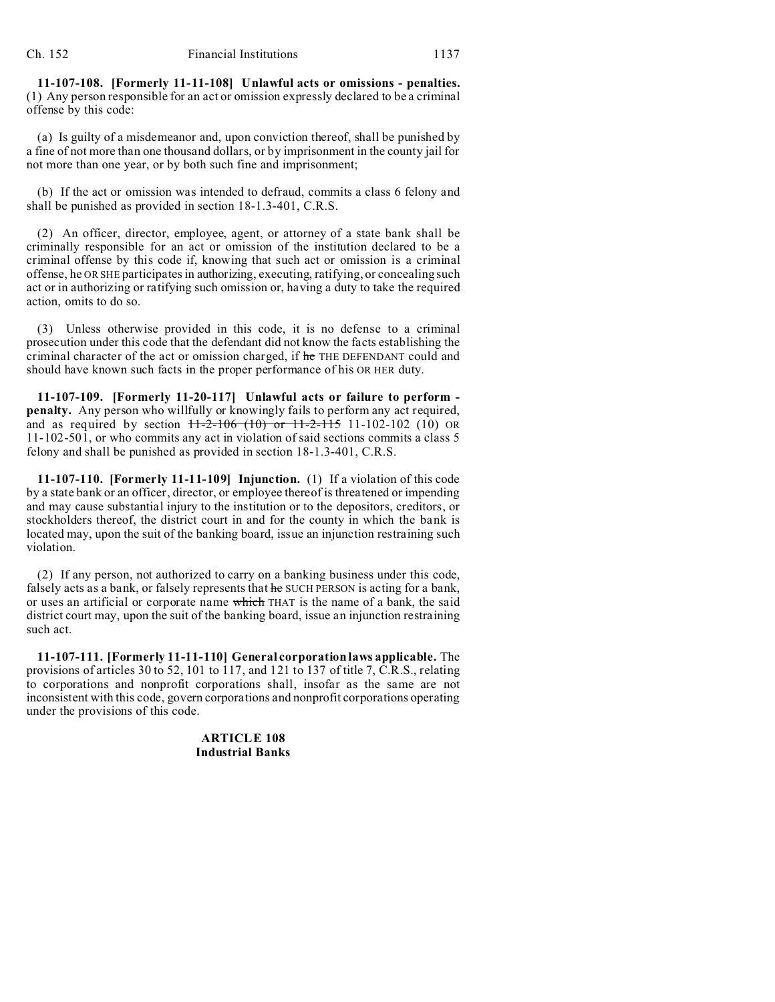**11-107-108. [Formerly 11-11-108] Unlawful acts or omissions - penalties.** (1) Any person responsible for an act or omission expressly declared to be a criminal offense by this code:

(a) Is guilty of a misdemeanor and, upon conviction thereof, shall be punished by a fine of not more than one thousand dollars, or by imprisonment in the county jail for not more than one year, or by both such fine and imprisonment;

(b) If the act or omission was intended to defraud, commits a class 6 felony and shall be punished as provided in section 18-1.3-401, C.R.S.

(2) An officer, director, employee, agent, or attorney of a state bank shall be criminally responsible for an act or omission of the institution declared to be a criminal offense by this code if, knowing that such act or omission is a criminal offense, he OR SHE participates in authorizing, executing, ratifying, or concealing such act or in authorizing or ratifying such omission or, having a duty to take the required action, omits to do so.

(3) Unless otherwise provided in this code, it is no defense to a criminal prosecution under this code that the defendant did not know the facts establishing the criminal character of the act or omission charged, if he THE DEFENDANT could and should have known such facts in the proper performance of his OR HER duty.

**11-107-109. [Formerly 11-20-117] Unlawful acts or failure to perform penalty.** Any person who willfully or knowingly fails to perform any act required, and as required by section  $H-2-106$  (10) or  $H-2-115$  11-102-102 (10) OR 11-102-501, or who commits any act in violation of said sections commits a class 5 felony and shall be punished as provided in section 18-1.3-401, C.R.S.

**11-107-110. [Formerly 11-11-109] Injunction.** (1) If a violation of this code by a state bank or an officer, director, or employee thereof is threatened or impending and may cause substantial injury to the institution or to the depositors, creditors, or stockholders thereof, the district court in and for the county in which the bank is located may, upon the suit of the banking board, issue an injunction restraining such violation.

(2) If any person, not authorized to carry on a banking business under this code, falsely acts as a bank, or falsely represents that he SUCH PERSON is acting for a bank, or uses an artificial or corporate name which THAT is the name of a bank, the said district court may, upon the suit of the banking board, issue an injunction restraining such act.

**11-107-111. [Formerly 11-11-110] General corporation laws applicable.** The provisions of articles 30 to 52, 101 to 117, and 121 to 137 of title 7, C.R.S., relating to corporations and nonprofit corporations shall, insofar as the same are not inconsistent with this code, govern corporations and nonprofit corporations operating under the provisions of this code.

> **ARTICLE 108 Industrial Banks**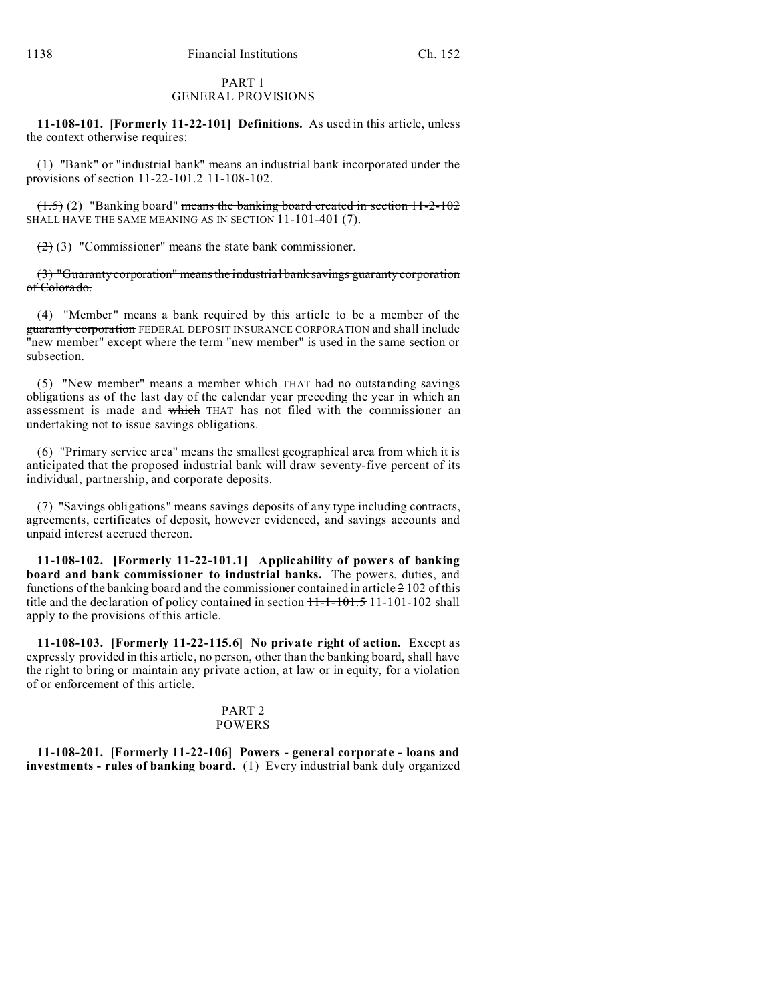### PART 1 GENERAL PROVISIONS

**11-108-101. [Formerly 11-22-101] Definitions.** As used in this article, unless the context otherwise requires:

(1) "Bank" or "industrial bank" means an industrial bank incorporated under the provisions of section  $11-22-101.2$  11-108-102.

(1.5) (2) "Banking board" means the banking board created in section 11-2-102 SHALL HAVE THE SAME MEANING AS IN SECTION 11-101-401 (7).

 $(2)$  (3) "Commissioner" means the state bank commissioner.

(3) "Guaranty corporation" means the industrial bank savings guaranty corporation of Colorado.

(4) "Member" means a bank required by this article to be a member of the guaranty corporation FEDERAL DEPOSIT INSURANCE CORPORATION and shall include "new member" except where the term "new member" is used in the same section or subsection.

(5) "New member" means a member which THAT had no outstanding savings obligations as of the last day of the calendar year preceding the year in which an assessment is made and which THAT has not filed with the commissioner an undertaking not to issue savings obligations.

(6) "Primary service area" means the smallest geographical area from which it is anticipated that the proposed industrial bank will draw seventy-five percent of its individual, partnership, and corporate deposits.

(7) "Savings obligations" means savings deposits of any type including contracts, agreements, certificates of deposit, however evidenced, and savings accounts and unpaid interest accrued thereon.

**11-108-102. [Formerly 11-22-101.1] Applicability of powers of banking board and bank commissioner to industrial banks.** The powers, duties, and functions of the banking board and the commissioner contained in article  $\frac{1}{2}$  102 of this title and the declaration of policy contained in section  $11-1-101-5$  11-101-102 shall apply to the provisions of this article.

**11-108-103. [Formerly 11-22-115.6] No private right of action.** Except as expressly provided in this article, no person, other than the banking board, shall have the right to bring or maintain any private action, at law or in equity, for a violation of or enforcement of this article.

### PART 2 POWERS

**11-108-201. [Formerly 11-22-106] Powers - general corporate - loans and investments - rules of banking board.** (1) Every industrial bank duly organized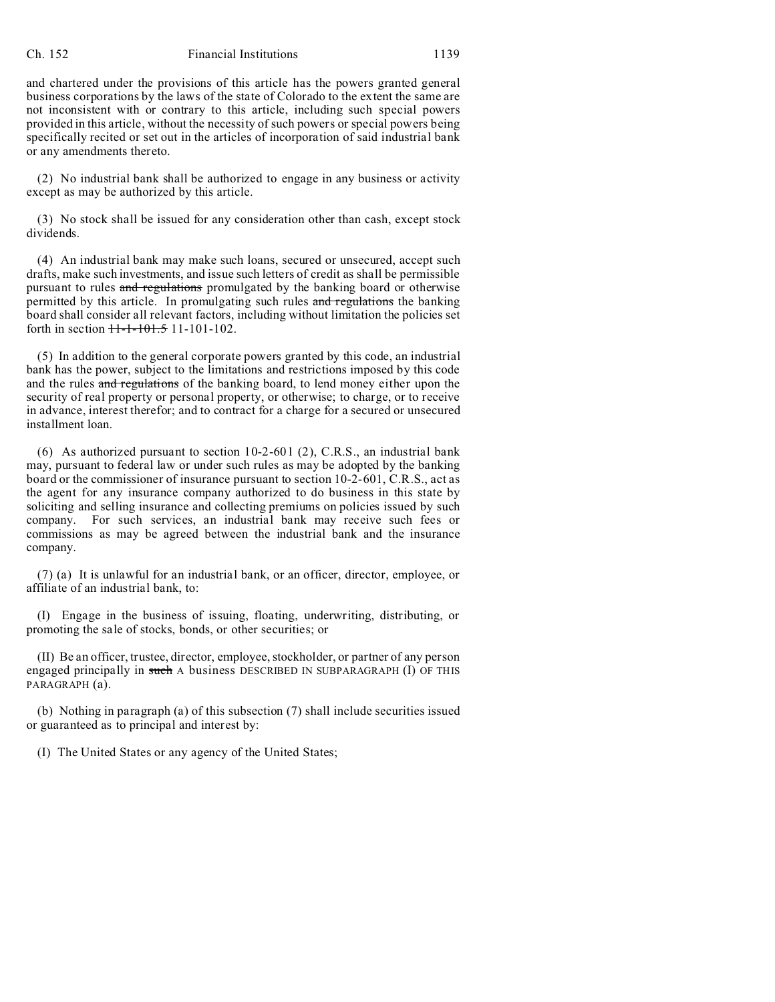#### Ch. 152 Financial Institutions 1139

and chartered under the provisions of this article has the powers granted general business corporations by the laws of the state of Colorado to the extent the same are not inconsistent with or contrary to this article, including such special powers provided in this article, without the necessity of such powers or special powers being specifically recited or set out in the articles of incorporation of said industrial bank or any amendments thereto.

(2) No industrial bank shall be authorized to engage in any business or activity except as may be authorized by this article.

(3) No stock shall be issued for any consideration other than cash, except stock dividends.

(4) An industrial bank may make such loans, secured or unsecured, accept such drafts, make such investments, and issue such letters of credit as shall be permissible pursuant to rules and regulations promulgated by the banking board or otherwise permitted by this article. In promulgating such rules and regulations the banking board shall consider all relevant factors, including without limitation the policies set forth in section 11-1-101.5 11-101-102.

(5) In addition to the general corporate powers granted by this code, an industrial bank has the power, subject to the limitations and restrictions imposed by this code and the rules and regulations of the banking board, to lend money either upon the security of real property or personal property, or otherwise; to charge, or to receive in advance, interest therefor; and to contract for a charge for a secured or unsecured installment loan.

(6) As authorized pursuant to section 10-2-601 (2), C.R.S., an industrial bank may, pursuant to federal law or under such rules as may be adopted by the banking board or the commissioner of insurance pursuant to section 10-2-601, C.R.S., act as the agent for any insurance company authorized to do business in this state by soliciting and selling insurance and collecting premiums on policies issued by such company. For such services, an industrial bank may receive such fees or commissions as may be agreed between the industrial bank and the insurance company.

(7) (a) It is unlawful for an industrial bank, or an officer, director, employee, or affiliate of an industrial bank, to:

(I) Engage in the business of issuing, floating, underwriting, distributing, or promoting the sale of stocks, bonds, or other securities; or

(II) Be an officer, trustee, director, employee, stockholder, or partner of any person engaged principally in such A business DESCRIBED IN SUBPARAGRAPH (I) OF THIS PARAGRAPH (a).

(b) Nothing in paragraph (a) of this subsection (7) shall include securities issued or guaranteed as to principal and interest by:

(I) The United States or any agency of the United States;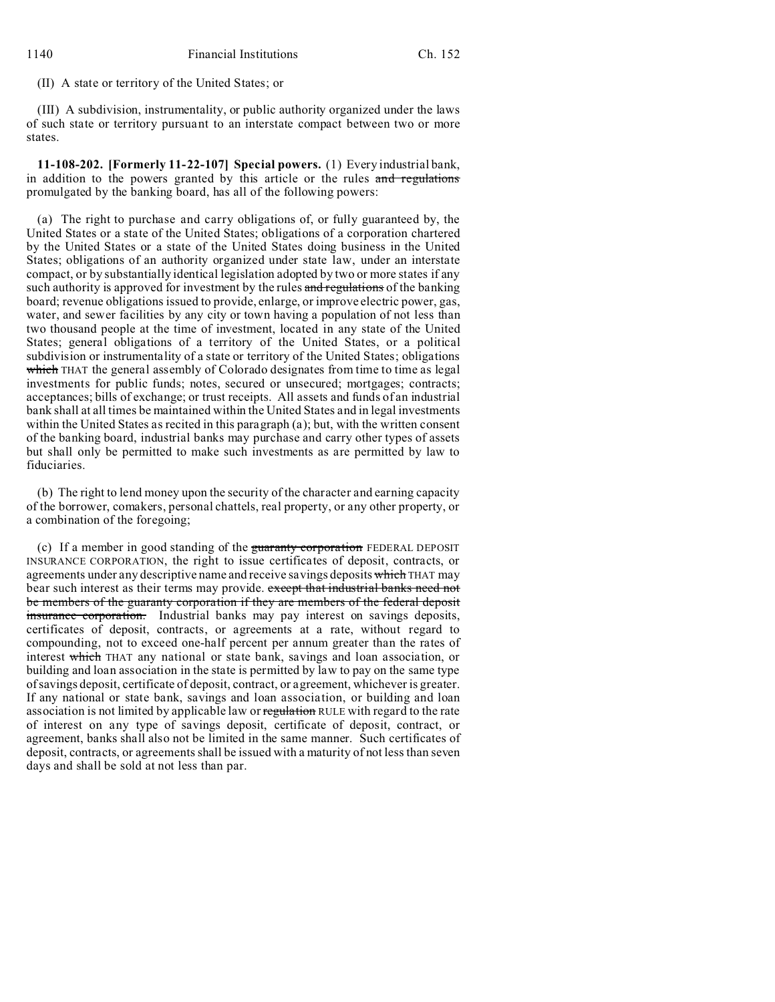(II) A state or territory of the United States; or

(III) A subdivision, instrumentality, or public authority organized under the laws of such state or territory pursuant to an interstate compact between two or more states.

**11-108-202. [Formerly 11-22-107] Special powers.** (1) Every industrial bank, in addition to the powers granted by this article or the rules and regulations promulgated by the banking board, has all of the following powers:

(a) The right to purchase and carry obligations of, or fully guaranteed by, the United States or a state of the United States; obligations of a corporation chartered by the United States or a state of the United States doing business in the United States; obligations of an authority organized under state law, under an interstate compact, or by substantially identical legislation adopted by two or more states if any such authority is approved for investment by the rules and regulations of the banking board; revenue obligations issued to provide, enlarge, or improve electric power, gas, water, and sewer facilities by any city or town having a population of not less than two thousand people at the time of investment, located in any state of the United States; general obligations of a territory of the United States, or a political subdivision or instrumentality of a state or territory of the United States; obligations which THAT the general assembly of Colorado designates from time to time as legal investments for public funds; notes, secured or unsecured; mortgages; contracts; acceptances; bills of exchange; or trust receipts. All assets and funds of an industrial bank shall at all times be maintained within the United States and in legal investments within the United States as recited in this paragraph (a); but, with the written consent of the banking board, industrial banks may purchase and carry other types of assets but shall only be permitted to make such investments as are permitted by law to fiduciaries.

(b) The right to lend money upon the security of the character and earning capacity of the borrower, comakers, personal chattels, real property, or any other property, or a combination of the foregoing;

(c) If a member in good standing of the guaranty corporation FEDERAL DEPOSIT INSURANCE CORPORATION, the right to issue certificates of deposit, contracts, or agreements under any descriptive name and receive savings deposits which THAT may bear such interest as their terms may provide. except that industrial banks need not be members of the guaranty corporation if they are members of the federal deposit insurance corporation. Industrial banks may pay interest on savings deposits, certificates of deposit, contracts, or agreements at a rate, without regard to compounding, not to exceed one-half percent per annum greater than the rates of interest which THAT any national or state bank, savings and loan association, or building and loan association in the state is permitted by law to pay on the same type of savings deposit, certificate of deposit, contract, or agreement, whichever is greater. If any national or state bank, savings and loan association, or building and loan association is not limited by applicable law or regulation RULE with regard to the rate of interest on any type of savings deposit, certificate of deposit, contract, or agreement, banks shall also not be limited in the same manner. Such certificates of deposit, contracts, or agreements shall be issued with a maturity of not less than seven days and shall be sold at not less than par.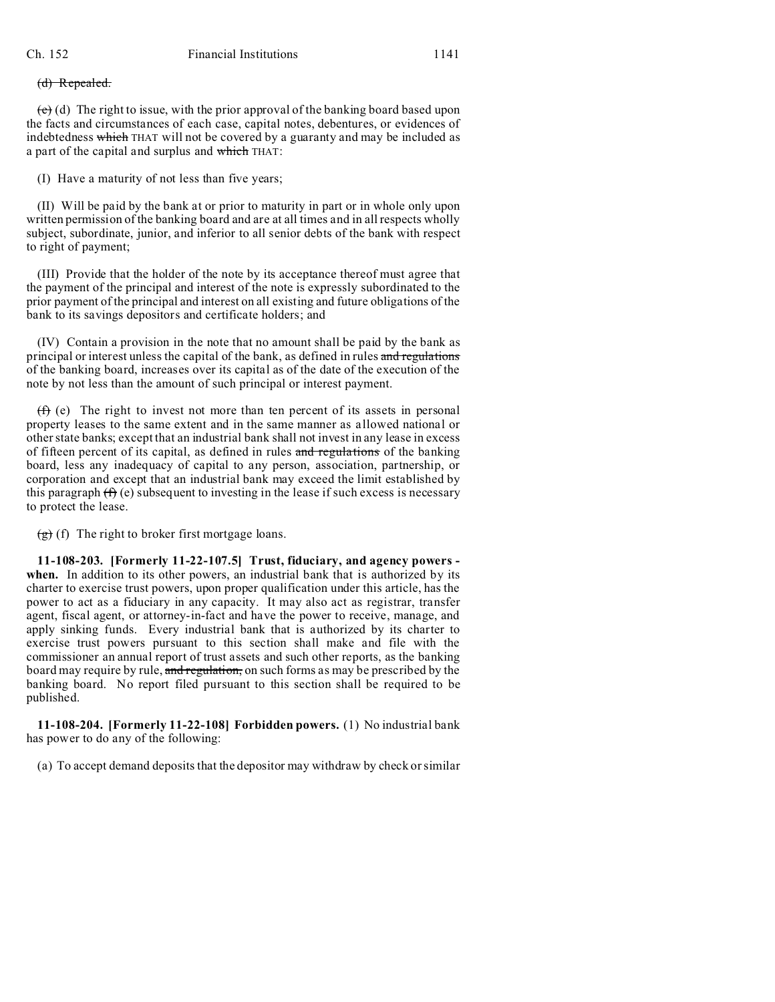### (d) Repealed.

 $\overrightarrow{e}$  (d) The right to issue, with the prior approval of the banking board based upon the facts and circumstances of each case, capital notes, debentures, or evidences of indebtedness which THAT will not be covered by a guaranty and may be included as a part of the capital and surplus and which THAT:

(I) Have a maturity of not less than five years;

(II) Will be paid by the bank at or prior to maturity in part or in whole only upon written permission of the banking board and are at all times and in all respects wholly subject, subordinate, junior, and inferior to all senior debts of the bank with respect to right of payment;

(III) Provide that the holder of the note by its acceptance thereof must agree that the payment of the principal and interest of the note is expressly subordinated to the prior payment of the principal and interest on all existing and future obligations of the bank to its savings depositors and certificate holders; and

(IV) Contain a provision in the note that no amount shall be paid by the bank as principal or interest unless the capital of the bank, as defined in rules and regulations of the banking board, increases over its capital as of the date of the execution of the note by not less than the amount of such principal or interest payment.

 $(f)$  (e) The right to invest not more than ten percent of its assets in personal property leases to the same extent and in the same manner as allowed national or other state banks; except that an industrial bank shall not invest in any lease in excess of fifteen percent of its capital, as defined in rules and regulations of the banking board, less any inadequacy of capital to any person, association, partnership, or corporation and except that an industrial bank may exceed the limit established by this paragraph  $(f)$  (e) subsequent to investing in the lease if such excess is necessary to protect the lease.

 $(g)$  (f) The right to broker first mortgage loans.

**11-108-203. [Formerly 11-22-107.5] Trust, fiduciary, and agency powers**  when. In addition to its other powers, an industrial bank that is authorized by its charter to exercise trust powers, upon proper qualification under this article, has the power to act as a fiduciary in any capacity. It may also act as registrar, transfer agent, fiscal agent, or attorney-in-fact and have the power to receive, manage, and apply sinking funds. Every industrial bank that is authorized by its charter to exercise trust powers pursuant to this section shall make and file with the commissioner an annual report of trust assets and such other reports, as the banking board may require by rule, and regulation, on such forms as may be prescribed by the banking board. No report filed pursuant to this section shall be required to be published.

**11-108-204. [Formerly 11-22-108] Forbidden powers.** (1) No industrial bank has power to do any of the following:

(a) To accept demand deposits that the depositor may withdraw by check or similar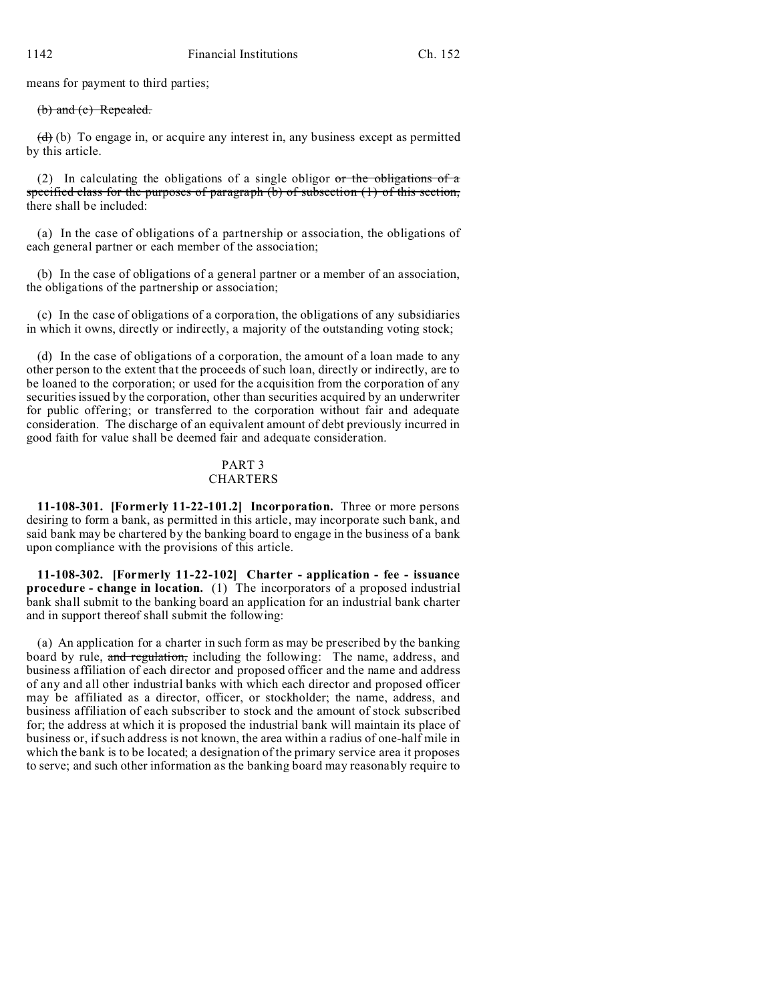means for payment to third parties;

#### (b) and (c) Repealed.

 $(d)$  (b) To engage in, or acquire any interest in, any business except as permitted by this article.

(2) In calculating the obligations of a single obligor  $\sigma r$  the obligations of a specified class for the purposes of paragraph  $(b)$  of subsection  $(1)$  of this section, there shall be included:

(a) In the case of obligations of a partnership or association, the obligations of each general partner or each member of the association;

(b) In the case of obligations of a general partner or a member of an association, the obligations of the partnership or association;

(c) In the case of obligations of a corporation, the obligations of any subsidiaries in which it owns, directly or indirectly, a majority of the outstanding voting stock;

(d) In the case of obligations of a corporation, the amount of a loan made to any other person to the extent that the proceeds of such loan, directly or indirectly, are to be loaned to the corporation; or used for the acquisition from the corporation of any securities issued by the corporation, other than securities acquired by an underwriter for public offering; or transferred to the corporation without fair and adequate consideration. The discharge of an equivalent amount of debt previously incurred in good faith for value shall be deemed fair and adequate consideration.

## PART 3

## **CHARTERS**

**11-108-301. [Formerly 11-22-101.2] Incorporation.** Three or more persons desiring to form a bank, as permitted in this article, may incorporate such bank, and said bank may be chartered by the banking board to engage in the business of a bank upon compliance with the provisions of this article.

**11-108-302. [Formerly 11-22-102] Charter - application - fee - issuance procedure - change in location.** (1) The incorporators of a proposed industrial bank shall submit to the banking board an application for an industrial bank charter and in support thereof shall submit the following:

(a) An application for a charter in such form as may be prescribed by the banking board by rule, and regulation, including the following: The name, address, and business affiliation of each director and proposed officer and the name and address of any and all other industrial banks with which each director and proposed officer may be affiliated as a director, officer, or stockholder; the name, address, and business affiliation of each subscriber to stock and the amount of stock subscribed for; the address at which it is proposed the industrial bank will maintain its place of business or, if such address is not known, the area within a radius of one-half mile in which the bank is to be located; a designation of the primary service area it proposes to serve; and such other information as the banking board may reasonably require to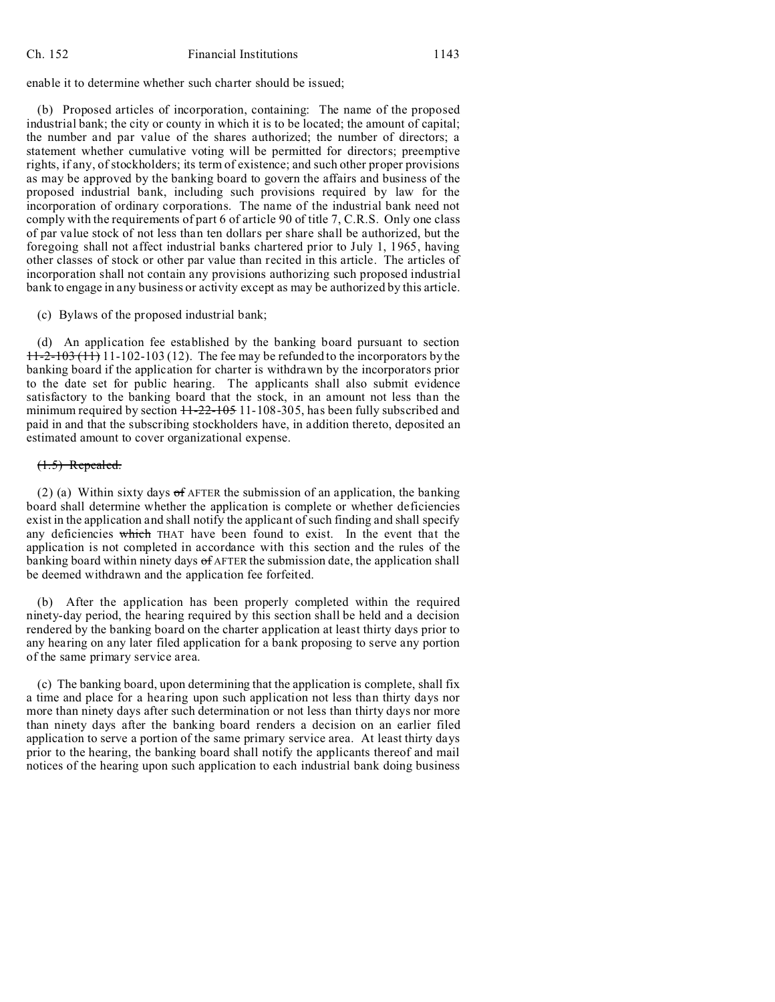enable it to determine whether such charter should be issued;

(b) Proposed articles of incorporation, containing: The name of the proposed industrial bank; the city or county in which it is to be located; the amount of capital; the number and par value of the shares authorized; the number of directors; a statement whether cumulative voting will be permitted for directors; preemptive rights, if any, of stockholders; its term of existence; and such other proper provisions as may be approved by the banking board to govern the affairs and business of the proposed industrial bank, including such provisions required by law for the incorporation of ordinary corporations. The name of the industrial bank need not comply with the requirements of part 6 of article 90 of title 7, C.R.S. Only one class of par value stock of not less than ten dollars per share shall be authorized, but the foregoing shall not affect industrial banks chartered prior to July 1, 1965, having other classes of stock or other par value than recited in this article. The articles of incorporation shall not contain any provisions authorizing such proposed industrial bank to engage in any business or activity except as may be authorized by this article.

(c) Bylaws of the proposed industrial bank;

(d) An application fee established by the banking board pursuant to section  $11-2-103(11)$  11-102-103 (12). The fee may be refunded to the incorporators by the banking board if the application for charter is withdrawn by the incorporators prior to the date set for public hearing. The applicants shall also submit evidence satisfactory to the banking board that the stock, in an amount not less than the minimum required by section  $11-22-105$  11-108-305, has been fully subscribed and paid in and that the subscribing stockholders have, in addition thereto, deposited an estimated amount to cover organizational expense.

### (1.5) Repealed.

(2) (a) Within sixty days of AFTER the submission of an application, the banking board shall determine whether the application is complete or whether deficiencies exist in the application and shall notify the applicant of such finding and shall specify any deficiencies which THAT have been found to exist. In the event that the application is not completed in accordance with this section and the rules of the banking board within ninety days  $\sigma$  AFTER the submission date, the application shall be deemed withdrawn and the application fee forfeited.

(b) After the application has been properly completed within the required ninety-day period, the hearing required by this section shall be held and a decision rendered by the banking board on the charter application at least thirty days prior to any hearing on any later filed application for a bank proposing to serve any portion of the same primary service area.

(c) The banking board, upon determining that the application is complete, shall fix a time and place for a hearing upon such application not less than thirty days nor more than ninety days after such determination or not less than thirty days nor more than ninety days after the banking board renders a decision on an earlier filed application to serve a portion of the same primary service area. At least thirty days prior to the hearing, the banking board shall notify the applicants thereof and mail notices of the hearing upon such application to each industrial bank doing business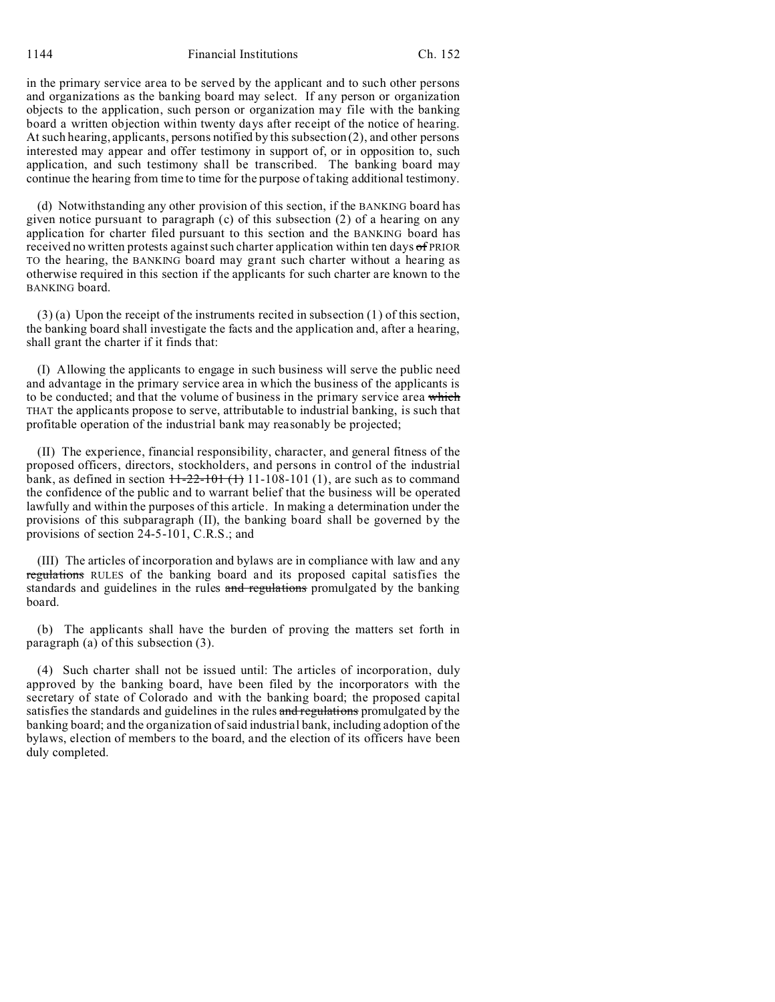1144 Financial Institutions Ch. 152

in the primary service area to be served by the applicant and to such other persons and organizations as the banking board may select. If any person or organization objects to the application, such person or organization may file with the banking board a written objection within twenty days after receipt of the notice of hearing. At such hearing, applicants, persons notified by this subsection (2), and other persons interested may appear and offer testimony in support of, or in opposition to, such application, and such testimony shall be transcribed. The banking board may continue the hearing from time to time for the purpose of taking additional testimony.

(d) Notwithstanding any other provision of this section, if the BANKING board has given notice pursuant to paragraph (c) of this subsection (2) of a hearing on any application for charter filed pursuant to this section and the BANKING board has received no written protests against such charter application within ten days of PRIOR TO the hearing, the BANKING board may grant such charter without a hearing as otherwise required in this section if the applicants for such charter are known to the BANKING board.

(3) (a) Upon the receipt of the instruments recited in subsection (1) of this section, the banking board shall investigate the facts and the application and, after a hearing, shall grant the charter if it finds that:

(I) Allowing the applicants to engage in such business will serve the public need and advantage in the primary service area in which the business of the applicants is to be conducted; and that the volume of business in the primary service area which THAT the applicants propose to serve, attributable to industrial banking, is such that profitable operation of the industrial bank may reasonably be projected;

(II) The experience, financial responsibility, character, and general fitness of the proposed officers, directors, stockholders, and persons in control of the industrial bank, as defined in section  $+1-22-101(1)$  11-108-101 (1), are such as to command the confidence of the public and to warrant belief that the business will be operated lawfully and within the purposes of this article. In making a determination under the provisions of this subparagraph (II), the banking board shall be governed by the provisions of section 24-5-101, C.R.S.; and

(III) The articles of incorporation and bylaws are in compliance with law and any regulations RULES of the banking board and its proposed capital satisfies the standards and guidelines in the rules and regulations promulgated by the banking board.

(b) The applicants shall have the burden of proving the matters set forth in paragraph (a) of this subsection (3).

(4) Such charter shall not be issued until: The articles of incorporation, duly approved by the banking board, have been filed by the incorporators with the secretary of state of Colorado and with the banking board; the proposed capital satisfies the standards and guidelines in the rules and regulations promulgated by the banking board; and the organization of said industrial bank, including adoption of the bylaws, election of members to the board, and the election of its officers have been duly completed.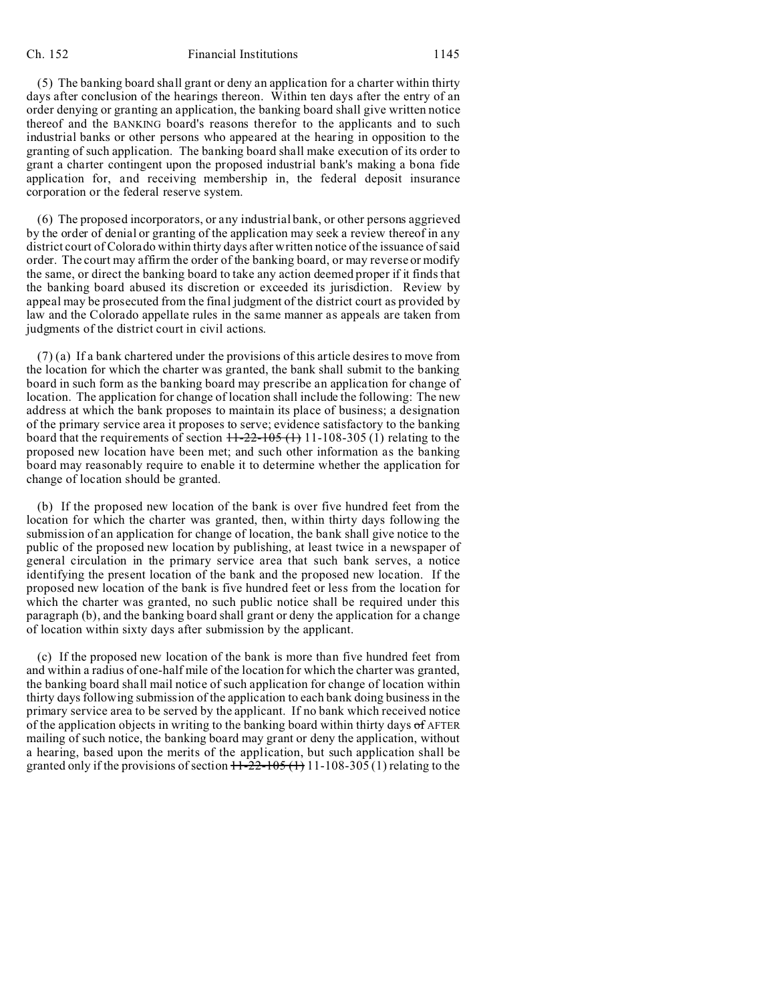(5) The banking board shall grant or deny an application for a charter within thirty days after conclusion of the hearings thereon. Within ten days after the entry of an order denying or granting an application, the banking board shall give written notice thereof and the BANKING board's reasons therefor to the applicants and to such industrial banks or other persons who appeared at the hearing in opposition to the granting of such application. The banking board shall make execution of its order to grant a charter contingent upon the proposed industrial bank's making a bona fide application for, and receiving membership in, the federal deposit insurance corporation or the federal reserve system.

(6) The proposed incorporators, or any industrial bank, or other persons aggrieved by the order of denial or granting of the application may seek a review thereof in any district court of Colorado within thirty days after written notice of the issuance of said order. The court may affirm the order of the banking board, or may reverse or modify the same, or direct the banking board to take any action deemed proper if it finds that the banking board abused its discretion or exceeded its jurisdiction. Review by appeal may be prosecuted from the final judgment of the district court as provided by law and the Colorado appellate rules in the same manner as appeals are taken from judgments of the district court in civil actions.

(7) (a) If a bank chartered under the provisions of this article desires to move from the location for which the charter was granted, the bank shall submit to the banking board in such form as the banking board may prescribe an application for change of location. The application for change of location shall include the following: The new address at which the bank proposes to maintain its place of business; a designation of the primary service area it proposes to serve; evidence satisfactory to the banking board that the requirements of section  $+1-22-105$  (1) 11-108-305 (1) relating to the proposed new location have been met; and such other information as the banking board may reasonably require to enable it to determine whether the application for change of location should be granted.

(b) If the proposed new location of the bank is over five hundred feet from the location for which the charter was granted, then, within thirty days following the submission of an application for change of location, the bank shall give notice to the public of the proposed new location by publishing, at least twice in a newspaper of general circulation in the primary service area that such bank serves, a notice identifying the present location of the bank and the proposed new location. If the proposed new location of the bank is five hundred feet or less from the location for which the charter was granted, no such public notice shall be required under this paragraph (b), and the banking board shall grant or deny the application for a change of location within sixty days after submission by the applicant.

(c) If the proposed new location of the bank is more than five hundred feet from and within a radius of one-half mile of the location for which the charter was granted, the banking board shall mail notice of such application for change of location within thirty days following submission of the application to each bank doing business in the primary service area to be served by the applicant. If no bank which received notice of the application objects in writing to the banking board within thirty days  $\sigma f$  AFTER mailing of such notice, the banking board may grant or deny the application, without a hearing, based upon the merits of the application, but such application shall be granted only if the provisions of section  $11-22-105$  (1) 11-108-305 (1) relating to the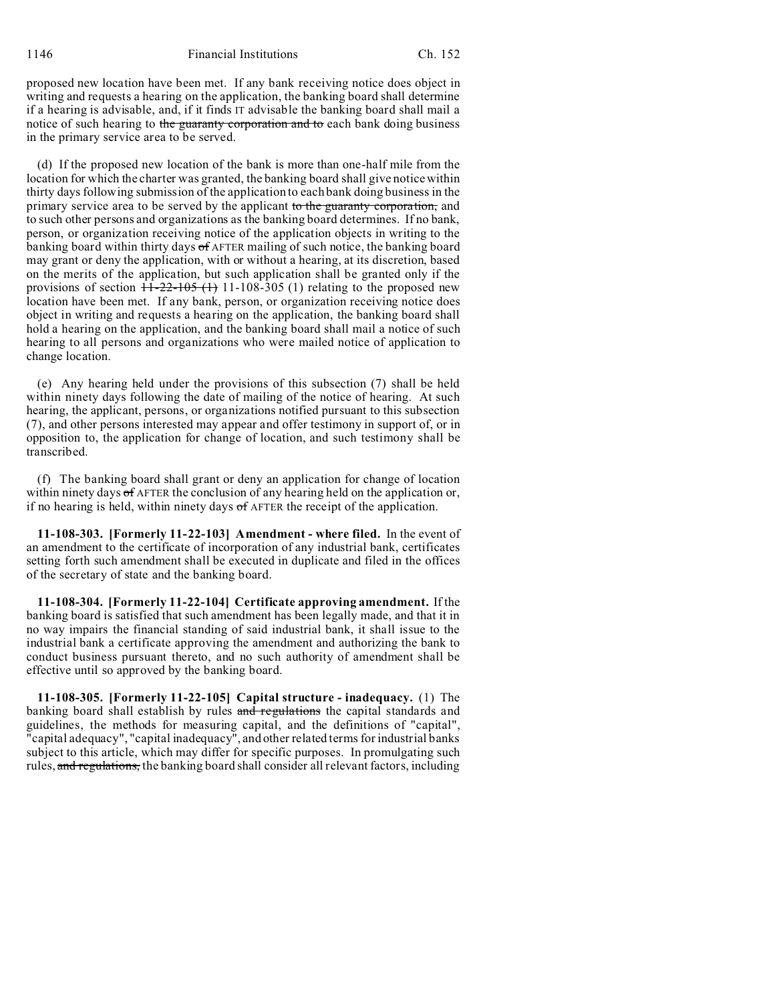proposed new location have been met. If any bank receiving notice does object in writing and requests a hearing on the application, the banking board shall determine if a hearing is advisable, and, if it finds IT advisable the banking board shall mail a notice of such hearing to the guaranty corporation and to each bank doing business in the primary service area to be served.

(d) If the proposed new location of the bank is more than one-half mile from the location for which the charter was granted, the banking board shall give notice within thirty days following submission of the application to each bank doing business in the primary service area to be served by the applicant to the guaranty corporation, and to such other persons and organizations as the banking board determines. If no bank, person, or organization receiving notice of the application objects in writing to the banking board within thirty days of AFTER mailing of such notice, the banking board may grant or deny the application, with or without a hearing, at its discretion, based on the merits of the application, but such application shall be granted only if the provisions of section  $11-22-105$  (1) 11-108-305 (1) relating to the proposed new location have been met. If any bank, person, or organization receiving notice does object in writing and requests a hearing on the application, the banking board shall hold a hearing on the application, and the banking board shall mail a notice of such hearing to all persons and organizations who were mailed notice of application to change location.

(e) Any hearing held under the provisions of this subsection (7) shall be held within ninety days following the date of mailing of the notice of hearing. At such hearing, the applicant, persons, or organizations notified pursuant to this subsection (7), and other persons interested may appear and offer testimony in support of, or in opposition to, the application for change of location, and such testimony shall be transcribed.

(f) The banking board shall grant or deny an application for change of location within ninety days of AFTER the conclusion of any hearing held on the application or, if no hearing is held, within ninety days  $\sigma$ f AFTER the receipt of the application.

**11-108-303. [Formerly 11-22-103] Amendment - where filed.** In the event of an amendment to the certificate of incorporation of any industrial bank, certificates setting forth such amendment shall be executed in duplicate and filed in the offices of the secretary of state and the banking board.

**11-108-304. [Formerly 11-22-104] Certificate approving amendment.** If the banking board is satisfied that such amendment has been legally made, and that it in no way impairs the financial standing of said industrial bank, it shall issue to the industrial bank a certificate approving the amendment and authorizing the bank to conduct business pursuant thereto, and no such authority of amendment shall be effective until so approved by the banking board.

**11-108-305. [Formerly 11-22-105] Capital structure - inadequacy.** (1) The banking board shall establish by rules and regulations the capital standards and guidelines, the methods for measuring capital, and the definitions of "capital", "capital adequacy", "capital inadequacy", and other related terms for industrial banks subject to this article, which may differ for specific purposes. In promulgating such rules, and regulations, the banking board shall consider all relevant factors, including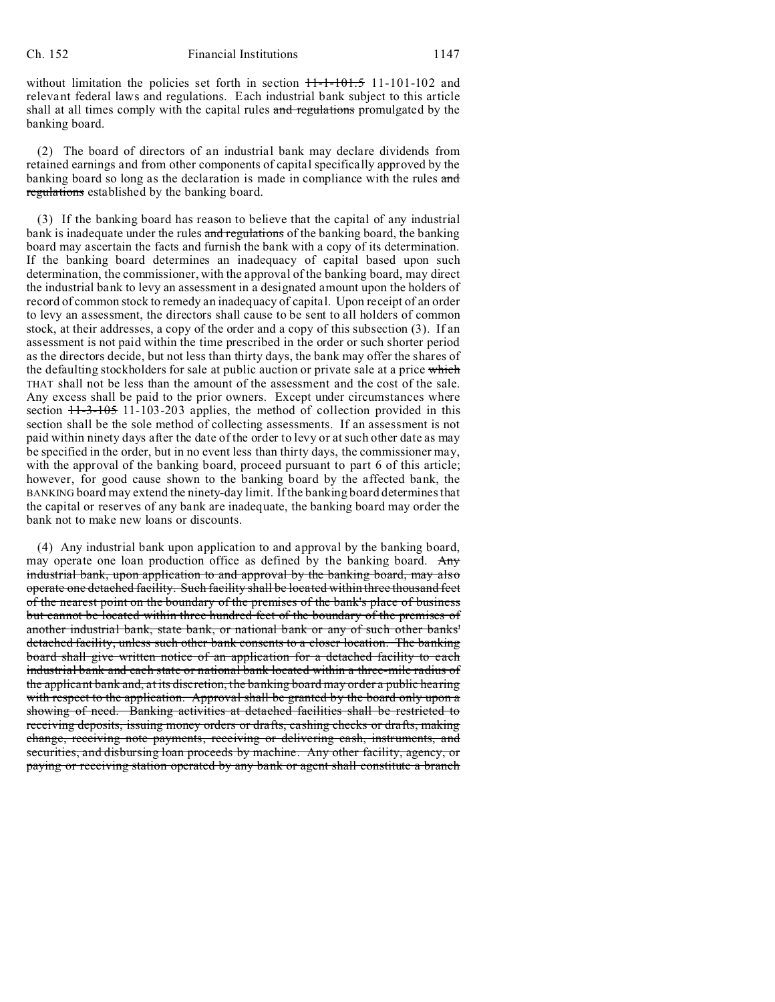without limitation the policies set forth in section  $11-1-101-5$  11-101-102 and relevant federal laws and regulations. Each industrial bank subject to this article shall at all times comply with the capital rules and regulations promulgated by the banking board.

(2) The board of directors of an industrial bank may declare dividends from retained earnings and from other components of capital specifically approved by the banking board so long as the declaration is made in compliance with the rules and regulations established by the banking board.

(3) If the banking board has reason to believe that the capital of any industrial bank is inadequate under the rules and regulations of the banking board, the banking board may ascertain the facts and furnish the bank with a copy of its determination. If the banking board determines an inadequacy of capital based upon such determination, the commissioner, with the approval of the banking board, may direct the industrial bank to levy an assessment in a designated amount upon the holders of record of common stock to remedy an inadequacy of capital. Upon receipt of an order to levy an assessment, the directors shall cause to be sent to all holders of common stock, at their addresses, a copy of the order and a copy of this subsection (3). If an assessment is not paid within the time prescribed in the order or such shorter period as the directors decide, but not less than thirty days, the bank may offer the shares of the defaulting stockholders for sale at public auction or private sale at a price which THAT shall not be less than the amount of the assessment and the cost of the sale. Any excess shall be paid to the prior owners. Except under circumstances where section  $11-3-105$  11-103-203 applies, the method of collection provided in this section shall be the sole method of collecting assessments. If an assessment is not paid within ninety days after the date of the order to levy or at such other date as may be specified in the order, but in no event less than thirty days, the commissioner may, with the approval of the banking board, proceed pursuant to part 6 of this article; however, for good cause shown to the banking board by the affected bank, the BANKING board may extend the ninety-day limit. If the banking board determines that the capital or reserves of any bank are inadequate, the banking board may order the bank not to make new loans or discounts.

(4) Any industrial bank upon application to and approval by the banking board, may operate one loan production office as defined by the banking board. Any industrial bank, upon application to and approval by the banking board, may also operate one detached facility. Such facility shall be located within three thousand feet of the nearest point on the boundary of the premises of the bank's place of business but cannot be located within three hundred feet of the boundary of the premises of another industrial bank, state bank, or national bank or any of such other banks' detached facility, unless such other bank consents to a closer location. The banking board shall give written notice of an application for a detached facility to each industrial bank and each state or national bank located within a three-mile radius of the applicant bank and, at its discretion, the banking board may order a public hearing with respect to the application. Approval shall be granted by the board only upon a showing of need. Banking activities at detached facilities shall be restricted to receiving deposits, issuing money orders or drafts, cashing checks or drafts, making change, receiving note payments, receiving or delivering cash, instruments, and securities, and disbursing loan proceeds by machine. Any other facility, agency, or paying or receiving station operated by any bank or agent shall constitute a branch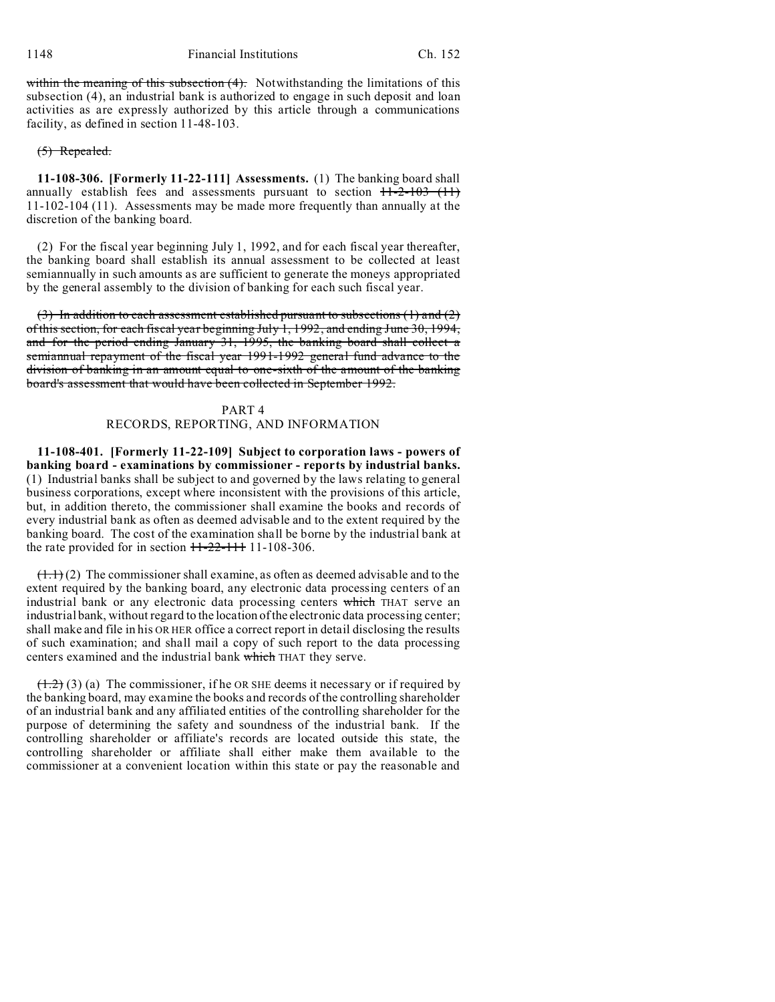within the meaning of this subsection  $(4)$ . Notwithstanding the limitations of this subsection (4), an industrial bank is authorized to engage in such deposit and loan activities as are expressly authorized by this article through a communications facility, as defined in section 11-48-103.

## (5) Repealed.

**11-108-306. [Formerly 11-22-111] Assessments.** (1) The banking board shall annually establish fees and assessments pursuant to section  $+1-2-103$  (11) 11-102-104 (11). Assessments may be made more frequently than annually at the discretion of the banking board.

(2) For the fiscal year beginning July 1, 1992, and for each fiscal year thereafter, the banking board shall establish its annual assessment to be collected at least semiannually in such amounts as are sufficient to generate the moneys appropriated by the general assembly to the division of banking for each such fiscal year.

 $(3)$  In addition to each assessment established pursuant to subsections  $(1)$  and  $(2)$ of this section, for each fiscal year beginning July 1, 1992, and ending June 30, 1994, and for the period ending January 31, 1995, the banking board shall collect a semiannual repayment of the fiscal year 1991-1992 general fund advance to the division of banking in an amount equal to one-sixth of the amount of the banking board's assessment that would have been collected in September 1992.

### PART 4

## RECORDS, REPORTING, AND INFORMATION

**11-108-401. [Formerly 11-22-109] Subject to corporation laws - powers of banking board - examinations by commissioner - reports by industrial banks.** (1) Industrial banks shall be subject to and governed by the laws relating to general business corporations, except where inconsistent with the provisions of this article, but, in addition thereto, the commissioner shall examine the books and records of every industrial bank as often as deemed advisable and to the extent required by the banking board. The cost of the examination shall be borne by the industrial bank at the rate provided for in section  $11-22-111$  11-108-306.

 $(1.1)$  (2) The commissioner shall examine, as often as deemed advisable and to the extent required by the banking board, any electronic data processing centers of an industrial bank or any electronic data processing centers which THAT serve an industrial bank, without regard to the location of the electronic data processing center; shall make and file in his OR HER office a correct report in detail disclosing the results of such examination; and shall mail a copy of such report to the data processing centers examined and the industrial bank which THAT they serve.

 $(1.2)$  (3) (a) The commissioner, if he OR SHE deems it necessary or if required by the banking board, may examine the books and records of the controlling shareholder of an industrial bank and any affiliated entities of the controlling shareholder for the purpose of determining the safety and soundness of the industrial bank. If the controlling shareholder or affiliate's records are located outside this state, the controlling shareholder or affiliate shall either make them available to the commissioner at a convenient location within this state or pay the reasonable and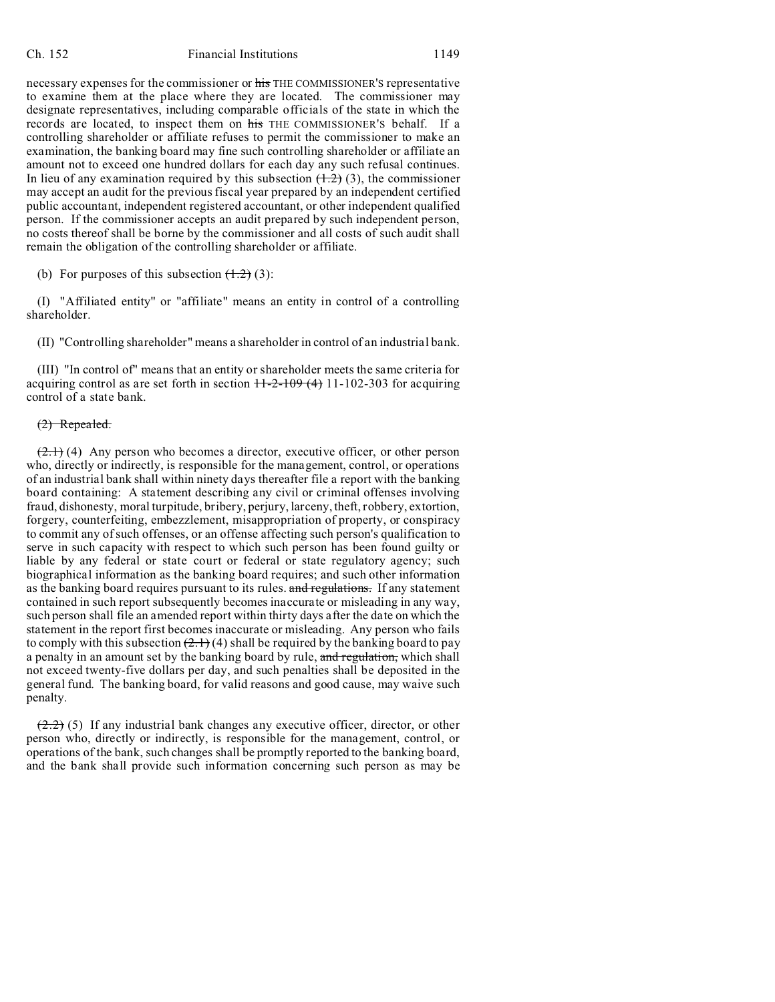#### Ch. 152 Financial Institutions 1149

necessary expenses for the commissioner or his THE COMMISSIONER'S representative to examine them at the place where they are located. The commissioner may designate representatives, including comparable officials of the state in which the records are located, to inspect them on his THE COMMISSIONER'S behalf. If a controlling shareholder or affiliate refuses to permit the commissioner to make an examination, the banking board may fine such controlling shareholder or affiliate an amount not to exceed one hundred dollars for each day any such refusal continues. In lieu of any examination required by this subsection  $(1.2)$  (3), the commissioner may accept an audit for the previous fiscal year prepared by an independent certified public accountant, independent registered accountant, or other independent qualified person. If the commissioner accepts an audit prepared by such independent person, no costs thereof shall be borne by the commissioner and all costs of such audit shall remain the obligation of the controlling shareholder or affiliate.

(b) For purposes of this subsection  $(1.2)$  (3):

(I) "Affiliated entity" or "affiliate" means an entity in control of a controlling shareholder.

(II) "Controlling shareholder" means a shareholder in control of an industrial bank.

(III) "In control of" means that an entity or shareholder meets the same criteria for acquiring control as are set forth in section  $11-2-109(4)$  11-102-303 for acquiring control of a state bank.

### (2) Repealed.

 $(2.1)$  (4) Any person who becomes a director, executive officer, or other person who, directly or indirectly, is responsible for the management, control, or operations of an industrial bank shall within ninety days thereafter file a report with the banking board containing: A statement describing any civil or criminal offenses involving fraud, dishonesty, moral turpitude, bribery, perjury, larceny, theft, robbery, extortion, forgery, counterfeiting, embezzlement, misappropriation of property, or conspiracy to commit any of such offenses, or an offense affecting such person's qualification to serve in such capacity with respect to which such person has been found guilty or liable by any federal or state court or federal or state regulatory agency; such biographical information as the banking board requires; and such other information as the banking board requires pursuant to its rules. and regulations. If any statement contained in such report subsequently becomes inaccurate or misleading in any way, such person shall file an amended report within thirty days after the date on which the statement in the report first becomes inaccurate or misleading. Any person who fails to comply with this subsection  $(2.1)$  (4) shall be required by the banking board to pay a penalty in an amount set by the banking board by rule, and regulation, which shall not exceed twenty-five dollars per day, and such penalties shall be deposited in the general fund. The banking board, for valid reasons and good cause, may waive such penalty.

 $(2.2)$  (5) If any industrial bank changes any executive officer, director, or other person who, directly or indirectly, is responsible for the management, control, or operations of the bank, such changes shall be promptly reported to the banking board, and the bank shall provide such information concerning such person as may be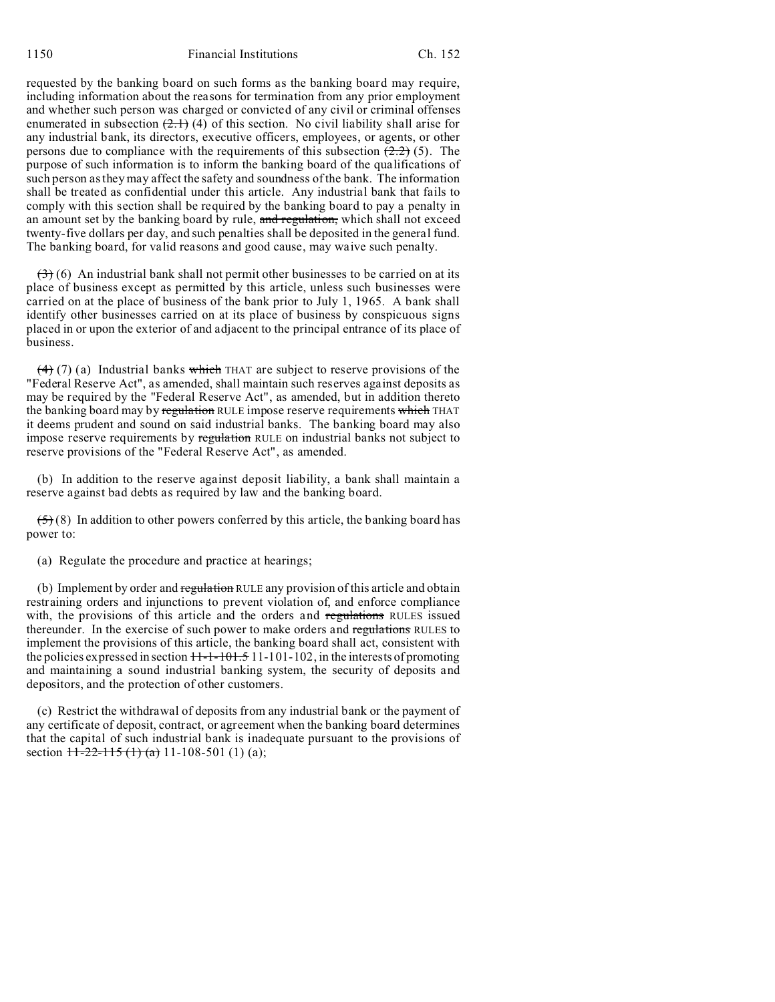requested by the banking board on such forms as the banking board may require, including information about the reasons for termination from any prior employment and whether such person was charged or convicted of any civil or criminal offenses enumerated in subsection  $(2.1)$  (4) of this section. No civil liability shall arise for any industrial bank, its directors, executive officers, employees, or agents, or other persons due to compliance with the requirements of this subsection  $(2.2)$  (5). The purpose of such information is to inform the banking board of the qualifications of such person as they may affect the safety and soundness of the bank. The information shall be treated as confidential under this article. Any industrial bank that fails to comply with this section shall be required by the banking board to pay a penalty in an amount set by the banking board by rule, and regulation, which shall not exceed twenty-five dollars per day, and such penalties shall be deposited in the general fund. The banking board, for valid reasons and good cause, may waive such penalty.

 $(3)$  (6) An industrial bank shall not permit other businesses to be carried on at its place of business except as permitted by this article, unless such businesses were carried on at the place of business of the bank prior to July 1, 1965. A bank shall identify other businesses carried on at its place of business by conspicuous signs placed in or upon the exterior of and adjacent to the principal entrance of its place of business.

 $(4)$  (7) (a) Industrial banks which THAT are subject to reserve provisions of the "Federal Reserve Act", as amended, shall maintain such reserves against deposits as may be required by the "Federal Reserve Act", as amended, but in addition thereto the banking board may by regulation RULE impose reserve requirements which THAT it deems prudent and sound on said industrial banks. The banking board may also impose reserve requirements by regulation RULE on industrial banks not subject to reserve provisions of the "Federal Reserve Act", as amended.

(b) In addition to the reserve against deposit liability, a bank shall maintain a reserve against bad debts as required by law and the banking board.

 $(5)(8)$  In addition to other powers conferred by this article, the banking board has power to:

(a) Regulate the procedure and practice at hearings;

(b) Implement by order and regulation RULE any provision of this article and obtain restraining orders and injunctions to prevent violation of, and enforce compliance with, the provisions of this article and the orders and regulations RULES issued thereunder. In the exercise of such power to make orders and regulations RULES to implement the provisions of this article, the banking board shall act, consistent with the policies expressed in section  $H - 1 - 101.5 11 - 101 - 102$ , in the interests of promoting and maintaining a sound industrial banking system, the security of deposits and depositors, and the protection of other customers.

(c) Restrict the withdrawal of deposits from any industrial bank or the payment of any certificate of deposit, contract, or agreement when the banking board determines that the capital of such industrial bank is inadequate pursuant to the provisions of section  $11-22-115(1)$  (a) 11-108-501 (1) (a);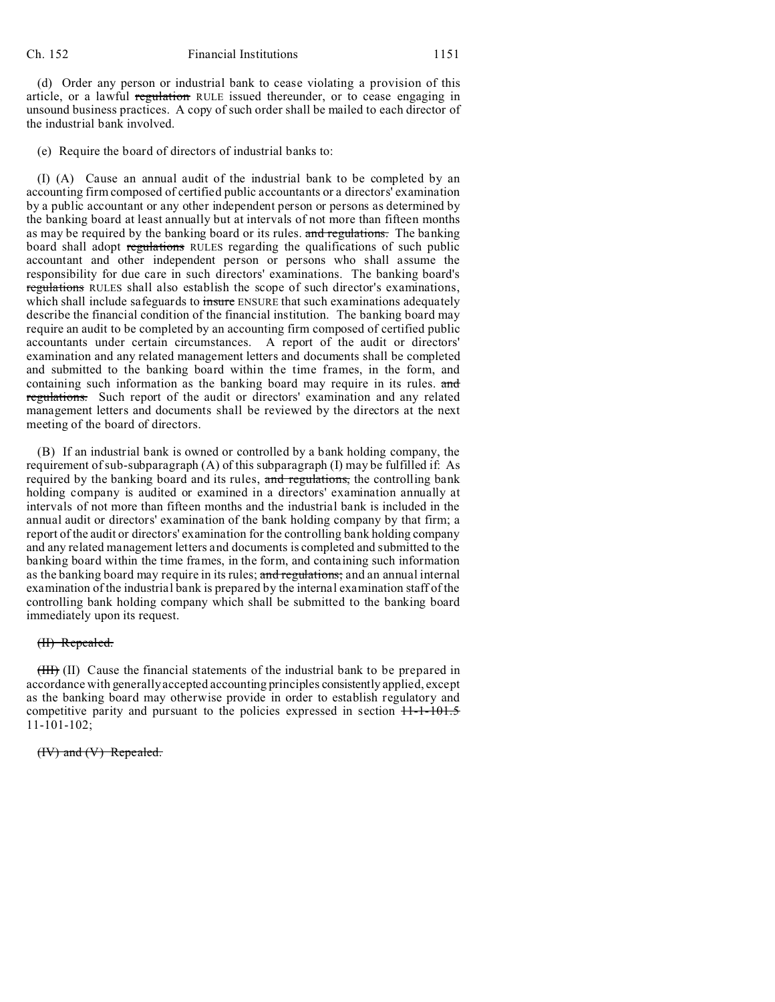(d) Order any person or industrial bank to cease violating a provision of this article, or a lawful regulation RULE issued thereunder, or to cease engaging in unsound business practices. A copy of such order shall be mailed to each director of the industrial bank involved.

(e) Require the board of directors of industrial banks to:

(I) (A) Cause an annual audit of the industrial bank to be completed by an accounting firm composed of certified public accountants or a directors' examination by a public accountant or any other independent person or persons as determined by the banking board at least annually but at intervals of not more than fifteen months as may be required by the banking board or its rules. and regulations. The banking board shall adopt regulations RULES regarding the qualifications of such public accountant and other independent person or persons who shall assume the responsibility for due care in such directors' examinations. The banking board's regulations RULES shall also establish the scope of such director's examinations, which shall include safeguards to insure ENSURE that such examinations adequately describe the financial condition of the financial institution. The banking board may require an audit to be completed by an accounting firm composed of certified public accountants under certain circumstances. A report of the audit or directors' examination and any related management letters and documents shall be completed and submitted to the banking board within the time frames, in the form, and containing such information as the banking board may require in its rules. and regulations. Such report of the audit or directors' examination and any related management letters and documents shall be reviewed by the directors at the next meeting of the board of directors.

(B) If an industrial bank is owned or controlled by a bank holding company, the requirement of sub-subparagraph (A) of this subparagraph (I) may be fulfilled if: As required by the banking board and its rules, and regulations, the controlling bank holding company is audited or examined in a directors' examination annually at intervals of not more than fifteen months and the industrial bank is included in the annual audit or directors' examination of the bank holding company by that firm; a report of the audit or directors' examination for the controlling bank holding company and any related management letters and documents is completed and submitted to the banking board within the time frames, in the form, and containing such information as the banking board may require in its rules; and regulations; and an annual internal examination of the industrial bank is prepared by the internal examination staff of the controlling bank holding company which shall be submitted to the banking board immediately upon its request.

#### (II) Repealed.

(III) (II) Cause the financial statements of the industrial bank to be prepared in accordance with generally accepted accounting principles consistently applied, except as the banking board may otherwise provide in order to establish regulatory and competitive parity and pursuant to the policies expressed in section  $11 - 101.5$ 11-101-102;

(IV) and (V) Repealed.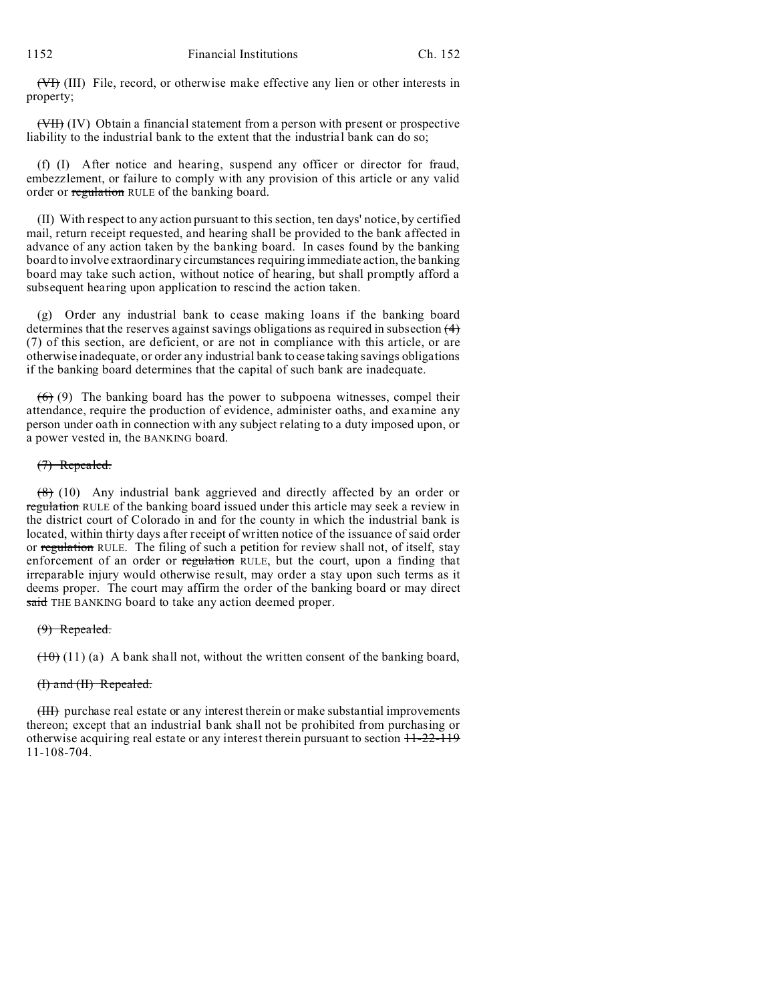(VI) (III) File, record, or otherwise make effective any lien or other interests in property;

(VII) (IV) Obtain a financial statement from a person with present or prospective liability to the industrial bank to the extent that the industrial bank can do so;

(f) (I) After notice and hearing, suspend any officer or director for fraud, embezzlement, or failure to comply with any provision of this article or any valid order or regulation RULE of the banking board.

(II) With respect to any action pursuant to this section, ten days' notice, by certified mail, return receipt requested, and hearing shall be provided to the bank affected in advance of any action taken by the banking board. In cases found by the banking board to involve extraordinary circumstances requiring immediate action, the banking board may take such action, without notice of hearing, but shall promptly afford a subsequent hearing upon application to rescind the action taken.

(g) Order any industrial bank to cease making loans if the banking board determines that the reserves against savings obligations as required in subsection (4) (7) of this section, are deficient, or are not in compliance with this article, or are otherwise inadequate, or order any industrial bank to cease taking savings obligations if the banking board determines that the capital of such bank are inadequate.

 $(6)$  (9) The banking board has the power to subpoena witnesses, compel their attendance, require the production of evidence, administer oaths, and examine any person under oath in connection with any subject relating to a duty imposed upon, or a power vested in, the BANKING board.

### (7) Repealed.

(8) (10) Any industrial bank aggrieved and directly affected by an order or regulation RULE of the banking board issued under this article may seek a review in the district court of Colorado in and for the county in which the industrial bank is located, within thirty days after receipt of written notice of the issuance of said order or regulation RULE. The filing of such a petition for review shall not, of itself, stay enforcement of an order or regulation RULE, but the court, upon a finding that irreparable injury would otherwise result, may order a stay upon such terms as it deems proper. The court may affirm the order of the banking board or may direct said THE BANKING board to take any action deemed proper.

### $(9)$  Repealed.

 $(10)(11)$  (a) A bank shall not, without the written consent of the banking board,

### (I) and (II) Repealed.

(III) purchase real estate or any interest therein or make substantial improvements thereon; except that an industrial bank shall not be prohibited from purchasing or otherwise acquiring real estate or any interest therein pursuant to section  $11-22-119$ 11-108-704.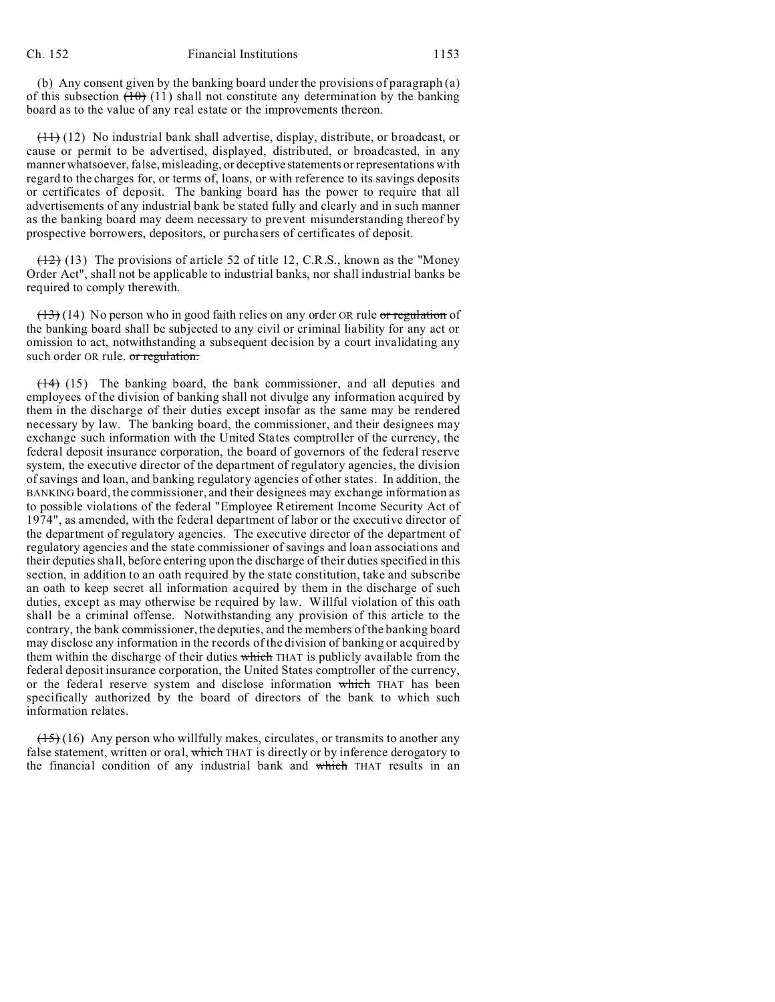(b) Any consent given by the banking board under the provisions of paragraph (a) of this subsection  $(10)$  (11) shall not constitute any determination by the banking board as to the value of any real estate or the improvements thereon.

(11) (12) No industrial bank shall advertise, display, distribute, or broadcast, or cause or permit to be advertised, displayed, distributed, or broadcasted, in any manner whatsoever, false, misleading, or deceptive statements or representations with regard to the charges for, or terms of, loans, or with reference to its savings deposits or certificates of deposit. The banking board has the power to require that all advertisements of any industrial bank be stated fully and clearly and in such manner as the banking board may deem necessary to prevent misunderstanding thereof by prospective borrowers, depositors, or purchasers of certificates of deposit.

 $(12)$  (13) The provisions of article 52 of title 12, C.R.S., known as the "Money" Order Act", shall not be applicable to industrial banks, nor shall industrial banks be required to comply therewith.

 $(13)$  (14) No person who in good faith relies on any order OR rule or regulation of the banking board shall be subjected to any civil or criminal liability for any act or omission to act, notwithstanding a subsequent decision by a court invalidating any such order OR rule. or regulation.

(14) (15) The banking board, the bank commissioner, and all deputies and employees of the division of banking shall not divulge any information acquired by them in the discharge of their duties except insofar as the same may be rendered necessary by law. The banking board, the commissioner, and their designees may exchange such information with the United States comptroller of the currency, the federal deposit insurance corporation, the board of governors of the federal reserve system, the executive director of the department of regulatory agencies, the division of savings and loan, and banking regulatory agencies of other states. In addition, the BANKING board, the commissioner, and their designees may exchange information as to possible violations of the federal "Employee Retirement Income Security Act of 1974", as amended, with the federal department of labor or the executive director of the department of regulatory agencies. The executive director of the department of regulatory agencies and the state commissioner of savings and loan associations and their deputies shall, before entering upon the discharge of their duties specified in this section, in addition to an oath required by the state constitution, take and subscribe an oath to keep secret all information acquired by them in the discharge of such duties, except as may otherwise be required by law. Willful violation of this oath shall be a criminal offense. Notwithstanding any provision of this article to the contrary, the bank commissioner, the deputies, and the members of the banking board may disclose any information in the records of the division of banking or acquired by them within the discharge of their duties which THAT is publicly available from the federal deposit insurance corporation, the United States comptroller of the currency, or the federal reserve system and disclose information which THAT has been specifically authorized by the board of directors of the bank to which such information relates.

 $(15)$  (16) Any person who willfully makes, circulates, or transmits to another any false statement, written or oral, which THAT is directly or by inference derogatory to the financial condition of any industrial bank and which THAT results in an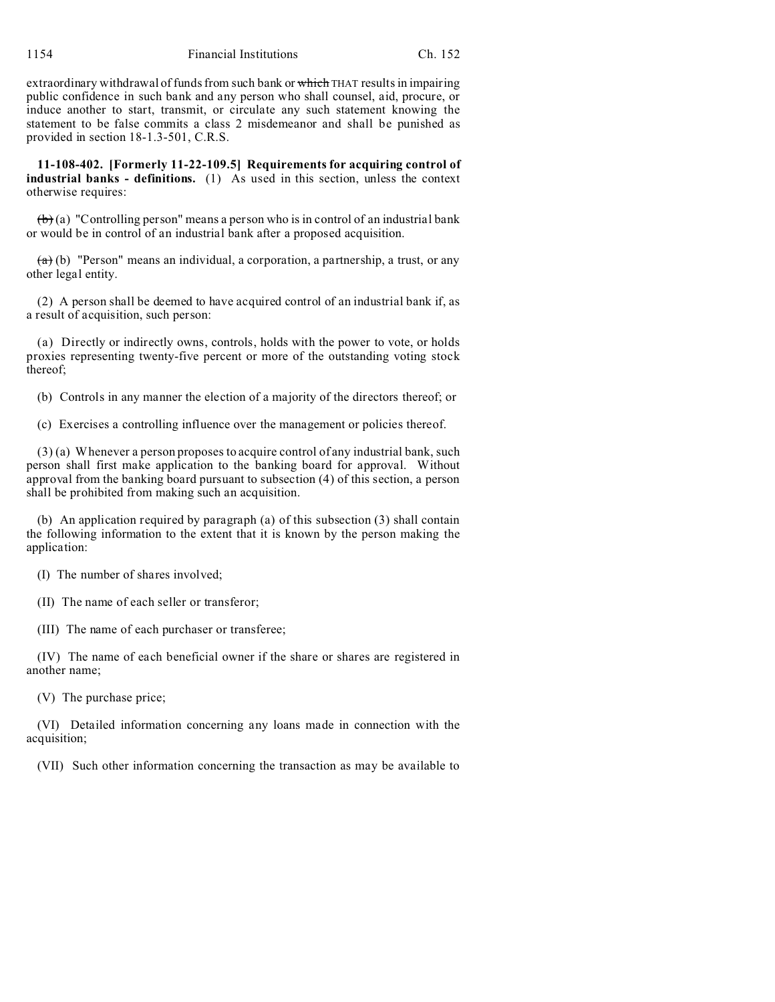extraordinary withdrawal of funds from such bank or which THAT results in impairing public confidence in such bank and any person who shall counsel, aid, procure, or induce another to start, transmit, or circulate any such statement knowing the statement to be false commits a class 2 misdemeanor and shall be punished as provided in section 18-1.3-501, C.R.S.

**11-108-402. [Formerly 11-22-109.5] Requirements for acquiring control of industrial banks - definitions.** (1) As used in this section, unless the context otherwise requires:

 $(b)$  (a) "Controlling person" means a person who is in control of an industrial bank or would be in control of an industrial bank after a proposed acquisition.

 $(a)$  (b) "Person" means an individual, a corporation, a partnership, a trust, or any other legal entity.

(2) A person shall be deemed to have acquired control of an industrial bank if, as a result of acquisition, such person:

(a) Directly or indirectly owns, controls, holds with the power to vote, or holds proxies representing twenty-five percent or more of the outstanding voting stock thereof;

(b) Controls in any manner the election of a majority of the directors thereof; or

(c) Exercises a controlling influence over the management or policies thereof.

(3) (a) Whenever a person proposes to acquire control of any industrial bank, such person shall first make application to the banking board for approval. Without approval from the banking board pursuant to subsection (4) of this section, a person shall be prohibited from making such an acquisition.

(b) An application required by paragraph (a) of this subsection (3) shall contain the following information to the extent that it is known by the person making the application:

(I) The number of shares involved;

(II) The name of each seller or transferor;

(III) The name of each purchaser or transferee;

(IV) The name of each beneficial owner if the share or shares are registered in another name;

(V) The purchase price;

(VI) Detailed information concerning any loans made in connection with the acquisition;

(VII) Such other information concerning the transaction as may be available to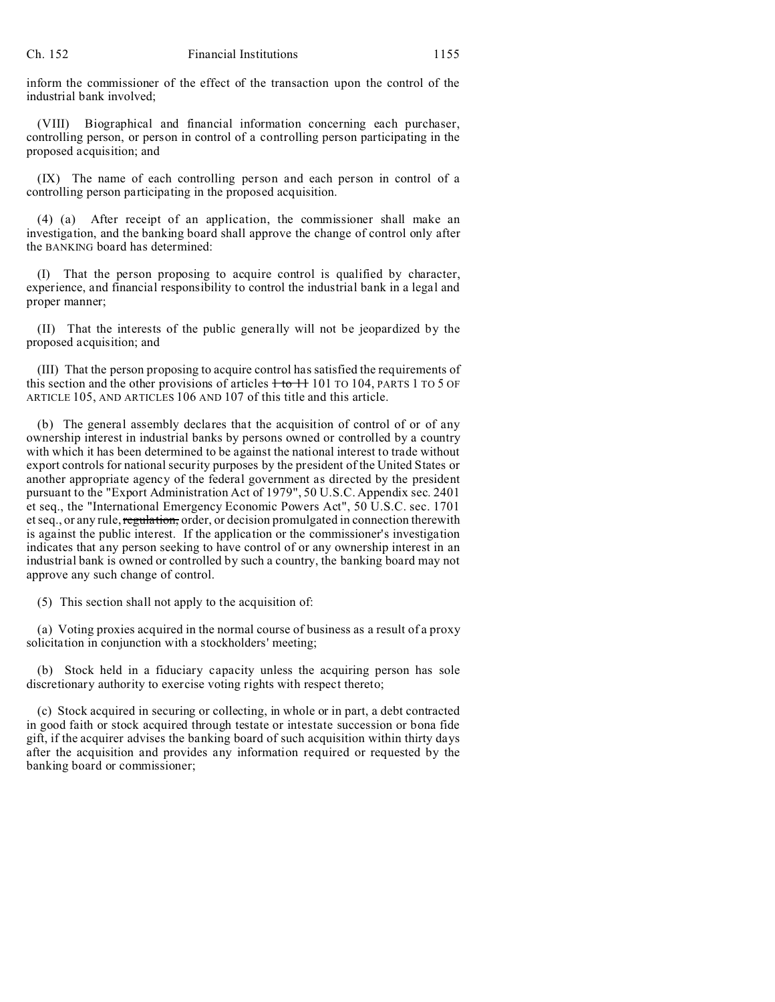inform the commissioner of the effect of the transaction upon the control of the industrial bank involved;

(VIII) Biographical and financial information concerning each purchaser, controlling person, or person in control of a controlling person participating in the proposed acquisition; and

(IX) The name of each controlling person and each person in control of a controlling person participating in the proposed acquisition.

(4) (a) After receipt of an application, the commissioner shall make an investigation, and the banking board shall approve the change of control only after the BANKING board has determined:

(I) That the person proposing to acquire control is qualified by character, experience, and financial responsibility to control the industrial bank in a legal and proper manner;

(II) That the interests of the public generally will not be jeopardized by the proposed acquisition; and

(III) That the person proposing to acquire control has satisfied the requirements of this section and the other provisions of articles  $+$  to  $+$  101 TO 104, PARTS 1 TO 5 OF ARTICLE 105, AND ARTICLES 106 AND 107 of this title and this article.

(b) The general assembly declares that the acquisition of control of or of any ownership interest in industrial banks by persons owned or controlled by a country with which it has been determined to be against the national interest to trade without export controls for national security purposes by the president of the United States or another appropriate agency of the federal government as directed by the president pursuant to the "Export Administration Act of 1979", 50 U.S.C. Appendix sec. 2401 et seq., the "International Emergency Economic Powers Act", 50 U.S.C. sec. 1701 et seq., or any rule, regulation, order, or decision promulgated in connection therewith is against the public interest. If the application or the commissioner's investigation indicates that any person seeking to have control of or any ownership interest in an industrial bank is owned or controlled by such a country, the banking board may not approve any such change of control.

(5) This section shall not apply to the acquisition of:

(a) Voting proxies acquired in the normal course of business as a result of a proxy solicitation in conjunction with a stockholders' meeting;

(b) Stock held in a fiduciary capacity unless the acquiring person has sole discretionary authority to exercise voting rights with respect thereto;

(c) Stock acquired in securing or collecting, in whole or in part, a debt contracted in good faith or stock acquired through testate or intestate succession or bona fide gift, if the acquirer advises the banking board of such acquisition within thirty days after the acquisition and provides any information required or requested by the banking board or commissioner;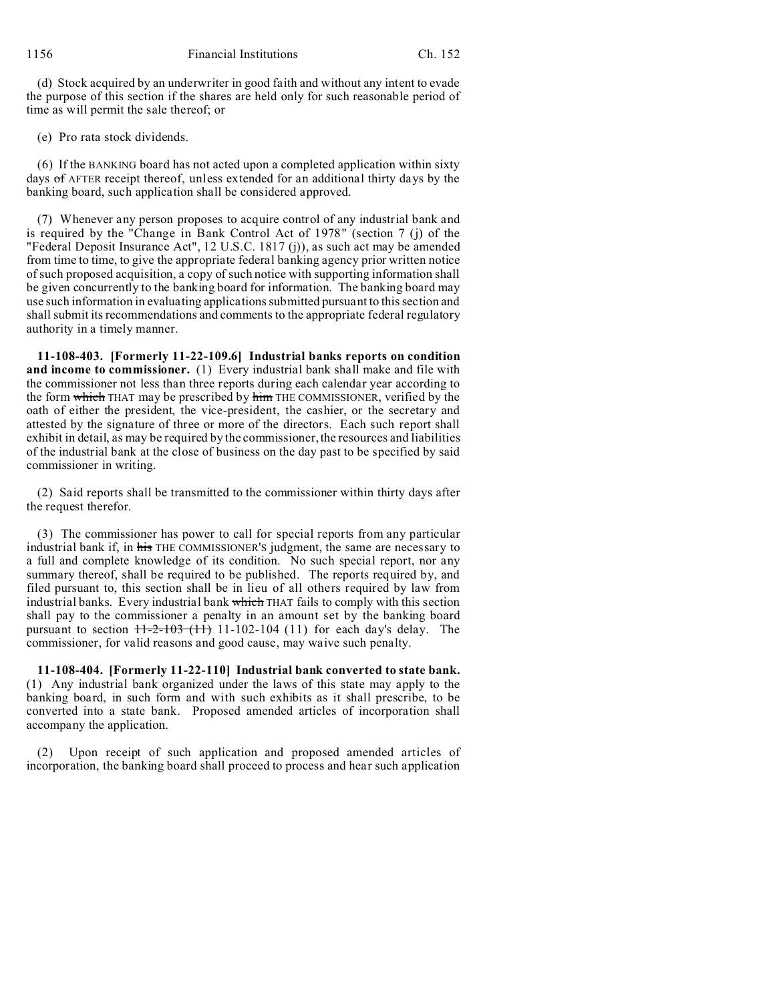(d) Stock acquired by an underwriter in good faith and without any intent to evade the purpose of this section if the shares are held only for such reasonable period of time as will permit the sale thereof; or

(e) Pro rata stock dividends.

(6) If the BANKING board has not acted upon a completed application within sixty days of AFTER receipt thereof, unless extended for an additional thirty days by the banking board, such application shall be considered approved.

(7) Whenever any person proposes to acquire control of any industrial bank and is required by the "Change in Bank Control Act of 1978" (section 7 (j) of the "Federal Deposit Insurance Act", 12 U.S.C. 1817 (j)), as such act may be amended from time to time, to give the appropriate federal banking agency prior written notice of such proposed acquisition, a copy of such notice with supporting information shall be given concurrently to the banking board for information. The banking board may use such information in evaluating applications submitted pursuant to this section and shall submit its recommendations and comments to the appropriate federal regulatory authority in a timely manner.

**11-108-403. [Formerly 11-22-109.6] Industrial banks reports on condition and income to commissioner.** (1) Every industrial bank shall make and file with the commissioner not less than three reports during each calendar year according to the form which THAT may be prescribed by him THE COMMISSIONER, verified by the oath of either the president, the vice-president, the cashier, or the secretary and attested by the signature of three or more of the directors. Each such report shall exhibit in detail, as may be required by the commissioner, the resources and liabilities of the industrial bank at the close of business on the day past to be specified by said commissioner in writing.

(2) Said reports shall be transmitted to the commissioner within thirty days after the request therefor.

(3) The commissioner has power to call for special reports from any particular industrial bank if, in his THE COMMISSIONER'S judgment, the same are necessary to a full and complete knowledge of its condition. No such special report, nor any summary thereof, shall be required to be published. The reports required by, and filed pursuant to, this section shall be in lieu of all others required by law from industrial banks. Every industrial bank which THAT fails to comply with this section shall pay to the commissioner a penalty in an amount set by the banking board pursuant to section  $+1-2-103$  (11) 11-102-104 (11) for each day's delay. The commissioner, for valid reasons and good cause, may waive such penalty.

**11-108-404. [Formerly 11-22-110] Industrial bank converted to state bank.** (1) Any industrial bank organized under the laws of this state may apply to the banking board, in such form and with such exhibits as it shall prescribe, to be converted into a state bank. Proposed amended articles of incorporation shall accompany the application.

(2) Upon receipt of such application and proposed amended articles of incorporation, the banking board shall proceed to process and hear such application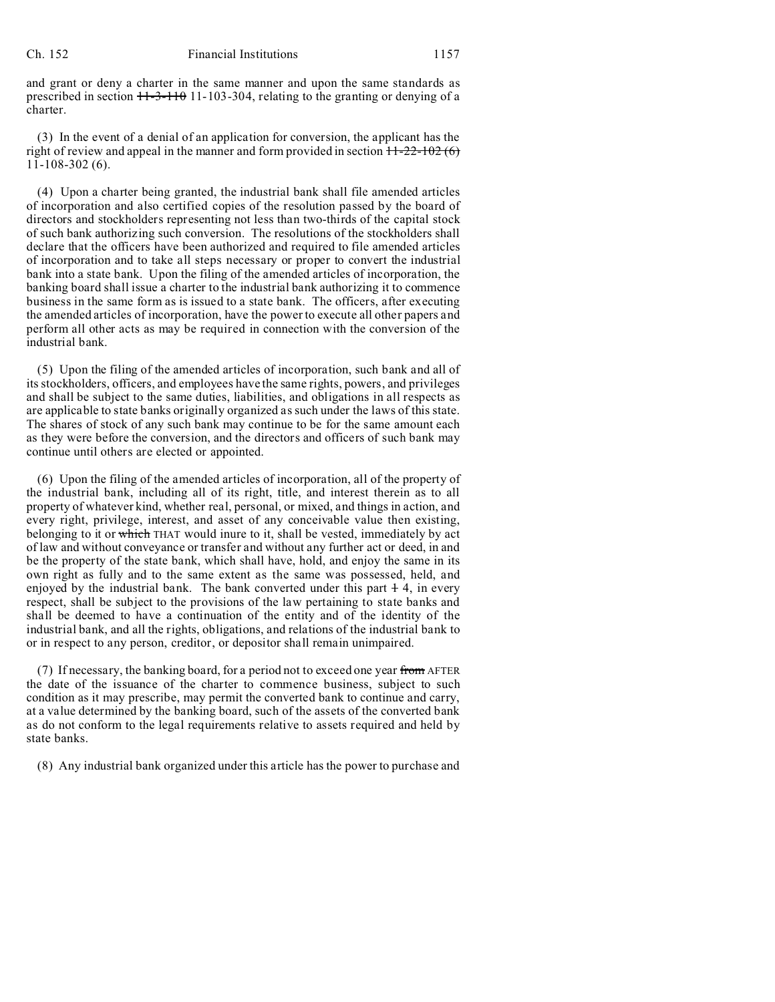and grant or deny a charter in the same manner and upon the same standards as prescribed in section  $11-3-110$  11-103-304, relating to the granting or denying of a charter.

(3) In the event of a denial of an application for conversion, the applicant has the right of review and appeal in the manner and form provided in section  $11-22-102(6)$ 11-108-302 (6).

(4) Upon a charter being granted, the industrial bank shall file amended articles of incorporation and also certified copies of the resolution passed by the board of directors and stockholders representing not less than two-thirds of the capital stock of such bank authorizing such conversion. The resolutions of the stockholders shall declare that the officers have been authorized and required to file amended articles of incorporation and to take all steps necessary or proper to convert the industrial bank into a state bank. Upon the filing of the amended articles of incorporation, the banking board shall issue a charter to the industrial bank authorizing it to commence business in the same form as is issued to a state bank. The officers, after executing the amended articles of incorporation, have the power to execute all other papers and perform all other acts as may be required in connection with the conversion of the industrial bank.

(5) Upon the filing of the amended articles of incorporation, such bank and all of its stockholders, officers, and employees have the same rights, powers, and privileges and shall be subject to the same duties, liabilities, and obligations in all respects as are applicable to state banks originally organized as such under the laws of this state. The shares of stock of any such bank may continue to be for the same amount each as they were before the conversion, and the directors and officers of such bank may continue until others are elected or appointed.

(6) Upon the filing of the amended articles of incorporation, all of the property of the industrial bank, including all of its right, title, and interest therein as to all property of whatever kind, whether real, personal, or mixed, and things in action, and every right, privilege, interest, and asset of any conceivable value then existing, belonging to it or which THAT would inure to it, shall be vested, immediately by act of law and without conveyance or transfer and without any further act or deed, in and be the property of the state bank, which shall have, hold, and enjoy the same in its own right as fully and to the same extent as the same was possessed, held, and enjoyed by the industrial bank. The bank converted under this part  $+4$ , in every respect, shall be subject to the provisions of the law pertaining to state banks and shall be deemed to have a continuation of the entity and of the identity of the industrial bank, and all the rights, obligations, and relations of the industrial bank to or in respect to any person, creditor, or depositor shall remain unimpaired.

(7) If necessary, the banking board, for a period not to exceed one year from AFTER the date of the issuance of the charter to commence business, subject to such condition as it may prescribe, may permit the converted bank to continue and carry, at a value determined by the banking board, such of the assets of the converted bank as do not conform to the legal requirements relative to assets required and held by state banks.

(8) Any industrial bank organized under this article has the power to purchase and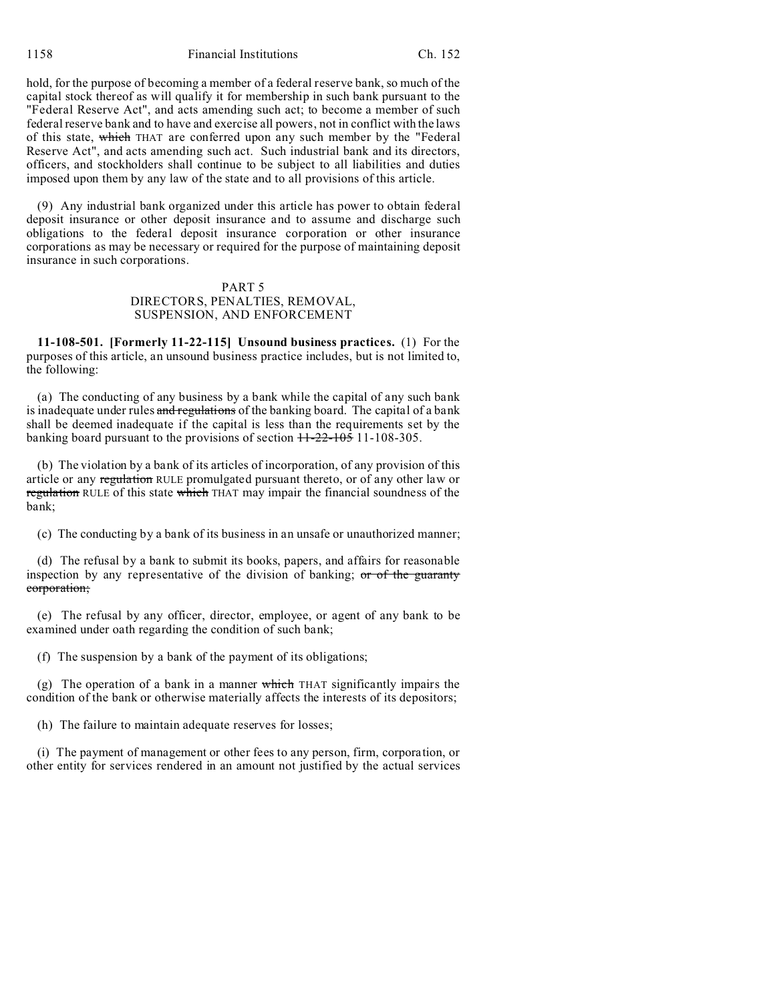1158 Financial Institutions Ch. 152

hold, for the purpose of becoming a member of a federal reserve bank, so much of the capital stock thereof as will qualify it for membership in such bank pursuant to the "Federal Reserve Act", and acts amending such act; to become a member of such federal reserve bank and to have and exercise all powers, not in conflict with the laws of this state, which THAT are conferred upon any such member by the "Federal Reserve Act", and acts amending such act. Such industrial bank and its directors, officers, and stockholders shall continue to be subject to all liabilities and duties imposed upon them by any law of the state and to all provisions of this article.

(9) Any industrial bank organized under this article has power to obtain federal deposit insurance or other deposit insurance and to assume and discharge such obligations to the federal deposit insurance corporation or other insurance corporations as may be necessary or required for the purpose of maintaining deposit insurance in such corporations.

## PART 5

### DIRECTORS, PENALTIES, REMOVAL, SUSPENSION, AND ENFORCEMENT

**11-108-501. [Formerly 11-22-115] Unsound business practices.** (1) For the purposes of this article, an unsound business practice includes, but is not limited to, the following:

(a) The conducting of any business by a bank while the capital of any such bank is inadequate under rules and regulations of the banking board. The capital of a bank shall be deemed inadequate if the capital is less than the requirements set by the banking board pursuant to the provisions of section  $11-22-105$  11-108-305.

(b) The violation by a bank of its articles of incorporation, of any provision of this article or any regulation RULE promulgated pursuant thereto, or of any other law or regulation RULE of this state which THAT may impair the financial soundness of the bank;

(c) The conducting by a bank of its business in an unsafe or unauthorized manner;

(d) The refusal by a bank to submit its books, papers, and affairs for reasonable inspection by any representative of the division of banking;  $or of the$  guaranty corporation;

(e) The refusal by any officer, director, employee, or agent of any bank to be examined under oath regarding the condition of such bank;

(f) The suspension by a bank of the payment of its obligations;

(g) The operation of a bank in a manner which THAT significantly impairs the condition of the bank or otherwise materially affects the interests of its depositors;

(h) The failure to maintain adequate reserves for losses;

(i) The payment of management or other fees to any person, firm, corporation, or other entity for services rendered in an amount not justified by the actual services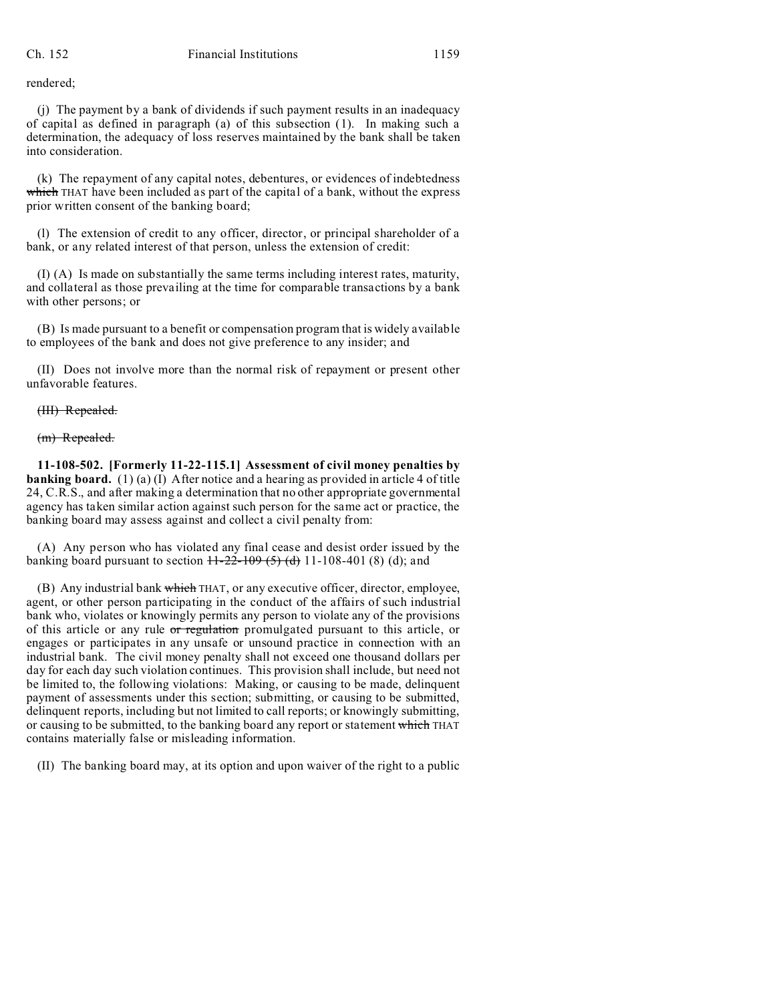rendered;

(j) The payment by a bank of dividends if such payment results in an inadequacy of capital as defined in paragraph (a) of this subsection (1). In making such a determination, the adequacy of loss reserves maintained by the bank shall be taken into consideration.

(k) The repayment of any capital notes, debentures, or evidences of indebtedness which THAT have been included as part of the capital of a bank, without the express prior written consent of the banking board;

(l) The extension of credit to any officer, director, or principal shareholder of a bank, or any related interest of that person, unless the extension of credit:

(I) (A) Is made on substantially the same terms including interest rates, maturity, and collateral as those prevailing at the time for comparable transactions by a bank with other persons; or

(B) Is made pursuant to a benefit or compensation program that is widely available to employees of the bank and does not give preference to any insider; and

(II) Does not involve more than the normal risk of repayment or present other unfavorable features.

### (III) Repealed.

(m) Repealed.

**11-108-502. [Formerly 11-22-115.1] Assessment of civil money penalties by banking board.** (1) (a) (I) After notice and a hearing as provided in article 4 of title 24, C.R.S., and after making a determination that no other appropriate governmental agency has taken similar action against such person for the same act or practice, the banking board may assess against and collect a civil penalty from:

(A) Any person who has violated any final cease and desist order issued by the banking board pursuant to section  $H-22-109$  (5) (d) 11-108-401 (8) (d); and

(B) Any industrial bank which THAT, or any executive officer, director, employee, agent, or other person participating in the conduct of the affairs of such industrial bank who, violates or knowingly permits any person to violate any of the provisions of this article or any rule or regulation promulgated pursuant to this article, or engages or participates in any unsafe or unsound practice in connection with an industrial bank. The civil money penalty shall not exceed one thousand dollars per day for each day such violation continues. This provision shall include, but need not be limited to, the following violations: Making, or causing to be made, delinquent payment of assessments under this section; submitting, or causing to be submitted, delinquent reports, including but not limited to call reports; or knowingly submitting, or causing to be submitted, to the banking board any report or statement which THAT contains materially false or misleading information.

(II) The banking board may, at its option and upon waiver of the right to a public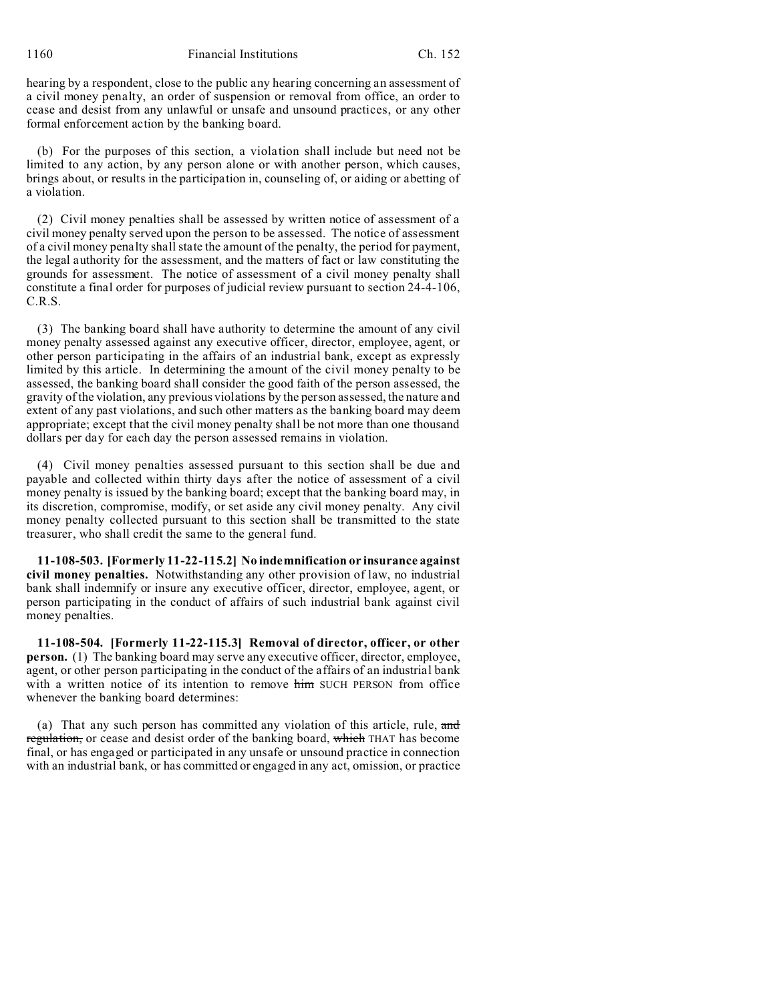1160 Financial Institutions Ch. 152

hearing by a respondent, close to the public any hearing concerning an assessment of a civil money penalty, an order of suspension or removal from office, an order to cease and desist from any unlawful or unsafe and unsound practices, or any other formal enforcement action by the banking board.

(b) For the purposes of this section, a violation shall include but need not be limited to any action, by any person alone or with another person, which causes, brings about, or results in the participation in, counseling of, or aiding or abetting of a violation.

(2) Civil money penalties shall be assessed by written notice of assessment of a civil money penalty served upon the person to be assessed. The notice of assessment of a civil money penalty shall state the amount of the penalty, the period for payment, the legal authority for the assessment, and the matters of fact or law constituting the grounds for assessment. The notice of assessment of a civil money penalty shall constitute a final order for purposes of judicial review pursuant to section 24-4-106, C.R.S.

(3) The banking board shall have authority to determine the amount of any civil money penalty assessed against any executive officer, director, employee, agent, or other person participating in the affairs of an industrial bank, except as expressly limited by this article. In determining the amount of the civil money penalty to be assessed, the banking board shall consider the good faith of the person assessed, the gravity of the violation, any previous violations by the person assessed, the nature and extent of any past violations, and such other matters as the banking board may deem appropriate; except that the civil money penalty shall be not more than one thousand dollars per day for each day the person assessed remains in violation.

(4) Civil money penalties assessed pursuant to this section shall be due and payable and collected within thirty days after the notice of assessment of a civil money penalty is issued by the banking board; except that the banking board may, in its discretion, compromise, modify, or set aside any civil money penalty. Any civil money penalty collected pursuant to this section shall be transmitted to the state treasurer, who shall credit the same to the general fund.

**11-108-503. [Formerly 11-22-115.2] No indemnification or insurance against civil money penalties.** Notwithstanding any other provision of law, no industrial bank shall indemnify or insure any executive officer, director, employee, agent, or person participating in the conduct of affairs of such industrial bank against civil money penalties.

**11-108-504. [Formerly 11-22-115.3] Removal of director, officer, or other person.** (1) The banking board may serve any executive officer, director, employee, agent, or other person participating in the conduct of the affairs of an industrial bank with a written notice of its intention to remove him SUCH PERSON from office whenever the banking board determines:

(a) That any such person has committed any violation of this article, rule, and regulation, or cease and desist order of the banking board, which THAT has become final, or has engaged or participated in any unsafe or unsound practice in connection with an industrial bank, or has committed or engaged in any act, omission, or practice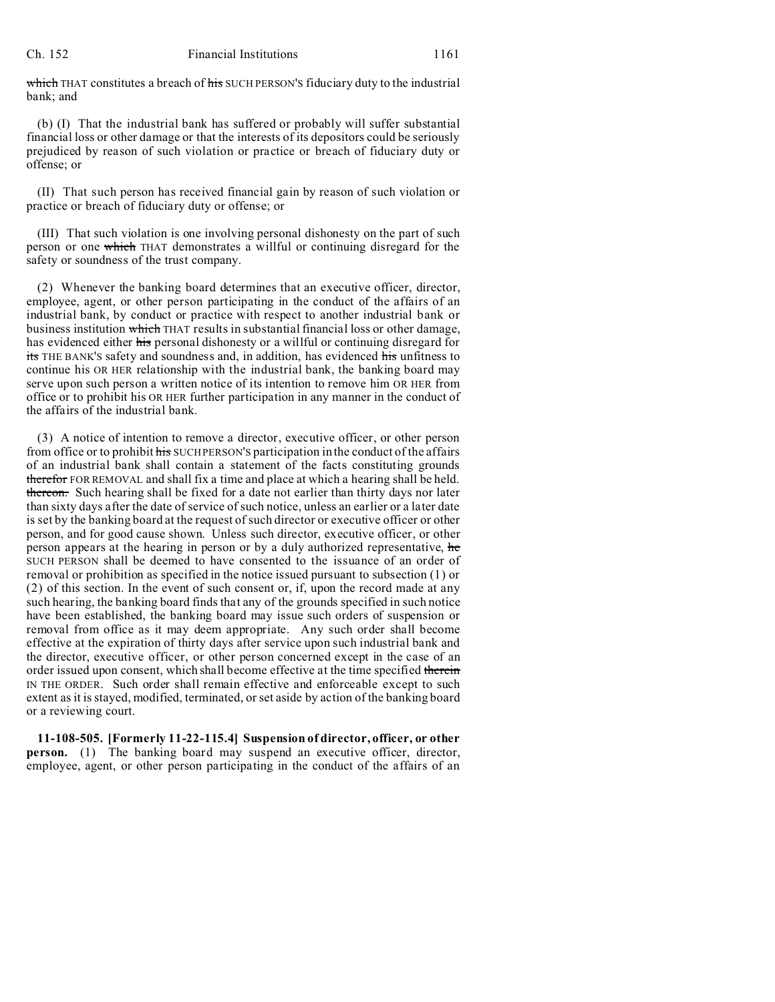#### Ch. 152 Financial Institutions 1161

which THAT constitutes a breach of his SUCH PERSON'S fiduciary duty to the industrial bank; and

(b) (I) That the industrial bank has suffered or probably will suffer substantial financial loss or other damage or that the interests of its depositors could be seriously prejudiced by reason of such violation or practice or breach of fiduciary duty or offense; or

(II) That such person has received financial gain by reason of such violation or practice or breach of fiduciary duty or offense; or

(III) That such violation is one involving personal dishonesty on the part of such person or one which THAT demonstrates a willful or continuing disregard for the safety or soundness of the trust company.

(2) Whenever the banking board determines that an executive officer, director, employee, agent, or other person participating in the conduct of the affairs of an industrial bank, by conduct or practice with respect to another industrial bank or business institution which THAT results in substantial financial loss or other damage, has evidenced either his personal dishonesty or a willful or continuing disregard for its THE BANK'S safety and soundness and, in addition, has evidenced his unfitness to continue his OR HER relationship with the industrial bank, the banking board may serve upon such person a written notice of its intention to remove him OR HER from office or to prohibit his OR HER further participation in any manner in the conduct of the affairs of the industrial bank.

(3) A notice of intention to remove a director, executive officer, or other person from office or to prohibit his SUCH PERSON'S participation in the conduct of the affairs of an industrial bank shall contain a statement of the facts constituting grounds therefor FOR REMOVAL and shall fix a time and place at which a hearing shall be held. thereon. Such hearing shall be fixed for a date not earlier than thirty days nor later than sixty days after the date of service of such notice, unless an earlier or a later date is set by the banking board at the request of such director or executive officer or other person, and for good cause shown. Unless such director, executive officer, or other person appears at the hearing in person or by a duly authorized representative, he SUCH PERSON shall be deemed to have consented to the issuance of an order of removal or prohibition as specified in the notice issued pursuant to subsection (1) or (2) of this section. In the event of such consent or, if, upon the record made at any such hearing, the banking board finds that any of the grounds specified in such notice have been established, the banking board may issue such orders of suspension or removal from office as it may deem appropriate. Any such order shall become effective at the expiration of thirty days after service upon such industrial bank and the director, executive officer, or other person concerned except in the case of an order issued upon consent, which shall become effective at the time specified therein IN THE ORDER. Such order shall remain effective and enforceable except to such extent as it is stayed, modified, terminated, or set aside by action of the banking board or a reviewing court.

**11-108-505. [Formerly 11-22-115.4] Suspension of director, officer, or other person.** (1) The banking board may suspend an executive officer, director, employee, agent, or other person participating in the conduct of the affairs of an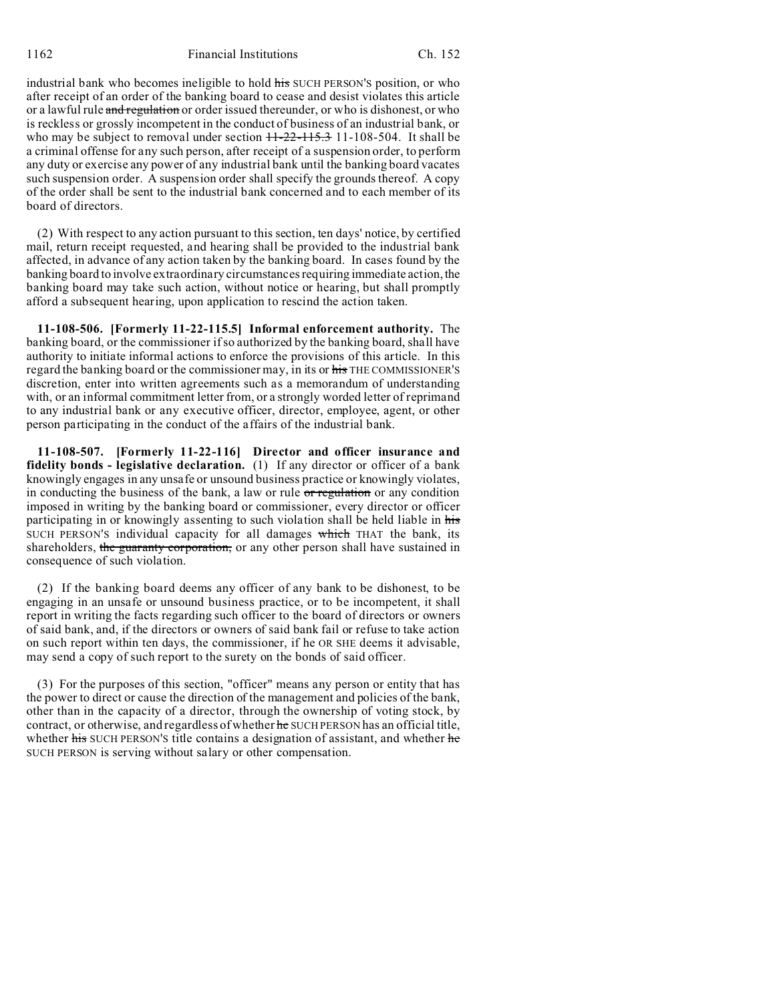1162 Financial Institutions Ch. 152

industrial bank who becomes ineligible to hold his SUCH PERSON'S position, or who after receipt of an order of the banking board to cease and desist violates this article or a lawful rule and regulation or order issued thereunder, or who is dishonest, or who is reckless or grossly incompetent in the conduct of business of an industrial bank, or who may be subject to removal under section  $11-22-115.3$  11-108-504. It shall be a criminal offense for any such person, after receipt of a suspension order, to perform any duty or exercise any power of any industrial bank until the banking board vacates such suspension order. A suspension order shall specify the grounds thereof. A copy of the order shall be sent to the industrial bank concerned and to each member of its board of directors.

(2) With respect to any action pursuant to this section, ten days' notice, by certified mail, return receipt requested, and hearing shall be provided to the industrial bank affected, in advance of any action taken by the banking board. In cases found by the banking board to involve extraordinary circumstances requiring immediate action, the banking board may take such action, without notice or hearing, but shall promptly afford a subsequent hearing, upon application to rescind the action taken.

**11-108-506. [Formerly 11-22-115.5] Informal enforcement authority.** The banking board, or the commissioner if so authorized by the banking board, shall have authority to initiate informal actions to enforce the provisions of this article. In this regard the banking board or the commissioner may, in its or his THE COMMISSIONER'S discretion, enter into written agreements such as a memorandum of understanding with, or an informal commitment letter from, or a strongly worded letter of reprimand to any industrial bank or any executive officer, director, employee, agent, or other person participating in the conduct of the affairs of the industrial bank.

**11-108-507. [Formerly 11-22-116] Director and officer insurance and fidelity bonds - legislative declaration.** (1) If any director or officer of a bank knowingly engages in any unsafe or unsound business practice or knowingly violates, in conducting the business of the bank, a law or rule or regulation or any condition imposed in writing by the banking board or commissioner, every director or officer participating in or knowingly assenting to such violation shall be held liable in his SUCH PERSON'S individual capacity for all damages which THAT the bank, its shareholders, the guaranty corporation, or any other person shall have sustained in consequence of such violation.

(2) If the banking board deems any officer of any bank to be dishonest, to be engaging in an unsafe or unsound business practice, or to be incompetent, it shall report in writing the facts regarding such officer to the board of directors or owners of said bank, and, if the directors or owners of said bank fail or refuse to take action on such report within ten days, the commissioner, if he OR SHE deems it advisable, may send a copy of such report to the surety on the bonds of said officer.

(3) For the purposes of this section, "officer" means any person or entity that has the power to direct or cause the direction of the management and policies of the bank, other than in the capacity of a director, through the ownership of voting stock, by contract, or otherwise, and regardless of whether he SUCH PERSON has an official title, whether his SUCH PERSON's title contains a designation of assistant, and whether he SUCH PERSON is serving without salary or other compensation.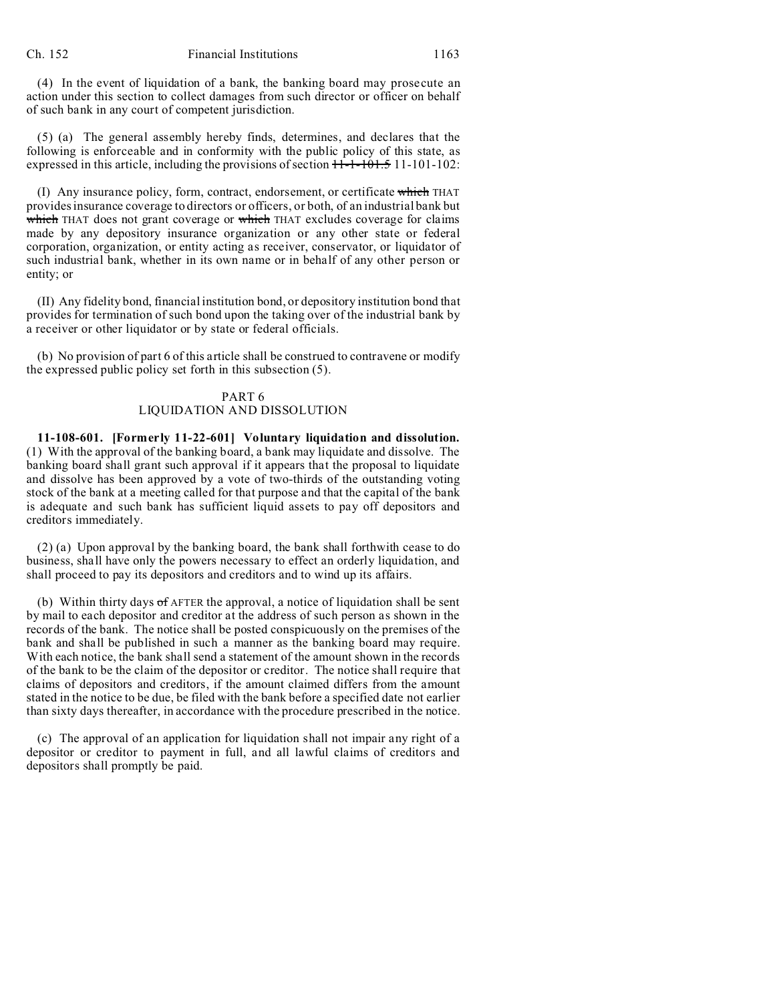(4) In the event of liquidation of a bank, the banking board may prosecute an action under this section to collect damages from such director or officer on behalf of such bank in any court of competent jurisdiction.

(5) (a) The general assembly hereby finds, determines, and declares that the following is enforceable and in conformity with the public policy of this state, as expressed in this article, including the provisions of section  $11-1-101.5$  11-101-102:

(I) Any insurance policy, form, contract, endorsement, or certificate which THAT provides insurance coverage to directors or officers, or both, of an industrial bank but which THAT does not grant coverage or which THAT excludes coverage for claims made by any depository insurance organization or any other state or federal corporation, organization, or entity acting as receiver, conservator, or liquidator of such industrial bank, whether in its own name or in behalf of any other person or entity; or

(II) Any fidelity bond, financial institution bond, or depository institution bond that provides for termination of such bond upon the taking over of the industrial bank by a receiver or other liquidator or by state or federal officials.

(b) No provision of part 6 of this article shall be construed to contravene or modify the expressed public policy set forth in this subsection (5).

## PART 6 LIQUIDATION AND DISSOLUTION

**11-108-601. [Formerly 11-22-601] Voluntary liquidation and dissolution.** (1) With the approval of the banking board, a bank may liquidate and dissolve. The banking board shall grant such approval if it appears that the proposal to liquidate and dissolve has been approved by a vote of two-thirds of the outstanding voting stock of the bank at a meeting called for that purpose and that the capital of the bank is adequate and such bank has sufficient liquid assets to pay off depositors and creditors immediately.

(2) (a) Upon approval by the banking board, the bank shall forthwith cease to do business, shall have only the powers necessary to effect an orderly liquidation, and shall proceed to pay its depositors and creditors and to wind up its affairs.

(b) Within thirty days  $\sigma f$  AFTER the approval, a notice of liquidation shall be sent by mail to each depositor and creditor at the address of such person as shown in the records of the bank. The notice shall be posted conspicuously on the premises of the bank and shall be published in such a manner as the banking board may require. With each notice, the bank shall send a statement of the amount shown in the records of the bank to be the claim of the depositor or creditor. The notice shall require that claims of depositors and creditors, if the amount claimed differs from the amount stated in the notice to be due, be filed with the bank before a specified date not earlier than sixty days thereafter, in accordance with the procedure prescribed in the notice.

(c) The approval of an application for liquidation shall not impair any right of a depositor or creditor to payment in full, and all lawful claims of creditors and depositors shall promptly be paid.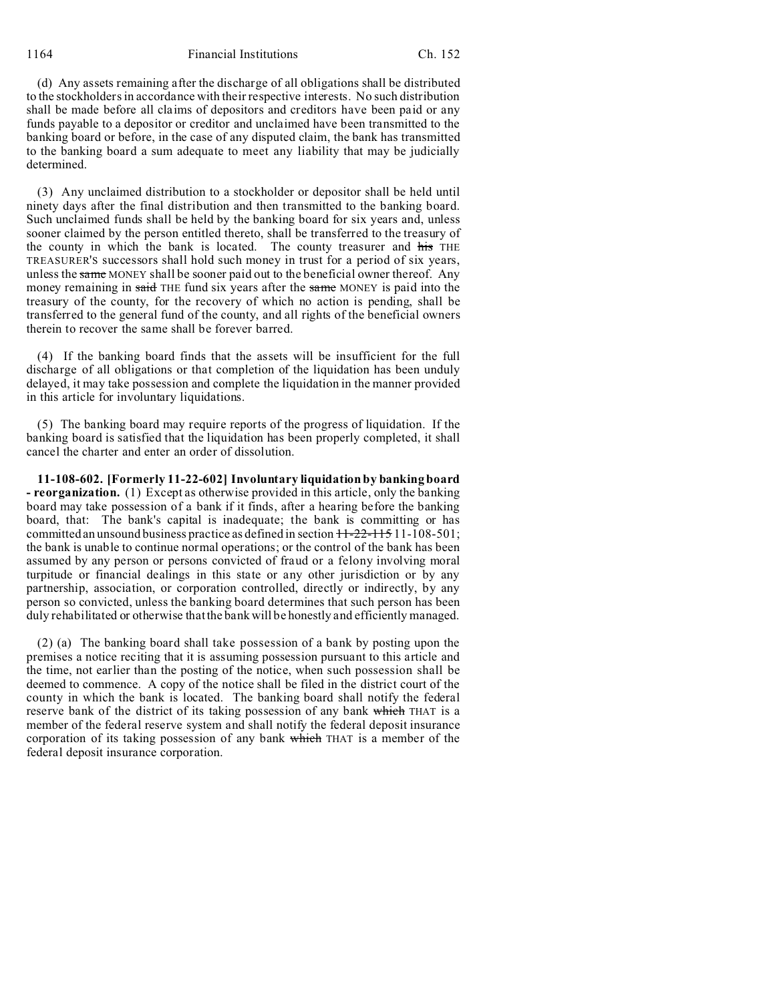1164 Financial Institutions Ch. 152

(d) Any assets remaining after the discharge of all obligations shall be distributed to the stockholders in accordance with their respective interests. No such distribution shall be made before all claims of depositors and creditors have been paid or any funds payable to a depositor or creditor and unclaimed have been transmitted to the banking board or before, in the case of any disputed claim, the bank has transmitted to the banking board a sum adequate to meet any liability that may be judicially determined.

(3) Any unclaimed distribution to a stockholder or depositor shall be held until ninety days after the final distribution and then transmitted to the banking board. Such unclaimed funds shall be held by the banking board for six years and, unless sooner claimed by the person entitled thereto, shall be transferred to the treasury of the county in which the bank is located. The county treasurer and his THE TREASURER'S successors shall hold such money in trust for a period of six years, unless the same MONEY shall be sooner paid out to the beneficial owner thereof. Any money remaining in said THE fund six years after the same MONEY is paid into the treasury of the county, for the recovery of which no action is pending, shall be transferred to the general fund of the county, and all rights of the beneficial owners therein to recover the same shall be forever barred.

(4) If the banking board finds that the assets will be insufficient for the full discharge of all obligations or that completion of the liquidation has been unduly delayed, it may take possession and complete the liquidation in the manner provided in this article for involuntary liquidations.

(5) The banking board may require reports of the progress of liquidation. If the banking board is satisfied that the liquidation has been properly completed, it shall cancel the charter and enter an order of dissolution.

**11-108-602. [Formerly 11-22-602] Involuntary liquidation by banking board - reorganization.** (1) Except as otherwise provided in this article, only the banking board may take possession of a bank if it finds, after a hearing before the banking board, that: The bank's capital is inadequate; the bank is committing or has committed an unsound business practice as defined in section  $11-22-115$  11-108-501; the bank is unable to continue normal operations; or the control of the bank has been assumed by any person or persons convicted of fraud or a felony involving moral turpitude or financial dealings in this state or any other jurisdiction or by any partnership, association, or corporation controlled, directly or indirectly, by any person so convicted, unless the banking board determines that such person has been duly rehabilitated or otherwise that the bank will be honestly and efficiently managed.

(2) (a) The banking board shall take possession of a bank by posting upon the premises a notice reciting that it is assuming possession pursuant to this article and the time, not earlier than the posting of the notice, when such possession shall be deemed to commence. A copy of the notice shall be filed in the district court of the county in which the bank is located. The banking board shall notify the federal reserve bank of the district of its taking possession of any bank which THAT is a member of the federal reserve system and shall notify the federal deposit insurance corporation of its taking possession of any bank which THAT is a member of the federal deposit insurance corporation.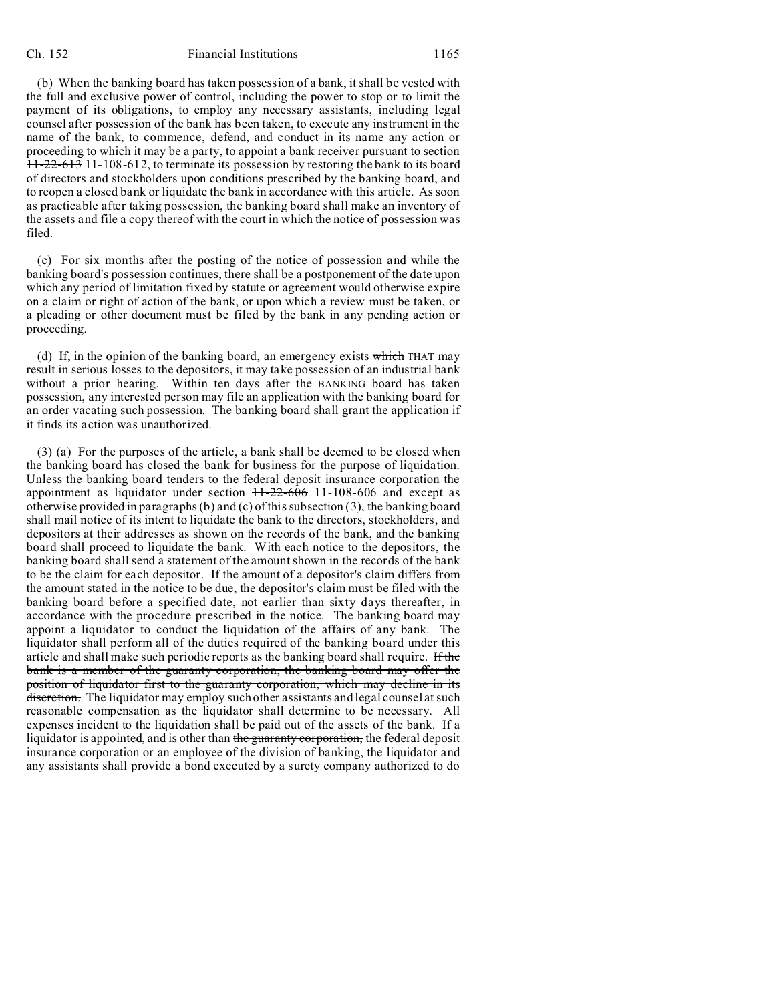#### Ch. 152 Financial Institutions 1165

(b) When the banking board has taken possession of a bank, it shall be vested with the full and exclusive power of control, including the power to stop or to limit the payment of its obligations, to employ any necessary assistants, including legal counsel after possession of the bank has been taken, to execute any instrument in the name of the bank, to commence, defend, and conduct in its name any action or proceeding to which it may be a party, to appoint a bank receiver pursuant to section 11-22-613 11-108-612, to terminate its possession by restoring the bank to its board of directors and stockholders upon conditions prescribed by the banking board, and to reopen a closed bank or liquidate the bank in accordance with this article. As soon as practicable after taking possession, the banking board shall make an inventory of the assets and file a copy thereof with the court in which the notice of possession was filed.

(c) For six months after the posting of the notice of possession and while the banking board's possession continues, there shall be a postponement of the date upon which any period of limitation fixed by statute or agreement would otherwise expire on a claim or right of action of the bank, or upon which a review must be taken, or a pleading or other document must be filed by the bank in any pending action or proceeding.

(d) If, in the opinion of the banking board, an emergency exists which THAT may result in serious losses to the depositors, it may take possession of an industrial bank without a prior hearing. Within ten days after the BANKING board has taken possession, any interested person may file an application with the banking board for an order vacating such possession. The banking board shall grant the application if it finds its action was unauthorized.

(3) (a) For the purposes of the article, a bank shall be deemed to be closed when the banking board has closed the bank for business for the purpose of liquidation. Unless the banking board tenders to the federal deposit insurance corporation the appointment as liquidator under section  $11-22-606$  11-108-606 and except as otherwise provided in paragraphs (b) and (c) of this subsection (3), the banking board shall mail notice of its intent to liquidate the bank to the directors, stockholders, and depositors at their addresses as shown on the records of the bank, and the banking board shall proceed to liquidate the bank. With each notice to the depositors, the banking board shall send a statement of the amount shown in the records of the bank to be the claim for each depositor. If the amount of a depositor's claim differs from the amount stated in the notice to be due, the depositor's claim must be filed with the banking board before a specified date, not earlier than sixty days thereafter, in accordance with the procedure prescribed in the notice. The banking board may appoint a liquidator to conduct the liquidation of the affairs of any bank. The liquidator shall perform all of the duties required of the banking board under this article and shall make such periodic reports as the banking board shall require. If the bank is a member of the guaranty corporation, the banking board may offer the position of liquidator first to the guaranty corporation, which may decline in its discretion. The liquidator may employ such other assistants and legal counsel at such reasonable compensation as the liquidator shall determine to be necessary. All expenses incident to the liquidation shall be paid out of the assets of the bank. If a liquidator is appointed, and is other than the guaranty corporation, the federal deposit insurance corporation or an employee of the division of banking, the liquidator and any assistants shall provide a bond executed by a surety company authorized to do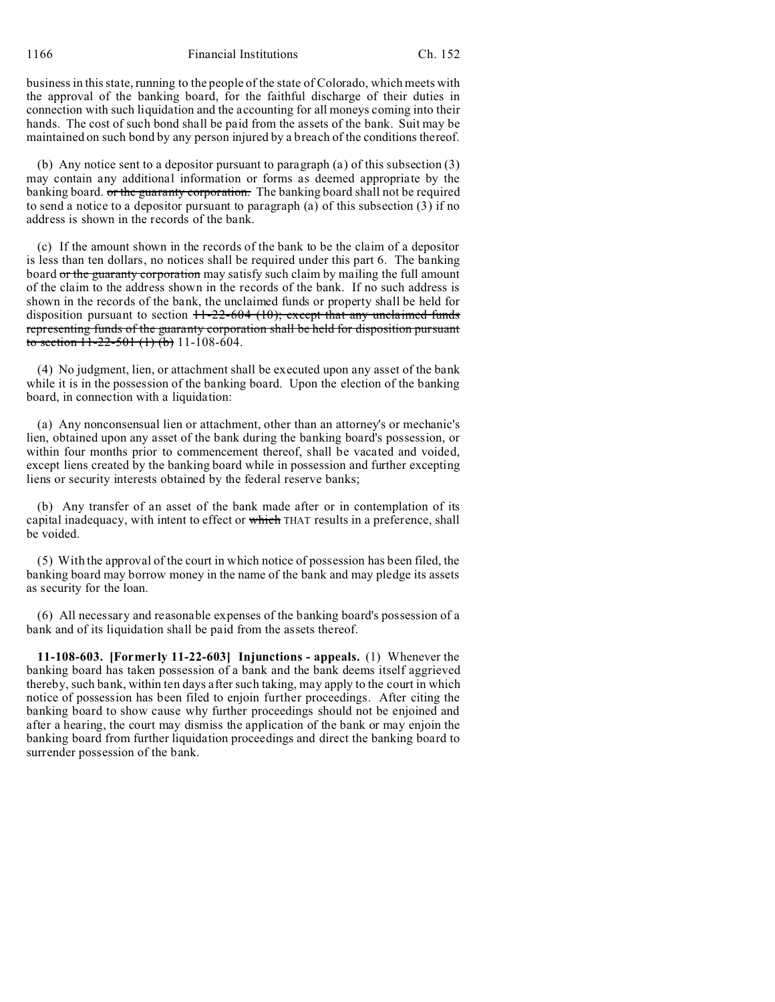1166 Financial Institutions Ch. 152

business in this state, running to the people of the state of Colorado, which meets with the approval of the banking board, for the faithful discharge of their duties in connection with such liquidation and the accounting for all moneys coming into their hands. The cost of such bond shall be paid from the assets of the bank. Suit may be maintained on such bond by any person injured by a breach of the conditions thereof.

(b) Any notice sent to a depositor pursuant to paragraph (a) of this subsection (3) may contain any additional information or forms as deemed appropriate by the banking board. or the guaranty corporation. The banking board shall not be required to send a notice to a depositor pursuant to paragraph (a) of this subsection (3) if no address is shown in the records of the bank.

(c) If the amount shown in the records of the bank to be the claim of a depositor is less than ten dollars, no notices shall be required under this part 6. The banking board or the guaranty corporation may satisfy such claim by mailing the full amount of the claim to the address shown in the records of the bank. If no such address is shown in the records of the bank, the unclaimed funds or property shall be held for disposition pursuant to section  $11-22-604$  (10); except that any unclaimed funds representing funds of the guaranty corporation shall be held for disposition pursuant to section  $11-22-501$  (1) (b) 11-108-604.

(4) No judgment, lien, or attachment shall be executed upon any asset of the bank while it is in the possession of the banking board. Upon the election of the banking board, in connection with a liquidation:

(a) Any nonconsensual lien or attachment, other than an attorney's or mechanic's lien, obtained upon any asset of the bank during the banking board's possession, or within four months prior to commencement thereof, shall be vacated and voided, except liens created by the banking board while in possession and further excepting liens or security interests obtained by the federal reserve banks;

(b) Any transfer of an asset of the bank made after or in contemplation of its capital inadequacy, with intent to effect or which THAT results in a preference, shall be voided.

(5) With the approval of the court in which notice of possession has been filed, the banking board may borrow money in the name of the bank and may pledge its assets as security for the loan.

(6) All necessary and reasonable expenses of the banking board's possession of a bank and of its liquidation shall be paid from the assets thereof.

**11-108-603. [Formerly 11-22-603] Injunctions - appeals.** (1) Whenever the banking board has taken possession of a bank and the bank deems itself aggrieved thereby, such bank, within ten days after such taking, may apply to the court in which notice of possession has been filed to enjoin further proceedings. After citing the banking board to show cause why further proceedings should not be enjoined and after a hearing, the court may dismiss the application of the bank or may enjoin the banking board from further liquidation proceedings and direct the banking board to surrender possession of the bank.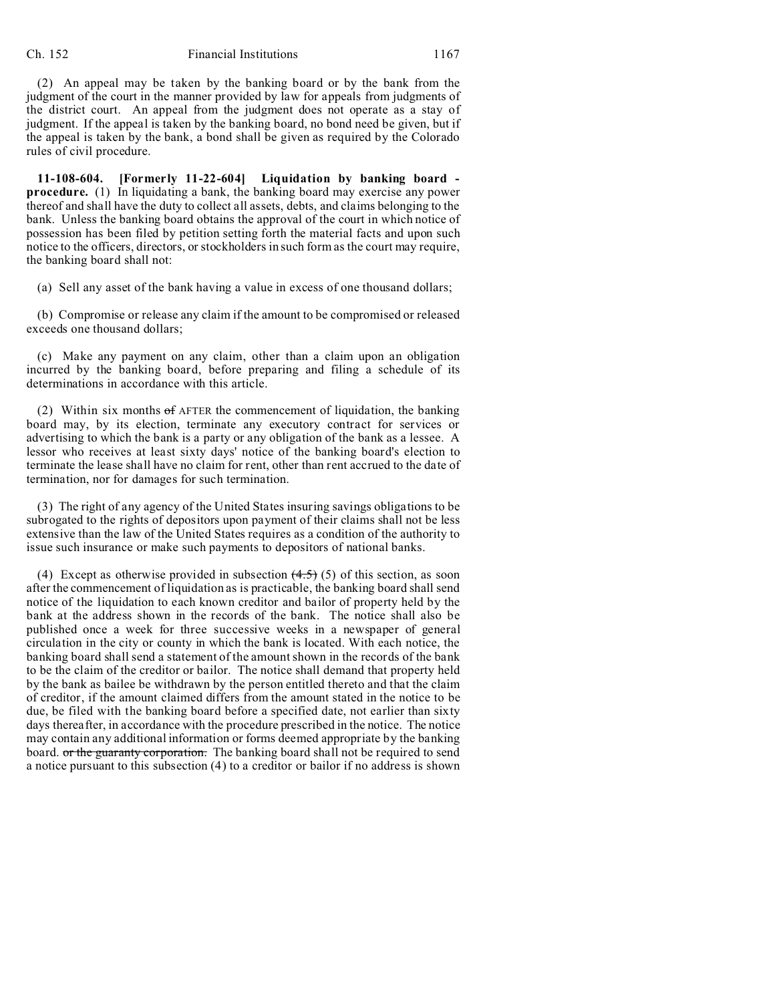(2) An appeal may be taken by the banking board or by the bank from the judgment of the court in the manner provided by law for appeals from judgments of the district court. An appeal from the judgment does not operate as a stay of judgment. If the appeal is taken by the banking board, no bond need be given, but if the appeal is taken by the bank, a bond shall be given as required by the Colorado rules of civil procedure.

**11-108-604. [Formerly 11-22-604] Liquidation by banking board procedure.** (1) In liquidating a bank, the banking board may exercise any power thereof and shall have the duty to collect all assets, debts, and claims belonging to the bank. Unless the banking board obtains the approval of the court in which notice of possession has been filed by petition setting forth the material facts and upon such notice to the officers, directors, or stockholders in such form as the court may require, the banking board shall not:

(a) Sell any asset of the bank having a value in excess of one thousand dollars;

(b) Compromise or release any claim if the amount to be compromised or released exceeds one thousand dollars;

(c) Make any payment on any claim, other than a claim upon an obligation incurred by the banking board, before preparing and filing a schedule of its determinations in accordance with this article.

(2) Within six months  $\sigma$ f AFTER the commencement of liquidation, the banking board may, by its election, terminate any executory contract for services or advertising to which the bank is a party or any obligation of the bank as a lessee. A lessor who receives at least sixty days' notice of the banking board's election to terminate the lease shall have no claim for rent, other than rent accrued to the date of termination, nor for damages for such termination.

(3) The right of any agency of the United States insuring savings obligations to be subrogated to the rights of depositors upon payment of their claims shall not be less extensive than the law of the United States requires as a condition of the authority to issue such insurance or make such payments to depositors of national banks.

(4) Except as otherwise provided in subsection  $(4.5)$  (5) of this section, as soon after the commencement of liquidation as is practicable, the banking board shall send notice of the liquidation to each known creditor and bailor of property held by the bank at the address shown in the records of the bank. The notice shall also be published once a week for three successive weeks in a newspaper of general circulation in the city or county in which the bank is located. With each notice, the banking board shall send a statement of the amount shown in the records of the bank to be the claim of the creditor or bailor. The notice shall demand that property held by the bank as bailee be withdrawn by the person entitled thereto and that the claim of creditor, if the amount claimed differs from the amount stated in the notice to be due, be filed with the banking board before a specified date, not earlier than sixty days thereafter, in accordance with the procedure prescribed in the notice. The notice may contain any additional information or forms deemed appropriate by the banking board. or the guaranty corporation. The banking board shall not be required to send a notice pursuant to this subsection (4) to a creditor or bailor if no address is shown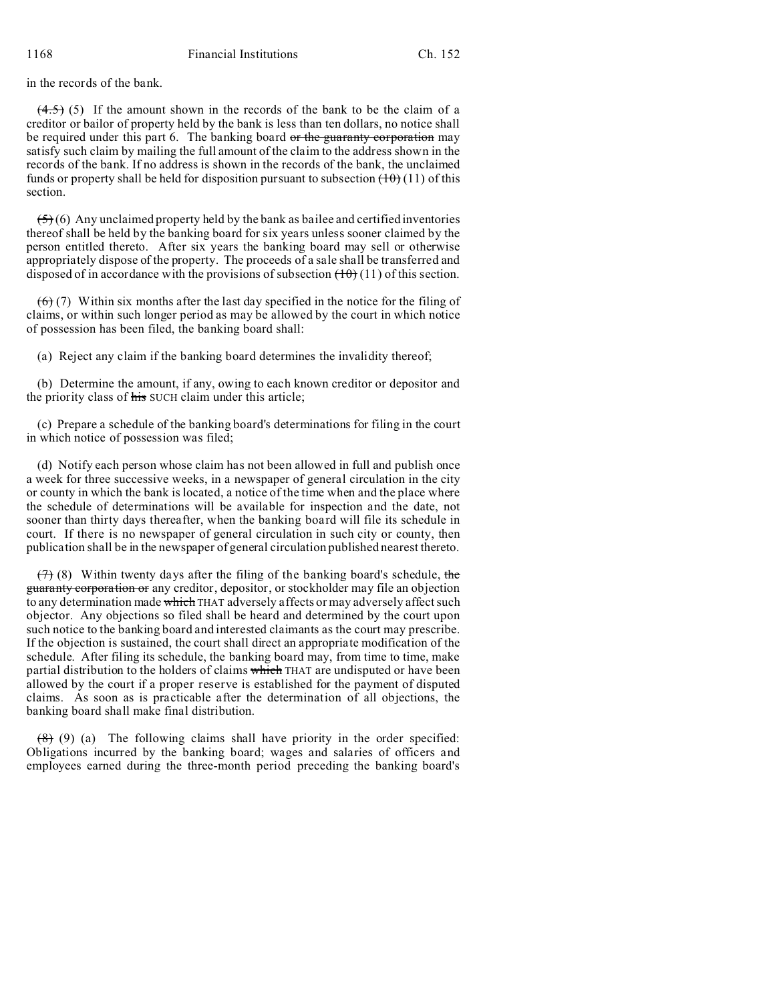in the records of the bank.

 $(4.5)$  (5) If the amount shown in the records of the bank to be the claim of a creditor or bailor of property held by the bank is less than ten dollars, no notice shall be required under this part 6. The banking board or the guaranty corporation may satisfy such claim by mailing the full amount of the claim to the address shown in the records of the bank. If no address is shown in the records of the bank, the unclaimed funds or property shall be held for disposition pursuant to subsection  $(10)(11)$  of this section.

 $(5)$  (6) Any unclaimed property held by the bank as bailee and certified inventories thereof shall be held by the banking board for six years unless sooner claimed by the person entitled thereto. After six years the banking board may sell or otherwise appropriately dispose of the property. The proceeds of a sale shall be transferred and disposed of in accordance with the provisions of subsection  $(10)(11)$  of this section.

 $(6)$  (7) Within six months after the last day specified in the notice for the filing of claims, or within such longer period as may be allowed by the court in which notice of possession has been filed, the banking board shall:

(a) Reject any claim if the banking board determines the invalidity thereof;

(b) Determine the amount, if any, owing to each known creditor or depositor and the priority class of his SUCH claim under this article;

(c) Prepare a schedule of the banking board's determinations for filing in the court in which notice of possession was filed;

(d) Notify each person whose claim has not been allowed in full and publish once a week for three successive weeks, in a newspaper of general circulation in the city or county in which the bank is located, a notice of the time when and the place where the schedule of determinations will be available for inspection and the date, not sooner than thirty days thereafter, when the banking board will file its schedule in court. If there is no newspaper of general circulation in such city or county, then publication shall be in the newspaper of general circulation published nearest thereto.

 $(7)$  (8) Within twenty days after the filing of the banking board's schedule, the guaranty corporation or any creditor, depositor, or stockholder may file an objection to any determination made which THAT adversely affects or may adversely affect such objector. Any objections so filed shall be heard and determined by the court upon such notice to the banking board and interested claimants as the court may prescribe. If the objection is sustained, the court shall direct an appropriate modification of the schedule. After filing its schedule, the banking board may, from time to time, make partial distribution to the holders of claims which THAT are undisputed or have been allowed by the court if a proper reserve is established for the payment of disputed claims. As soon as is practicable after the determination of all objections, the banking board shall make final distribution.

 $(8)$  (9) (a) The following claims shall have priority in the order specified: Obligations incurred by the banking board; wages and salaries of officers and employees earned during the three-month period preceding the banking board's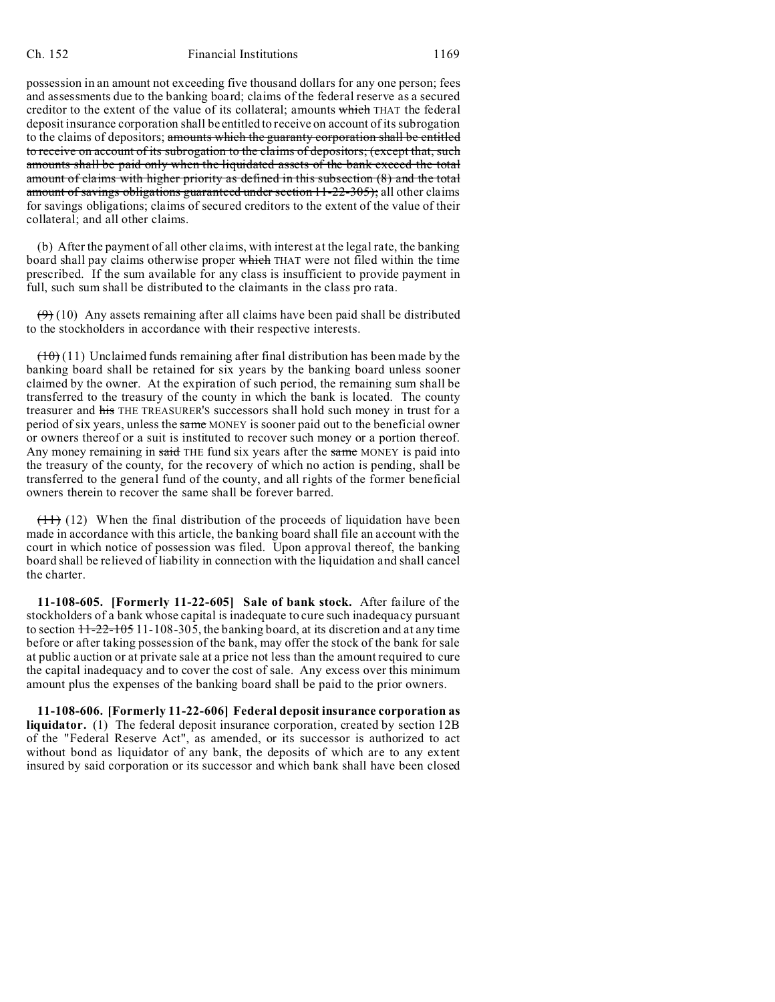possession in an amount not exceeding five thousand dollars for any one person; fees and assessments due to the banking board; claims of the federal reserve as a secured creditor to the extent of the value of its collateral; amounts which THAT the federal deposit insurance corporation shall be entitled to receive on account of its subrogation to the claims of depositors; amounts which the guaranty corporation shall be entitled to receive on account of its subrogation to the claims of depositors; (except that, such amounts shall be paid only when the liquidated assets of the bank exceed the total amount of claims with higher priority as defined in this subsection (8) and the total amount of savings obligations guaranteed under section 11-22-305); all other claims for savings obligations; claims of secured creditors to the extent of the value of their collateral; and all other claims.

(b) After the payment of all other claims, with interest at the legal rate, the banking board shall pay claims otherwise proper which THAT were not filed within the time prescribed. If the sum available for any class is insufficient to provide payment in full, such sum shall be distributed to the claimants in the class pro rata.

 $(9)$  (10) Any assets remaining after all claims have been paid shall be distributed to the stockholders in accordance with their respective interests.

 $(10)(11)$  Unclaimed funds remaining after final distribution has been made by the banking board shall be retained for six years by the banking board unless sooner claimed by the owner. At the expiration of such period, the remaining sum shall be transferred to the treasury of the county in which the bank is located. The county treasurer and his THE TREASURER'S successors shall hold such money in trust for a period of six years, unless the same MONEY is sooner paid out to the beneficial owner or owners thereof or a suit is instituted to recover such money or a portion thereof. Any money remaining in said THE fund six years after the same MONEY is paid into the treasury of the county, for the recovery of which no action is pending, shall be transferred to the general fund of the county, and all rights of the former beneficial owners therein to recover the same shall be forever barred.

 $(11)$  (12) When the final distribution of the proceeds of liquidation have been made in accordance with this article, the banking board shall file an account with the court in which notice of possession was filed. Upon approval thereof, the banking board shall be relieved of liability in connection with the liquidation and shall cancel the charter.

**11-108-605. [Formerly 11-22-605] Sale of bank stock.** After failure of the stockholders of a bank whose capital is inadequate to cure such inadequacy pursuant to section  $11-22-105$  11-108-305, the banking board, at its discretion and at any time before or after taking possession of the bank, may offer the stock of the bank for sale at public auction or at private sale at a price not less than the amount required to cure the capital inadequacy and to cover the cost of sale. Any excess over this minimum amount plus the expenses of the banking board shall be paid to the prior owners.

**11-108-606. [Formerly 11-22-606] Federal deposit insurance corporation as liquidator.** (1) The federal deposit insurance corporation, created by section 12B of the "Federal Reserve Act", as amended, or its successor is authorized to act without bond as liquidator of any bank, the deposits of which are to any extent insured by said corporation or its successor and which bank shall have been closed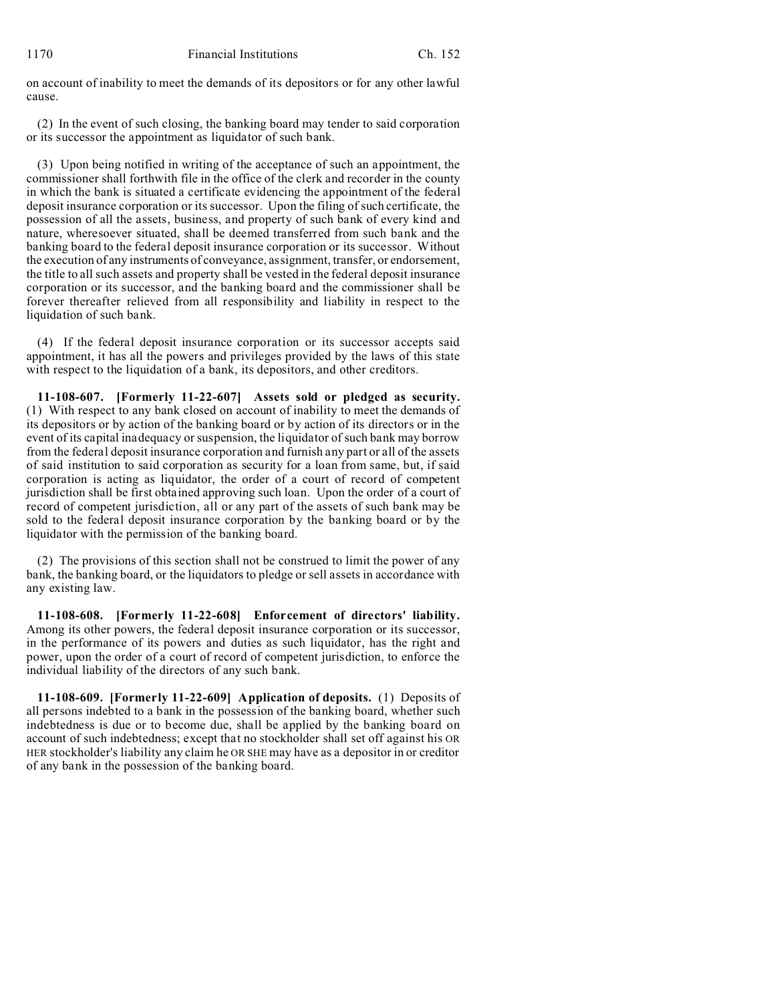on account of inability to meet the demands of its depositors or for any other lawful cause.

(2) In the event of such closing, the banking board may tender to said corporation or its successor the appointment as liquidator of such bank.

(3) Upon being notified in writing of the acceptance of such an appointment, the commissioner shall forthwith file in the office of the clerk and recorder in the county in which the bank is situated a certificate evidencing the appointment of the federal deposit insurance corporation or its successor. Upon the filing of such certificate, the possession of all the assets, business, and property of such bank of every kind and nature, wheresoever situated, shall be deemed transferred from such bank and the banking board to the federal deposit insurance corporation or its successor. Without the execution of any instruments of conveyance, assignment, transfer, or endorsement, the title to all such assets and property shall be vested in the federal deposit insurance corporation or its successor, and the banking board and the commissioner shall be forever thereafter relieved from all responsibility and liability in respect to the liquidation of such bank.

(4) If the federal deposit insurance corporation or its successor accepts said appointment, it has all the powers and privileges provided by the laws of this state with respect to the liquidation of a bank, its depositors, and other creditors.

**11-108-607. [Formerly 11-22-607] Assets sold or pledged as security.** (1) With respect to any bank closed on account of inability to meet the demands of its depositors or by action of the banking board or by action of its directors or in the event of its capital inadequacy or suspension, the liquidator of such bank may borrow from the federal deposit insurance corporation and furnish any part or all of the assets of said institution to said corporation as security for a loan from same, but, if said corporation is acting as liquidator, the order of a court of record of competent jurisdiction shall be first obtained approving such loan. Upon the order of a court of record of competent jurisdiction, all or any part of the assets of such bank may be sold to the federal deposit insurance corporation by the banking board or by the liquidator with the permission of the banking board.

(2) The provisions of this section shall not be construed to limit the power of any bank, the banking board, or the liquidators to pledge or sell assets in accordance with any existing law.

**11-108-608. [Formerly 11-22-608] Enforcement of directors' liability.** Among its other powers, the federal deposit insurance corporation or its successor, in the performance of its powers and duties as such liquidator, has the right and power, upon the order of a court of record of competent jurisdiction, to enforce the individual liability of the directors of any such bank.

**11-108-609. [Formerly 11-22-609] Application of deposits.** (1) Deposits of all persons indebted to a bank in the possession of the banking board, whether such indebtedness is due or to become due, shall be applied by the banking board on account of such indebtedness; except that no stockholder shall set off against his OR HER stockholder's liability any claim he OR SHE may have as a depositor in or creditor of any bank in the possession of the banking board.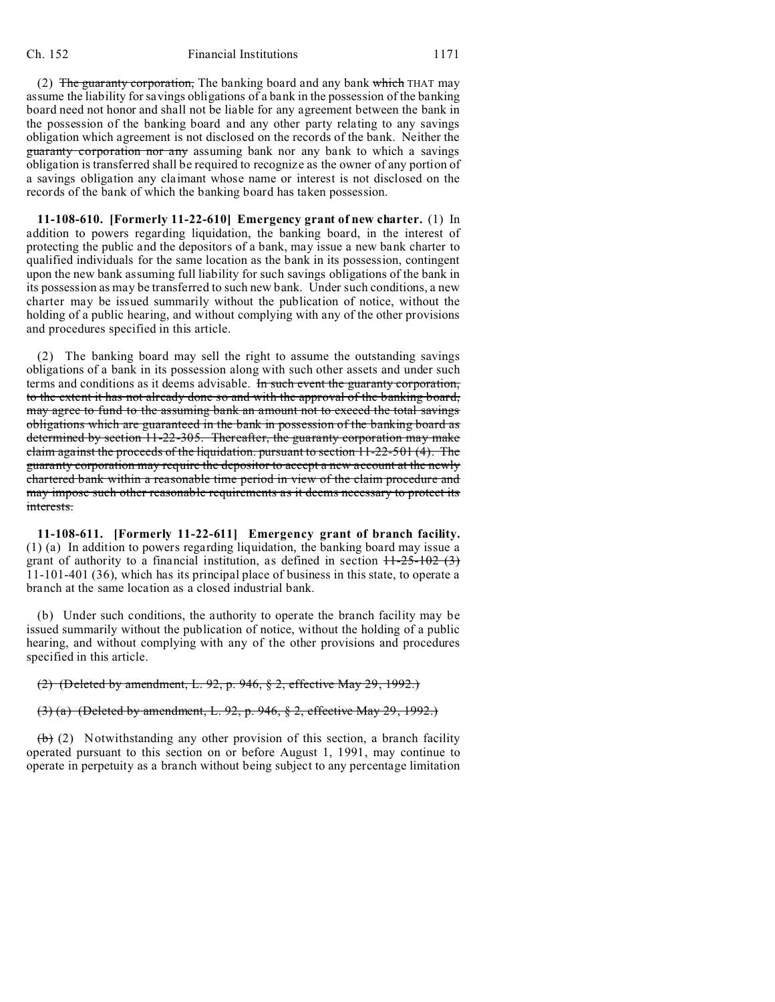(2) The guaranty corporation, The banking board and any bank which THAT may assume the liability for savings obligations of a bank in the possession of the banking board need not honor and shall not be liable for any agreement between the bank in the possession of the banking board and any other party relating to any savings obligation which agreement is not disclosed on the records of the bank. Neither the guaranty corporation nor any assuming bank nor any bank to which a savings obligation is transferred shall be required to recognize as the owner of any portion of a savings obligation any claimant whose name or interest is not disclosed on the records of the bank of which the banking board has taken possession.

**11-108-610. [Formerly 11-22-610] Emergency grant of new charter.** (1) In addition to powers regarding liquidation, the banking board, in the interest of protecting the public and the depositors of a bank, may issue a new bank charter to qualified individuals for the same location as the bank in its possession, contingent upon the new bank assuming full liability for such savings obligations of the bank in its possession as may be transferred to such new bank. Under such conditions, a new charter may be issued summarily without the publication of notice, without the holding of a public hearing, and without complying with any of the other provisions and procedures specified in this article.

(2) The banking board may sell the right to assume the outstanding savings obligations of a bank in its possession along with such other assets and under such terms and conditions as it deems advisable. In such event the guaranty corporation, to the extent it has not already done so and with the approval of the banking board, may agree to fund to the assuming bank an amount not to exceed the total savings obligations which are guaranteed in the bank in possession of the banking board as determined by section 11-22-305. Thereafter, the guaranty corporation may make claim against the proceeds of the liquidation. pursuant to section 11-22-501 (4). The guaranty corporation may require the depositor to accept a new account at the newly chartered bank within a reasonable time period in view of the claim procedure and may impose such other reasonable requirements as it deems necessary to protect its interests.

**11-108-611. [Formerly 11-22-611] Emergency grant of branch facility.** (1) (a) In addition to powers regarding liquidation, the banking board may issue a grant of authority to a financial institution, as defined in section  $H-25-102$  (3) 11-101-401 (36), which has its principal place of business in this state, to operate a branch at the same location as a closed industrial bank.

(b) Under such conditions, the authority to operate the branch facility may be issued summarily without the publication of notice, without the holding of a public hearing, and without complying with any of the other provisions and procedures specified in this article.

### (2) (Deleted by amendment, L. 92, p. 946, § 2, effective May 29, 1992.)

# (3) (a) (Deleted by amendment, L. 92, p. 946, § 2, effective May 29, 1992.)

 $(b)$  (2) Notwithstanding any other provision of this section, a branch facility operated pursuant to this section on or before August 1, 1991, may continue to operate in perpetuity as a branch without being subject to any percentage limitation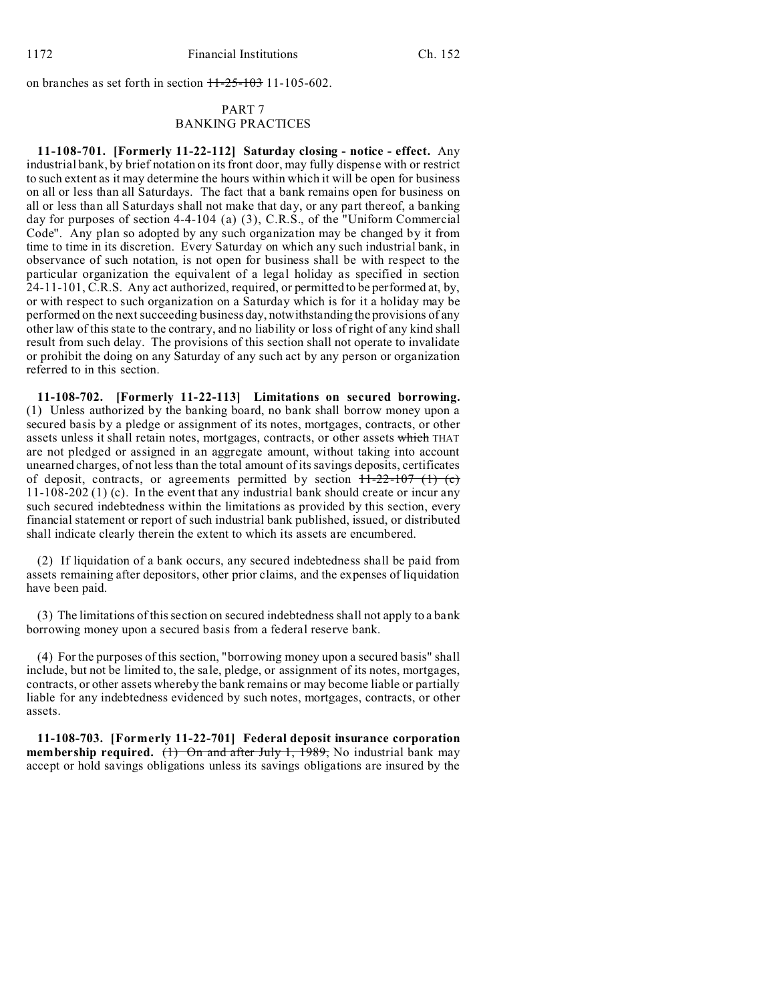on branches as set forth in section  $H-25-103$  11-105-602.

## PART 7 BANKING PRACTICES

**11-108-701. [Formerly 11-22-112] Saturday closing - notice - effect.** Any industrial bank, by brief notation on its front door, may fully dispense with or restrict to such extent as it may determine the hours within which it will be open for business on all or less than all Saturdays. The fact that a bank remains open for business on all or less than all Saturdays shall not make that day, or any part thereof, a banking day for purposes of section 4-4-104 (a) (3), C.R.S., of the "Uniform Commercial Code". Any plan so adopted by any such organization may be changed by it from time to time in its discretion. Every Saturday on which any such industrial bank, in observance of such notation, is not open for business shall be with respect to the particular organization the equivalent of a legal holiday as specified in section 24-11-101, C.R.S. Any act authorized, required, or permitted to be performed at, by, or with respect to such organization on a Saturday which is for it a holiday may be performed on the next succeeding business day, notwithstanding the provisions of any other law of this state to the contrary, and no liability or loss of right of any kind shall result from such delay. The provisions of this section shall not operate to invalidate or prohibit the doing on any Saturday of any such act by any person or organization referred to in this section.

**11-108-702. [Formerly 11-22-113] Limitations on secured borrowing.** (1) Unless authorized by the banking board, no bank shall borrow money upon a secured basis by a pledge or assignment of its notes, mortgages, contracts, or other assets unless it shall retain notes, mortgages, contracts, or other assets which THAT are not pledged or assigned in an aggregate amount, without taking into account unearned charges, of not less than the total amount of its savings deposits, certificates of deposit, contracts, or agreements permitted by section  $\frac{11-22-107}{11}$  (c) 11-108-202 (1) (c). In the event that any industrial bank should create or incur any such secured indebtedness within the limitations as provided by this section, every financial statement or report of such industrial bank published, issued, or distributed shall indicate clearly therein the extent to which its assets are encumbered.

(2) If liquidation of a bank occurs, any secured indebtedness shall be paid from assets remaining after depositors, other prior claims, and the expenses of liquidation have been paid.

(3) The limitations of this section on secured indebtedness shall not apply to a bank borrowing money upon a secured basis from a federal reserve bank.

(4) For the purposes of this section, "borrowing money upon a secured basis" shall include, but not be limited to, the sale, pledge, or assignment of its notes, mortgages, contracts, or other assets whereby the bank remains or may become liable or partially liable for any indebtedness evidenced by such notes, mortgages, contracts, or other assets.

**11-108-703. [Formerly 11-22-701] Federal deposit insurance corporation membership required.** (1) On and after July 1, 1989, No industrial bank may accept or hold savings obligations unless its savings obligations are insured by the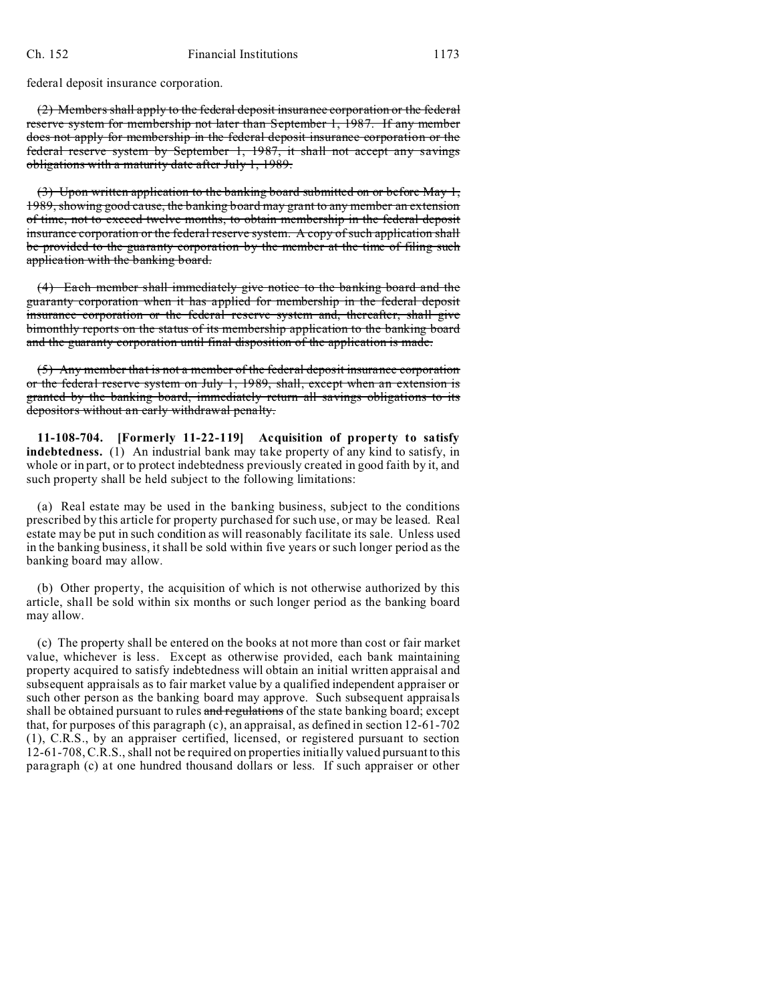federal deposit insurance corporation.

(2) Members shall apply to the federal deposit insurance corporation or the federal reserve system for membership not later than September 1, 1987. If any member does not apply for membership in the federal deposit insurance corporation or the federal reserve system by September 1, 1987, it shall not accept any savings obligations with a maturity date after July 1, 1989.

 $(3)$  Upon written application to the banking board submitted on or before May 1, 1989, showing good cause, the banking board may grant to any member an extension of time, not to exceed twelve months, to obtain membership in the federal deposit insurance corporation or the federal reserve system. A copy of such application shall be provided to the guaranty corporation by the member at the time of filing such application with the banking board.

(4) Each member shall immediately give notice to the banking board and the guaranty corporation when it has applied for membership in the federal deposit insurance corporation or the federal reserve system and, thereafter, shall give bimonthly reports on the status of its membership application to the banking board and the guaranty corporation until final disposition of the application is made.

(5) Any member that is not a member of the federal deposit insurance corporation or the federal reserve system on July 1, 1989, shall, except when an extension is granted by the banking board, immediately return all savings obligations to its depositors without an early withdrawal penalty.

**11-108-704. [Formerly 11-22-119] Acquisition of property to satisfy indebtedness.** (1) An industrial bank may take property of any kind to satisfy, in whole or in part, or to protect indebtedness previously created in good faith by it, and such property shall be held subject to the following limitations:

(a) Real estate may be used in the banking business, subject to the conditions prescribed by this article for property purchased for such use, or may be leased. Real estate may be put in such condition as will reasonably facilitate its sale. Unless used in the banking business, it shall be sold within five years or such longer period as the banking board may allow.

(b) Other property, the acquisition of which is not otherwise authorized by this article, shall be sold within six months or such longer period as the banking board may allow.

(c) The property shall be entered on the books at not more than cost or fair market value, whichever is less. Except as otherwise provided, each bank maintaining property acquired to satisfy indebtedness will obtain an initial written appraisal and subsequent appraisals as to fair market value by a qualified independent appraiser or such other person as the banking board may approve. Such subsequent appraisals shall be obtained pursuant to rules and regulations of the state banking board; except that, for purposes of this paragraph (c), an appraisal, as defined in section 12-61-702 (1), C.R.S., by an appraiser certified, licensed, or registered pursuant to section 12-61-708, C.R.S., shall not be required on properties initially valued pursuant to this paragraph (c) at one hundred thousand dollars or less. If such appraiser or other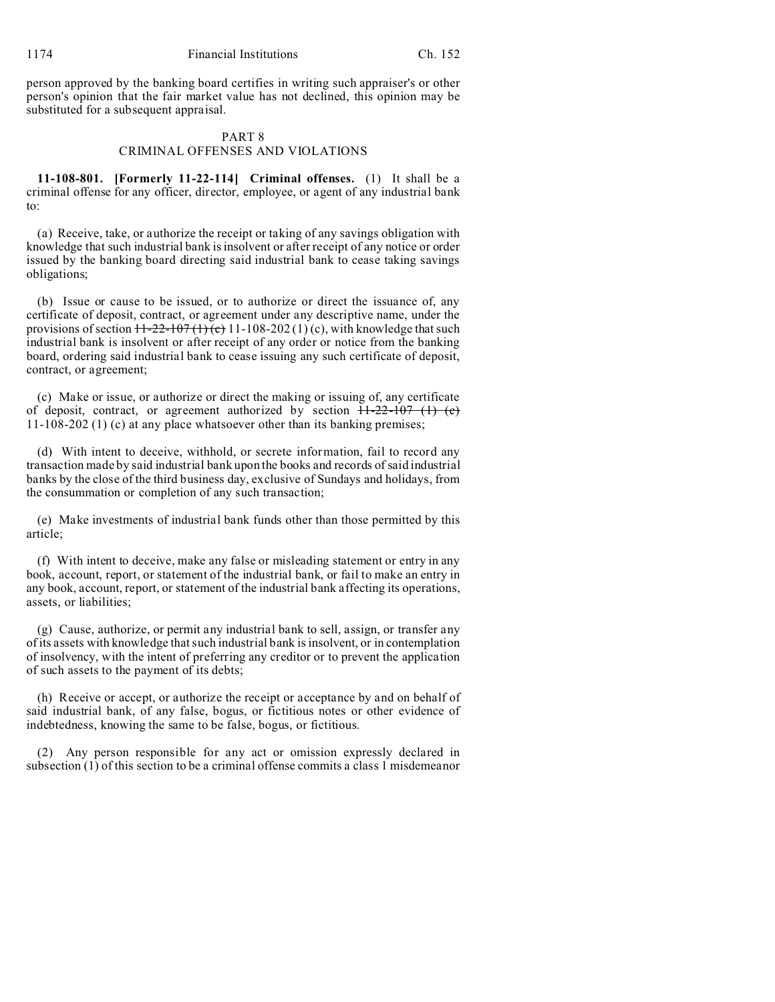person approved by the banking board certifies in writing such appraiser's or other person's opinion that the fair market value has not declined, this opinion may be substituted for a subsequent appraisal.

## PART 8

### CRIMINAL OFFENSES AND VIOLATIONS

**11-108-801. [Formerly 11-22-114] Criminal offenses.** (1) It shall be a criminal offense for any officer, director, employee, or agent of any industrial bank to:

(a) Receive, take, or authorize the receipt or taking of any savings obligation with knowledge that such industrial bank is insolvent or after receipt of any notice or order issued by the banking board directing said industrial bank to cease taking savings obligations;

(b) Issue or cause to be issued, or to authorize or direct the issuance of, any certificate of deposit, contract, or agreement under any descriptive name, under the provisions of section  $\frac{11-22-107(1)(c)}{11-108-202(1)(c)}$ , with knowledge that such industrial bank is insolvent or after receipt of any order or notice from the banking board, ordering said industrial bank to cease issuing any such certificate of deposit, contract, or agreement;

(c) Make or issue, or authorize or direct the making or issuing of, any certificate of deposit, contract, or agreement authorized by section  $H-22-107$  (1) (c) 11-108-202 (1) (c) at any place whatsoever other than its banking premises;

(d) With intent to deceive, withhold, or secrete information, fail to record any transaction made by said industrial bank upon the books and records of said industrial banks by the close of the third business day, exclusive of Sundays and holidays, from the consummation or completion of any such transaction;

(e) Make investments of industrial bank funds other than those permitted by this article;

(f) With intent to deceive, make any false or misleading statement or entry in any book, account, report, or statement of the industrial bank, or fail to make an entry in any book, account, report, or statement of the industrial bank affecting its operations, assets, or liabilities;

(g) Cause, authorize, or permit any industrial bank to sell, assign, or transfer any of its assets with knowledge that such industrial bank is insolvent, or in contemplation of insolvency, with the intent of preferring any creditor or to prevent the application of such assets to the payment of its debts;

(h) Receive or accept, or authorize the receipt or acceptance by and on behalf of said industrial bank, of any false, bogus, or fictitious notes or other evidence of indebtedness, knowing the same to be false, bogus, or fictitious.

(2) Any person responsible for any act or omission expressly declared in subsection (1) of this section to be a criminal offense commits a class 1 misdemeanor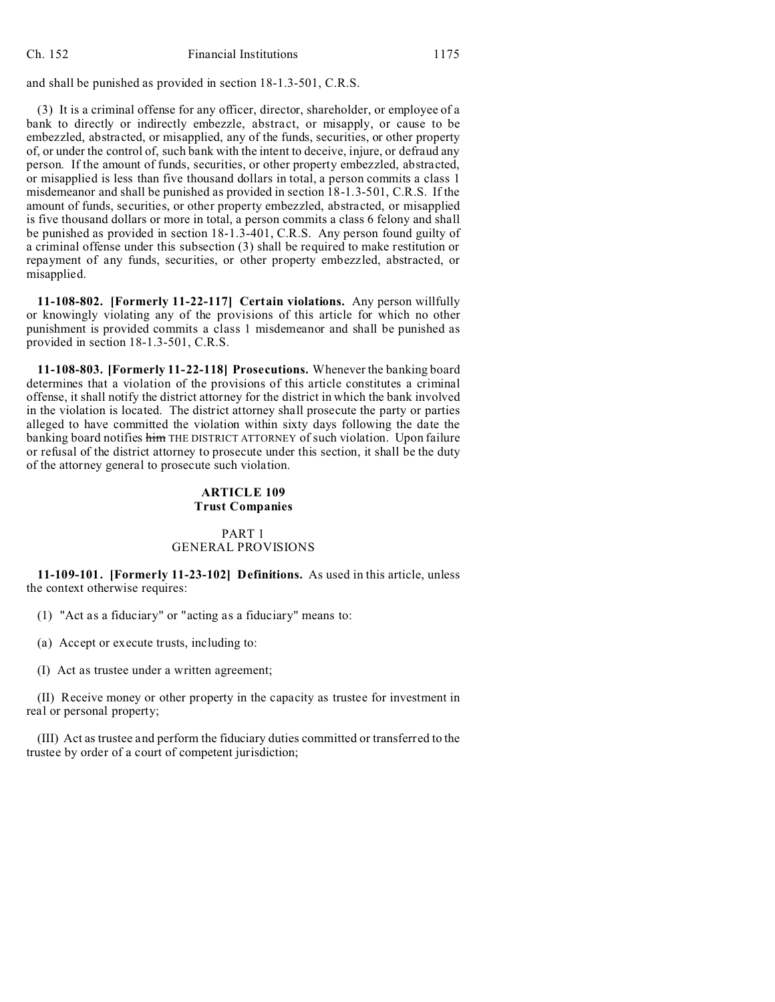and shall be punished as provided in section 18-1.3-501, C.R.S.

(3) It is a criminal offense for any officer, director, shareholder, or employee of a bank to directly or indirectly embezzle, abstract, or misapply, or cause to be embezzled, abstracted, or misapplied, any of the funds, securities, or other property of, or under the control of, such bank with the intent to deceive, injure, or defraud any person. If the amount of funds, securities, or other property embezzled, abstracted, or misapplied is less than five thousand dollars in total, a person commits a class 1 misdemeanor and shall be punished as provided in section 18-1.3-501, C.R.S. If the amount of funds, securities, or other property embezzled, abstracted, or misapplied is five thousand dollars or more in total, a person commits a class 6 felony and shall be punished as provided in section 18-1.3-401, C.R.S. Any person found guilty of a criminal offense under this subsection (3) shall be required to make restitution or repayment of any funds, securities, or other property embezzled, abstracted, or misapplied.

**11-108-802. [Formerly 11-22-117] Certain violations.** Any person willfully or knowingly violating any of the provisions of this article for which no other punishment is provided commits a class 1 misdemeanor and shall be punished as provided in section 18-1.3-501, C.R.S.

**11-108-803. [Formerly 11-22-118] Prosecutions.** Whenever the banking board determines that a violation of the provisions of this article constitutes a criminal offense, it shall notify the district attorney for the district in which the bank involved in the violation is located. The district attorney shall prosecute the party or parties alleged to have committed the violation within sixty days following the date the banking board notifies him THE DISTRICT ATTORNEY of such violation. Upon failure or refusal of the district attorney to prosecute under this section, it shall be the duty of the attorney general to prosecute such violation.

### **ARTICLE 109 Trust Companies**

## PART 1 GENERAL PROVISIONS

**11-109-101. [Formerly 11-23-102] Definitions.** As used in this article, unless the context otherwise requires:

(1) "Act as a fiduciary" or "acting as a fiduciary" means to:

(a) Accept or execute trusts, including to:

(I) Act as trustee under a written agreement;

(II) Receive money or other property in the capacity as trustee for investment in real or personal property;

(III) Act as trustee and perform the fiduciary duties committed or transferred to the trustee by order of a court of competent jurisdiction;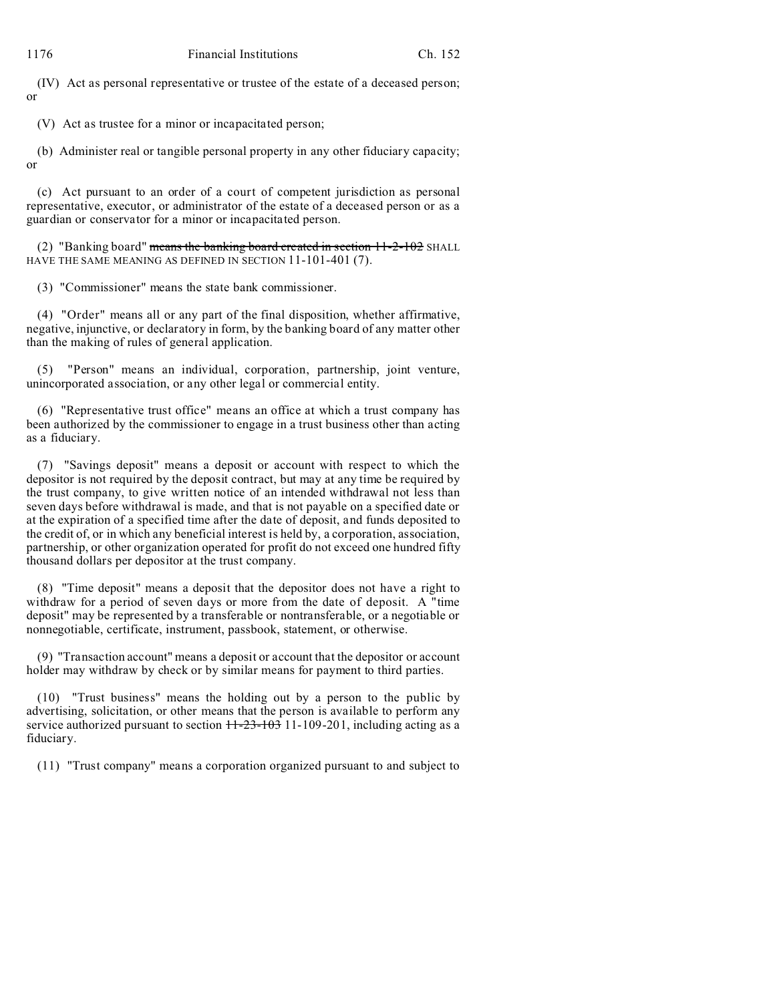(IV) Act as personal representative or trustee of the estate of a deceased person; or

(V) Act as trustee for a minor or incapacitated person;

(b) Administer real or tangible personal property in any other fiduciary capacity; or

(c) Act pursuant to an order of a court of competent jurisdiction as personal representative, executor, or administrator of the estate of a deceased person or as a guardian or conservator for a minor or incapacitated person.

(2) "Banking board" means the banking board created in section  $11-2-102$  SHALL HAVE THE SAME MEANING AS DEFINED IN SECTION 11-101-401 (7).

(3) "Commissioner" means the state bank commissioner.

(4) "Order" means all or any part of the final disposition, whether affirmative, negative, injunctive, or declaratory in form, by the banking board of any matter other than the making of rules of general application.

"Person" means an individual, corporation, partnership, joint venture, unincorporated association, or any other legal or commercial entity.

(6) "Representative trust office" means an office at which a trust company has been authorized by the commissioner to engage in a trust business other than acting as a fiduciary.

(7) "Savings deposit" means a deposit or account with respect to which the depositor is not required by the deposit contract, but may at any time be required by the trust company, to give written notice of an intended withdrawal not less than seven days before withdrawal is made, and that is not payable on a specified date or at the expiration of a specified time after the date of deposit, and funds deposited to the credit of, or in which any beneficial interest is held by, a corporation, association, partnership, or other organization operated for profit do not exceed one hundred fifty thousand dollars per depositor at the trust company.

(8) "Time deposit" means a deposit that the depositor does not have a right to withdraw for a period of seven days or more from the date of deposit. A "time deposit" may be represented by a transferable or nontransferable, or a negotiable or nonnegotiable, certificate, instrument, passbook, statement, or otherwise.

(9) "Transaction account" means a deposit or account that the depositor or account holder may withdraw by check or by similar means for payment to third parties.

(10) "Trust business" means the holding out by a person to the public by advertising, solicitation, or other means that the person is available to perform any service authorized pursuant to section  $11-23-103$  11-109-201, including acting as a fiduciary.

(11) "Trust company" means a corporation organized pursuant to and subject to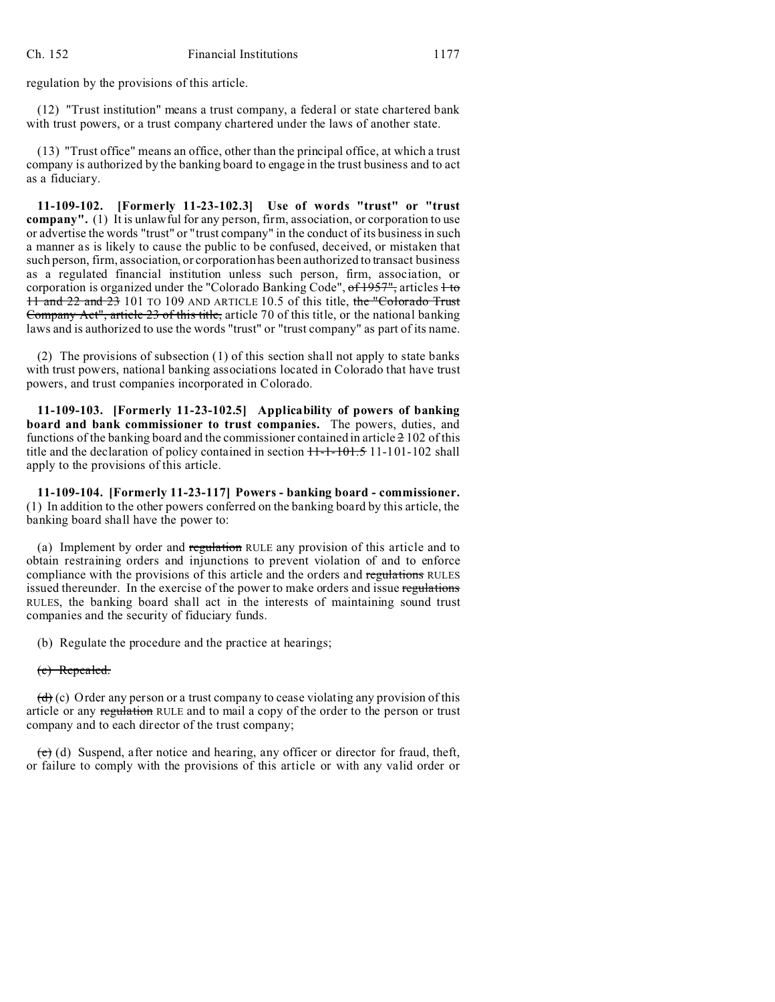regulation by the provisions of this article.

(12) "Trust institution" means a trust company, a federal or state chartered bank with trust powers, or a trust company chartered under the laws of another state.

(13) "Trust office" means an office, other than the principal office, at which a trust company is authorized by the banking board to engage in the trust business and to act as a fiduciary.

**11-109-102. [Formerly 11-23-102.3] Use of words "trust" or "trust company".** (1) It is unlawful for any person, firm, association, or corporation to use or advertise the words "trust" or "trust company" in the conduct of its business in such a manner as is likely to cause the public to be confused, deceived, or mistaken that such person, firm, association, or corporation has been authorized to transact business as a regulated financial institution unless such person, firm, association, or corporation is organized under the "Colorado Banking Code", of 1957", articles 1 to 11 and 22 and 23 101 TO 109 AND ARTICLE 10.5 of this title, the "Colorado Trust Company Act", article 23 of this title, article 70 of this title, or the national banking laws and is authorized to use the words "trust" or "trust company" as part of its name.

(2) The provisions of subsection (1) of this section shall not apply to state banks with trust powers, national banking associations located in Colorado that have trust powers, and trust companies incorporated in Colorado.

**11-109-103. [Formerly 11-23-102.5] Applicability of powers of banking board and bank commissioner to trust companies.** The powers, duties, and functions of the banking board and the commissioner contained in article  $\geq 102$  of this title and the declaration of policy contained in section  $11-1-101.5$  11-101-102 shall apply to the provisions of this article.

**11-109-104. [Formerly 11-23-117] Powers - banking board - commissioner.** (1) In addition to the other powers conferred on the banking board by this article, the banking board shall have the power to:

(a) Implement by order and regulation RULE any provision of this article and to obtain restraining orders and injunctions to prevent violation of and to enforce compliance with the provisions of this article and the orders and regulations RULES issued thereunder. In the exercise of the power to make orders and issue regulations RULES, the banking board shall act in the interests of maintaining sound trust companies and the security of fiduciary funds.

(b) Regulate the procedure and the practice at hearings;

#### (c) Repealed.

 $\left(\frac{d}{d}\right)$  (c) Order any person or a trust company to cease violating any provision of this article or any regulation RULE and to mail a copy of the order to the person or trust company and to each director of the trust company;

(e) (d) Suspend, after notice and hearing, any officer or director for fraud, theft, or failure to comply with the provisions of this article or with any valid order or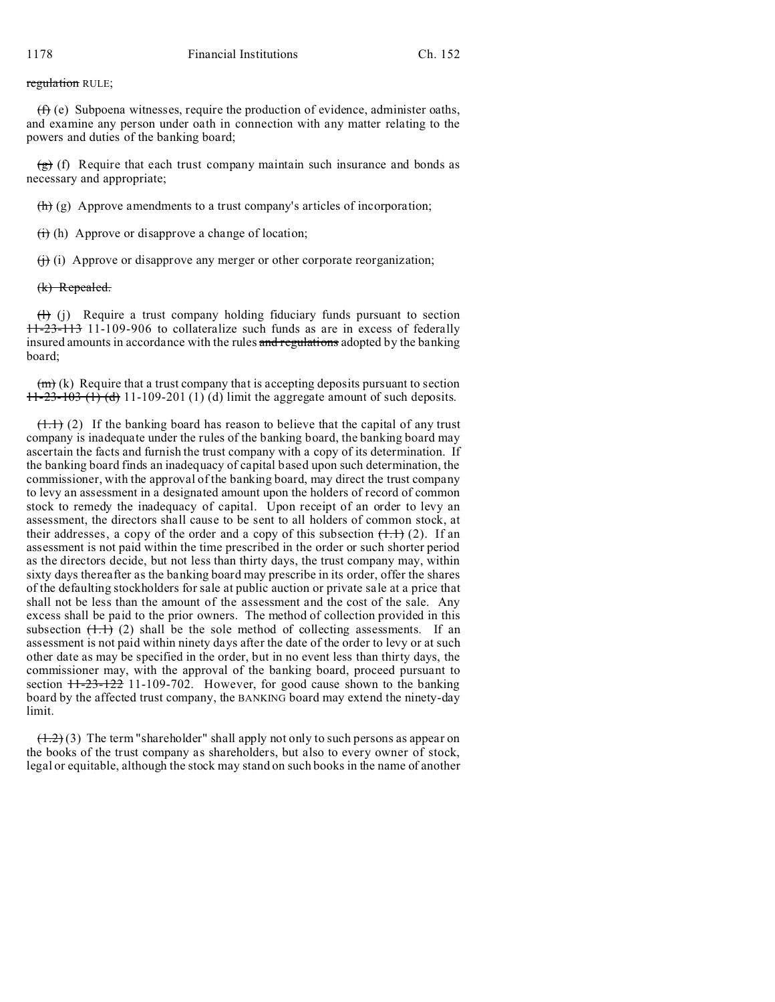regulation RULE;

 $(f)$  (e) Subpoena witnesses, require the production of evidence, administer oaths, and examine any person under oath in connection with any matter relating to the powers and duties of the banking board;

 $(g)$  (f) Require that each trust company maintain such insurance and bonds as necessary and appropriate;

 $(h)$  (g) Approve amendments to a trust company's articles of incorporation;

 $\overrightarrow{(ii)}$  (h) Approve or disapprove a change of location;

 $(f)$  (i) Approve or disapprove any merger or other corporate reorganization;

(k) Repealed.

 $(H)$  (j) Require a trust company holding fiduciary funds pursuant to section 11-23-113 11-109-906 to collateralize such funds as are in excess of federally insured amounts in accordance with the rules and regulations adopted by the banking board;

 $(m)(k)$  Require that a trust company that is accepting deposits pursuant to section  $11-23-103$  (1) (d) 11-109-201 (1) (d) limit the aggregate amount of such deposits.

 $(1.1)$  (2) If the banking board has reason to believe that the capital of any trust company is inadequate under the rules of the banking board, the banking board may ascertain the facts and furnish the trust company with a copy of its determination. If the banking board finds an inadequacy of capital based upon such determination, the commissioner, with the approval of the banking board, may direct the trust company to levy an assessment in a designated amount upon the holders of record of common stock to remedy the inadequacy of capital. Upon receipt of an order to levy an assessment, the directors shall cause to be sent to all holders of common stock, at their addresses, a copy of the order and a copy of this subsection  $(1,1)$  (2). If an assessment is not paid within the time prescribed in the order or such shorter period as the directors decide, but not less than thirty days, the trust company may, within sixty days thereafter as the banking board may prescribe in its order, offer the shares of the defaulting stockholders for sale at public auction or private sale at a price that shall not be less than the amount of the assessment and the cost of the sale. Any excess shall be paid to the prior owners. The method of collection provided in this subsection  $(1,1)$  (2) shall be the sole method of collecting assessments. If an assessment is not paid within ninety days after the date of the order to levy or at such other date as may be specified in the order, but in no event less than thirty days, the commissioner may, with the approval of the banking board, proceed pursuant to section  $11-23-122$  11-109-702. However, for good cause shown to the banking board by the affected trust company, the BANKING board may extend the ninety-day limit.

 $(1.2)$  (3) The term "shareholder" shall apply not only to such persons as appear on the books of the trust company as shareholders, but also to every owner of stock, legal or equitable, although the stock may stand on such books in the name of another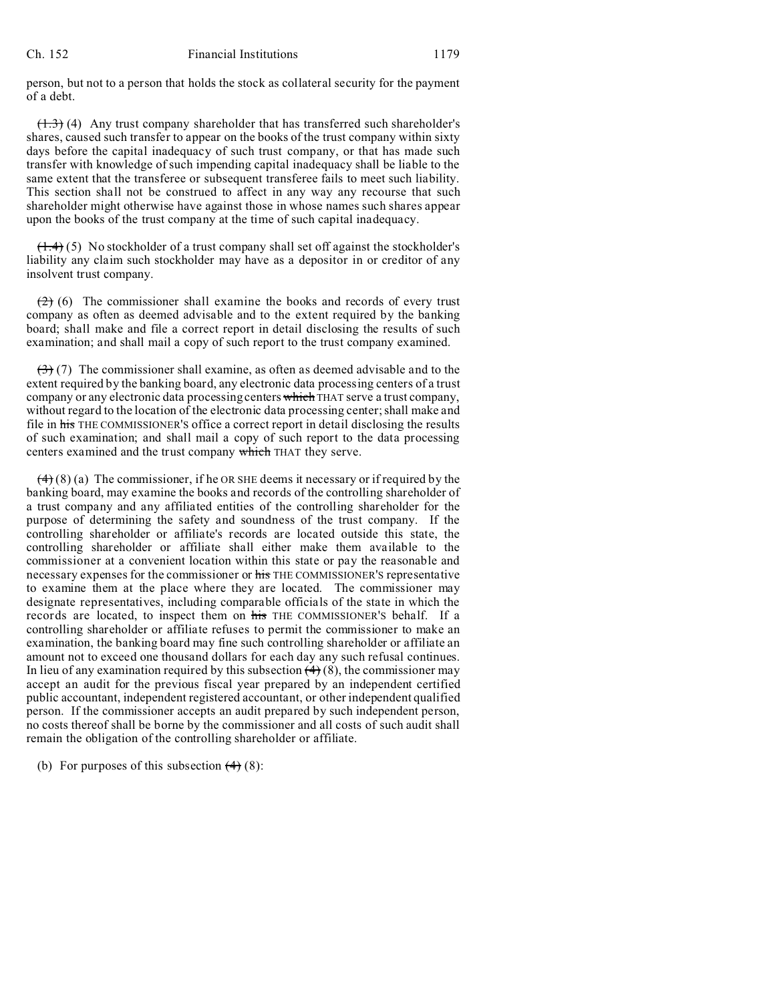person, but not to a person that holds the stock as collateral security for the payment of a debt.

 $(1.3)$  (4) Any trust company shareholder that has transferred such shareholder's shares, caused such transfer to appear on the books of the trust company within sixty days before the capital inadequacy of such trust company, or that has made such transfer with knowledge of such impending capital inadequacy shall be liable to the same extent that the transferee or subsequent transferee fails to meet such liability. This section shall not be construed to affect in any way any recourse that such shareholder might otherwise have against those in whose names such shares appear upon the books of the trust company at the time of such capital inadequacy.

 $(1.4)$  (5) No stockholder of a trust company shall set off against the stockholder's liability any claim such stockholder may have as a depositor in or creditor of any insolvent trust company.

 $(2)$  (6) The commissioner shall examine the books and records of every trust company as often as deemed advisable and to the extent required by the banking board; shall make and file a correct report in detail disclosing the results of such examination; and shall mail a copy of such report to the trust company examined.

 $(3)$  (7) The commissioner shall examine, as often as deemed advisable and to the extent required by the banking board, any electronic data processing centers of a trust company or any electronic data processing centers which THAT serve a trust company, without regard to the location of the electronic data processing center; shall make and file in his THE COMMISSIONER'S office a correct report in detail disclosing the results of such examination; and shall mail a copy of such report to the data processing centers examined and the trust company which THAT they serve.

 $(4)$  (8) (a) The commissioner, if he OR SHE deems it necessary or if required by the banking board, may examine the books and records of the controlling shareholder of a trust company and any affiliated entities of the controlling shareholder for the purpose of determining the safety and soundness of the trust company. If the controlling shareholder or affiliate's records are located outside this state, the controlling shareholder or affiliate shall either make them available to the commissioner at a convenient location within this state or pay the reasonable and necessary expenses for the commissioner or his THE COMMISSIONER'S representative to examine them at the place where they are located. The commissioner may designate representatives, including comparable officials of the state in which the records are located, to inspect them on his THE COMMISSIONER'S behalf. If a controlling shareholder or affiliate refuses to permit the commissioner to make an examination, the banking board may fine such controlling shareholder or affiliate an amount not to exceed one thousand dollars for each day any such refusal continues. In lieu of any examination required by this subsection  $(4)$  (8), the commissioner may accept an audit for the previous fiscal year prepared by an independent certified public accountant, independent registered accountant, or other independent qualified person. If the commissioner accepts an audit prepared by such independent person, no costs thereof shall be borne by the commissioner and all costs of such audit shall remain the obligation of the controlling shareholder or affiliate.

(b) For purposes of this subsection  $(4)$  (8):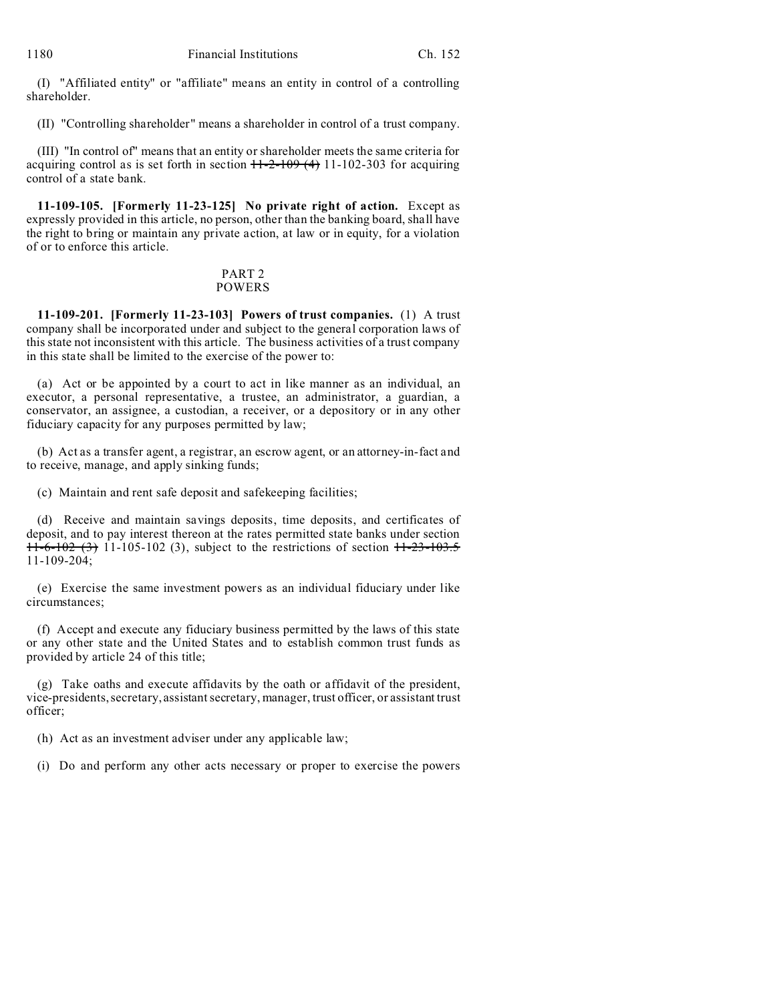(I) "Affiliated entity" or "affiliate" means an entity in control of a controlling shareholder.

(II) "Controlling shareholder" means a shareholder in control of a trust company.

(III) "In control of" means that an entity or shareholder meets the same criteria for acquiring control as is set forth in section  $H-2-109(4)$  11-102-303 for acquiring control of a state bank.

**11-109-105. [Formerly 11-23-125] No private right of action.** Except as expressly provided in this article, no person, other than the banking board, shall have the right to bring or maintain any private action, at law or in equity, for a violation of or to enforce this article.

## PART 2 POWERS

**11-109-201. [Formerly 11-23-103] Powers of trust companies.** (1) A trust company shall be incorporated under and subject to the general corporation laws of this state not inconsistent with this article. The business activities of a trust company in this state shall be limited to the exercise of the power to:

(a) Act or be appointed by a court to act in like manner as an individual, an executor, a personal representative, a trustee, an administrator, a guardian, a conservator, an assignee, a custodian, a receiver, or a depository or in any other fiduciary capacity for any purposes permitted by law;

(b) Act as a transfer agent, a registrar, an escrow agent, or an attorney-in-fact and to receive, manage, and apply sinking funds;

(c) Maintain and rent safe deposit and safekeeping facilities;

(d) Receive and maintain savings deposits, time deposits, and certificates of deposit, and to pay interest thereon at the rates permitted state banks under section  $11-6-102(3)$  11-105-102 (3), subject to the restrictions of section  $11-23-103.5$ 11-109-204;

(e) Exercise the same investment powers as an individual fiduciary under like circumstances;

(f) Accept and execute any fiduciary business permitted by the laws of this state or any other state and the United States and to establish common trust funds as provided by article 24 of this title;

(g) Take oaths and execute affidavits by the oath or affidavit of the president, vice-presidents, secretary, assistant secretary, manager, trust officer, or assistant trust officer;

(h) Act as an investment adviser under any applicable law;

(i) Do and perform any other acts necessary or proper to exercise the powers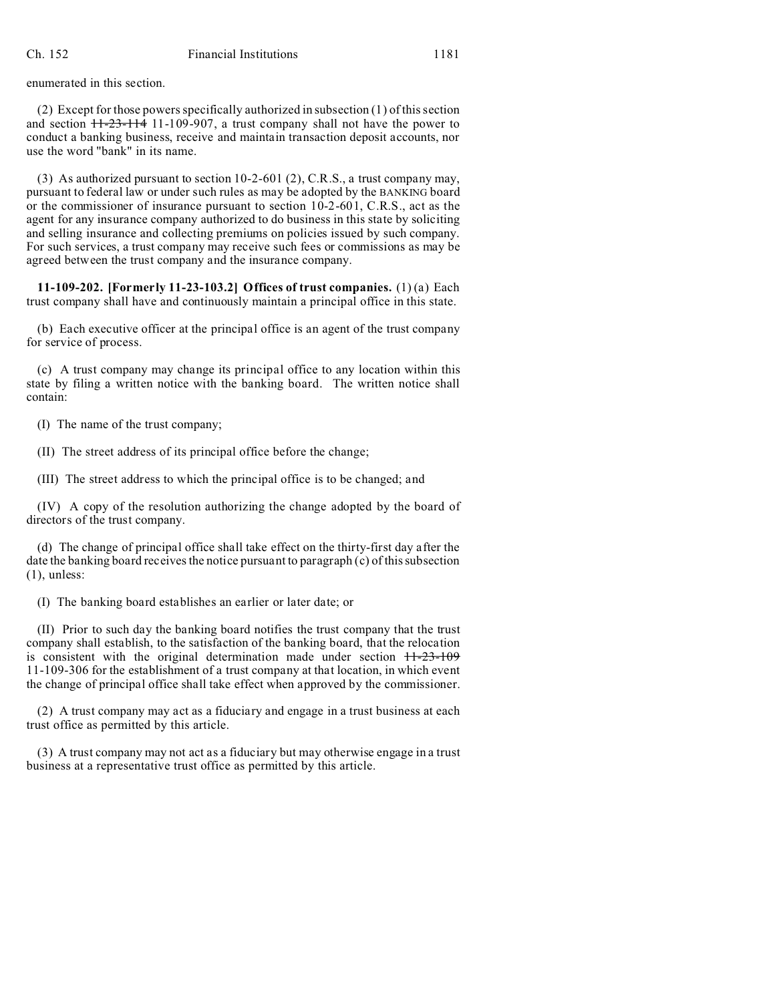enumerated in this section.

(2) Except for those powers specifically authorized in subsection (1) of this section and section  $11-23-114$  11-109-907, a trust company shall not have the power to conduct a banking business, receive and maintain transaction deposit accounts, nor use the word "bank" in its name.

(3) As authorized pursuant to section 10-2-601 (2), C.R.S., a trust company may, pursuant to federal law or under such rules as may be adopted by the BANKING board or the commissioner of insurance pursuant to section 10-2-601, C.R.S., act as the agent for any insurance company authorized to do business in this state by soliciting and selling insurance and collecting premiums on policies issued by such company. For such services, a trust company may receive such fees or commissions as may be agreed between the trust company and the insurance company.

**11-109-202. [Formerly 11-23-103.2] Offices of trust companies.** (1) (a) Each trust company shall have and continuously maintain a principal office in this state.

(b) Each executive officer at the principal office is an agent of the trust company for service of process.

(c) A trust company may change its principal office to any location within this state by filing a written notice with the banking board. The written notice shall contain:

(I) The name of the trust company;

(II) The street address of its principal office before the change;

(III) The street address to which the principal office is to be changed; and

(IV) A copy of the resolution authorizing the change adopted by the board of directors of the trust company.

(d) The change of principal office shall take effect on the thirty-first day after the date the banking board receives the notice pursuant to paragraph (c) of this subsection (1), unless:

(I) The banking board establishes an earlier or later date; or

(II) Prior to such day the banking board notifies the trust company that the trust company shall establish, to the satisfaction of the banking board, that the relocation is consistent with the original determination made under section  $11-23-109$ 11-109-306 for the establishment of a trust company at that location, in which event the change of principal office shall take effect when approved by the commissioner.

(2) A trust company may act as a fiduciary and engage in a trust business at each trust office as permitted by this article.

(3) A trust company may not act as a fiduciary but may otherwise engage in a trust business at a representative trust office as permitted by this article.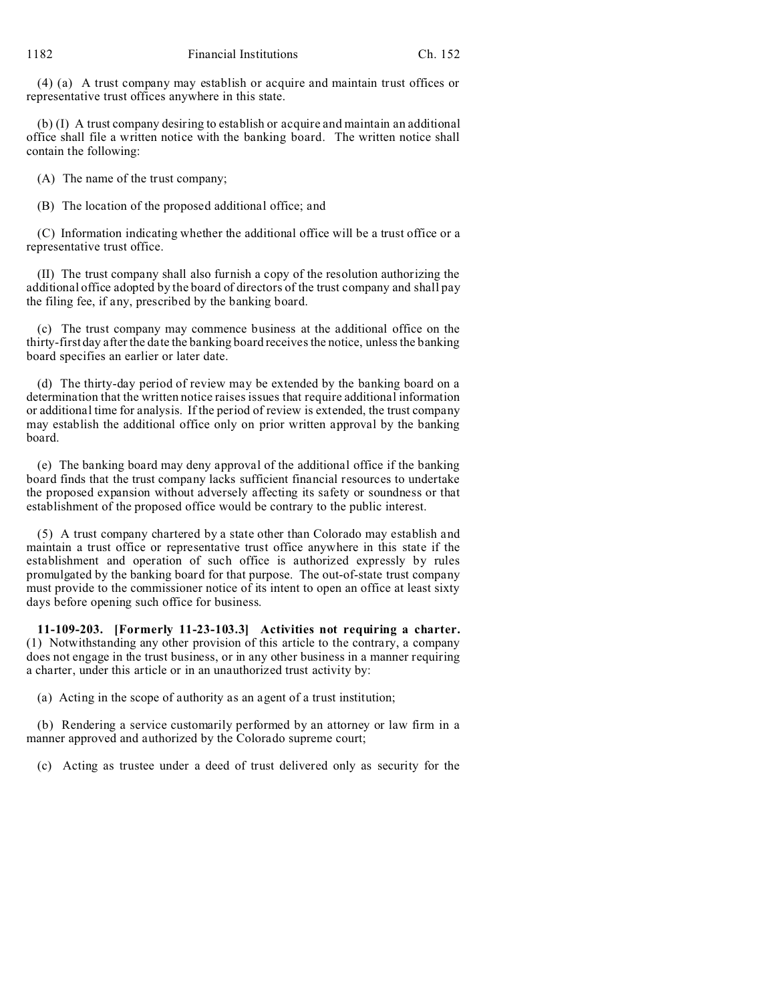(4) (a) A trust company may establish or acquire and maintain trust offices or representative trust offices anywhere in this state.

(b) (I) A trust company desiring to establish or acquire and maintain an additional office shall file a written notice with the banking board. The written notice shall contain the following:

(A) The name of the trust company;

(B) The location of the proposed additional office; and

(C) Information indicating whether the additional office will be a trust office or a representative trust office.

(II) The trust company shall also furnish a copy of the resolution authorizing the additional office adopted by the board of directors of the trust company and shall pay the filing fee, if any, prescribed by the banking board.

(c) The trust company may commence business at the additional office on the thirty-first day after the date the banking board receives the notice, unless the banking board specifies an earlier or later date.

(d) The thirty-day period of review may be extended by the banking board on a determination that the written notice raises issues that require additional information or additional time for analysis. If the period of review is extended, the trust company may establish the additional office only on prior written approval by the banking board.

(e) The banking board may deny approval of the additional office if the banking board finds that the trust company lacks sufficient financial resources to undertake the proposed expansion without adversely affecting its safety or soundness or that establishment of the proposed office would be contrary to the public interest.

(5) A trust company chartered by a state other than Colorado may establish and maintain a trust office or representative trust office anywhere in this state if the establishment and operation of such office is authorized expressly by rules promulgated by the banking board for that purpose. The out-of-state trust company must provide to the commissioner notice of its intent to open an office at least sixty days before opening such office for business.

**11-109-203. [Formerly 11-23-103.3] Activities not requiring a charter.** (1) Notwithstanding any other provision of this article to the contrary, a company does not engage in the trust business, or in any other business in a manner requiring a charter, under this article or in an unauthorized trust activity by:

(a) Acting in the scope of authority as an agent of a trust institution;

(b) Rendering a service customarily performed by an attorney or law firm in a manner approved and authorized by the Colorado supreme court;

(c) Acting as trustee under a deed of trust delivered only as security for the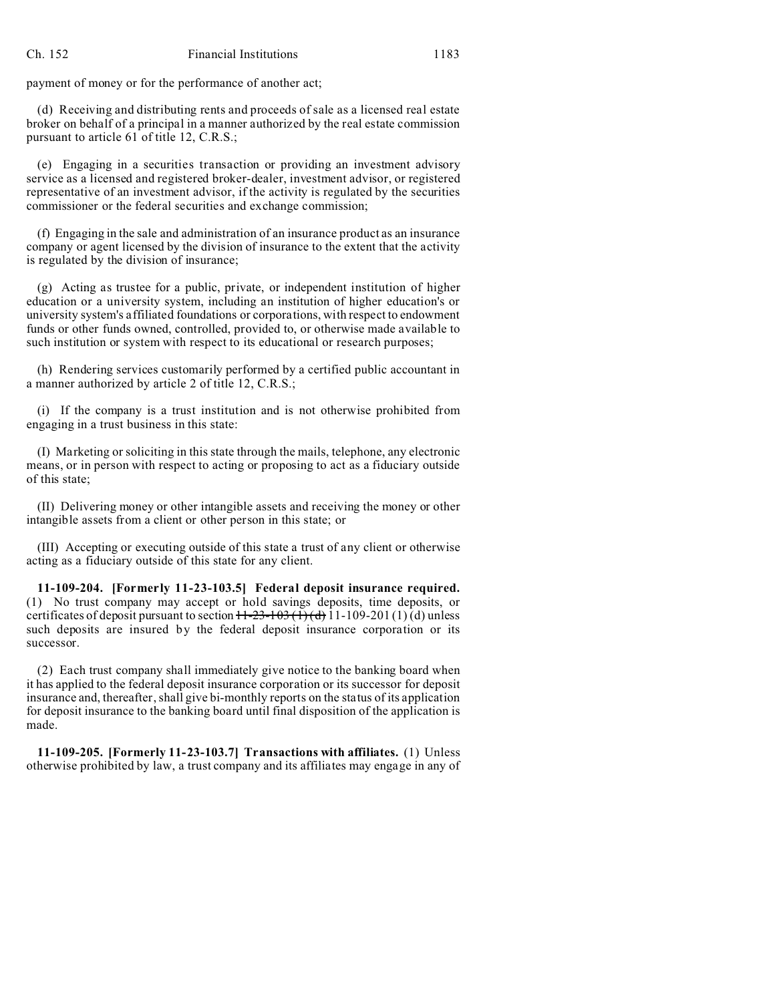payment of money or for the performance of another act;

(d) Receiving and distributing rents and proceeds of sale as a licensed real estate broker on behalf of a principal in a manner authorized by the real estate commission pursuant to article 61 of title 12, C.R.S.;

(e) Engaging in a securities transaction or providing an investment advisory service as a licensed and registered broker-dealer, investment advisor, or registered representative of an investment advisor, if the activity is regulated by the securities commissioner or the federal securities and exchange commission;

(f) Engaging in the sale and administration of an insurance product as an insurance company or agent licensed by the division of insurance to the extent that the activity is regulated by the division of insurance;

(g) Acting as trustee for a public, private, or independent institution of higher education or a university system, including an institution of higher education's or university system's affiliated foundations or corporations, with respect to endowment funds or other funds owned, controlled, provided to, or otherwise made available to such institution or system with respect to its educational or research purposes;

(h) Rendering services customarily performed by a certified public accountant in a manner authorized by article 2 of title 12, C.R.S.;

(i) If the company is a trust institution and is not otherwise prohibited from engaging in a trust business in this state:

(I) Marketing or soliciting in this state through the mails, telephone, any electronic means, or in person with respect to acting or proposing to act as a fiduciary outside of this state;

(II) Delivering money or other intangible assets and receiving the money or other intangible assets from a client or other person in this state; or

(III) Accepting or executing outside of this state a trust of any client or otherwise acting as a fiduciary outside of this state for any client.

**11-109-204. [Formerly 11-23-103.5] Federal deposit insurance required.** (1) No trust company may accept or hold savings deposits, time deposits, or certificates of deposit pursuant to section  $11-23-103$  (1) (d) 11-109-201(1) (d) unless such deposits are insured by the federal deposit insurance corporation or its successor.

(2) Each trust company shall immediately give notice to the banking board when it has applied to the federal deposit insurance corporation or its successor for deposit insurance and, thereafter, shall give bi-monthly reports on the status of its application for deposit insurance to the banking board until final disposition of the application is made.

**11-109-205. [Formerly 11-23-103.7] Transactions with affiliates.** (1) Unless otherwise prohibited by law, a trust company and its affiliates may engage in any of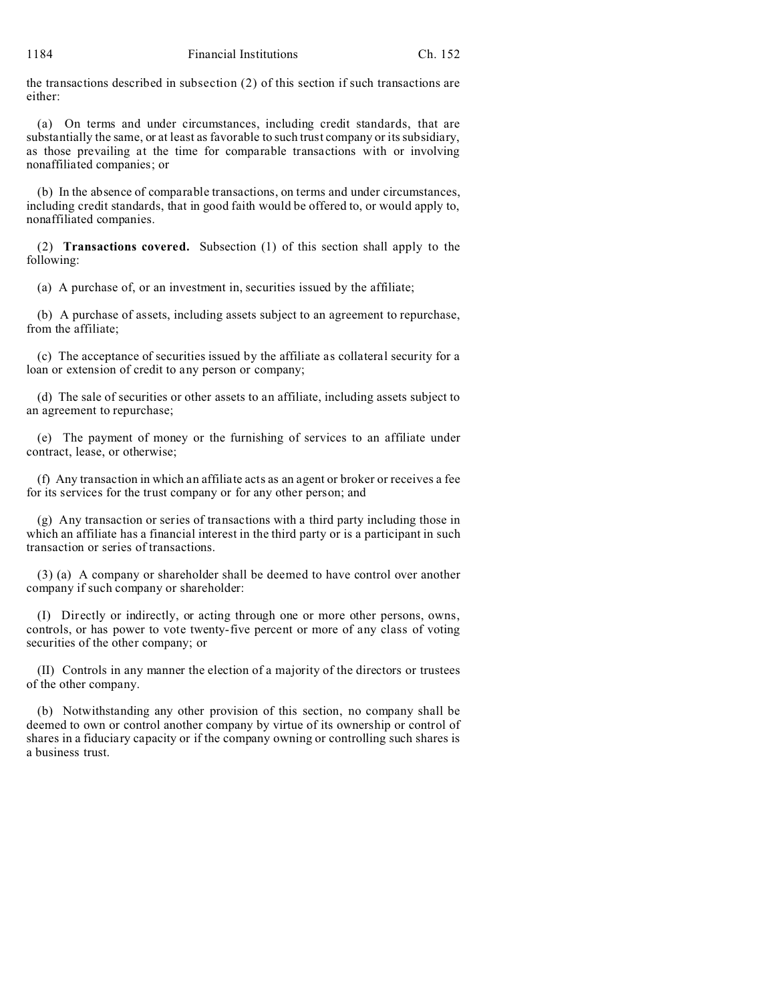the transactions described in subsection (2) of this section if such transactions are either:

(a) On terms and under circumstances, including credit standards, that are substantially the same, or at least as favorable to such trust company or its subsidiary, as those prevailing at the time for comparable transactions with or involving nonaffiliated companies; or

(b) In the absence of comparable transactions, on terms and under circumstances, including credit standards, that in good faith would be offered to, or would apply to, nonaffiliated companies.

(2) **Transactions covered.** Subsection (1) of this section shall apply to the following:

(a) A purchase of, or an investment in, securities issued by the affiliate;

(b) A purchase of assets, including assets subject to an agreement to repurchase, from the affiliate;

(c) The acceptance of securities issued by the affiliate as collateral security for a loan or extension of credit to any person or company;

(d) The sale of securities or other assets to an affiliate, including assets subject to an agreement to repurchase;

(e) The payment of money or the furnishing of services to an affiliate under contract, lease, or otherwise;

(f) Any transaction in which an affiliate acts as an agent or broker or receives a fee for its services for the trust company or for any other person; and

(g) Any transaction or series of transactions with a third party including those in which an affiliate has a financial interest in the third party or is a participant in such transaction or series of transactions.

(3) (a) A company or shareholder shall be deemed to have control over another company if such company or shareholder:

(I) Directly or indirectly, or acting through one or more other persons, owns, controls, or has power to vote twenty-five percent or more of any class of voting securities of the other company; or

(II) Controls in any manner the election of a majority of the directors or trustees of the other company.

(b) Notwithstanding any other provision of this section, no company shall be deemed to own or control another company by virtue of its ownership or control of shares in a fiduciary capacity or if the company owning or controlling such shares is a business trust.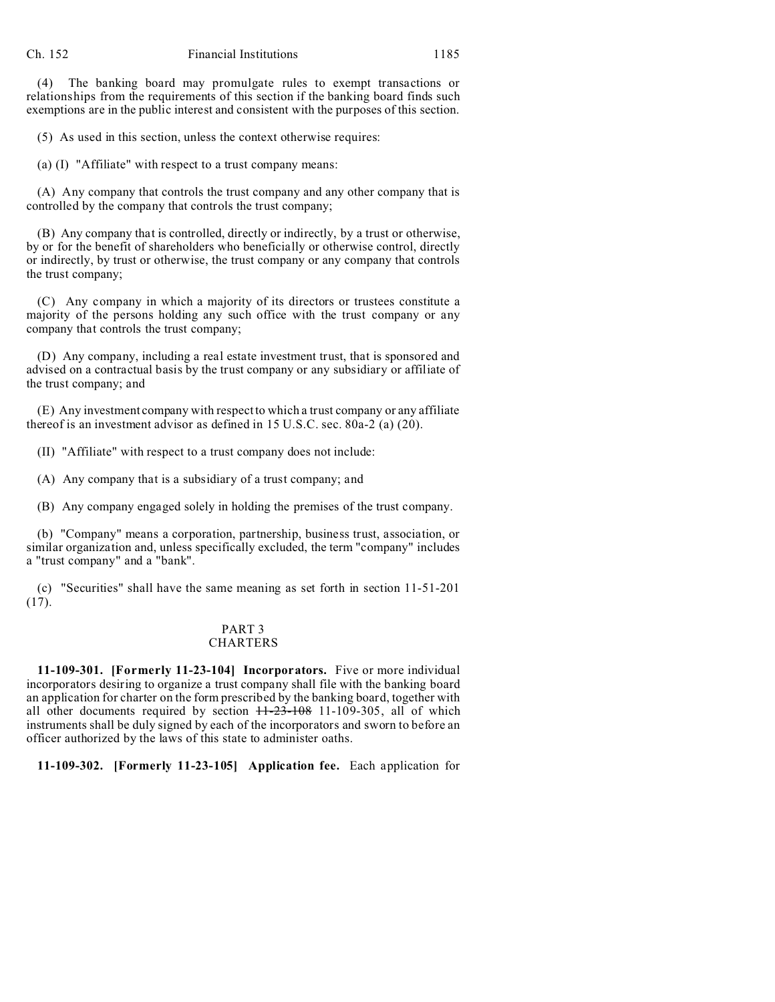(4) The banking board may promulgate rules to exempt transactions or relationships from the requirements of this section if the banking board finds such exemptions are in the public interest and consistent with the purposes of this section.

(5) As used in this section, unless the context otherwise requires:

(a) (I) "Affiliate" with respect to a trust company means:

(A) Any company that controls the trust company and any other company that is controlled by the company that controls the trust company;

(B) Any company that is controlled, directly or indirectly, by a trust or otherwise, by or for the benefit of shareholders who beneficially or otherwise control, directly or indirectly, by trust or otherwise, the trust company or any company that controls the trust company;

(C) Any company in which a majority of its directors or trustees constitute a majority of the persons holding any such office with the trust company or any company that controls the trust company;

(D) Any company, including a real estate investment trust, that is sponsored and advised on a contractual basis by the trust company or any subsidiary or affiliate of the trust company; and

(E) Any investment company with respect to which a trust company or any affiliate thereof is an investment advisor as defined in 15 U.S.C. sec. 80a-2 (a) (20).

(II) "Affiliate" with respect to a trust company does not include:

(A) Any company that is a subsidiary of a trust company; and

(B) Any company engaged solely in holding the premises of the trust company.

(b) "Company" means a corporation, partnership, business trust, association, or similar organization and, unless specifically excluded, the term "company" includes a "trust company" and a "bank".

(c) "Securities" shall have the same meaning as set forth in section 11-51-201 (17).

#### PART 3 CHARTERS

**11-109-301. [Formerly 11-23-104] Incorporators.** Five or more individual incorporators desiring to organize a trust company shall file with the banking board an application for charter on the form prescribed by the banking board, together with all other documents required by section  $H=23-108$  11-109-305, all of which instruments shall be duly signed by each of the incorporators and sworn to before an officer authorized by the laws of this state to administer oaths.

**11-109-302. [Formerly 11-23-105] Application fee.** Each application for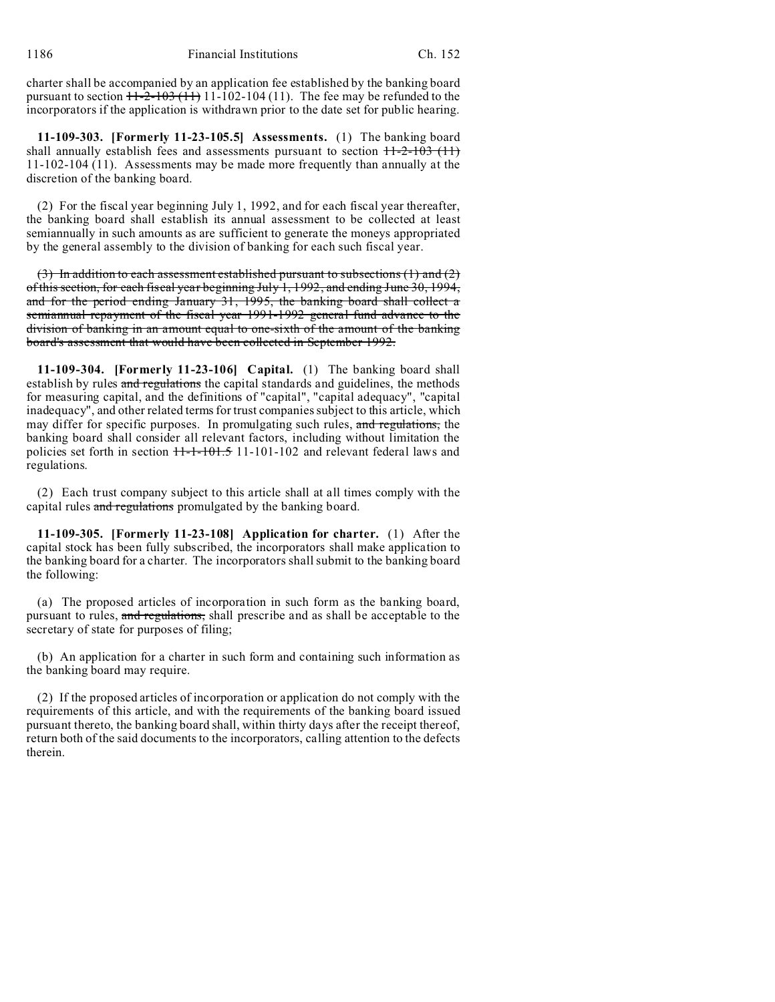charter shall be accompanied by an application fee established by the banking board pursuant to section  $11-2-103(11)$  11-102-104 (11). The fee may be refunded to the incorporators if the application is withdrawn prior to the date set for public hearing.

**11-109-303. [Formerly 11-23-105.5] Assessments.** (1) The banking board shall annually establish fees and assessments pursuant to section  $11-2-103$  (11) 11-102-104 (11). Assessments may be made more frequently than annually at the discretion of the banking board.

(2) For the fiscal year beginning July 1, 1992, and for each fiscal year thereafter, the banking board shall establish its annual assessment to be collected at least semiannually in such amounts as are sufficient to generate the moneys appropriated by the general assembly to the division of banking for each such fiscal year.

(3) In addition to each assessment established pursuant to subsections  $(1)$  and  $(2)$ of this section, for each fiscal year beginning July 1, 1992, and ending June 30, 1994, and for the period ending January 31, 1995, the banking board shall collect a semiannual repayment of the fiscal year 1991-1992 general fund advance to the division of banking in an amount equal to one-sixth of the amount of the banking board's assessment that would have been collected in September 1992.

**11-109-304. [Formerly 11-23-106] Capital.** (1) The banking board shall establish by rules and regulations the capital standards and guidelines, the methods for measuring capital, and the definitions of "capital", "capital adequacy", "capital inadequacy", and other related terms for trust companies subject to this article, which may differ for specific purposes. In promulgating such rules, and regulations, the banking board shall consider all relevant factors, including without limitation the policies set forth in section  $11-1-101.5$  11-101-102 and relevant federal laws and regulations.

(2) Each trust company subject to this article shall at all times comply with the capital rules and regulations promulgated by the banking board.

**11-109-305. [Formerly 11-23-108] Application for charter.** (1) After the capital stock has been fully subscribed, the incorporators shall make application to the banking board for a charter. The incorporators shall submit to the banking board the following:

(a) The proposed articles of incorporation in such form as the banking board, pursuant to rules, and regulations, shall prescribe and as shall be acceptable to the secretary of state for purposes of filing;

(b) An application for a charter in such form and containing such information as the banking board may require.

(2) If the proposed articles of incorporation or application do not comply with the requirements of this article, and with the requirements of the banking board issued pursuant thereto, the banking board shall, within thirty days after the receipt thereof, return both of the said documents to the incorporators, calling attention to the defects therein.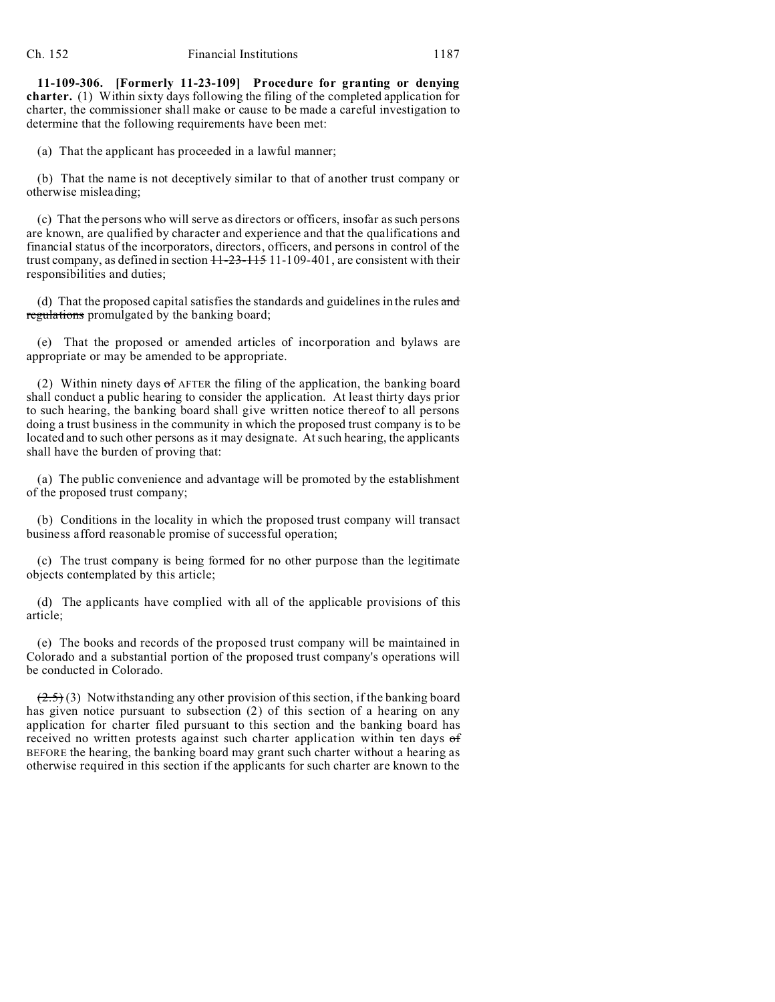**11-109-306. [Formerly 11-23-109] Procedure for granting or denying charter.** (1) Within sixty days following the filing of the completed application for charter, the commissioner shall make or cause to be made a careful investigation to determine that the following requirements have been met:

(a) That the applicant has proceeded in a lawful manner;

(b) That the name is not deceptively similar to that of another trust company or otherwise misleading;

(c) That the persons who will serve as directors or officers, insofar as such persons are known, are qualified by character and experience and that the qualifications and financial status of the incorporators, directors, officers, and persons in control of the trust company, as defined in section  $11-23-115$  11-109-401, are consistent with their responsibilities and duties;

(d) That the proposed capital satisfies the standards and guidelines in the rules and regulations promulgated by the banking board;

(e) That the proposed or amended articles of incorporation and bylaws are appropriate or may be amended to be appropriate.

(2) Within ninety days  $\sigma$ f AFTER the filing of the application, the banking board shall conduct a public hearing to consider the application. At least thirty days prior to such hearing, the banking board shall give written notice thereof to all persons doing a trust business in the community in which the proposed trust company is to be located and to such other persons as it may designate. At such hearing, the applicants shall have the burden of proving that:

(a) The public convenience and advantage will be promoted by the establishment of the proposed trust company;

(b) Conditions in the locality in which the proposed trust company will transact business afford reasonable promise of successful operation;

(c) The trust company is being formed for no other purpose than the legitimate objects contemplated by this article;

(d) The applicants have complied with all of the applicable provisions of this article;

(e) The books and records of the proposed trust company will be maintained in Colorado and a substantial portion of the proposed trust company's operations will be conducted in Colorado.

 $(2.5)$  (3) Notwithstanding any other provision of this section, if the banking board has given notice pursuant to subsection (2) of this section of a hearing on any application for charter filed pursuant to this section and the banking board has received no written protests against such charter application within ten days of BEFORE the hearing, the banking board may grant such charter without a hearing as otherwise required in this section if the applicants for such charter are known to the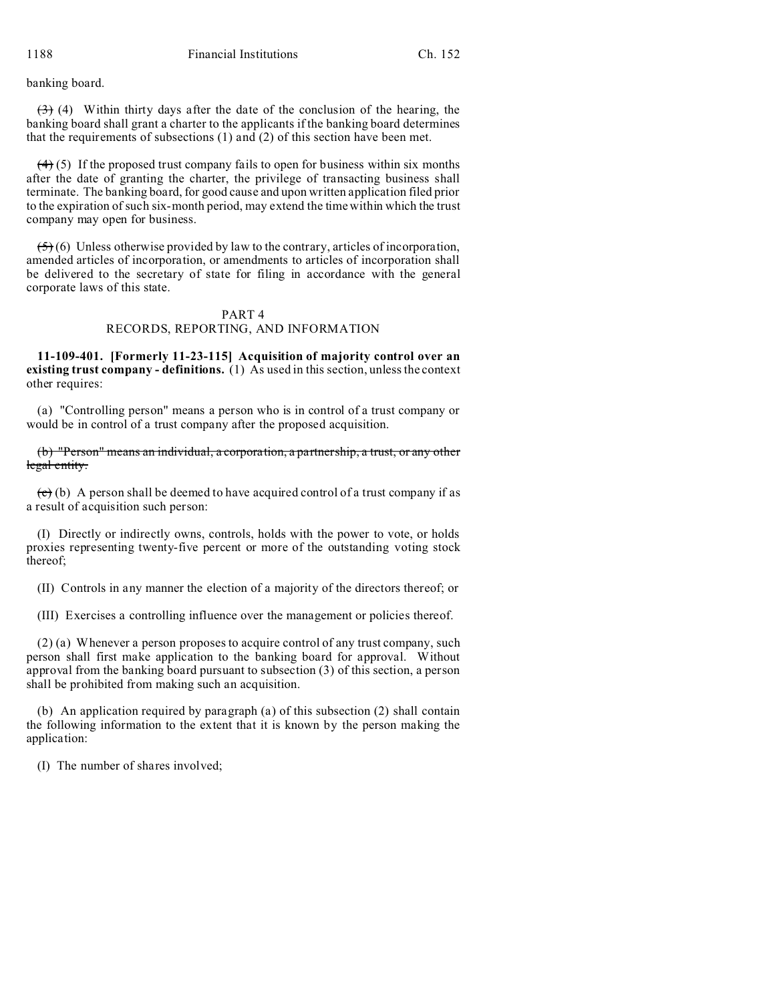banking board.

 $(3)$  (4) Within thirty days after the date of the conclusion of the hearing, the banking board shall grant a charter to the applicants if the banking board determines that the requirements of subsections (1) and (2) of this section have been met.

 $(4)$  (5) If the proposed trust company fails to open for business within six months after the date of granting the charter, the privilege of transacting business shall terminate. The banking board, for good cause and upon written application filed prior to the expiration of such six-month period, may extend the time within which the trust company may open for business.

 $(5)$  (6) Unless otherwise provided by law to the contrary, articles of incorporation, amended articles of incorporation, or amendments to articles of incorporation shall be delivered to the secretary of state for filing in accordance with the general corporate laws of this state.

### PART 4 RECORDS, REPORTING, AND INFORMATION

**11-109-401. [Formerly 11-23-115] Acquisition of majority control over an existing trust company - definitions.** (1) As used in this section, unless the context other requires:

(a) "Controlling person" means a person who is in control of a trust company or would be in control of a trust company after the proposed acquisition.

(b) "Person" means an individual, a corporation, a partnership, a trust, or any other legal entity.

 $\left(\frac{c}{c}\right)$  (b) A person shall be deemed to have acquired control of a trust company if as a result of acquisition such person:

(I) Directly or indirectly owns, controls, holds with the power to vote, or holds proxies representing twenty-five percent or more of the outstanding voting stock thereof;

(II) Controls in any manner the election of a majority of the directors thereof; or

(III) Exercises a controlling influence over the management or policies thereof.

(2) (a) Whenever a person proposes to acquire control of any trust company, such person shall first make application to the banking board for approval. Without approval from the banking board pursuant to subsection (3) of this section, a person shall be prohibited from making such an acquisition.

(b) An application required by paragraph (a) of this subsection (2) shall contain the following information to the extent that it is known by the person making the application:

(I) The number of shares involved;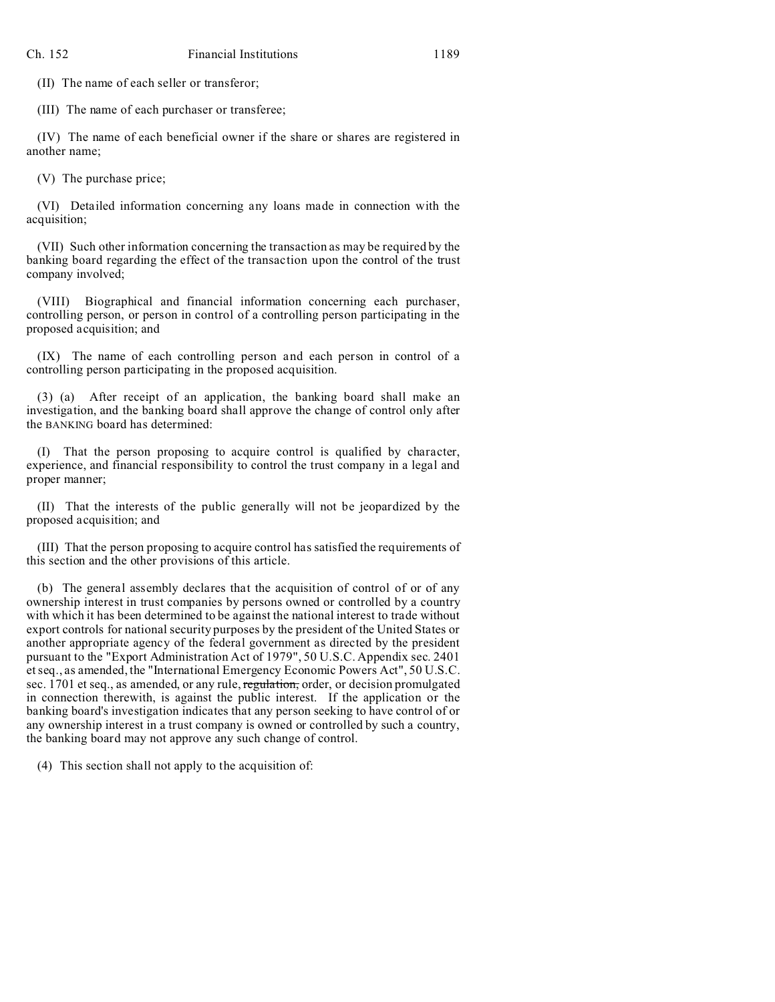(II) The name of each seller or transferor;

(III) The name of each purchaser or transferee;

(IV) The name of each beneficial owner if the share or shares are registered in another name;

(V) The purchase price;

(VI) Detailed information concerning any loans made in connection with the acquisition;

(VII) Such other information concerning the transaction as may be required by the banking board regarding the effect of the transaction upon the control of the trust company involved;

(VIII) Biographical and financial information concerning each purchaser, controlling person, or person in control of a controlling person participating in the proposed acquisition; and

(IX) The name of each controlling person and each person in control of a controlling person participating in the proposed acquisition.

(3) (a) After receipt of an application, the banking board shall make an investigation, and the banking board shall approve the change of control only after the BANKING board has determined:

(I) That the person proposing to acquire control is qualified by character, experience, and financial responsibility to control the trust company in a legal and proper manner;

(II) That the interests of the public generally will not be jeopardized by the proposed acquisition; and

(III) That the person proposing to acquire control has satisfied the requirements of this section and the other provisions of this article.

(b) The general assembly declares that the acquisition of control of or of any ownership interest in trust companies by persons owned or controlled by a country with which it has been determined to be against the national interest to trade without export controls for national security purposes by the president of the United States or another appropriate agency of the federal government as directed by the president pursuant to the "Export Administration Act of 1979", 50 U.S.C. Appendix sec. 2401 et seq., as amended, the "International Emergency Economic Powers Act", 50 U.S.C. sec. 1701 et seq., as amended, or any rule, regulation, order, or decision promulgated in connection therewith, is against the public interest. If the application or the banking board's investigation indicates that any person seeking to have control of or any ownership interest in a trust company is owned or controlled by such a country, the banking board may not approve any such change of control.

(4) This section shall not apply to the acquisition of: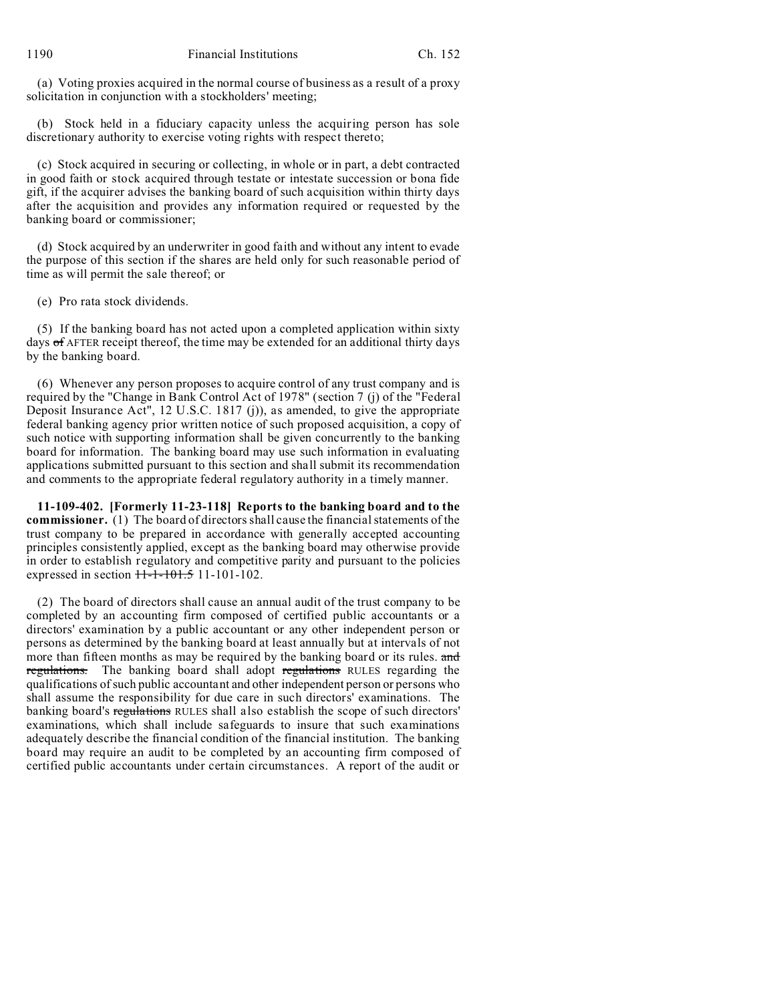(a) Voting proxies acquired in the normal course of business as a result of a proxy solicitation in conjunction with a stockholders' meeting;

(b) Stock held in a fiduciary capacity unless the acquiring person has sole discretionary authority to exercise voting rights with respect thereto;

(c) Stock acquired in securing or collecting, in whole or in part, a debt contracted in good faith or stock acquired through testate or intestate succession or bona fide gift, if the acquirer advises the banking board of such acquisition within thirty days after the acquisition and provides any information required or requested by the banking board or commissioner;

(d) Stock acquired by an underwriter in good faith and without any intent to evade the purpose of this section if the shares are held only for such reasonable period of time as will permit the sale thereof; or

(e) Pro rata stock dividends.

(5) If the banking board has not acted upon a completed application within sixty days of AFTER receipt thereof, the time may be extended for an additional thirty days by the banking board.

(6) Whenever any person proposes to acquire control of any trust company and is required by the "Change in Bank Control Act of 1978" (section 7 (j) of the "Federal Deposit Insurance Act", 12 U.S.C. 1817 (j)), as amended, to give the appropriate federal banking agency prior written notice of such proposed acquisition, a copy of such notice with supporting information shall be given concurrently to the banking board for information. The banking board may use such information in evaluating applications submitted pursuant to this section and shall submit its recommendation and comments to the appropriate federal regulatory authority in a timely manner.

**11-109-402. [Formerly 11-23-118] Reports to the banking board and to the commissioner.** (1) The board of directors shall cause the financial statements of the trust company to be prepared in accordance with generally accepted accounting principles consistently applied, except as the banking board may otherwise provide in order to establish regulatory and competitive parity and pursuant to the policies expressed in section  $11-1-101.5$  11-101-102.

(2) The board of directors shall cause an annual audit of the trust company to be completed by an accounting firm composed of certified public accountants or a directors' examination by a public accountant or any other independent person or persons as determined by the banking board at least annually but at intervals of not more than fifteen months as may be required by the banking board or its rules. and regulations. The banking board shall adopt regulations RULES regarding the qualifications of such public accountant and other independent person or persons who shall assume the responsibility for due care in such directors' examinations. The banking board's regulations RULES shall also establish the scope of such directors' examinations, which shall include safeguards to insure that such examinations adequately describe the financial condition of the financial institution. The banking board may require an audit to be completed by an accounting firm composed of certified public accountants under certain circumstances. A report of the audit or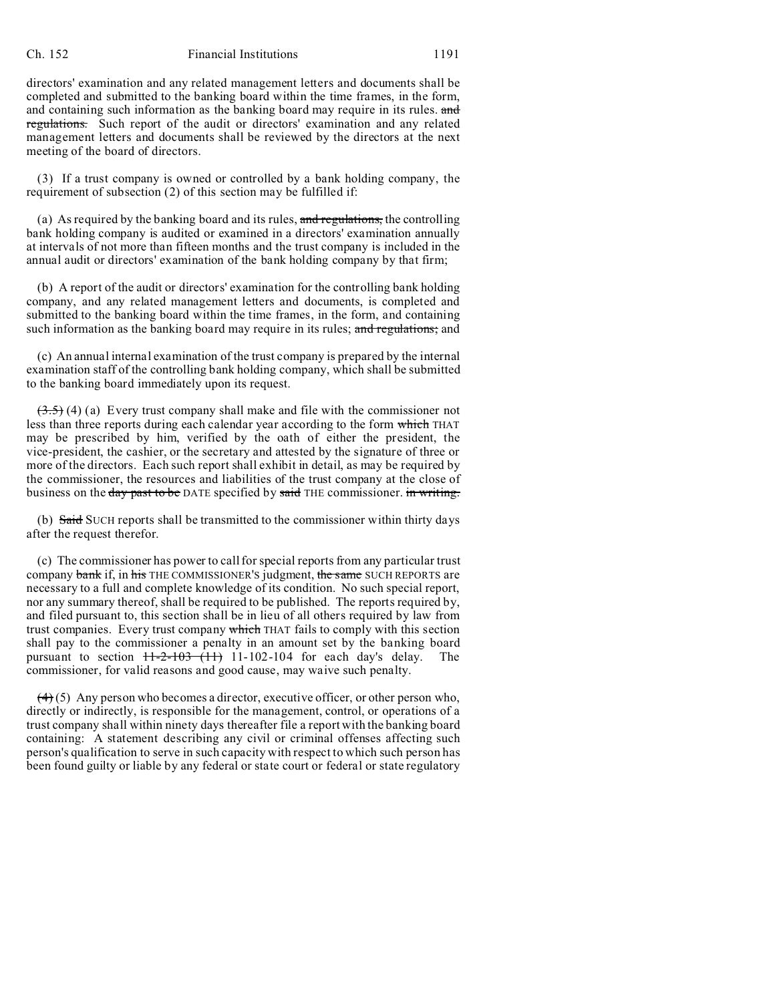#### Ch. 152 Financial Institutions 1191

directors' examination and any related management letters and documents shall be completed and submitted to the banking board within the time frames, in the form, and containing such information as the banking board may require in its rules. and regulations. Such report of the audit or directors' examination and any related management letters and documents shall be reviewed by the directors at the next meeting of the board of directors.

(3) If a trust company is owned or controlled by a bank holding company, the requirement of subsection (2) of this section may be fulfilled if:

(a) As required by the banking board and its rules, and regulations, the controlling bank holding company is audited or examined in a directors' examination annually at intervals of not more than fifteen months and the trust company is included in the annual audit or directors' examination of the bank holding company by that firm;

(b) A report of the audit or directors' examination for the controlling bank holding company, and any related management letters and documents, is completed and submitted to the banking board within the time frames, in the form, and containing such information as the banking board may require in its rules; and regulations; and

(c) An annual internal examination of the trust company is prepared by the internal examination staff of the controlling bank holding company, which shall be submitted to the banking board immediately upon its request.

 $(3.5)$  (4) (a) Every trust company shall make and file with the commissioner not less than three reports during each calendar year according to the form which THAT may be prescribed by him, verified by the oath of either the president, the vice-president, the cashier, or the secretary and attested by the signature of three or more of the directors. Each such report shall exhibit in detail, as may be required by the commissioner, the resources and liabilities of the trust company at the close of business on the day past to be DATE specified by said THE commissioner. in writing.

(b) Said SUCH reports shall be transmitted to the commissioner within thirty days after the request therefor.

(c) The commissioner has power to call for special reports from any particular trust company bank if, in his THE COMMISSIONER'S judgment, the same SUCH REPORTS are necessary to a full and complete knowledge of its condition. No such special report, nor any summary thereof, shall be required to be published. The reports required by, and filed pursuant to, this section shall be in lieu of all others required by law from trust companies. Every trust company which THAT fails to comply with this section shall pay to the commissioner a penalty in an amount set by the banking board pursuant to section  $11-2-103$   $(11)$  11-102-104 for each day's delay. The commissioner, for valid reasons and good cause, may waive such penalty.

 $(4)$  (5) Any person who becomes a director, executive officer, or other person who, directly or indirectly, is responsible for the management, control, or operations of a trust company shall within ninety days thereafter file a report with the banking board containing: A statement describing any civil or criminal offenses affecting such person's qualification to serve in such capacity with respect to which such person has been found guilty or liable by any federal or state court or federal or state regulatory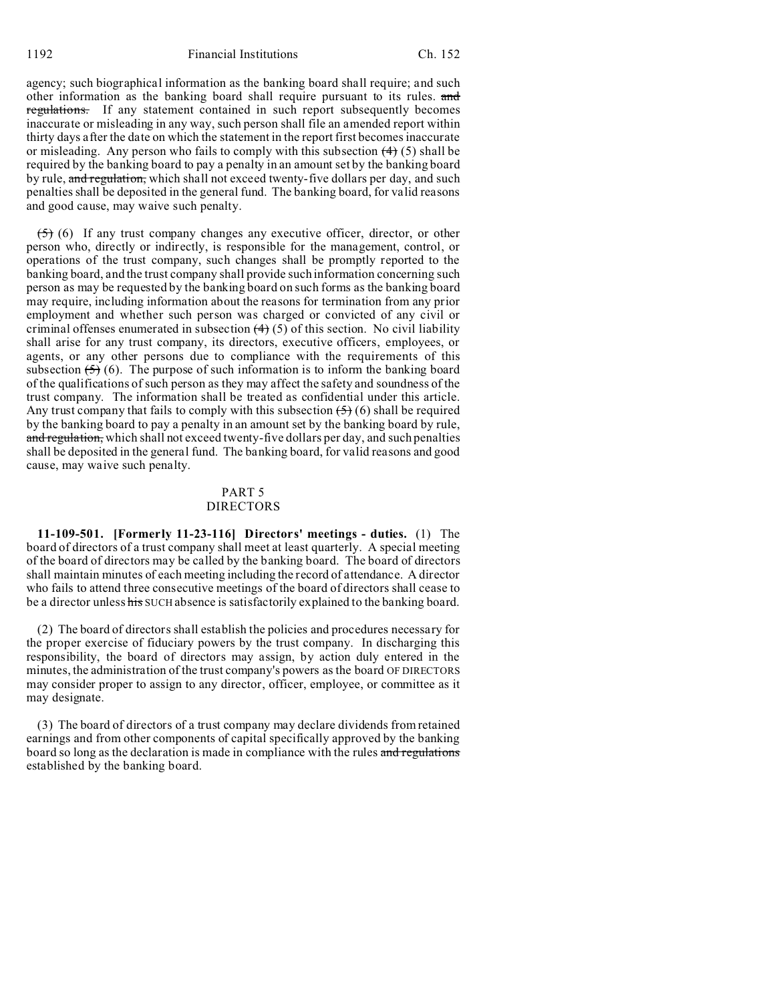agency; such biographical information as the banking board shall require; and such other information as the banking board shall require pursuant to its rules. and regulations. If any statement contained in such report subsequently becomes inaccurate or misleading in any way, such person shall file an amended report within thirty days after the date on which the statement in the report first becomes inaccurate or misleading. Any person who fails to comply with this subsection  $(4)$  (5) shall be required by the banking board to pay a penalty in an amount set by the banking board by rule, and regulation, which shall not exceed twenty-five dollars per day, and such penalties shall be deposited in the general fund. The banking board, for valid reasons and good cause, may waive such penalty.

 $(5)$  (6) If any trust company changes any executive officer, director, or other person who, directly or indirectly, is responsible for the management, control, or operations of the trust company, such changes shall be promptly reported to the banking board, and the trust company shall provide such information concerning such person as may be requested by the banking board on such forms as the banking board may require, including information about the reasons for termination from any prior employment and whether such person was charged or convicted of any civil or criminal offenses enumerated in subsection  $(4)$  (5) of this section. No civil liability shall arise for any trust company, its directors, executive officers, employees, or agents, or any other persons due to compliance with the requirements of this subsection  $(5)$  (6). The purpose of such information is to inform the banking board of the qualifications of such person as they may affect the safety and soundness of the trust company. The information shall be treated as confidential under this article. Any trust company that fails to comply with this subsection  $(5)(6)$  shall be required by the banking board to pay a penalty in an amount set by the banking board by rule, and regulation, which shall not exceed twenty-five dollars per day, and such penalties shall be deposited in the general fund. The banking board, for valid reasons and good cause, may waive such penalty.

### PART 5 DIRECTORS

**11-109-501. [Formerly 11-23-116] Directors' meetings - duties.** (1) The board of directors of a trust company shall meet at least quarterly. A special meeting of the board of directors may be called by the banking board. The board of directors shall maintain minutes of each meeting including the record of attendance. A director who fails to attend three consecutive meetings of the board of directors shall cease to be a director unless his SUCH absence is satisfactorily explained to the banking board.

(2) The board of directors shall establish the policies and procedures necessary for the proper exercise of fiduciary powers by the trust company. In discharging this responsibility, the board of directors may assign, by action duly entered in the minutes, the administration of the trust company's powers as the board OF DIRECTORS may consider proper to assign to any director, officer, employee, or committee as it may designate.

(3) The board of directors of a trust company may declare dividends from retained earnings and from other components of capital specifically approved by the banking board so long as the declaration is made in compliance with the rules and regulations established by the banking board.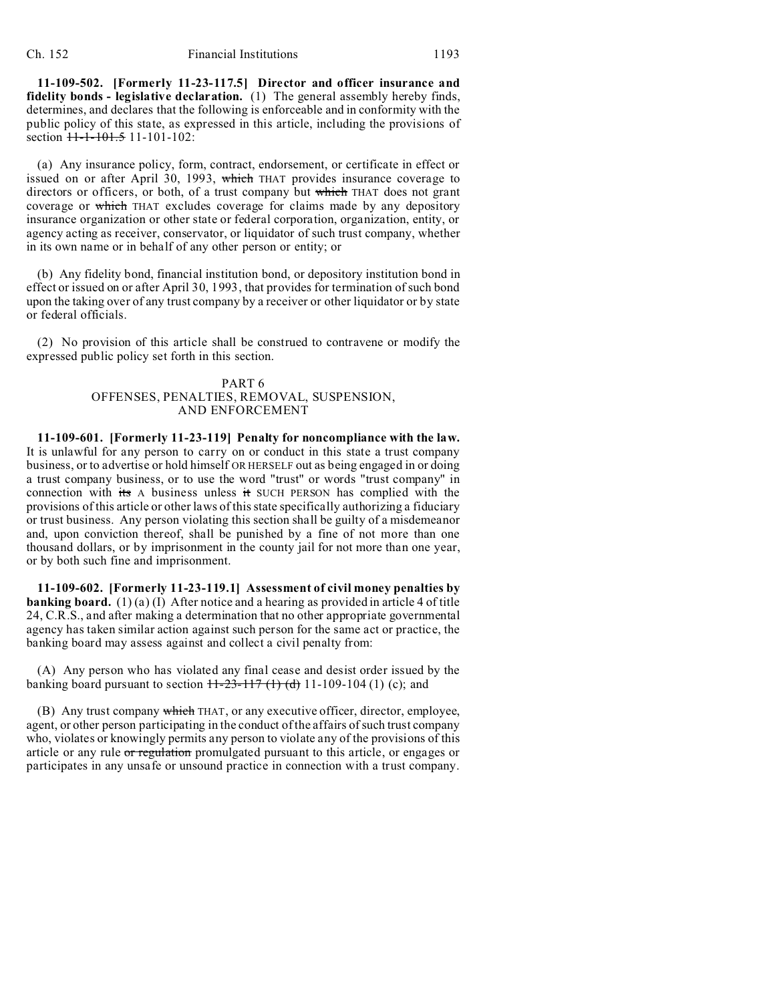**11-109-502. [Formerly 11-23-117.5] Director and officer insurance and fidelity bonds - legislative declaration.** (1) The general assembly hereby finds, determines, and declares that the following is enforceable and in conformity with the public policy of this state, as expressed in this article, including the provisions of section  $11-1-101.5$  11-101-102:

(a) Any insurance policy, form, contract, endorsement, or certificate in effect or issued on or after April 30, 1993, which THAT provides insurance coverage to directors or officers, or both, of a trust company but which THAT does not grant coverage or which THAT excludes coverage for claims made by any depository insurance organization or other state or federal corporation, organization, entity, or agency acting as receiver, conservator, or liquidator of such trust company, whether in its own name or in behalf of any other person or entity; or

(b) Any fidelity bond, financial institution bond, or depository institution bond in effect or issued on or after April 30, 1993, that provides for termination of such bond upon the taking over of any trust company by a receiver or other liquidator or by state or federal officials.

(2) No provision of this article shall be construed to contravene or modify the expressed public policy set forth in this section.

## PART 6 OFFENSES, PENALTIES, REMOVAL, SUSPENSION, AND ENFORCEMENT

**11-109-601. [Formerly 11-23-119] Penalty for noncompliance with the law.** It is unlawful for any person to carry on or conduct in this state a trust company business, or to advertise or hold himself OR HERSELF out as being engaged in or doing a trust company business, or to use the word "trust" or words "trust company" in connection with its A business unless it SUCH PERSON has complied with the provisions of this article or other laws of this state specifically authorizing a fiduciary or trust business. Any person violating this section shall be guilty of a misdemeanor and, upon conviction thereof, shall be punished by a fine of not more than one thousand dollars, or by imprisonment in the county jail for not more than one year, or by both such fine and imprisonment.

**11-109-602. [Formerly 11-23-119.1] Assessment of civil money penalties by banking board.** (1)(a)(I) After notice and a hearing as provided in article 4 of title 24, C.R.S., and after making a determination that no other appropriate governmental agency has taken similar action against such person for the same act or practice, the banking board may assess against and collect a civil penalty from:

(A) Any person who has violated any final cease and desist order issued by the banking board pursuant to section  $\frac{11-23-117(1)(d)}{11-109-104(1)}$  (c); and

(B) Any trust company which THAT, or any executive officer, director, employee, agent, or other person participating in the conduct of the affairs of such trust company who, violates or knowingly permits any person to violate any of the provisions of this article or any rule or regulation promulgated pursuant to this article, or engages or participates in any unsafe or unsound practice in connection with a trust company.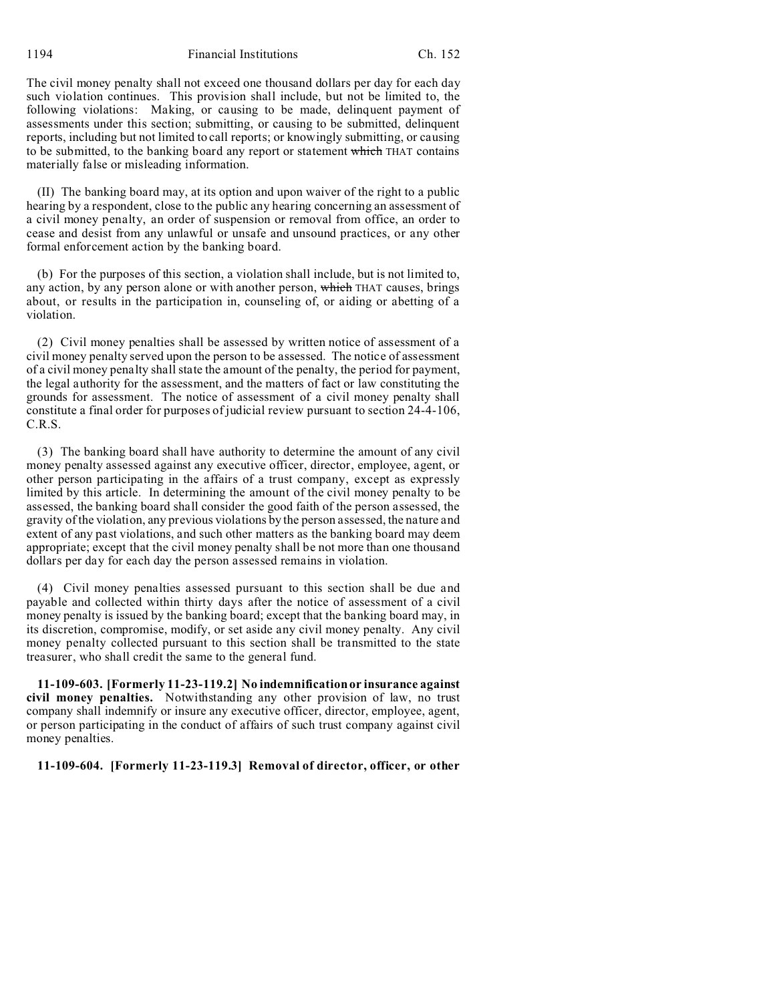1194 Financial Institutions Ch. 152

The civil money penalty shall not exceed one thousand dollars per day for each day such violation continues. This provision shall include, but not be limited to, the following violations: Making, or causing to be made, delinquent payment of assessments under this section; submitting, or causing to be submitted, delinquent reports, including but not limited to call reports; or knowingly submitting, or causing to be submitted, to the banking board any report or statement which THAT contains materially false or misleading information.

(II) The banking board may, at its option and upon waiver of the right to a public hearing by a respondent, close to the public any hearing concerning an assessment of a civil money penalty, an order of suspension or removal from office, an order to cease and desist from any unlawful or unsafe and unsound practices, or any other formal enforcement action by the banking board.

(b) For the purposes of this section, a violation shall include, but is not limited to, any action, by any person alone or with another person, which THAT causes, brings about, or results in the participation in, counseling of, or aiding or abetting of a violation.

(2) Civil money penalties shall be assessed by written notice of assessment of a civil money penalty served upon the person to be assessed. The notice of assessment of a civil money penalty shall state the amount of the penalty, the period for payment, the legal authority for the assessment, and the matters of fact or law constituting the grounds for assessment. The notice of assessment of a civil money penalty shall constitute a final order for purposes of judicial review pursuant to section 24-4-106, C.R.S.

(3) The banking board shall have authority to determine the amount of any civil money penalty assessed against any executive officer, director, employee, agent, or other person participating in the affairs of a trust company, except as expressly limited by this article. In determining the amount of the civil money penalty to be assessed, the banking board shall consider the good faith of the person assessed, the gravity of the violation, any previous violations by the person assessed, the nature and extent of any past violations, and such other matters as the banking board may deem appropriate; except that the civil money penalty shall be not more than one thousand dollars per day for each day the person assessed remains in violation.

(4) Civil money penalties assessed pursuant to this section shall be due and payable and collected within thirty days after the notice of assessment of a civil money penalty is issued by the banking board; except that the banking board may, in its discretion, compromise, modify, or set aside any civil money penalty. Any civil money penalty collected pursuant to this section shall be transmitted to the state treasurer, who shall credit the same to the general fund.

**11-109-603. [Formerly 11-23-119.2] No indemnification or insurance against civil money penalties.** Notwithstanding any other provision of law, no trust company shall indemnify or insure any executive officer, director, employee, agent, or person participating in the conduct of affairs of such trust company against civil money penalties.

**11-109-604. [Formerly 11-23-119.3] Removal of director, officer, or other**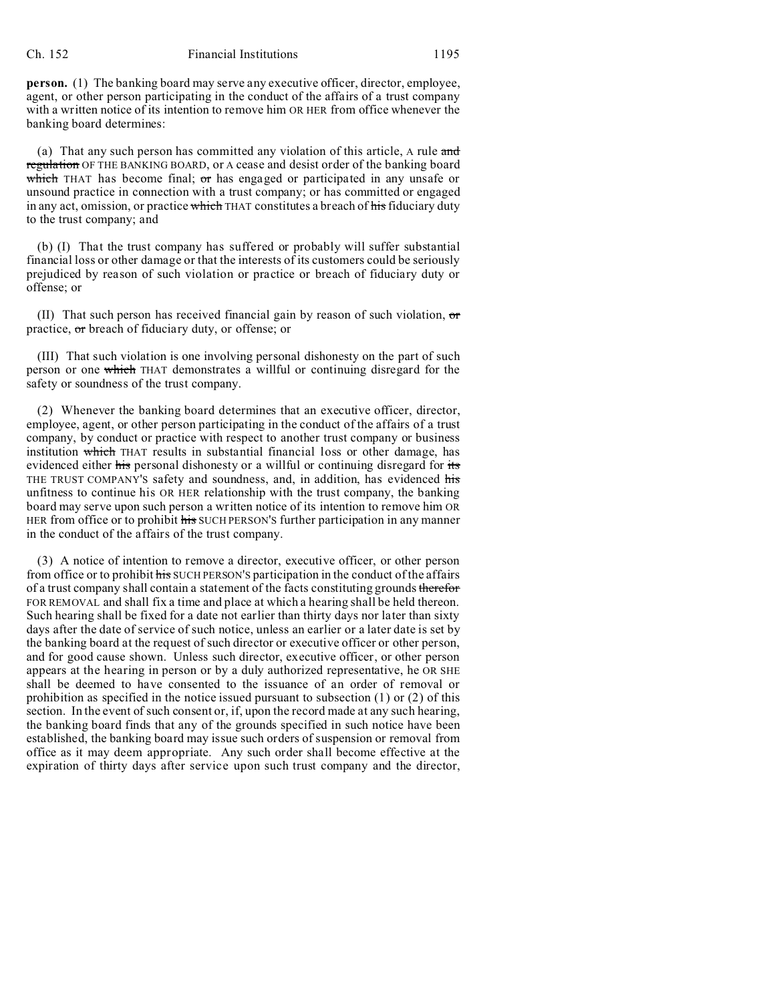**person.** (1) The banking board may serve any executive officer, director, employee, agent, or other person participating in the conduct of the affairs of a trust company with a written notice of its intention to remove him OR HER from office whenever the banking board determines:

(a) That any such person has committed any violation of this article, A rule and regulation OF THE BANKING BOARD, or A cease and desist order of the banking board which THAT has become final;  $\sigma r$  has engaged or participated in any unsafe or unsound practice in connection with a trust company; or has committed or engaged in any act, omission, or practice which THAT constitutes a breach of his fiduciary duty to the trust company; and

(b) (I) That the trust company has suffered or probably will suffer substantial financial loss or other damage or that the interests of its customers could be seriously prejudiced by reason of such violation or practice or breach of fiduciary duty or offense; or

(II) That such person has received financial gain by reason of such violation,  $\sigma$ practice, or breach of fiduciary duty, or offense; or

(III) That such violation is one involving personal dishonesty on the part of such person or one which THAT demonstrates a willful or continuing disregard for the safety or soundness of the trust company.

(2) Whenever the banking board determines that an executive officer, director, employee, agent, or other person participating in the conduct of the affairs of a trust company, by conduct or practice with respect to another trust company or business institution which THAT results in substantial financial loss or other damage, has evidenced either his personal dishonesty or a willful or continuing disregard for its THE TRUST COMPANY'S safety and soundness, and, in addition, has evidenced his unfitness to continue his OR HER relationship with the trust company, the banking board may serve upon such person a written notice of its intention to remove him OR HER from office or to prohibit his SUCH PERSON'S further participation in any manner in the conduct of the affairs of the trust company.

(3) A notice of intention to remove a director, executive officer, or other person from office or to prohibit his SUCH PERSON'S participation in the conduct of the affairs of a trust company shall contain a statement of the facts constituting grounds therefor FOR REMOVAL and shall fix a time and place at which a hearing shall be held thereon. Such hearing shall be fixed for a date not earlier than thirty days nor later than sixty days after the date of service of such notice, unless an earlier or a later date is set by the banking board at the request of such director or executive officer or other person, and for good cause shown. Unless such director, executive officer, or other person appears at the hearing in person or by a duly authorized representative, he OR SHE shall be deemed to have consented to the issuance of an order of removal or prohibition as specified in the notice issued pursuant to subsection  $(1)$  or  $(2)$  of this section. In the event of such consent or, if, upon the record made at any such hearing, the banking board finds that any of the grounds specified in such notice have been established, the banking board may issue such orders of suspension or removal from office as it may deem appropriate. Any such order shall become effective at the expiration of thirty days after service upon such trust company and the director,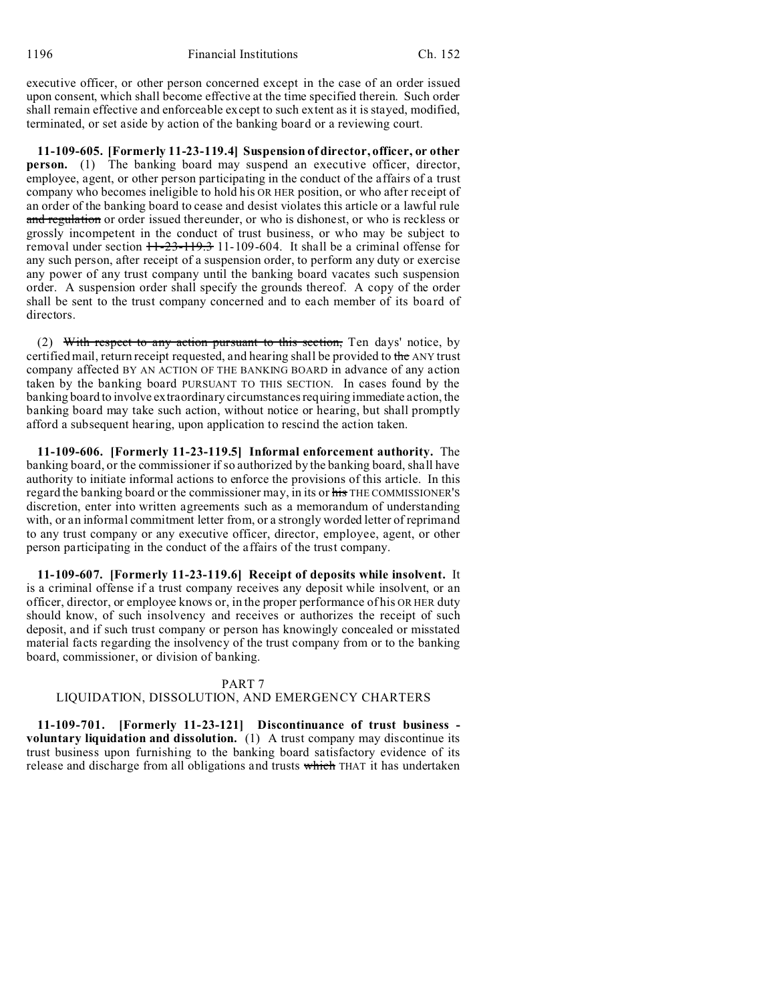executive officer, or other person concerned except in the case of an order issued upon consent, which shall become effective at the time specified therein. Such order shall remain effective and enforceable except to such extent as it is stayed, modified, terminated, or set aside by action of the banking board or a reviewing court.

**11-109-605. [Formerly 11-23-119.4] Suspension of director, officer, or other person.** (1) The banking board may suspend an executive officer, director, employee, agent, or other person participating in the conduct of the affairs of a trust company who becomes ineligible to hold his OR HER position, or who after receipt of an order of the banking board to cease and desist violates this article or a lawful rule and regulation or order issued thereunder, or who is dishonest, or who is reckless or grossly incompetent in the conduct of trust business, or who may be subject to removal under section  $11-23-119.3$  11-109-604. It shall be a criminal offense for any such person, after receipt of a suspension order, to perform any duty or exercise any power of any trust company until the banking board vacates such suspension order. A suspension order shall specify the grounds thereof. A copy of the order shall be sent to the trust company concerned and to each member of its board of directors.

(2) With respect to any action pursuant to this section, Ten days' notice, by certified mail, return receipt requested, and hearing shall be provided to the ANY trust company affected BY AN ACTION OF THE BANKING BOARD in advance of any action taken by the banking board PURSUANT TO THIS SECTION. In cases found by the banking board to involve extraordinary circumstances requiring immediate action, the banking board may take such action, without notice or hearing, but shall promptly afford a subsequent hearing, upon application to rescind the action taken.

**11-109-606. [Formerly 11-23-119.5] Informal enforcement authority.** The banking board, or the commissioner if so authorized by the banking board, shall have authority to initiate informal actions to enforce the provisions of this article. In this regard the banking board or the commissioner may, in its or his THE COMMISSIONER'S discretion, enter into written agreements such as a memorandum of understanding with, or an informal commitment letter from, or a strongly worded letter of reprimand to any trust company or any executive officer, director, employee, agent, or other person participating in the conduct of the affairs of the trust company.

**11-109-607. [Formerly 11-23-119.6] Receipt of deposits while insolvent.** It is a criminal offense if a trust company receives any deposit while insolvent, or an officer, director, or employee knows or, in the proper performance of his OR HER duty should know, of such insolvency and receives or authorizes the receipt of such deposit, and if such trust company or person has knowingly concealed or misstated material facts regarding the insolvency of the trust company from or to the banking board, commissioner, or division of banking.

### PART 7

# LIQUIDATION, DISSOLUTION, AND EMERGENCY CHARTERS

**11-109-701. [Formerly 11-23-121] Discontinuance of trust business voluntary liquidation and dissolution.** (1) A trust company may discontinue its trust business upon furnishing to the banking board satisfactory evidence of its release and discharge from all obligations and trusts which THAT it has undertaken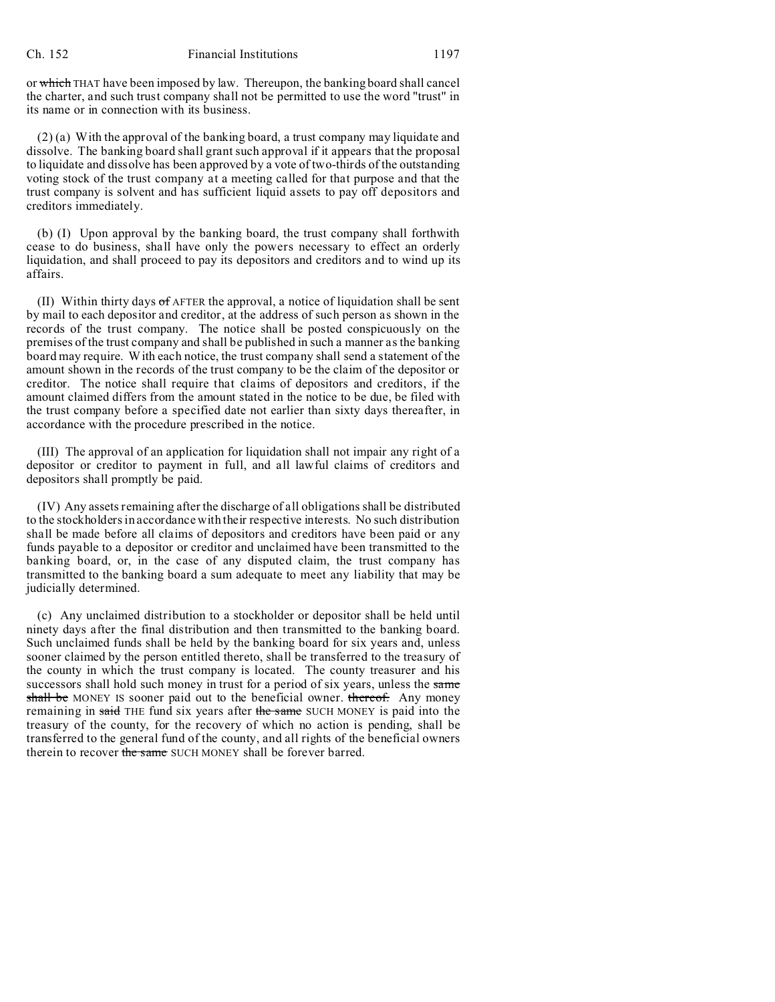or which THAT have been imposed by law. Thereupon, the banking board shall cancel the charter, and such trust company shall not be permitted to use the word "trust" in its name or in connection with its business.

(2) (a) With the approval of the banking board, a trust company may liquidate and dissolve. The banking board shall grant such approval if it appears that the proposal to liquidate and dissolve has been approved by a vote of two-thirds of the outstanding voting stock of the trust company at a meeting called for that purpose and that the trust company is solvent and has sufficient liquid assets to pay off depositors and creditors immediately.

(b) (I) Upon approval by the banking board, the trust company shall forthwith cease to do business, shall have only the powers necessary to effect an orderly liquidation, and shall proceed to pay its depositors and creditors and to wind up its affairs.

(II) Within thirty days  $\sigma$ f AFTER the approval, a notice of liquidation shall be sent by mail to each depositor and creditor, at the address of such person as shown in the records of the trust company. The notice shall be posted conspicuously on the premises of the trust company and shall be published in such a manner as the banking board may require. With each notice, the trust company shall send a statement of the amount shown in the records of the trust company to be the claim of the depositor or creditor. The notice shall require that claims of depositors and creditors, if the amount claimed differs from the amount stated in the notice to be due, be filed with the trust company before a specified date not earlier than sixty days thereafter, in accordance with the procedure prescribed in the notice.

(III) The approval of an application for liquidation shall not impair any right of a depositor or creditor to payment in full, and all lawful claims of creditors and depositors shall promptly be paid.

(IV) Any assets remaining after the discharge of all obligations shall be distributed to the stockholders in accordance with their respective interests. No such distribution shall be made before all claims of depositors and creditors have been paid or any funds payable to a depositor or creditor and unclaimed have been transmitted to the banking board, or, in the case of any disputed claim, the trust company has transmitted to the banking board a sum adequate to meet any liability that may be judicially determined.

(c) Any unclaimed distribution to a stockholder or depositor shall be held until ninety days after the final distribution and then transmitted to the banking board. Such unclaimed funds shall be held by the banking board for six years and, unless sooner claimed by the person entitled thereto, shall be transferred to the treasury of the county in which the trust company is located. The county treasurer and his successors shall hold such money in trust for a period of six years, unless the same shall be MONEY IS sooner paid out to the beneficial owner. thereof. Any money remaining in said THE fund six years after the same SUCH MONEY is paid into the treasury of the county, for the recovery of which no action is pending, shall be transferred to the general fund of the county, and all rights of the beneficial owners therein to recover the same SUCH MONEY shall be forever barred.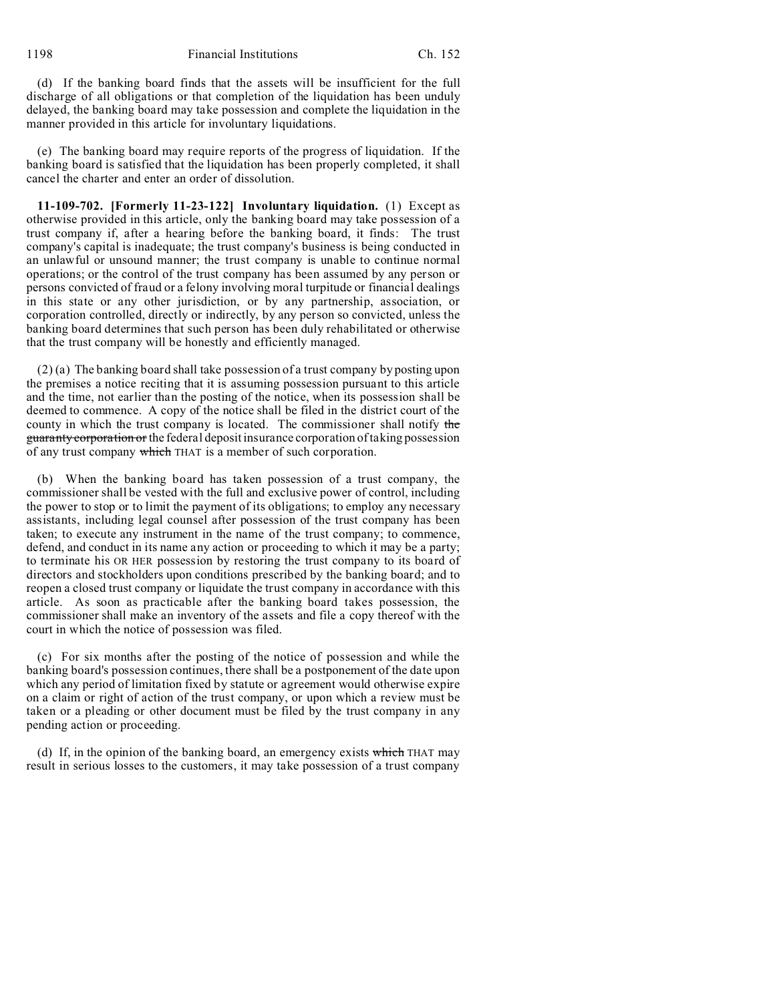1198 Financial Institutions Ch. 152

(d) If the banking board finds that the assets will be insufficient for the full discharge of all obligations or that completion of the liquidation has been unduly delayed, the banking board may take possession and complete the liquidation in the manner provided in this article for involuntary liquidations.

(e) The banking board may require reports of the progress of liquidation. If the banking board is satisfied that the liquidation has been properly completed, it shall cancel the charter and enter an order of dissolution.

**11-109-702. [Formerly 11-23-122] Involuntary liquidation.** (1) Except as otherwise provided in this article, only the banking board may take possession of a trust company if, after a hearing before the banking board, it finds: The trust company's capital is inadequate; the trust company's business is being conducted in an unlawful or unsound manner; the trust company is unable to continue normal operations; or the control of the trust company has been assumed by any person or persons convicted of fraud or a felony involving moral turpitude or financial dealings in this state or any other jurisdiction, or by any partnership, association, or corporation controlled, directly or indirectly, by any person so convicted, unless the banking board determines that such person has been duly rehabilitated or otherwise that the trust company will be honestly and efficiently managed.

(2) (a) The banking board shall take possession of a trust company by posting upon the premises a notice reciting that it is assuming possession pursuant to this article and the time, not earlier than the posting of the notice, when its possession shall be deemed to commence. A copy of the notice shall be filed in the district court of the county in which the trust company is located. The commissioner shall notify the guaranty corporation or the federal deposit insurance corporation of taking possession of any trust company which THAT is a member of such corporation.

(b) When the banking board has taken possession of a trust company, the commissioner shall be vested with the full and exclusive power of control, including the power to stop or to limit the payment of its obligations; to employ any necessary assistants, including legal counsel after possession of the trust company has been taken; to execute any instrument in the name of the trust company; to commence, defend, and conduct in its name any action or proceeding to which it may be a party; to terminate his OR HER possession by restoring the trust company to its board of directors and stockholders upon conditions prescribed by the banking board; and to reopen a closed trust company or liquidate the trust company in accordance with this article. As soon as practicable after the banking board takes possession, the commissioner shall make an inventory of the assets and file a copy thereof with the court in which the notice of possession was filed.

(c) For six months after the posting of the notice of possession and while the banking board's possession continues, there shall be a postponement of the date upon which any period of limitation fixed by statute or agreement would otherwise expire on a claim or right of action of the trust company, or upon which a review must be taken or a pleading or other document must be filed by the trust company in any pending action or proceeding.

(d) If, in the opinion of the banking board, an emergency exists which THAT may result in serious losses to the customers, it may take possession of a trust company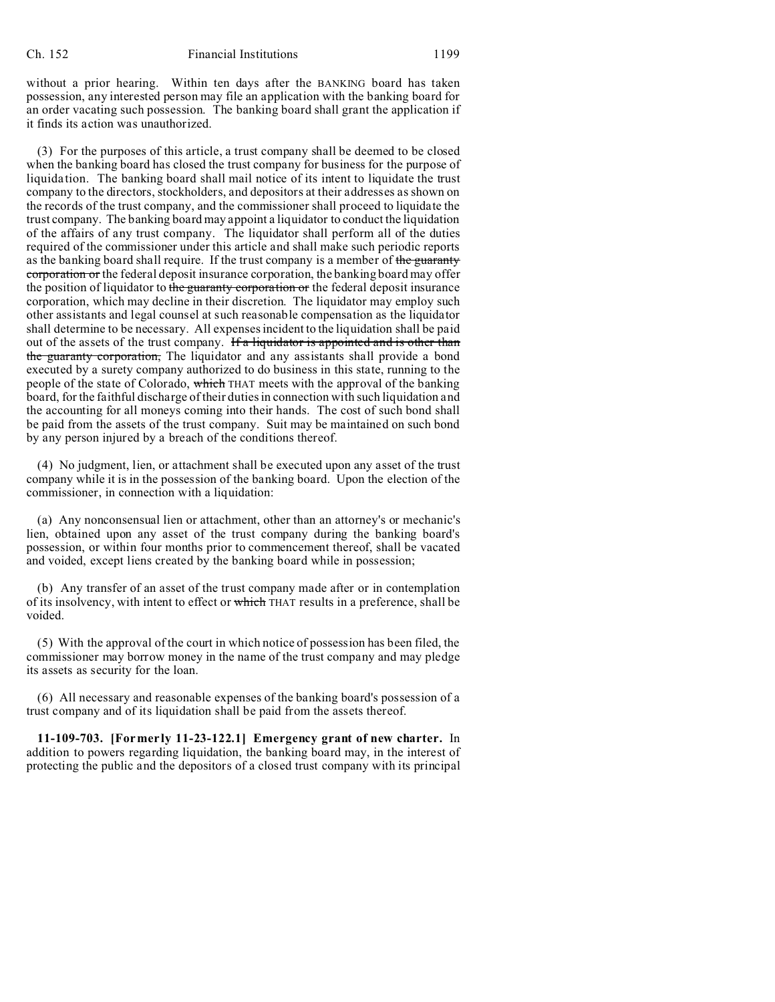without a prior hearing. Within ten days after the BANKING board has taken possession, any interested person may file an application with the banking board for an order vacating such possession. The banking board shall grant the application if it finds its action was unauthorized.

(3) For the purposes of this article, a trust company shall be deemed to be closed when the banking board has closed the trust company for business for the purpose of liquidation. The banking board shall mail notice of its intent to liquidate the trust company to the directors, stockholders, and depositors at their addresses as shown on the records of the trust company, and the commissioner shall proceed to liquidate the trust company. The banking board may appoint a liquidator to conduct the liquidation of the affairs of any trust company. The liquidator shall perform all of the duties required of the commissioner under this article and shall make such periodic reports as the banking board shall require. If the trust company is a member of the guaranty corporation or the federal deposit insurance corporation, the banking board may offer the position of liquidator to the guaranty corporation or the federal deposit insurance corporation, which may decline in their discretion. The liquidator may employ such other assistants and legal counsel at such reasonable compensation as the liquidator shall determine to be necessary. All expenses incident to the liquidation shall be paid out of the assets of the trust company. If a liquidator is appointed and is other than the guaranty corporation, The liquidator and any assistants shall provide a bond executed by a surety company authorized to do business in this state, running to the people of the state of Colorado, which THAT meets with the approval of the banking board, for the faithful discharge of their duties in connection with such liquidation and the accounting for all moneys coming into their hands. The cost of such bond shall be paid from the assets of the trust company. Suit may be maintained on such bond by any person injured by a breach of the conditions thereof.

(4) No judgment, lien, or attachment shall be executed upon any asset of the trust company while it is in the possession of the banking board. Upon the election of the commissioner, in connection with a liquidation:

(a) Any nonconsensual lien or attachment, other than an attorney's or mechanic's lien, obtained upon any asset of the trust company during the banking board's possession, or within four months prior to commencement thereof, shall be vacated and voided, except liens created by the banking board while in possession;

(b) Any transfer of an asset of the trust company made after or in contemplation of its insolvency, with intent to effect or which THAT results in a preference, shall be voided.

(5) With the approval of the court in which notice of possession has been filed, the commissioner may borrow money in the name of the trust company and may pledge its assets as security for the loan.

(6) All necessary and reasonable expenses of the banking board's possession of a trust company and of its liquidation shall be paid from the assets thereof.

**11-109-703. [Formerly 11-23-122.1] Emergency grant of new charter.** In addition to powers regarding liquidation, the banking board may, in the interest of protecting the public and the depositors of a closed trust company with its principal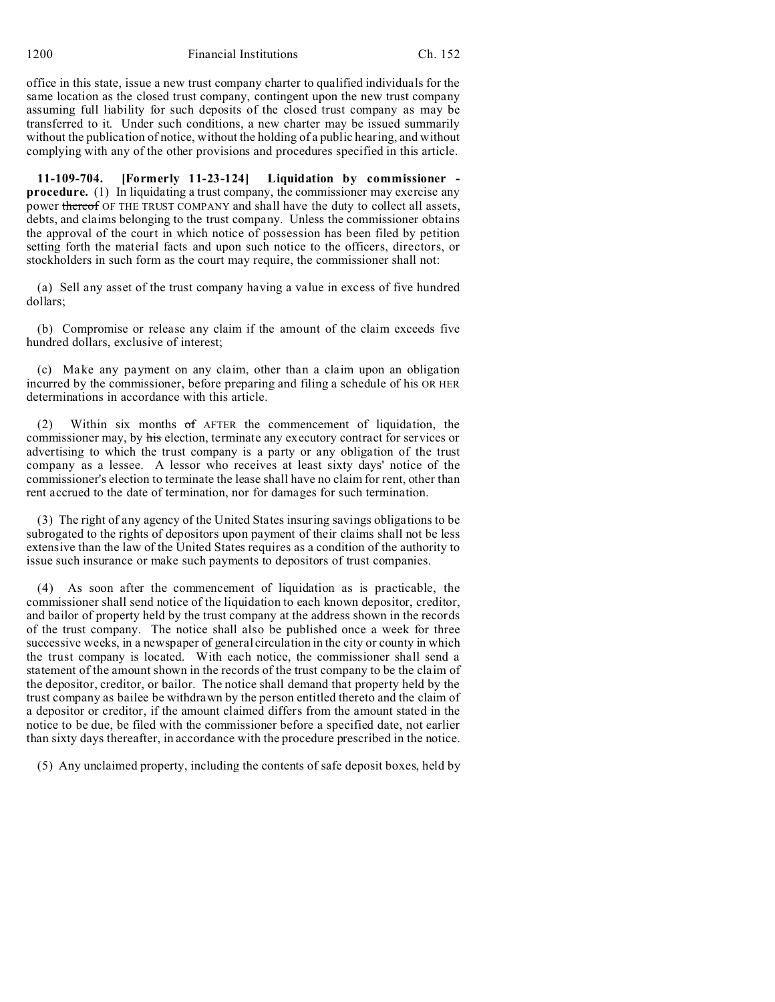office in this state, issue a new trust company charter to qualified individuals for the same location as the closed trust company, contingent upon the new trust company assuming full liability for such deposits of the closed trust company as may be transferred to it. Under such conditions, a new charter may be issued summarily without the publication of notice, without the holding of a public hearing, and without complying with any of the other provisions and procedures specified in this article.

**11-109-704. [Formerly 11-23-124] Liquidation by commissioner procedure.** (1) In liquidating a trust company, the commissioner may exercise any power thereof OF THE TRUST COMPANY and shall have the duty to collect all assets, debts, and claims belonging to the trust company. Unless the commissioner obtains the approval of the court in which notice of possession has been filed by petition setting forth the material facts and upon such notice to the officers, directors, or stockholders in such form as the court may require, the commissioner shall not:

(a) Sell any asset of the trust company having a value in excess of five hundred dollars;

(b) Compromise or release any claim if the amount of the claim exceeds five hundred dollars, exclusive of interest;

(c) Make any payment on any claim, other than a claim upon an obligation incurred by the commissioner, before preparing and filing a schedule of his OR HER determinations in accordance with this article.

(2) Within six months  $\sigma f$  AFTER the commencement of liquidation, the commissioner may, by his election, terminate any executory contract for services or advertising to which the trust company is a party or any obligation of the trust company as a lessee. A lessor who receives at least sixty days' notice of the commissioner's election to terminate the lease shall have no claim for rent, other than rent accrued to the date of termination, nor for damages for such termination.

(3) The right of any agency of the United States insuring savings obligations to be subrogated to the rights of depositors upon payment of their claims shall not be less extensive than the law of the United States requires as a condition of the authority to issue such insurance or make such payments to depositors of trust companies.

(4) As soon after the commencement of liquidation as is practicable, the commissioner shall send notice of the liquidation to each known depositor, creditor, and bailor of property held by the trust company at the address shown in the records of the trust company. The notice shall also be published once a week for three successive weeks, in a newspaper of general circulation in the city or county in which the trust company is located. With each notice, the commissioner shall send a statement of the amount shown in the records of the trust company to be the claim of the depositor, creditor, or bailor. The notice shall demand that property held by the trust company as bailee be withdrawn by the person entitled thereto and the claim of a depositor or creditor, if the amount claimed differs from the amount stated in the notice to be due, be filed with the commissioner before a specified date, not earlier than sixty days thereafter, in accordance with the procedure prescribed in the notice.

(5) Any unclaimed property, including the contents of safe deposit boxes, held by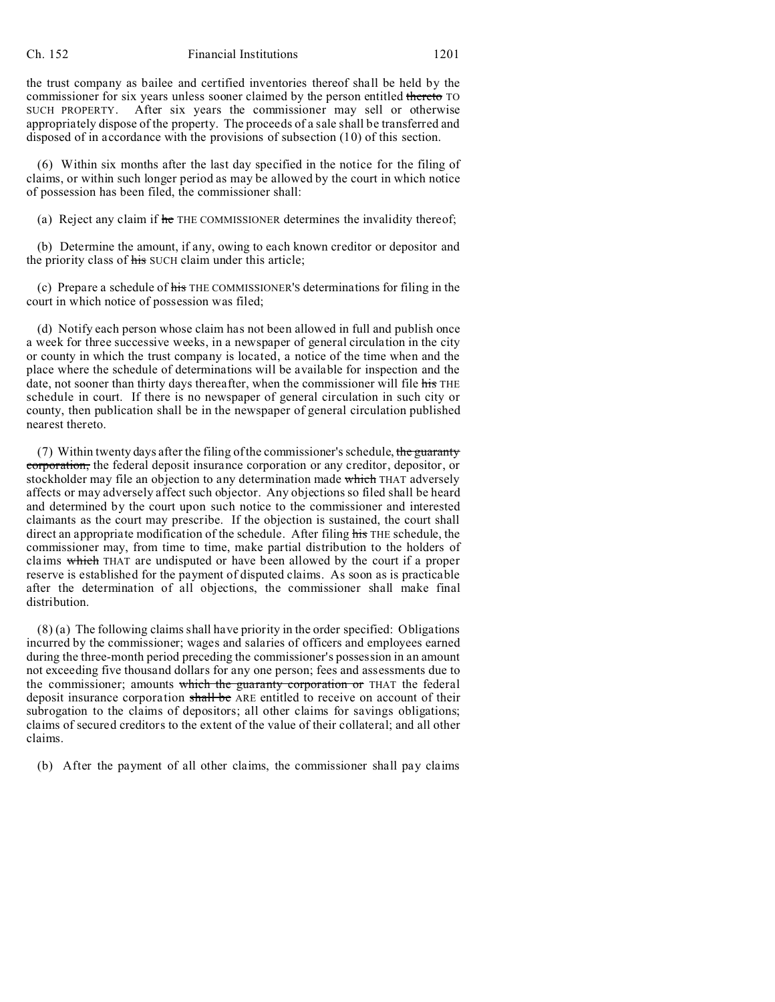the trust company as bailee and certified inventories thereof shall be held by the commissioner for six years unless sooner claimed by the person entitled thereto TO SUCH PROPERTY. After six years the commissioner may sell or otherwise appropriately dispose of the property. The proceeds of a sale shall be transferred and disposed of in accordance with the provisions of subsection (10) of this section.

(6) Within six months after the last day specified in the notice for the filing of claims, or within such longer period as may be allowed by the court in which notice of possession has been filed, the commissioner shall:

(a) Reject any claim if he THE COMMISSIONER determines the invalidity thereof;

(b) Determine the amount, if any, owing to each known creditor or depositor and the priority class of his SUCH claim under this article;

(c) Prepare a schedule of his THE COMMISSIONER'S determinations for filing in the court in which notice of possession was filed;

(d) Notify each person whose claim has not been allowed in full and publish once a week for three successive weeks, in a newspaper of general circulation in the city or county in which the trust company is located, a notice of the time when and the place where the schedule of determinations will be available for inspection and the date, not sooner than thirty days thereafter, when the commissioner will file his THE schedule in court. If there is no newspaper of general circulation in such city or county, then publication shall be in the newspaper of general circulation published nearest thereto.

(7) Within twenty days after the filing of the commissioner's schedule, the guaranty corporation, the federal deposit insurance corporation or any creditor, depositor, or stockholder may file an objection to any determination made which THAT adversely affects or may adversely affect such objector. Any objections so filed shall be heard and determined by the court upon such notice to the commissioner and interested claimants as the court may prescribe. If the objection is sustained, the court shall direct an appropriate modification of the schedule. After filing his THE schedule, the commissioner may, from time to time, make partial distribution to the holders of claims which THAT are undisputed or have been allowed by the court if a proper reserve is established for the payment of disputed claims. As soon as is practicable after the determination of all objections, the commissioner shall make final distribution.

(8) (a) The following claims shall have priority in the order specified: Obligations incurred by the commissioner; wages and salaries of officers and employees earned during the three-month period preceding the commissioner's possession in an amount not exceeding five thousand dollars for any one person; fees and assessments due to the commissioner; amounts which the guaranty corporation or THAT the federal deposit insurance corporation shall be ARE entitled to receive on account of their subrogation to the claims of depositors; all other claims for savings obligations; claims of secured creditors to the extent of the value of their collateral; and all other claims.

(b) After the payment of all other claims, the commissioner shall pay claims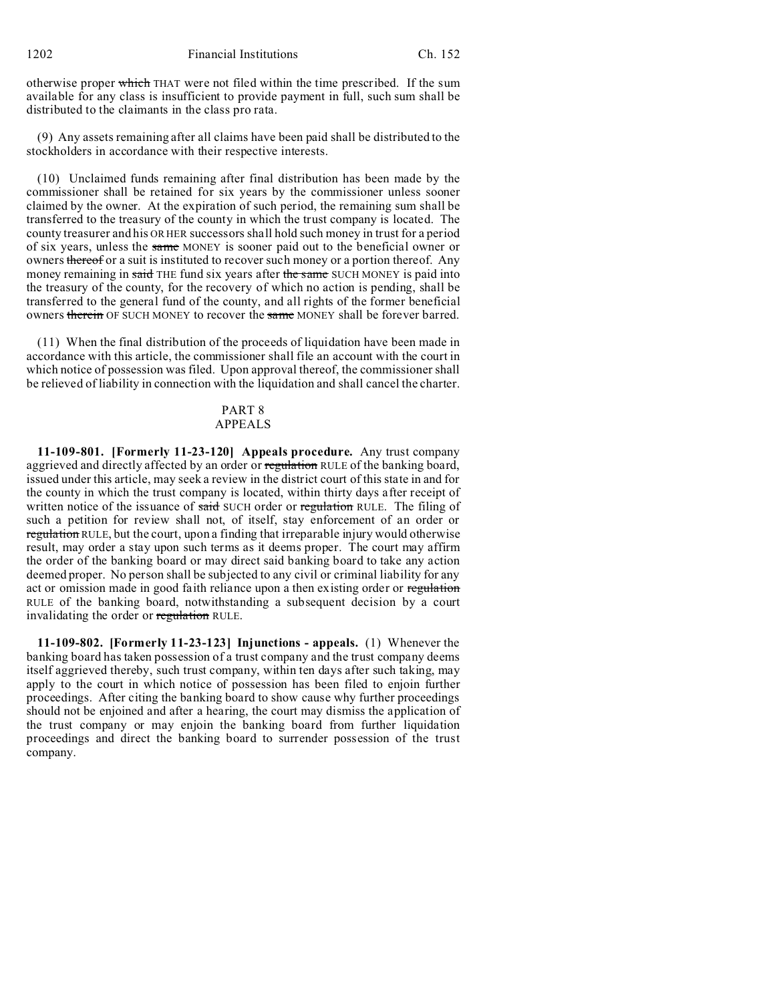1202 Financial Institutions Ch. 152

otherwise proper which THAT were not filed within the time prescribed. If the sum available for any class is insufficient to provide payment in full, such sum shall be distributed to the claimants in the class pro rata.

(9) Any assets remaining after all claims have been paid shall be distributed to the stockholders in accordance with their respective interests.

(10) Unclaimed funds remaining after final distribution has been made by the commissioner shall be retained for six years by the commissioner unless sooner claimed by the owner. At the expiration of such period, the remaining sum shall be transferred to the treasury of the county in which the trust company is located. The county treasurer and his OR HER successors shall hold such money in trust for a period of six years, unless the same MONEY is sooner paid out to the beneficial owner or owners thereof or a suit is instituted to recover such money or a portion thereof. Any money remaining in said THE fund six years after the same SUCH MONEY is paid into the treasury of the county, for the recovery of which no action is pending, shall be transferred to the general fund of the county, and all rights of the former beneficial owners therein OF SUCH MONEY to recover the same MONEY shall be forever barred.

(11) When the final distribution of the proceeds of liquidation have been made in accordance with this article, the commissioner shall file an account with the court in which notice of possession was filed. Upon approval thereof, the commissioner shall be relieved of liability in connection with the liquidation and shall cancel the charter.

### PART 8 APPEALS

**11-109-801. [Formerly 11-23-120] Appeals procedure.** Any trust company aggrieved and directly affected by an order or regulation RULE of the banking board, issued under this article, may seek a review in the district court of this state in and for the county in which the trust company is located, within thirty days after receipt of written notice of the issuance of said SUCH order or regulation RULE. The filing of such a petition for review shall not, of itself, stay enforcement of an order or regulation RULE, but the court, upon a finding that irreparable injury would otherwise result, may order a stay upon such terms as it deems proper. The court may affirm the order of the banking board or may direct said banking board to take any action deemed proper. No person shall be subjected to any civil or criminal liability for any act or omission made in good faith reliance upon a then existing order or regulation RULE of the banking board, notwithstanding a subsequent decision by a court invalidating the order or regulation RULE.

**11-109-802. [Formerly 11-23-123] Injunctions - appeals.** (1) Whenever the banking board has taken possession of a trust company and the trust company deems itself aggrieved thereby, such trust company, within ten days after such taking, may apply to the court in which notice of possession has been filed to enjoin further proceedings. After citing the banking board to show cause why further proceedings should not be enjoined and after a hearing, the court may dismiss the application of the trust company or may enjoin the banking board from further liquidation proceedings and direct the banking board to surrender possession of the trust company.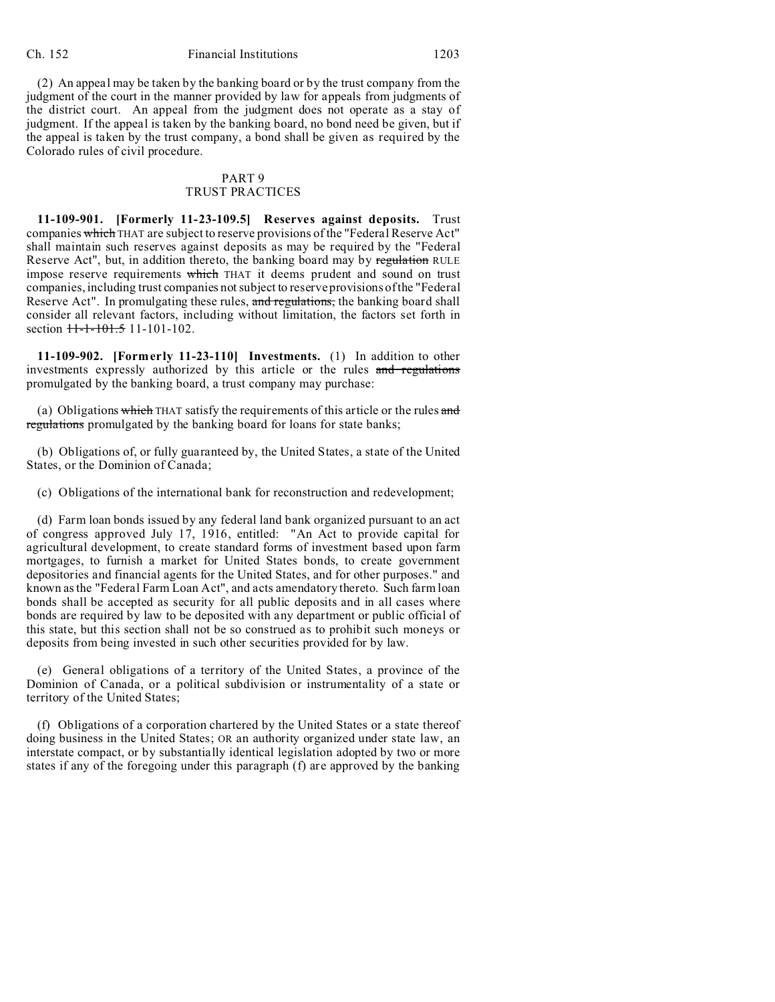(2) An appeal may be taken by the banking board or by the trust company from the judgment of the court in the manner provided by law for appeals from judgments of the district court. An appeal from the judgment does not operate as a stay of judgment. If the appeal is taken by the banking board, no bond need be given, but if the appeal is taken by the trust company, a bond shall be given as required by the Colorado rules of civil procedure.

## PART 9 TRUST PRACTICES

**11-109-901. [Formerly 11-23-109.5] Reserves against deposits.** Trust companies which THAT are subject to reserve provisions of the "Federal Reserve Act" shall maintain such reserves against deposits as may be required by the "Federal Reserve Act", but, in addition thereto, the banking board may by regulation RULE impose reserve requirements which THAT it deems prudent and sound on trust companies, including trust companies not subject to reserve provisions of the "Federal Reserve Act". In promulgating these rules, and regulations, the banking board shall consider all relevant factors, including without limitation, the factors set forth in section  $11-1-101.5$  11-101-102.

**11-109-902. [Formerly 11-23-110] Investments.** (1) In addition to other investments expressly authorized by this article or the rules and regulations promulgated by the banking board, a trust company may purchase:

(a) Obligations which THAT satisfy the requirements of this article or the rules and regulations promulgated by the banking board for loans for state banks;

(b) Obligations of, or fully guaranteed by, the United States, a state of the United States, or the Dominion of Canada;

(c) Obligations of the international bank for reconstruction and redevelopment;

(d) Farm loan bonds issued by any federal land bank organized pursuant to an act of congress approved July 17, 1916, entitled: "An Act to provide capital for agricultural development, to create standard forms of investment based upon farm mortgages, to furnish a market for United States bonds, to create government depositories and financial agents for the United States, and for other purposes." and known as the "Federal Farm Loan Act", and acts amendatory thereto. Such farm loan bonds shall be accepted as security for all public deposits and in all cases where bonds are required by law to be deposited with any department or public official of this state, but this section shall not be so construed as to prohibit such moneys or deposits from being invested in such other securities provided for by law.

(e) General obligations of a territory of the United States, a province of the Dominion of Canada, or a political subdivision or instrumentality of a state or territory of the United States;

(f) Obligations of a corporation chartered by the United States or a state thereof doing business in the United States; OR an authority organized under state law, an interstate compact, or by substantially identical legislation adopted by two or more states if any of the foregoing under this paragraph (f) are approved by the banking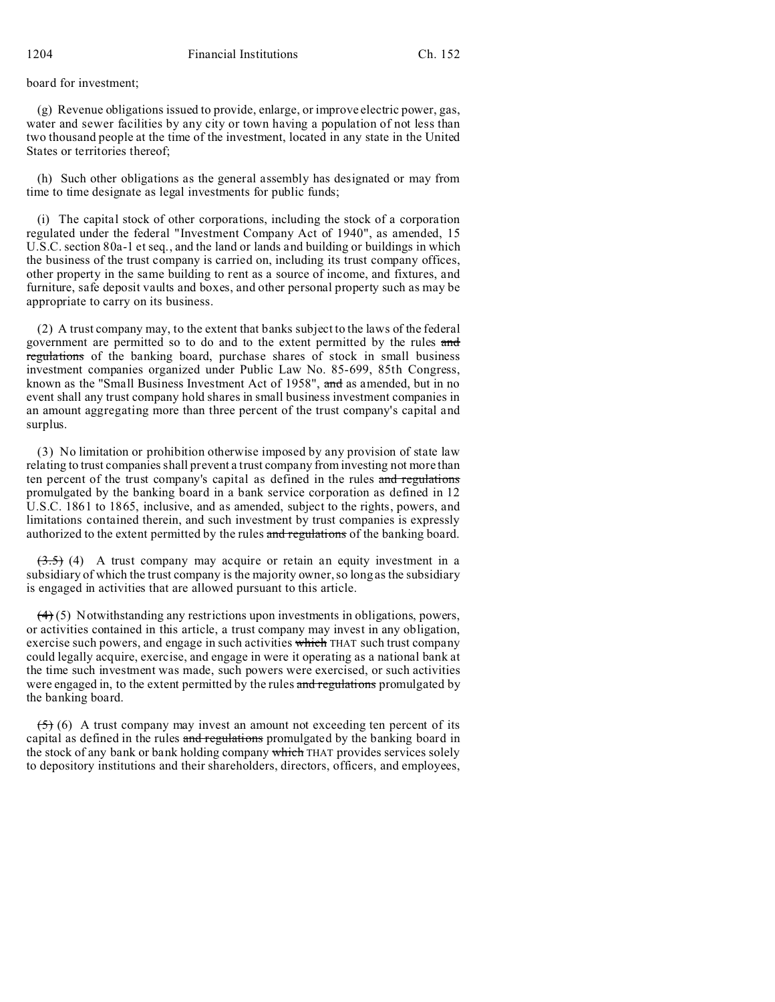board for investment;

(g) Revenue obligations issued to provide, enlarge, or improve electric power, gas, water and sewer facilities by any city or town having a population of not less than two thousand people at the time of the investment, located in any state in the United States or territories thereof;

(h) Such other obligations as the general assembly has designated or may from time to time designate as legal investments for public funds;

(i) The capital stock of other corporations, including the stock of a corporation regulated under the federal "Investment Company Act of 1940", as amended, 15 U.S.C. section 80a-1 et seq., and the land or lands and building or buildings in which the business of the trust company is carried on, including its trust company offices, other property in the same building to rent as a source of income, and fixtures, and furniture, safe deposit vaults and boxes, and other personal property such as may be appropriate to carry on its business.

(2) A trust company may, to the extent that banks subject to the laws of the federal government are permitted so to do and to the extent permitted by the rules and regulations of the banking board, purchase shares of stock in small business investment companies organized under Public Law No. 85-699, 85th Congress, known as the "Small Business Investment Act of 1958", and as amended, but in no event shall any trust company hold shares in small business investment companies in an amount aggregating more than three percent of the trust company's capital and surplus.

(3) No limitation or prohibition otherwise imposed by any provision of state law relating to trust companies shall prevent a trust company from investing not more than ten percent of the trust company's capital as defined in the rules and regulations promulgated by the banking board in a bank service corporation as defined in 12 U.S.C. 1861 to 1865, inclusive, and as amended, subject to the rights, powers, and limitations contained therein, and such investment by trust companies is expressly authorized to the extent permitted by the rules and regulations of the banking board.

 $(3.5)$  (4) A trust company may acquire or retain an equity investment in a subsidiary of which the trust company is the majority owner, so long as the subsidiary is engaged in activities that are allowed pursuant to this article.

 $(4)$  (5) Notwithstanding any restrictions upon investments in obligations, powers, or activities contained in this article, a trust company may invest in any obligation, exercise such powers, and engage in such activities which THAT such trust company could legally acquire, exercise, and engage in were it operating as a national bank at the time such investment was made, such powers were exercised, or such activities were engaged in, to the extent permitted by the rules and regulations promulgated by the banking board.

 $(5)$  (6) A trust company may invest an amount not exceeding ten percent of its capital as defined in the rules and regulations promulgated by the banking board in the stock of any bank or bank holding company which THAT provides services solely to depository institutions and their shareholders, directors, officers, and employees,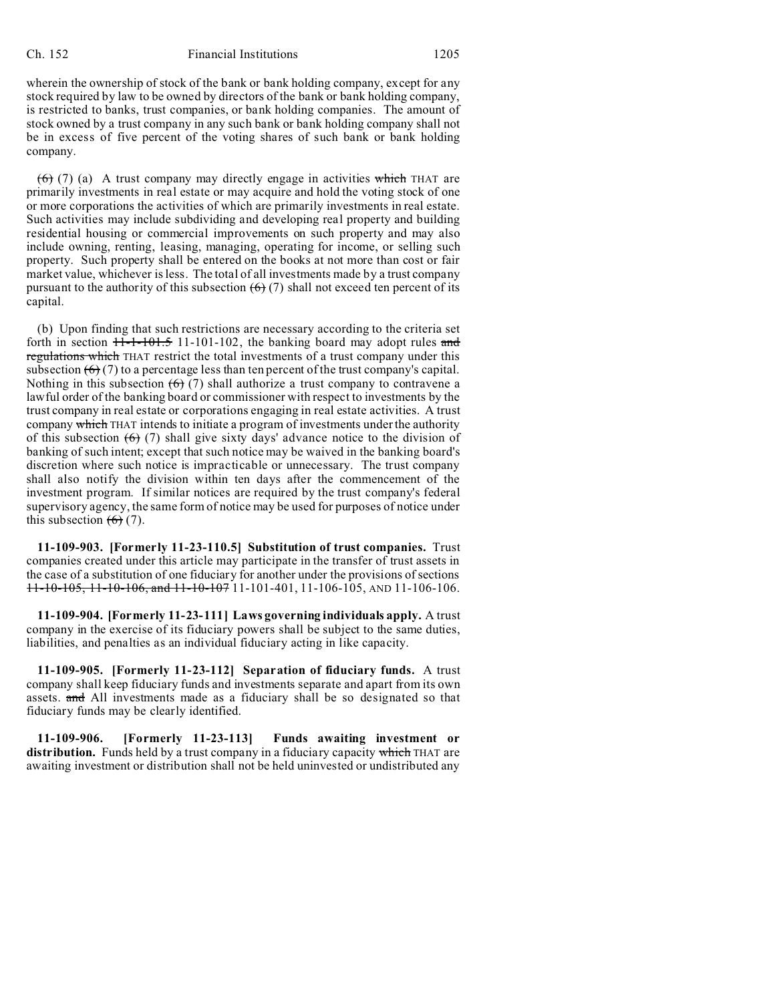#### Ch. 152 Financial Institutions 1205

wherein the ownership of stock of the bank or bank holding company, except for any stock required by law to be owned by directors of the bank or bank holding company, is restricted to banks, trust companies, or bank holding companies. The amount of stock owned by a trust company in any such bank or bank holding company shall not be in excess of five percent of the voting shares of such bank or bank holding company.

 $(6)$  (7) (a) A trust company may directly engage in activities which THAT are primarily investments in real estate or may acquire and hold the voting stock of one or more corporations the activities of which are primarily investments in real estate. Such activities may include subdividing and developing real property and building residential housing or commercial improvements on such property and may also include owning, renting, leasing, managing, operating for income, or selling such property. Such property shall be entered on the books at not more than cost or fair market value, whichever is less. The total of all investments made by a trust company pursuant to the authority of this subsection  $(6)$  (7) shall not exceed ten percent of its capital.

(b) Upon finding that such restrictions are necessary according to the criteria set forth in section  $11 - 101 - 101 - 102$ , the banking board may adopt rules and regulations which THAT restrict the total investments of a trust company under this subsection  $(6)(7)$  to a percentage less than ten percent of the trust company's capital. Nothing in this subsection  $(6)$  (7) shall authorize a trust company to contravene a lawful order of the banking board or commissioner with respect to investments by the trust company in real estate or corporations engaging in real estate activities. A trust company which THAT intends to initiate a program of investments under the authority of this subsection  $(6)$  (7) shall give sixty days' advance notice to the division of banking of such intent; except that such notice may be waived in the banking board's discretion where such notice is impracticable or unnecessary. The trust company shall also notify the division within ten days after the commencement of the investment program. If similar notices are required by the trust company's federal supervisory agency, the same form of notice may be used for purposes of notice under this subsection  $(6)$  (7).

**11-109-903. [Formerly 11-23-110.5] Substitution of trust companies.** Trust companies created under this article may participate in the transfer of trust assets in the case of a substitution of one fiduciary for another under the provisions of sections 11-10-105, 11-10-106, and 11-10-107 11-101-401, 11-106-105, AND 11-106-106.

**11-109-904. [Formerly 11-23-111] Laws governing individuals apply.** A trust company in the exercise of its fiduciary powers shall be subject to the same duties, liabilities, and penalties as an individual fiduciary acting in like capacity.

**11-109-905. [Formerly 11-23-112] Separation of fiduciary funds.** A trust company shall keep fiduciary funds and investments separate and apart from its own assets. and All investments made as a fiduciary shall be so designated so that fiduciary funds may be clearly identified.

**11-109-906. [Formerly 11-23-113] Funds awaiting investment or distribution.** Funds held by a trust company in a fiduciary capacity which THAT are awaiting investment or distribution shall not be held uninvested or undistributed any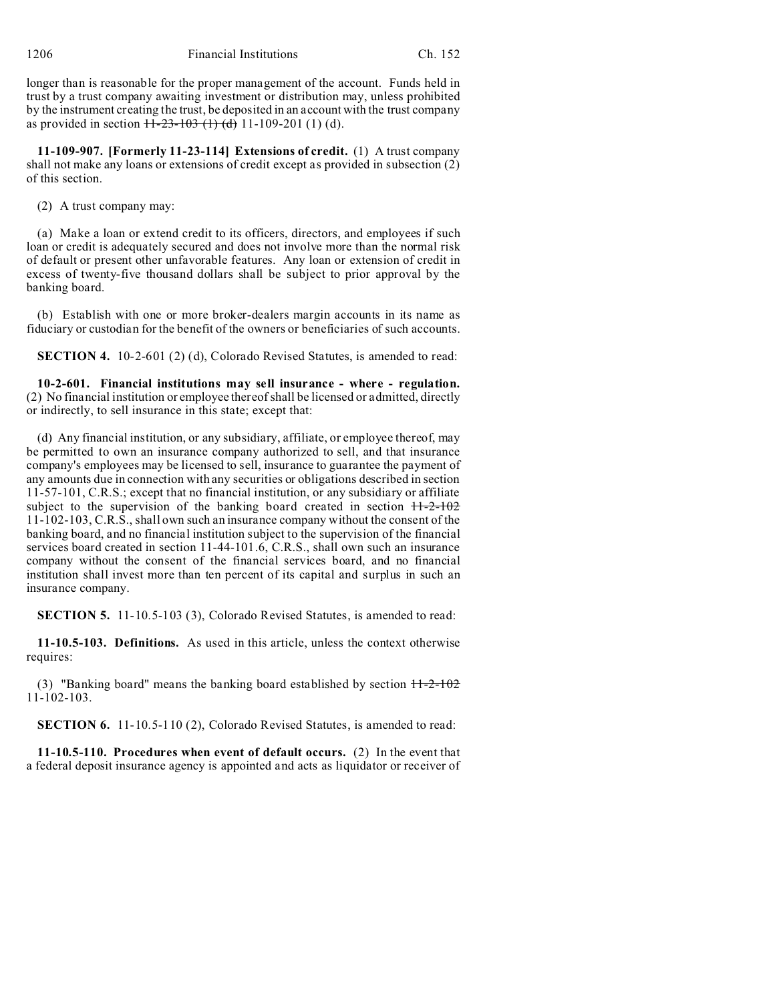longer than is reasonable for the proper management of the account. Funds held in trust by a trust company awaiting investment or distribution may, unless prohibited by the instrument creating the trust, be deposited in an account with the trust company as provided in section  $\overline{11-23-103(1)}$  (d) 11-109-201 (1) (d).

**11-109-907. [Formerly 11-23-114] Extensions of credit.** (1) A trust company shall not make any loans or extensions of credit except as provided in subsection (2) of this section.

(2) A trust company may:

(a) Make a loan or extend credit to its officers, directors, and employees if such loan or credit is adequately secured and does not involve more than the normal risk of default or present other unfavorable features. Any loan or extension of credit in excess of twenty-five thousand dollars shall be subject to prior approval by the banking board.

(b) Establish with one or more broker-dealers margin accounts in its name as fiduciary or custodian for the benefit of the owners or beneficiaries of such accounts.

**SECTION 4.** 10-2-601 (2) (d), Colorado Revised Statutes, is amended to read:

**10-2-601. Financial institutions may sell insurance - where - regulation.** (2) No financial institution or employee thereof shall be licensed or admitted, directly or indirectly, to sell insurance in this state; except that:

(d) Any financial institution, or any subsidiary, affiliate, or employee thereof, may be permitted to own an insurance company authorized to sell, and that insurance company's employees may be licensed to sell, insurance to guarantee the payment of any amounts due in connection with any securities or obligations described in section 11-57-101, C.R.S.; except that no financial institution, or any subsidiary or affiliate subject to the supervision of the banking board created in section  $11-2-102$ 11-102-103, C.R.S., shall own such an insurance company without the consent of the banking board, and no financial institution subject to the supervision of the financial services board created in section 11-44-101.6, C.R.S., shall own such an insurance company without the consent of the financial services board, and no financial institution shall invest more than ten percent of its capital and surplus in such an insurance company.

**SECTION 5.** 11-10.5-103 (3), Colorado Revised Statutes, is amended to read:

**11-10.5-103. Definitions.** As used in this article, unless the context otherwise requires:

(3) "Banking board" means the banking board established by section  $H-2-102$ 11-102-103.

**SECTION 6.** 11-10.5-110 (2), Colorado Revised Statutes, is amended to read:

**11-10.5-110. Procedures when event of default occurs.** (2) In the event that a federal deposit insurance agency is appointed and acts as liquidator or receiver of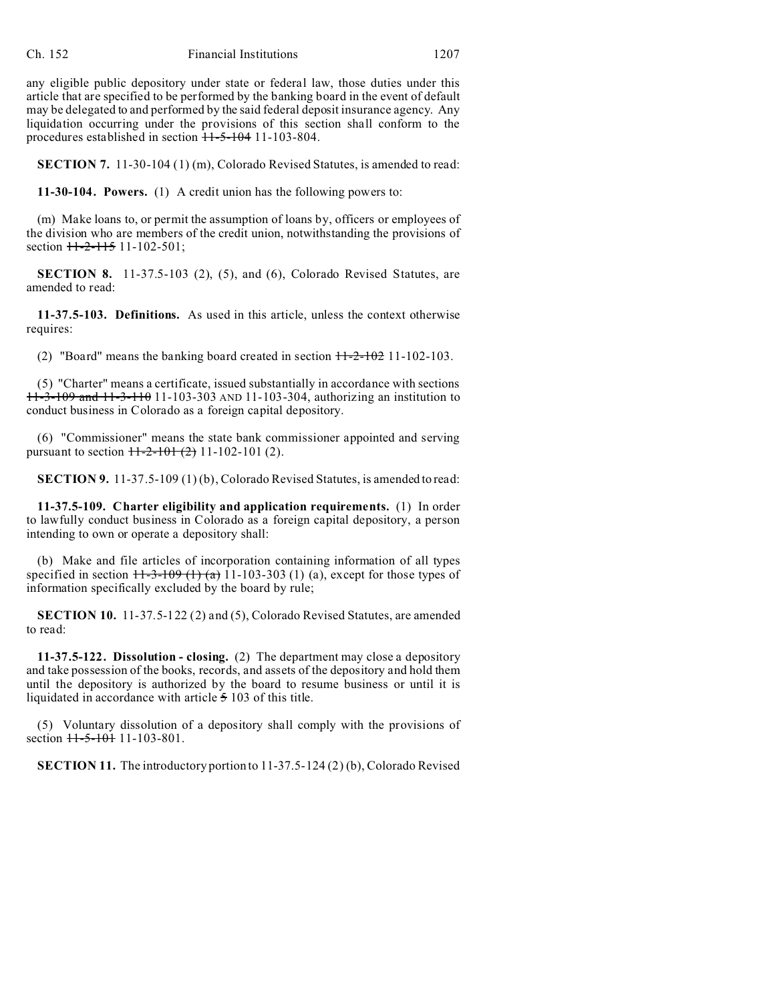any eligible public depository under state or federal law, those duties under this article that are specified to be performed by the banking board in the event of default may be delegated to and performed by the said federal deposit insurance agency. Any liquidation occurring under the provisions of this section shall conform to the procedures established in section  $11-5-104$  11-103-804.

**SECTION 7.** 11-30-104 (1) (m), Colorado Revised Statutes, is amended to read:

**11-30-104. Powers.** (1) A credit union has the following powers to:

(m) Make loans to, or permit the assumption of loans by, officers or employees of the division who are members of the credit union, notwithstanding the provisions of section  $11-2-115$  11-102-501;

**SECTION 8.** 11-37.5-103 (2), (5), and (6), Colorado Revised Statutes, are amended to read:

**11-37.5-103. Definitions.** As used in this article, unless the context otherwise requires:

(2) "Board" means the banking board created in section  $H-2-102$  11-102-103.

(5) "Charter" means a certificate, issued substantially in accordance with sections 11-3-109 and 11-3-110 11-103-303 AND 11-103-304, authorizing an institution to conduct business in Colorado as a foreign capital depository.

(6) "Commissioner" means the state bank commissioner appointed and serving pursuant to section  $+1-2-10+(2)$  11-102-101 (2).

**SECTION 9.** 11-37.5-109 (1) (b), Colorado Revised Statutes, is amended to read:

**11-37.5-109. Charter eligibility and application requirements.** (1) In order to lawfully conduct business in Colorado as a foreign capital depository, a person intending to own or operate a depository shall:

(b) Make and file articles of incorporation containing information of all types specified in section  $11-3-109$  (1) (a) 11-103-303 (1) (a), except for those types of information specifically excluded by the board by rule;

**SECTION 10.** 11-37.5-122 (2) and (5), Colorado Revised Statutes, are amended to read:

**11-37.5-122. Dissolution - closing.** (2) The department may close a depository and take possession of the books, records, and assets of the depository and hold them until the depository is authorized by the board to resume business or until it is liquidated in accordance with article 5 103 of this title.

(5) Voluntary dissolution of a depository shall comply with the provisions of section  $11-5-101$  11-103-801.

**SECTION 11.** The introductory portion to 11-37.5-124 (2) (b), Colorado Revised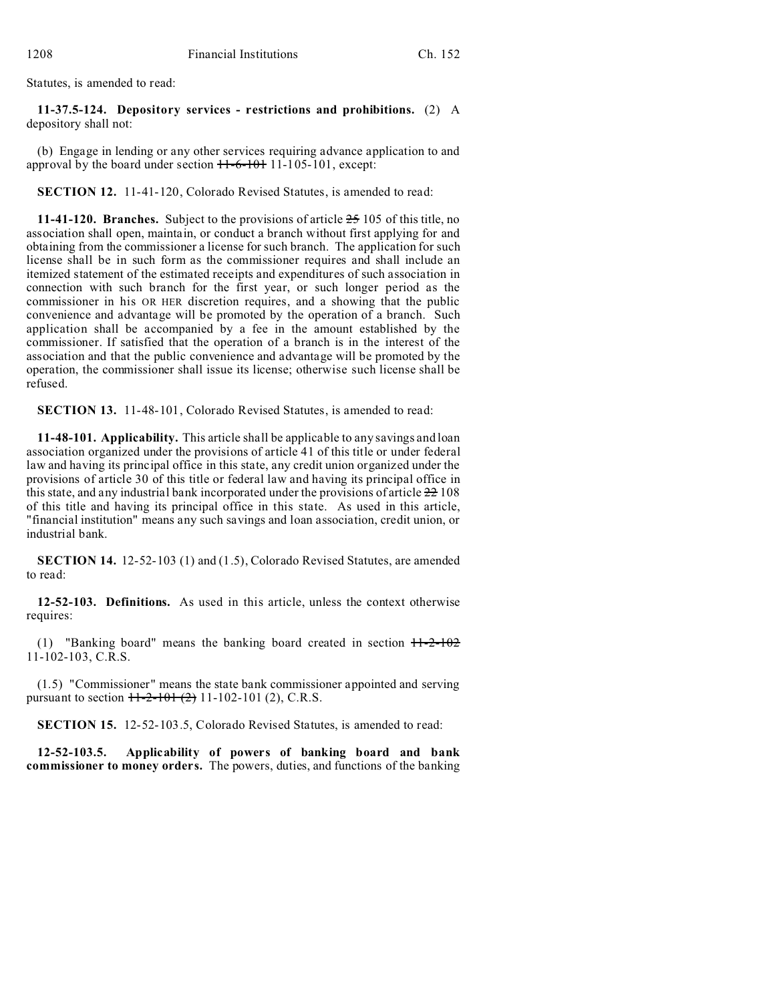Statutes, is amended to read:

**11-37.5-124. Depository services - restrictions and prohibitions.** (2) A depository shall not:

(b) Engage in lending or any other services requiring advance application to and approval by the board under section  $11-6-101$  11-105-101, except:

**SECTION 12.** 11-41-120, Colorado Revised Statutes, is amended to read:

**11-41-120. Branches.** Subject to the provisions of article 25 105 of this title, no association shall open, maintain, or conduct a branch without first applying for and obtaining from the commissioner a license for such branch. The application for such license shall be in such form as the commissioner requires and shall include an itemized statement of the estimated receipts and expenditures of such association in connection with such branch for the first year, or such longer period as the commissioner in his OR HER discretion requires, and a showing that the public convenience and advantage will be promoted by the operation of a branch. Such application shall be accompanied by a fee in the amount established by the commissioner. If satisfied that the operation of a branch is in the interest of the association and that the public convenience and advantage will be promoted by the operation, the commissioner shall issue its license; otherwise such license shall be refused.

**SECTION 13.** 11-48-101, Colorado Revised Statutes, is amended to read:

**11-48-101. Applicability.** This article shall be applicable to any savings and loan association organized under the provisions of article 41 of this title or under federal law and having its principal office in this state, any credit union organized under the provisions of article 30 of this title or federal law and having its principal office in this state, and any industrial bank incorporated under the provisions of article 22 108 of this title and having its principal office in this state. As used in this article, "financial institution" means any such savings and loan association, credit union, or industrial bank.

**SECTION 14.** 12-52-103 (1) and (1.5), Colorado Revised Statutes, are amended to read:

**12-52-103. Definitions.** As used in this article, unless the context otherwise requires:

(1) "Banking board" means the banking board created in section  $11-2-102$  $11-102-103$ , C.R.S.

(1.5) "Commissioner" means the state bank commissioner appointed and serving pursuant to section  $\frac{11-2-101(2)}{2}$  11-102-101 (2), C.R.S.

**SECTION 15.** 12-52-103.5, Colorado Revised Statutes, is amended to read:

**12-52-103.5. Applicability of powers of banking board and bank commissioner to money orders.** The powers, duties, and functions of the banking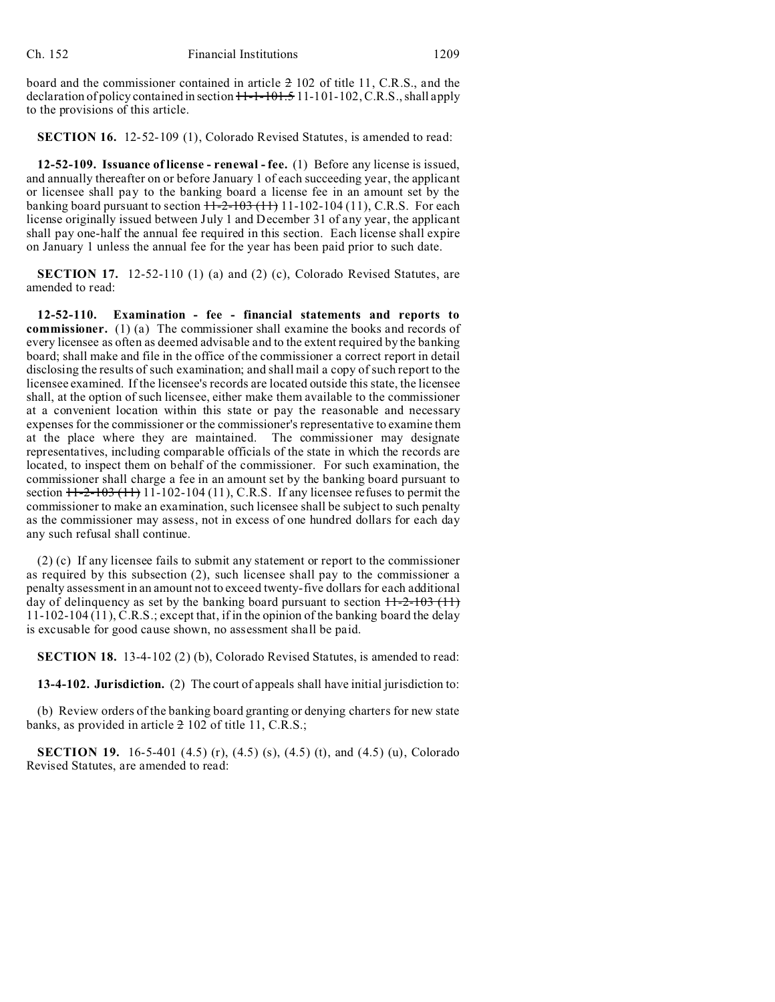board and the commissioner contained in article 2 102 of title 11, C.R.S., and the declaration of policy contained in section  $H-I-101.511-101-102$ , C.R.S., shall apply to the provisions of this article.

**SECTION 16.** 12-52-109 (1), Colorado Revised Statutes, is amended to read:

**12-52-109. Issuance of license - renewal - fee.** (1) Before any license is issued, and annually thereafter on or before January 1 of each succeeding year, the applicant or licensee shall pay to the banking board a license fee in an amount set by the banking board pursuant to section  $11-2-103(11)$  11-102-104 (11), C.R.S. For each license originally issued between July 1 and December 31 of any year, the applicant shall pay one-half the annual fee required in this section. Each license shall expire on January 1 unless the annual fee for the year has been paid prior to such date.

**SECTION 17.** 12-52-110 (1) (a) and (2) (c), Colorado Revised Statutes, are amended to read:

**12-52-110. Examination - fee - financial statements and reports to commissioner.** (1) (a) The commissioner shall examine the books and records of every licensee as often as deemed advisable and to the extent required by the banking board; shall make and file in the office of the commissioner a correct report in detail disclosing the results of such examination; and shall mail a copy of such report to the licensee examined. If the licensee's records are located outside this state, the licensee shall, at the option of such licensee, either make them available to the commissioner at a convenient location within this state or pay the reasonable and necessary expenses for the commissioner or the commissioner's representative to examine them at the place where they are maintained. The commissioner may designate representatives, including comparable officials of the state in which the records are located, to inspect them on behalf of the commissioner. For such examination, the commissioner shall charge a fee in an amount set by the banking board pursuant to section  $H-2-103$  ( $H$ ) 11-102-104 (11), C.R.S. If any licensee refuses to permit the commissioner to make an examination, such licensee shall be subject to such penalty as the commissioner may assess, not in excess of one hundred dollars for each day any such refusal shall continue.

(2) (c) If any licensee fails to submit any statement or report to the commissioner as required by this subsection (2), such licensee shall pay to the commissioner a penalty assessment in an amount not to exceed twenty-five dollars for each additional day of delinquency as set by the banking board pursuant to section  $H-2-103$  (11) 11-102-104 (11), C.R.S.; except that, if in the opinion of the banking board the delay is excusable for good cause shown, no assessment shall be paid.

**SECTION 18.** 13-4-102 (2) (b), Colorado Revised Statutes, is amended to read:

**13-4-102. Jurisdiction.** (2) The court of appeals shall have initial jurisdiction to:

(b) Review orders of the banking board granting or denying charters for new state banks, as provided in article 2 102 of title 11, C.R.S.;

**SECTION 19.** 16-5-401 (4.5) (r), (4.5) (s), (4.5) (t), and (4.5) (u), Colorado Revised Statutes, are amended to read: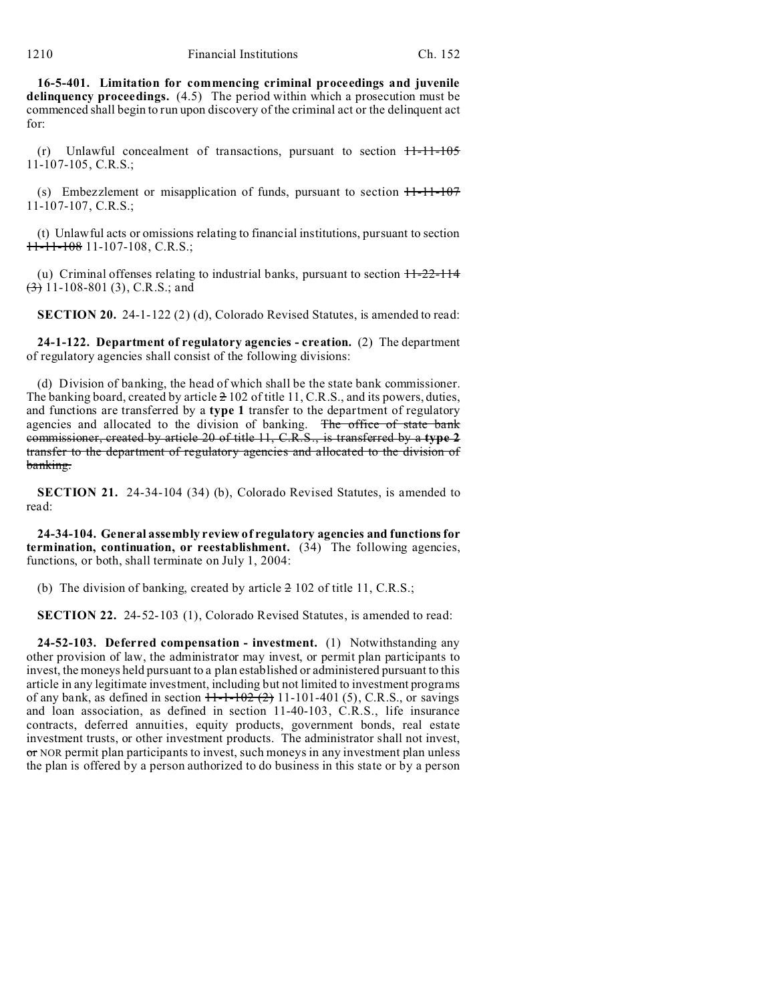**16-5-401. Limitation for commencing criminal proceedings and juvenile delinquency proceedings.** (4.5) The period within which a prosecution must be commenced shall begin to run upon discovery of the criminal act or the delinquent act for:

(r) Unlawful concealment of transactions, pursuant to section 11-11-105 11-107-105, C.R.S.;

(s) Embezzlement or misapplication of funds, pursuant to section  $H-11-107$ 11-107-107, C.R.S.;

(t) Unlawful acts or omissions relating to financial institutions, pursuant to section 11-11-108 11-107-108, C.R.S.;

(u) Criminal offenses relating to industrial banks, pursuant to section  $11-22-114$  $\left(\frac{3}{2}\right)$  11-108-801 (3), C.R.S.; and

**SECTION 20.** 24-1-122 (2) (d), Colorado Revised Statutes, is amended to read:

**24-1-122. Department of regulatory agencies - creation.** (2) The department of regulatory agencies shall consist of the following divisions:

(d) Division of banking, the head of which shall be the state bank commissioner. The banking board, created by article  $\geq 102$  of title 11, C.R.S., and its powers, duties, and functions are transferred by a **type 1** transfer to the department of regulatory agencies and allocated to the division of banking. The office of state bank commissioner, created by article 20 of title 11, C.R.S., is transferred by a **type 2** transfer to the department of regulatory agencies and allocated to the division of banking.

**SECTION 21.** 24-34-104 (34) (b), Colorado Revised Statutes, is amended to read:

**24-34-104. General assembly review of regulatory agencies and functions for termination, continuation, or reestablishment.** (34) The following agencies, functions, or both, shall terminate on July 1, 2004:

(b) The division of banking, created by article  $\geq 102$  of title 11, C.R.S.;

**SECTION 22.** 24-52-103 (1), Colorado Revised Statutes, is amended to read:

**24-52-103. Deferred compensation - investment.** (1) Notwithstanding any other provision of law, the administrator may invest, or permit plan participants to invest, the moneys held pursuant to a plan established or administered pursuant to this article in any legitimate investment, including but not limited to investment programs of any bank, as defined in section  $11 - 102 + 211 - 101 - 401$  (5), C.R.S., or savings and loan association, as defined in section 11-40-103, C.R.S., life insurance contracts, deferred annuities, equity products, government bonds, real estate investment trusts, or other investment products. The administrator shall not invest, or NOR permit plan participants to invest, such moneys in any investment plan unless the plan is offered by a person authorized to do business in this state or by a person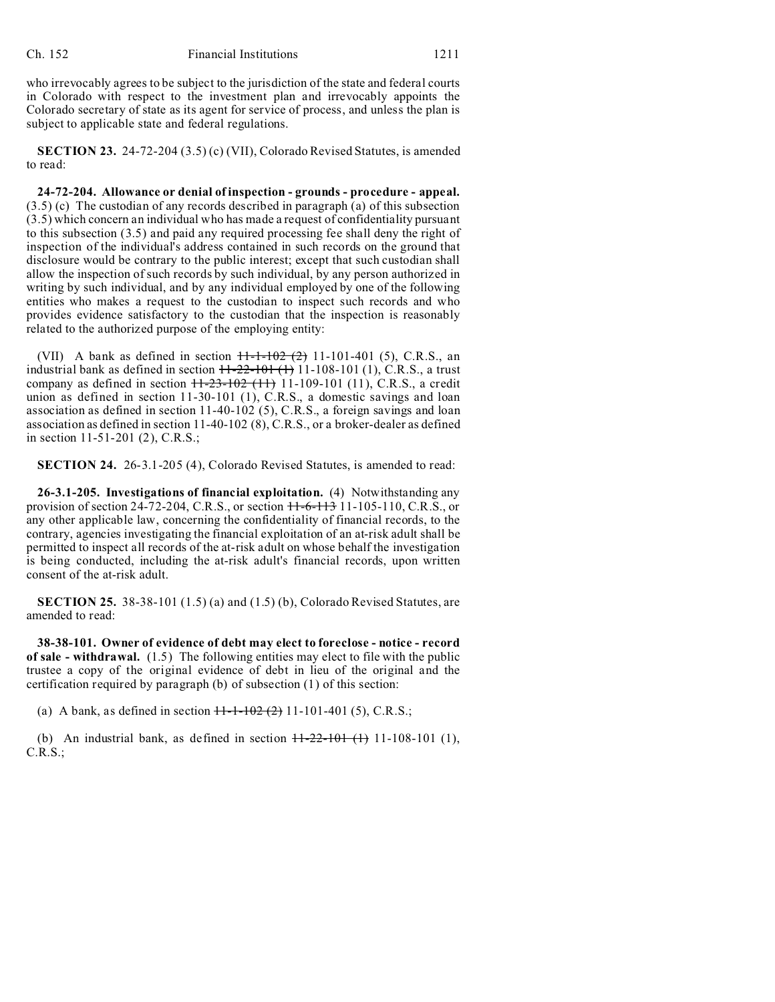who irrevocably agrees to be subject to the jurisdiction of the state and federal courts in Colorado with respect to the investment plan and irrevocably appoints the Colorado secretary of state as its agent for service of process, and unless the plan is subject to applicable state and federal regulations.

**SECTION 23.** 24-72-204 (3.5) (c) (VII), Colorado Revised Statutes, is amended to read:

**24-72-204. Allowance or denial of inspection - grounds - procedure - appeal.** (3.5) (c) The custodian of any records described in paragraph (a) of this subsection (3.5) which concern an individual who has made a request of confidentiality pursuant to this subsection (3.5) and paid any required processing fee shall deny the right of inspection of the individual's address contained in such records on the ground that disclosure would be contrary to the public interest; except that such custodian shall allow the inspection of such records by such individual, by any person authorized in writing by such individual, and by any individual employed by one of the following entities who makes a request to the custodian to inspect such records and who provides evidence satisfactory to the custodian that the inspection is reasonably related to the authorized purpose of the employing entity:

(VII) A bank as defined in section  $H - 1 - 102$  (2) 11-101-401 (5), C.R.S., an industrial bank as defined in section  $11-22-101$  (1) 11-108-101 (1), C.R.S., a trust company as defined in section  $11-23-102$  (11) 11-109-101 (11), C.R.S., a credit union as defined in section 11-30-101 (1), C.R.S., a domestic savings and loan association as defined in section 11-40-102 (5), C.R.S., a foreign savings and loan association as defined in section 11-40-102 (8), C.R.S., or a broker-dealer as defined in section 11-51-201 (2), C.R.S.;

**SECTION 24.** 26-3.1-205 (4), Colorado Revised Statutes, is amended to read:

**26-3.1-205. Investigations of financial exploitation.** (4) Notwithstanding any provision of section 24-72-204, C.R.S., or section  $H=6-113$  11-105-110, C.R.S., or any other applicable law, concerning the confidentiality of financial records, to the contrary, agencies investigating the financial exploitation of an at-risk adult shall be permitted to inspect all records of the at-risk adult on whose behalf the investigation is being conducted, including the at-risk adult's financial records, upon written consent of the at-risk adult.

**SECTION 25.** 38-38-101 (1.5) (a) and (1.5) (b), Colorado Revised Statutes, are amended to read:

**38-38-101. Owner of evidence of debt may elect to foreclose - notice - record of sale - withdrawal.** (1.5) The following entities may elect to file with the public trustee a copy of the original evidence of debt in lieu of the original and the certification required by paragraph (b) of subsection (1) of this section:

(a) A bank, as defined in section  $11-1-102(2)$  11-101-401 (5), C.R.S.;

(b) An industrial bank, as defined in section  $\frac{1+22-101}{1}$  (1), 11-108-101 (1), C.R.S.;